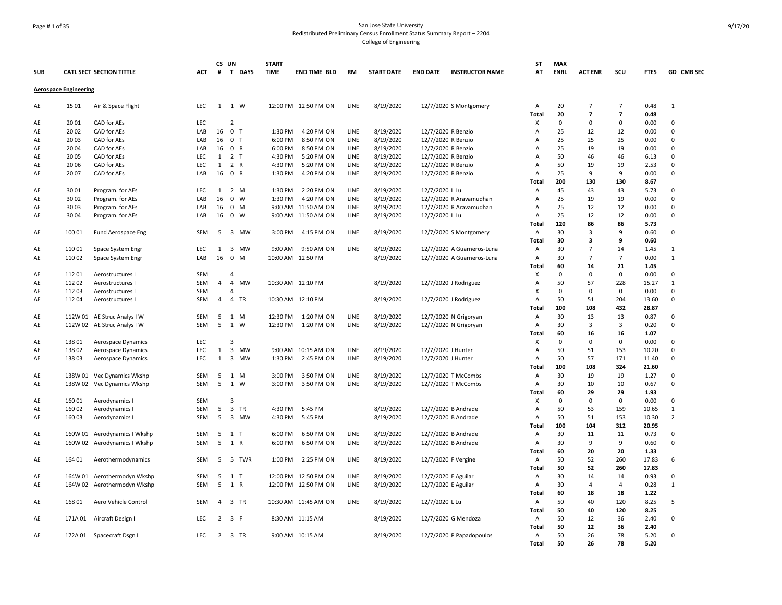# Page # 1 of 35 San Jose State University Redistributed Preliminary Census Enrollment Status Summary Report – 2204 College of Engineering

| <b>SUB</b> |                              | <b>CATL SECT SECTION TITTLE</b> | ACT        | CS UN<br>#     | T DAYS                               | <b>START</b><br><b>TIME</b> | END TIME BLD         | <b>RM</b>    | <b>START DATE</b> | <b>END DATE</b><br><b>INSTRUCTOR NAME</b> | <b>ST</b><br>AT | <b>MAX</b><br><b>ENRL</b> | <b>ACT ENR</b>      | scu                        | <b>FTES</b>  | GD CMB SEC     |
|------------|------------------------------|---------------------------------|------------|----------------|--------------------------------------|-----------------------------|----------------------|--------------|-------------------|-------------------------------------------|-----------------|---------------------------|---------------------|----------------------------|--------------|----------------|
|            | <b>Aerospace Engineering</b> |                                 |            |                |                                      |                             |                      |              |                   |                                           |                 |                           |                     |                            |              |                |
| AE         | 1501                         | Air & Space Flight              | LEC        |                | 1 1 W                                |                             | 12:00 PM 12:50 PM ON | LINE         | 8/19/2020         | 12/7/2020 S Montgomery                    | Α               | 20                        | $\overline{7}$      | $\overline{7}$             | 0.48         | $\mathbf{1}$   |
|            | 2001                         | CAD for AEs                     | LEC        |                | $\overline{2}$                       |                             |                      |              |                   |                                           | Total<br>Х      | 20<br>$\mathbf 0$         | $\overline{ }$<br>0 | $\overline{7}$<br>$\Omega$ | 0.48<br>0.00 | $\Omega$       |
| AE         | 2002                         | CAD for AEs                     | LAB        |                | 16 0 T                               | 1:30 PM                     | 4:20 PM ON           |              | 8/19/2020         | 12/7/2020 R Benzio                        | $\overline{A}$  | 25                        | 12                  | 12                         |              | $\Omega$       |
| AE<br>AE   | 2003                         | CAD for AEs                     | LAB        | 16             | 0 <sub>T</sub>                       | 6:00 PM                     | 8:50 PM ON           | LINE<br>LINE | 8/19/2020         | 12/7/2020 R Benzio                        | A               | 25                        | 25                  | 25                         | 0.00<br>0.00 | $\Omega$       |
| AE         | 2004                         | CAD for AEs                     | LAB        |                | 16 0 R                               | 6:00 PM                     | 8:50 PM ON           | LINE         | 8/19/2020         | 12/7/2020 R Benzio                        | A               | 25                        | 19                  | 19                         | 0.00         | $\Omega$       |
| AE         | 2005                         | CAD for AEs                     | LEC        | 1              | 2<br>$\top$                          | 4:30 PM                     | 5:20 PM ON           | LINE         | 8/19/2020         | 12/7/2020 R Benzio                        | $\overline{A}$  | 50                        | 46                  | 46                         | 6.13         | $\Omega$       |
| AE         | 2006                         | CAD for AEs                     | LEC        | $\mathbf{1}$   | 2 R                                  | 4:30 PM                     | 5:20 PM ON           | LINE         | 8/19/2020         | 12/7/2020 R Benzio                        | $\overline{A}$  | 50                        | 19                  | 19                         | 2.53         | $\mathbf 0$    |
| AE         | 2007                         | CAD for AEs                     | LAB        | 16             | 0 R                                  | 1:30 PM                     | 4:20 PM ON           | LINE         | 8/19/2020         | 12/7/2020 R Benzio                        | $\overline{A}$  | 25                        | 9                   | 9                          | 0.00         | $\Omega$       |
|            |                              |                                 |            |                |                                      |                             |                      |              |                   |                                           | <b>Total</b>    | 200                       | 130                 | 130                        | 8.67         |                |
| AE         | 3001                         | Program. for AEs                | LEC        | $\mathbf{1}$   | 2 M                                  | 1:30 PM                     | 2:20 PM ON           | LINE         | 8/19/2020         | 12/7/2020 L Lu                            | A               | 45                        | 43                  | 43                         | 5.73         | $\mathbf 0$    |
| AE         | 3002                         | Program. for AEs                | LAB        | 16             | $0 \quad W$                          | 1:30 PM                     | 4:20 PM ON           | LINE         | 8/19/2020         | 12/7/2020 R Aravamudhan                   | $\overline{A}$  | 25                        | 19                  | 19                         | 0.00         | $\Omega$       |
|            |                              |                                 |            |                |                                      |                             |                      |              |                   |                                           |                 | 25                        | 12                  |                            |              | $\Omega$       |
| AE         | 3003                         | Program. for AEs                | LAB        | 16             | $0$ M                                |                             | 9:00 AM 11:50 AM ON  | LINE         | 8/19/2020         | 12/7/2020 R Aravamudhan                   | A               |                           |                     | 12                         | 0.00         | $\Omega$       |
| AE         | 3004                         | Program. for AEs                | LAB        | 16             | 0 W                                  |                             | 9:00 AM 11:50 AM ON  | LINE         | 8/19/2020         | 12/7/2020 L Lu                            | A               | 25                        | 12                  | 12                         | 0.00         |                |
|            |                              |                                 |            |                |                                      |                             |                      |              |                   |                                           | Total           | 120                       | 86                  | 86                         | 5.73         |                |
| AE         | 100 01                       | Fund Aerospace Eng              | SEM        | -5             | 3 MW                                 | 3:00 PM                     | 4:15 PM ON           | LINE         | 8/19/2020         | 12/7/2020 S Montgomery                    | Α               | 30                        | 3                   | 9                          | 0.60         | $\mathbf 0$    |
|            |                              |                                 |            |                |                                      |                             |                      |              |                   |                                           | <b>Total</b>    | 30                        | 3                   | 9                          | 0.60         |                |
| AE         | 110 01                       | Space System Engr               | LEC        | 1              | $\overline{\mathbf{3}}$<br><b>MW</b> | 9:00 AM                     | 9:50 AM ON           | LINE         | 8/19/2020         | 12/7/2020 A Guarneros-Luna                | Α               | 30                        | $\overline{7}$      | 14                         | 1.45         | $\mathbf{1}$   |
| AE         | 11002                        | Space System Engr               | LAB        | 16             | $\mathbf 0$<br>M                     |                             | 10:00 AM 12:50 PM    |              | 8/19/2020         | 12/7/2020 A Guarneros-Luna                | Α               | 30                        | $\overline{7}$      | 7                          | 0.00         | $\mathbf{1}$   |
|            |                              |                                 |            |                |                                      |                             |                      |              |                   |                                           | <b>Total</b>    | 60                        | 14                  | 21                         | 1.45         |                |
| AE         | 11201                        | Aerostructures I                | SEM        |                | $\overline{4}$                       |                             |                      |              |                   |                                           | х               | $\mathbf 0$               | 0                   | $\mathbf 0$                | 0.00         | $\Omega$       |
| AE         | 11202                        | Aerostructures I                | SEM        | 4              | $\overline{4}$<br>MW                 |                             | 10:30 AM 12:10 PM    |              | 8/19/2020         | 12/7/2020 J Rodriguez                     | A               | 50                        | 57                  | 228                        | 15.27        | $\mathbf{1}$   |
| AE         | 11203                        | Aerostructures I                | <b>SEM</b> |                | $\overline{A}$                       |                             |                      |              |                   |                                           | X               | 0                         | 0                   | 0                          | 0.00         | $\Omega$       |
| AE         | 112 04                       | Aerostructures I                | SEM        | $\overline{4}$ | $\overline{4}$<br>TR                 |                             | 10:30 AM 12:10 PM    |              | 8/19/2020         | 12/7/2020 J Rodriguez                     | $\overline{A}$  | 50                        | 51                  | 204                        | 13.60        | $\mathbf 0$    |
|            |                              |                                 |            |                |                                      |                             |                      |              |                   |                                           | <b>Total</b>    | 100                       | 108                 | 432                        | 28.87        |                |
| AE         |                              | 112W 01 AE Struc Analys I W     | SEM        | 5              | 1<br>M                               | 12:30 PM                    | 1:20 PM ON           | LINE         | 8/19/2020         | 12/7/2020 N Grigoryan                     | Α               | 30                        | 13                  | 13                         | 0.87         | $\Omega$       |
| AE         |                              | 112W 02 AE Struc Analys I W     | <b>SEM</b> | 5              | 1<br>W                               | 12:30 PM                    | 1:20 PM ON           | LINE         | 8/19/2020         | 12/7/2020 N Grigoryan                     | A               | 30                        | 3                   | 3                          | 0.20         | 0              |
|            |                              |                                 |            |                |                                      |                             |                      |              |                   |                                           | <b>Total</b>    | 60                        | 16                  | 16                         | 1.07         |                |
| AE         | 13801                        | Aerospace Dynamics              | LEC        |                | $\overline{3}$                       |                             |                      |              |                   |                                           | Х               | $\mathbf 0$               | 0                   | $\mathbf 0$                | 0.00         | $\Omega$       |
| AE         | 138 02                       | Aerospace Dynamics              | LEC        | $\mathbf{1}$   | $\overline{\mathbf{3}}$<br>MW        |                             | 9:00 AM 10:15 AM ON  | LINE         | 8/19/2020         | 12/7/2020 J Hunter                        | Α               | 50                        | 51                  | 153                        | 10.20        | $\pmb{0}$      |
| AE         | 13803                        | Aerospace Dynamics              | LEC        | 1              | $\overline{\mathbf{3}}$<br>MW        | 1:30 PM                     | 2:45 PM ON           | LINE         | 8/19/2020         | 12/7/2020 J Hunter                        | A               | 50                        | 57                  | 171                        | 11.40        | $\mathbf 0$    |
|            |                              |                                 |            |                |                                      |                             |                      |              |                   |                                           | <b>Total</b>    | 100                       | 108                 | 324                        | 21.60        |                |
| AE         |                              | 138W 01 Vec Dynamics Wkshp      | SEM        | 5              | 1 M                                  | 3:00 PM                     | 3:50 PM ON           | LINE         | 8/19/2020         | 12/7/2020 T McCombs                       | A               | 30                        | 19                  | 19                         | 1.27         | $\Omega$       |
| AE         |                              | 138W 02 Vec Dynamics Wkshp      | <b>SEM</b> | 5              | 1<br>W                               | 3:00 PM                     | 3:50 PM ON           | LINE         | 8/19/2020         | 12/7/2020 T McCombs                       | $\overline{A}$  | 30                        | 10                  | 10                         | 0.67         | $\Omega$       |
|            |                              |                                 |            |                |                                      |                             |                      |              |                   |                                           | Total           | 60                        | 29                  | 29                         | 1.93         |                |
| AE         | 160 01                       | Aerodynamics I                  | SEM        |                | $\overline{3}$                       |                             |                      |              |                   |                                           | X               | $\mathbf 0$               | 0                   | $\mathbf 0$                | 0.00         | $\mathbf 0$    |
| AE         | 160 02                       | Aerodynamics I                  | <b>SEM</b> | 5              | $\overline{\mathbf{3}}$<br>TR        | 4:30 PM                     | 5:45 PM              |              | 8/19/2020         | 12/7/2020 B Andrade                       | A               | 50                        | 53                  | 159                        | 10.65        | $\mathbf{1}$   |
| AE         | 160 03                       | Aerodynamics I                  | SEM        | 5              | 3 MW                                 | 4:30 PM                     | 5:45 PM              |              | 8/19/2020         | 12/7/2020 B Andrade                       | Α               | 50                        | 51                  | 153                        | 10.30        | $\overline{2}$ |
|            |                              |                                 |            |                |                                      |                             |                      |              |                   |                                           | Total           | 100                       | 104                 | 312                        | 20.95        |                |
| AE         |                              | 160W 01 Aerodynamics I Wkshp    | SEM        | 5              | 1 T                                  | 6:00 PM                     | 6:50 PM ON           | LINE         | 8/19/2020         | 12/7/2020 B Andrade                       | Α               | 30                        | 11                  | 11                         | 0.73         | 0              |
| AE         |                              | 160W 02 Aerodynamics I Wkshp    | SEM        | 5              | 1 R                                  | 6:00 PM                     | 6:50 PM ON           | LINE         | 8/19/2020         | 12/7/2020 B Andrade                       | $\overline{A}$  | 30                        | 9                   | 9                          | 0.60         | $\mathbf 0$    |
|            |                              |                                 |            |                |                                      |                             |                      |              |                   |                                           | <b>Total</b>    | 60                        | 20                  | 20                         | 1.33         |                |
| AE         | 164 01                       | Aerothermodynamics              | SEM        |                | 5 5 TWR                              | 1:00 PM                     | 2:25 PM ON           | LINE         | 8/19/2020         | 12/7/2020 F Vergine                       | $\overline{A}$  | 50                        | 52                  | 260                        | 17.83        | 6              |
|            |                              |                                 |            |                |                                      |                             |                      |              |                   |                                           | Total           | 50                        | 52                  | 260                        | 17.83        |                |
| AE         | 164W 01                      | Aerothermodyn Wkshp             | SEM        | 5              | 1<br>$\top$                          |                             | 12:00 PM 12:50 PM ON | LINE         | 8/19/2020         | 12/7/2020 E Aguilar                       | Α               | 30                        | 14                  | 14                         | 0.93         | $\mathbf 0$    |
| AE         |                              | 164W 02 Aerothermodyn Wkshp     | SEM        |                | 5 1 R                                |                             | 12:00 PM 12:50 PM ON | LINE         | 8/19/2020         | 12/7/2020 E Aguilar                       | А               | 30                        | $\overline{4}$      | 4                          | 0.28         | $\mathbf{1}$   |
|            |                              |                                 |            |                |                                      |                             |                      |              |                   |                                           | Total           | 60                        | 18                  | 18                         | 1.22         |                |
| AE         | 16801                        | Aero Vehicle Control            | SEM        | 4              | 3 TR                                 |                             | 10:30 AM 11:45 AM ON | LINE         | 8/19/2020         | 12/7/2020 L Lu                            | A               | 50                        | 40                  | 120                        | 8.25         | 5              |
|            |                              |                                 |            |                |                                      |                             |                      |              |                   |                                           | <b>Total</b>    | 50                        | 40                  | 120                        | 8.25         |                |
| AE         | 171A 01                      | Aircraft Design I               | <b>LEC</b> |                | $2 \quad 3 \quad F$                  |                             | 8:30 AM 11:15 AM     |              | 8/19/2020         | 12/7/2020 G Mendoza                       | $\overline{A}$  | 50                        | 12                  | 36                         | 2.40         | $\Omega$       |
|            |                              |                                 |            |                |                                      |                             |                      |              |                   |                                           | <b>Total</b>    | 50                        | 12                  | 36                         | 2.40         |                |
| AE         |                              | 172A 01 Spacecraft Dsgn I       | <b>LEC</b> |                | 2 3 TR                               |                             | 9:00 AM 10:15 AM     |              | 8/19/2020         | 12/7/2020 P Papadopoulos                  | A               | 50                        | 26                  | 78                         | 5.20         | $\Omega$       |
|            |                              |                                 |            |                |                                      |                             |                      |              |                   |                                           | Total           | 50                        | 26                  | 78                         | 5.20         |                |
|            |                              |                                 |            |                |                                      |                             |                      |              |                   |                                           |                 |                           |                     |                            |              |                |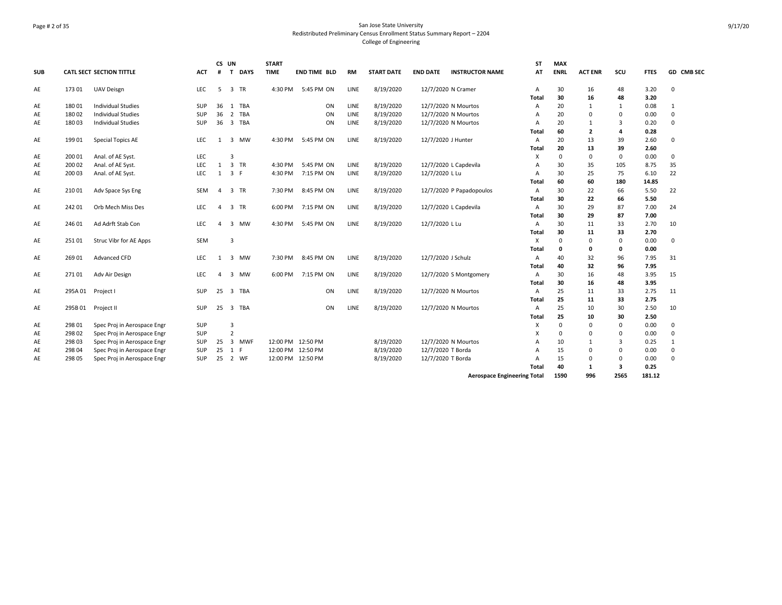# Page # 2 of 35 San Jose State University Redistributed Preliminary Census Enrollment Status Summary Report – 2204 College of Engineering

|            |         |                                 |            |                | CS UN                          | <b>START</b> |                     |           |                   |                                           | <b>ST</b>    | <b>MAX</b>  |                |                         |             |             |
|------------|---------|---------------------------------|------------|----------------|--------------------------------|--------------|---------------------|-----------|-------------------|-------------------------------------------|--------------|-------------|----------------|-------------------------|-------------|-------------|
| <b>SUB</b> |         | <b>CATL SECT SECTION TITTLE</b> | <b>ACT</b> | #              | <b>DAYS</b><br>$\mathbf{T}$    | <b>TIME</b>  | <b>END TIME BLD</b> | <b>RM</b> | <b>START DATE</b> | <b>END DATE</b><br><b>INSTRUCTOR NAME</b> | AT           | <b>ENRL</b> | <b>ACT ENR</b> | scu                     | <b>FTES</b> | GD CMB SEC  |
| AE         | 17301   | <b>UAV Deisgn</b>               | <b>LEC</b> | 5              | $\overline{3}$<br>TR           | 4:30 PM      | 5:45 PM ON          | LINE      | 8/19/2020         | 12/7/2020 N Cramer                        | A            | 30          | 16             | 48                      | 3.20        | $\mathbf 0$ |
|            |         |                                 |            |                |                                |              |                     |           |                   |                                           | Total        | 30          | 16             | 48                      | 3.20        |             |
| AE         | 18001   | <b>Individual Studies</b>       | <b>SUP</b> | 36             | 1 TBA                          |              | ON                  | LINE      | 8/19/2020         | 12/7/2020 N Mourtos                       | A            | 20          | 1              | 1                       | 0.08        | 1           |
| AE         | 18002   | <b>Individual Studies</b>       | <b>SUP</b> | 36             | 2<br><b>TBA</b>                |              | ON                  | LINE      | 8/19/2020         | 12/7/2020 N Mourtos                       | A            | 20          | 0              | $\mathbf 0$             | 0.00        | 0           |
| AE         | 180 03  | <b>Individual Studies</b>       | <b>SUP</b> | 36             | $\overline{\mathbf{3}}$<br>TBA |              | ON                  | LINE      | 8/19/2020         | 12/7/2020 N Mourtos                       | A            | 20          | $\mathbf{1}$   | $\overline{3}$          | 0.20        | $\Omega$    |
|            |         |                                 |            |                |                                |              |                     |           |                   |                                           | Total        | 60          | $\overline{2}$ | $\overline{a}$          | 0.28        |             |
| AE         | 199 01  | <b>Special Topics AE</b>        | <b>LEC</b> | 1              | 3 MW                           | 4:30 PM      | 5:45 PM ON          | LINE      | 8/19/2020         | 12/7/2020 J Hunter                        | A            | 20          | 13             | 39                      | 2.60        | 0           |
|            |         |                                 |            |                |                                |              |                     |           |                   |                                           | Total        | 20          | 13             | 39                      | 2.60        |             |
| AE         | 200 01  | Anal. of AE Syst.               | <b>LEC</b> |                | Э                              |              |                     |           |                   |                                           | x            | 0           | 0              | $\mathbf 0$             | 0.00        | 0           |
| AE         | 200 02  | Anal. of AE Syst.               | LEC        | 1              | 3 TR                           | 4:30 PM      | 5:45 PM ON          | LINE      | 8/19/2020         | 12/7/2020 L Capdevila                     | A            | 30          | 35             | 105                     | 8.75        | 35          |
| AE         | 200 03  | Anal. of AE Syst.               | LEC        | 1              | 3 F                            | 4:30 PM      | 7:15 PM ON          | LINE      | 8/19/2020         | 12/7/2020 L Lu                            | Α            | 30          | 25             | 75                      | 6.10        | 22          |
|            |         |                                 |            |                |                                |              |                     |           |                   |                                           | Total        | 60          | 60             | 180                     | 14.85       |             |
| AE         | 210 01  | Adv Space Sys Eng               | SEM        | $\overline{a}$ | 3 TR                           | 7:30 PM      | 8:45 PM ON          | LINE      | 8/19/2020         | 12/7/2020 P Papadopoulos                  | Α            | 30          | 22             | 66                      | 5.50        | 22          |
|            |         |                                 |            |                |                                |              |                     |           |                   |                                           | Total        | 30          | 22             | 66                      | 5.50        |             |
| AE         | 242 01  | Orb Mech Miss Des               | <b>LEC</b> | $\overline{4}$ | 3 TR                           | 6:00 PM      | 7:15 PM ON          | LINE      | 8/19/2020         | 12/7/2020 L Capdevila                     | A            | 30          | 29             | 87                      | 7.00        | 24          |
|            |         |                                 |            |                |                                |              |                     |           |                   |                                           | Total        | 30          | 29             | 87                      | 7.00        |             |
| AE         | 246 01  | Ad Adrft Stab Con               | LEC        | $\Delta$       | 3<br><b>MW</b>                 | 4:30 PM      | 5:45 PM ON          | LINE      | 8/19/2020         | 12/7/2020 L Lu                            | A            | 30          | 11             | 33                      | 2.70        | 10          |
|            |         |                                 |            |                |                                |              |                     |           |                   |                                           | Total        | 30          | 11             | 33                      | 2.70        |             |
| AE         | 25101   | Struc Vibr for AE Apps          | SEM        |                | 3                              |              |                     |           |                   |                                           | X            | $\Omega$    | 0              | $\mathbf 0$             | 0.00        | 0           |
|            |         |                                 |            |                |                                |              |                     |           |                   |                                           | Total        | 0           | 0              | $\mathbf 0$             | 0.00        |             |
| AE         | 26901   | <b>Advanced CFD</b>             | <b>LEC</b> | 1              | 3 MW                           | 7:30 PM      | 8:45 PM ON          | LINE      | 8/19/2020         | 12/7/2020 J Schulz                        | Α            | 40          | 32             | 96                      | 7.95        | 31          |
|            |         |                                 |            |                |                                |              |                     |           |                   |                                           | Total        | 40          | 32             | 96                      | 7.95        |             |
| AE         | 27101   | Adv Air Design                  | <b>LEC</b> | $\overline{a}$ | <b>MW</b><br>3                 | 6:00 PM      | 7:15 PM ON          | LINE      | 8/19/2020         | 12/7/2020 S Montgomery                    | Α            | 30          | 16             | 48                      | 3.95        | 15          |
|            |         |                                 |            |                |                                |              |                     |           |                   |                                           | <b>Total</b> | 30          | 16             | 48                      | 3.95        |             |
| AE         | 295A 01 | Project I                       | <b>SUP</b> | 25             | $\overline{3}$<br>TBA          |              | ON                  | LINE      | 8/19/2020         | 12/7/2020 N Mourtos                       | A            | 25          | 11             | 33                      | 2.75        | 11          |
|            |         |                                 |            |                |                                |              |                     |           |                   |                                           | <b>Total</b> | 25          | 11             | 33                      | 2.75        |             |
| AE         | 295B01  | Project II                      | SUP        | 25             | $\overline{\mathbf{3}}$<br>TBA |              | ON                  | LINE      | 8/19/2020         | 12/7/2020 N Mourtos                       | A            | 25          | 10             | 30                      | 2.50        | 10          |
|            |         |                                 |            |                |                                |              |                     |           |                   |                                           | <b>Total</b> | 25          | 10             | 30                      | 2.50        |             |
| AE         | 298 01  | Spec Proj in Aerospace Engr     | SUP        |                | 3                              |              |                     |           |                   |                                           | х            | 0           | $\Omega$       | $\mathbf 0$             | 0.00        | 0           |
| AE         | 298 02  | Spec Proj in Aerospace Engr     | SUP        |                | $\overline{2}$                 |              |                     |           |                   |                                           | X            | $\Omega$    | $\Omega$       | $\Omega$                | 0.00        | 0           |
| AE         | 298 03  | Spec Proj in Aerospace Engr     | <b>SUP</b> | 25             | 3 MWF                          |              | 12:00 PM 12:50 PM   |           | 8/19/2020         | 12/7/2020 N Mourtos                       | A            | 10          | 1              | 3                       | 0.25        | 1           |
| AE         | 298 04  | Spec Proj in Aerospace Engr     | SUP        | 25             | 1<br>-F                        |              | 12:00 PM 12:50 PM   |           | 8/19/2020         | 12/7/2020 T Borda                         | A            | 15          | $\Omega$       | $\mathbf 0$             | 0.00        | 0           |
| AE         | 298 05  | Spec Proj in Aerospace Engr     | <b>SUP</b> | 25             | $\overline{2}$<br>WF           | 12:00 PM     | 12:50 PM            |           | 8/19/2020         | 12/7/2020 T Borda                         | A            | 15          | $\Omega$       | $\Omega$                | 0.00        | $\Omega$    |
|            |         |                                 |            |                |                                |              |                     |           |                   |                                           | <b>Total</b> | 40          | 1              | $\overline{\mathbf{3}}$ | 0.25        |             |

**Aerospace Engineering Total 1590 996 2565 181.12**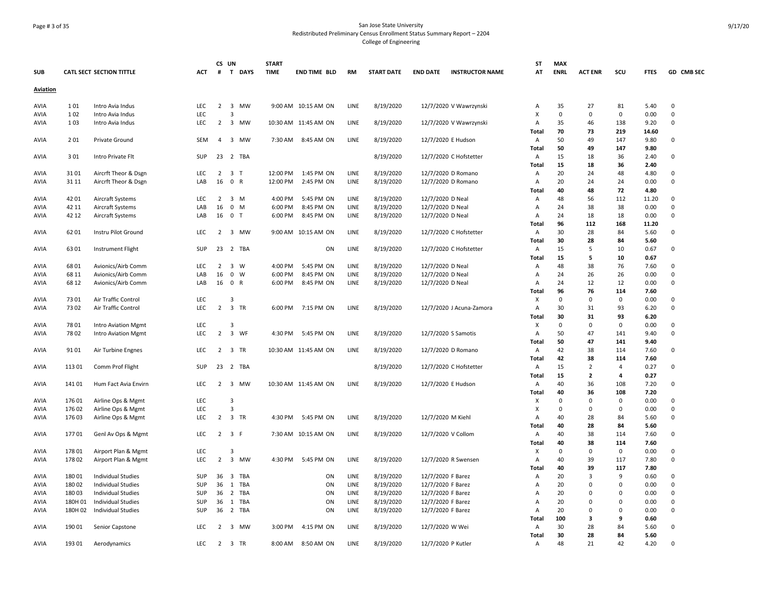# Page # 3 of 35 San Jose State University Redistributed Preliminary Census Enrollment Status Summary Report – 2204 College of Engineering

| <b>SUB</b>      |         | <b>CATL SECT SECTION TITTLE</b> | ACT               | CS UN<br>#     | T DAYS                       | <b>START</b><br><b>TIME</b> | <b>END TIME BLD</b>  | <b>RM</b>   | <b>START DATE</b> | <b>END DATE</b>    | <b>INSTRUCTOR NAME</b>   | ST<br>AT     | <b>MAX</b><br><b>ENRL</b> | <b>ACT ENR</b> | scu            | <b>FTES</b>   | GD CMB SEC       |
|-----------------|---------|---------------------------------|-------------------|----------------|------------------------------|-----------------------------|----------------------|-------------|-------------------|--------------------|--------------------------|--------------|---------------------------|----------------|----------------|---------------|------------------|
| <b>Aviation</b> |         |                                 |                   |                |                              |                             |                      |             |                   |                    |                          |              |                           |                |                |               |                  |
|                 |         |                                 |                   |                |                              |                             |                      |             |                   |                    |                          |              |                           |                |                |               |                  |
| AVIA            | 101     | Intro Avia Indus                | <b>LEC</b>        |                | 2 3 MW<br>$\overline{3}$     |                             | 9:00 AM 10:15 AM ON  | LINE        | 8/19/2020         |                    | 12/7/2020 V Wawrzynski   | А            | 35                        | 27             | 81             | 5.40          | $\mathbf 0$      |
| AVIA            | 102     | Intro Avia Indus                | <b>LEC</b><br>LEC |                |                              |                             | 10:30 AM 11:45 AM ON |             |                   |                    |                          | X            | 0<br>35                   | $\mathbf 0$    | 0<br>138       | 0.00          | $\mathsf 0$<br>0 |
| AVIA            | 103     | Intro Avia Indus                |                   |                | 2 3 MW                       |                             |                      | LINE        | 8/19/2020         |                    | 12/7/2020 V Wawrzynski   | Α            | 70                        | 46<br>73       |                | 9.20          |                  |
| AVIA            | 201     | Private Ground                  | SEM               | $\overline{4}$ | 3 MW                         | 7:30 AM                     | 8:45 AM ON           | LINE        | 8/19/2020         |                    | 12/7/2020 E Hudson       | Total<br>А   | 50                        | 49             | 219<br>147     | 14.60<br>9.80 | 0                |
|                 |         |                                 |                   |                |                              |                             |                      |             |                   |                    |                          | Total        | 50                        | 49             | 147            | 9.80          |                  |
| <b>AVIA</b>     | 301     | Intro Private Flt               | SUP               |                | 23 2 TBA                     |                             |                      |             | 8/19/2020         |                    | 12/7/2020 C Hofstetter   | Α            | 15                        | 18             | 36             | 2.40          | $\Omega$         |
|                 |         |                                 |                   |                |                              |                             |                      |             |                   |                    |                          | Total        | 15                        | 18             | 36             | 2.40          |                  |
| AVIA            | 3101    | Aircrft Theor & Dsgn            | <b>LEC</b>        | 2              | 3 <sub>T</sub>               | 12:00 PM                    | 1:45 PM ON           | LINE        | 8/19/2020         |                    | 12/7/2020 D Romano       | Α            | 20                        | 24             | 48             | 4.80          | 0                |
| AVIA            | 31 11   | Aircrft Theor & Dsgn            | LAB               |                | 16 0 R                       | 12:00 PM                    | 2:45 PM ON           | LINE        | 8/19/2020         |                    | 12/7/2020 D Romano       | A            | 20                        | 24             | 24             | 0.00          | $\Omega$         |
|                 |         |                                 |                   |                |                              |                             |                      |             |                   |                    |                          | Total        | 40                        | 48             | 72             | 4.80          |                  |
| AVIA            | 42 01   | Aircraft Systems                | <b>LEC</b>        | 2              | 3 M                          | 4:00 PM                     | 5:45 PM ON           | <b>LINE</b> | 8/19/2020         | 12/7/2020 D Neal   |                          | Α            | 48                        | 56             | 112            | 11.20         | 0                |
| AVIA            | 42 11   | Aircraft Systems                | LAB               | 16             | $\mathbf 0$<br>M             | 6:00 PM                     | 8:45 PM ON           | LINE        | 8/19/2020         | 12/7/2020 D Neal   |                          | А            | 24                        | 38             | 38             | 0.00          | $\mathbf 0$      |
| AVIA            | 42 12   | Aircraft Systems                | LAB               |                | 16 0 T                       | 6:00 PM                     | 8:45 PM ON           | LINE        | 8/19/2020         | 12/7/2020 D Neal   |                          | Α            | 24                        | 18             | 18             | 0.00          | 0                |
|                 |         |                                 |                   |                |                              |                             |                      |             |                   |                    |                          | Total        | 96                        | 112            | 168            | 11.20         |                  |
| AVIA            | 6201    | Instru Pilot Ground             | LEC               | 2              | 3 MW                         |                             | 9:00 AM 10:15 AM ON  | LINE        | 8/19/2020         |                    | 12/7/2020 C Hofstetter   | Α            | 30                        | 28             | 84             | 5.60          | 0                |
|                 |         |                                 |                   |                |                              |                             |                      |             |                   |                    |                          | Total        | 30                        | 28             | 84             | 5.60          |                  |
| AVIA            | 6301    | <b>Instrument Flight</b>        | SUP               |                | 23 2 TBA                     |                             | ON                   | LINE        | 8/19/2020         |                    | 12/7/2020 C Hofstetter   | Α            | 15                        | 5              | 10             | 0.67          | 0                |
|                 |         |                                 |                   |                |                              |                             |                      |             |                   |                    |                          | Total        | 15                        | 5              | 10             | 0.67          |                  |
| AVIA            | 6801    | Avionics/Airb Comm              | <b>LEC</b>        | 2              | $\overline{\mathbf{3}}$<br>W | 4:00 PM                     | 5:45 PM ON           | LINE        | 8/19/2020         | 12/7/2020 D Neal   |                          | Α            | 48                        | 38             | 76             | 7.60          | 0                |
| <b>AVIA</b>     | 68 11   | Avionics/Airb Comm              | LAB               | 16             | $\mathbf 0$<br>W             | 6:00 PM                     | 8:45 PM ON           | LINE        | 8/19/2020         | 12/7/2020 D Neal   |                          | А            | 24                        | 26             | 26             | 0.00          | 0                |
| AVIA            | 68 12   | Avionics/Airb Comm              | LAB               |                | 16 0 R                       | 6:00 PM                     | 8:45 PM ON           | LINE        | 8/19/2020         | 12/7/2020 D Neal   |                          | А            | 24                        | 12             | 12             | 0.00          | $\mathbf 0$      |
|                 |         |                                 |                   |                |                              |                             |                      |             |                   |                    |                          | Total        | 96                        | 76             | 114            | 7.60          |                  |
| AVIA            | 7301    | Air Traffic Control             | LEC               |                | 3                            |                             |                      |             |                   |                    |                          | х            | 0                         | $\mathbf 0$    | $\mathbf 0$    | 0.00          | 0                |
| AVIA            | 7302    | Air Traffic Control             | <b>LEC</b>        |                | 2 3 TR                       | 6:00 PM                     | 7:15 PM ON           | LINE        | 8/19/2020         |                    | 12/7/2020 J Acuna-Zamora | А            | 30                        | 31             | 93             | 6.20          | 0                |
|                 |         |                                 |                   |                |                              |                             |                      |             |                   |                    |                          | Total        | 30                        | 31             | 93             | 6.20          |                  |
| AVIA            | 7801    | <b>Intro Aviation Mgmt</b>      | LEC               |                | 3                            |                             |                      |             |                   |                    |                          | х            | $\pmb{0}$                 | 0              | 0              | 0.00          | $\mathsf 0$      |
| AVIA            | 7802    | <b>Intro Aviation Mgmt</b>      | LEC               | $\overline{2}$ | 3 WF                         | 4:30 PM                     | 5:45 PM ON           | LINE        | 8/19/2020         |                    | 12/7/2020 S Samotis      | А            | 50                        | 47             | 141            | 9.40          | $\Omega$         |
|                 |         |                                 |                   |                |                              |                             |                      |             |                   |                    |                          | Total        | 50                        | 47             | 141            | 9.40          |                  |
| AVIA            | 9101    | Air Turbine Engnes              | <b>LEC</b>        | $\overline{2}$ | 3 TR                         |                             | 10:30 AM 11:45 AM ON | LINE        | 8/19/2020         |                    | 12/7/2020 D Romano       | Α            | 42                        | 38             | 114            | 7.60          | 0                |
|                 |         |                                 |                   |                |                              |                             |                      |             |                   |                    |                          | Total        | 42                        | 38             | 114            | 7.60          |                  |
| AVIA            | 11301   | Comm Prof Flight                | SUP               | 23             | 2 TBA                        |                             |                      |             | 8/19/2020         |                    | 12/7/2020 C Hofstetter   | Α            | 15                        | $\overline{2}$ | $\overline{4}$ | 0.27          | $\Omega$         |
|                 |         |                                 |                   |                |                              |                             |                      |             |                   |                    |                          | Total        | 15                        | $\overline{2}$ | 4              | 0.27          |                  |
| AVIA            | 14101   | Hum Fact Avia Envirn            | <b>LEC</b>        | $2^{\circ}$    | 3 MW                         |                             | 10:30 AM 11:45 AM ON | LINE        | 8/19/2020         |                    | 12/7/2020 E Hudson       | Α            | 40                        | 36             | 108            | 7.20          | 0                |
|                 |         |                                 |                   |                |                              |                             |                      |             |                   |                    |                          | Total        | 40                        | 36             | 108            | 7.20          |                  |
| AVIA            | 17601   | Airline Ops & Mgmt              | LEC               |                | 3                            |                             |                      |             |                   |                    |                          | х            | 0                         | 0              | 0              | 0.00          | 0                |
| AVIA            | 176 02  | Airline Ops & Mgmt              | LEC               |                | $\overline{3}$               |                             |                      |             |                   |                    |                          | X            | $\mathbf 0$               | $\mathbf 0$    | 0              | 0.00          | $\Omega$         |
| AVIA            | 176 03  | Airline Ops & Mgmt              | <b>LEC</b>        | 2              | 3 TR                         | 4:30 PM                     | 5:45 PM ON           | LINE        | 8/19/2020         | 12/7/2020 M Kiehl  |                          | Α            | 40                        | 28             | 84             | 5.60          | $\Omega$         |
|                 |         |                                 |                   |                |                              |                             |                      |             |                   |                    |                          | Total        | 40                        | 28             | 84             | 5.60          |                  |
| AVIA            | 17701   | Genl Av Ops & Mgmt              | <b>LEC</b>        |                | $2 \quad 3 \quad F$          |                             | 7:30 AM 10:15 AM ON  | LINE        | 8/19/2020         |                    | 12/7/2020 V Collom       | Α            | 40                        | 38             | 114            | 7.60          | 0                |
|                 |         |                                 |                   |                |                              |                             |                      |             |                   |                    |                          | Total        | 40                        | 38             | 114            | 7.60          |                  |
| AVIA            | 17801   | Airport Plan & Mgmt             | <b>LEC</b>        |                | 3                            |                             |                      |             |                   |                    |                          | х            | $\Omega$                  | 0              | $\mathbf 0$    | 0.00          | 0                |
| AVIA            | 178 02  | Airport Plan & Mgmt             | <b>LEC</b>        |                | 2 3 MW                       |                             | 4:30 PM 5:45 PM ON   | LINE        | 8/19/2020         |                    | 12/7/2020 R Swensen      | Α            | 40                        | 39             | 117            | 7.80          | $\Omega$         |
|                 |         |                                 |                   |                |                              |                             |                      |             |                   |                    |                          | <b>Total</b> | 40                        | 39             | 117            | 7.80          |                  |
| AVIA            | 180 01  | <b>Individual Studies</b>       | SUP               | 36             | 3 TBA                        |                             | ON                   | LINE        | 8/19/2020         | 12/7/2020 F Barez  |                          | А            | 20                        | 3              | 9              | 0.60          | 0                |
| AVIA            | 18002   | <b>Individual Studies</b>       | SUP               | 36             | 1 TBA                        |                             | ON                   | LINE        | 8/19/2020         | 12/7/2020 F Barez  |                          | Α            | 20                        | $\mathbf 0$    | $\Omega$       | 0.00          | $\mathsf 0$      |
| AVIA            | 18003   | <b>Individual Studies</b>       | <b>SUP</b>        | 36             | $\overline{2}$<br>TBA        |                             | ON                   | LINE        | 8/19/2020         | 12/7/2020 F Barez  |                          | Α            | 20                        | 0              | $\Omega$       | 0.00          | $\mathsf 0$      |
| AVIA            | 180H 01 | Individual Studies              | SUP               | 36             | 1 TBA                        |                             | ON                   | LINE        | 8/19/2020         | 12/7/2020 F Barez  |                          | Α            | 20                        | $\mathbf 0$    | $\Omega$       | 0.00          | 0                |
| AVIA            | 180H 02 | <b>Individual Studies</b>       | SUP               | 36             | 2 TBA                        |                             | ON                   | LINE        | 8/19/2020         | 12/7/2020 F Barez  |                          | А            | 20                        | $\Omega$       | $\Omega$       | 0.00          | $\Omega$         |
|                 |         |                                 |                   |                |                              |                             |                      |             |                   |                    |                          | Total        | 100                       | 3              | 9              | 0.60          |                  |
| AVIA            | 190 01  | Senior Capstone                 | LEC               | $\overline{2}$ | 3 MW                         | 3:00 PM                     | 4:15 PM ON           | LINE        | 8/19/2020         | 12/7/2020 W Wei    |                          | Α            | 30                        | 28             | 84             | 5.60          | 0                |
|                 |         |                                 |                   |                |                              |                             |                      |             |                   |                    |                          | <b>Total</b> | 30                        | 28             | 84             | 5.60          |                  |
| AVIA            | 193 01  | Aerodynamics                    | <b>LEC</b>        |                | 2 3 TR                       | 8:00 AM                     | 8:50 AM ON           | LINE        | 8/19/2020         | 12/7/2020 P Kutler |                          | Α            | 48                        | 21             | 42             | 4.20          | $\mathbf 0$      |
|                 |         |                                 |                   |                |                              |                             |                      |             |                   |                    |                          |              |                           |                |                |               |                  |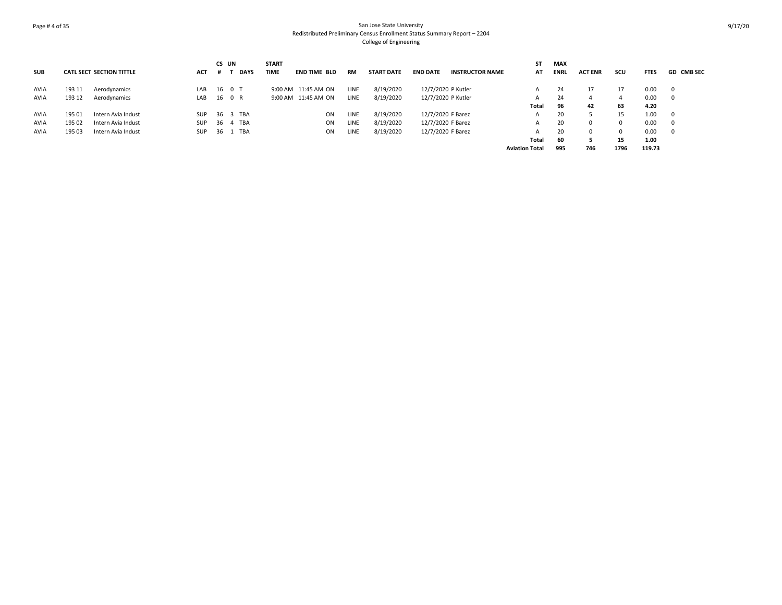# Page # 4 of 35 San Jose State University Redistributed Preliminary Census Enrollment Status Summary Report – 2204 College of Engineering

|            |        |                                 |            | CS UN |             | <b>START</b>                |    |           |                   |                    |                        | ST                    | <b>MAX</b>  |                |          |             |                   |
|------------|--------|---------------------------------|------------|-------|-------------|-----------------------------|----|-----------|-------------------|--------------------|------------------------|-----------------------|-------------|----------------|----------|-------------|-------------------|
| <b>SUB</b> |        | <b>CATL SECT SECTION TITTLE</b> | <b>ACT</b> |       | <b>DAYS</b> | <b>TIME</b><br>END TIME BLD |    | <b>RM</b> | <b>START DATE</b> | <b>END DATE</b>    | <b>INSTRUCTOR NAME</b> | AT                    | <b>ENRL</b> | <b>ACT ENR</b> | scu      | <b>FTES</b> | <b>GD CMB SEC</b> |
| AVIA       | 193 11 | Aerodynamics                    | LAB        |       | 16 0 T      | 9:00 AM 11:45 AM ON         |    | LINE      | 8/19/2020         | 12/7/2020 P Kutler |                        |                       | 24          | 17             | 17       | 0.00        |                   |
| AVIA       | 193 12 | Aerodynamics                    | LAB        |       | 16 0 R      | 9:00 AM 11:45 AM ON         |    | LINE      | 8/19/2020         | 12/7/2020 P Kutler |                        |                       | 24          |                |          | 0.00        |                   |
|            |        |                                 |            |       |             |                             |    |           |                   |                    |                        | <b>Total</b>          | 96          | 42             | 63       | 4.20        |                   |
| AVIA       | 195 01 | Intern Avia Indust              | <b>SUP</b> |       | 36 3 TBA    |                             | ON | LINE      | 8/19/2020         | 12/7/2020 F Barez  |                        | A                     | 20          |                | 15       | 1.00        |                   |
| AVIA       | 195 02 | Intern Avia Indust              | SUP        |       | 36  4  TBA  |                             | ON | LINE      | 8/19/2020         | 12/7/2020 F Barez  |                        | А                     | 20          |                | $\Omega$ | 0.00        |                   |
| AVIA       | 195 03 | Intern Avia Indust              | <b>SUP</b> | 36 1  | TBA         |                             | ON | LINE      | 8/19/2020         | 12/7/2020 F Barez  |                        |                       | 20          |                | $\Omega$ | 0.00        |                   |
|            |        |                                 |            |       |             |                             |    |           |                   |                    |                        | <b>Total</b>          | 60          |                | 15       | 1.00        |                   |
|            |        |                                 |            |       |             |                             |    |           |                   |                    |                        | <b>Aviation Total</b> | 995         | 746            | 1796     | 119.73      |                   |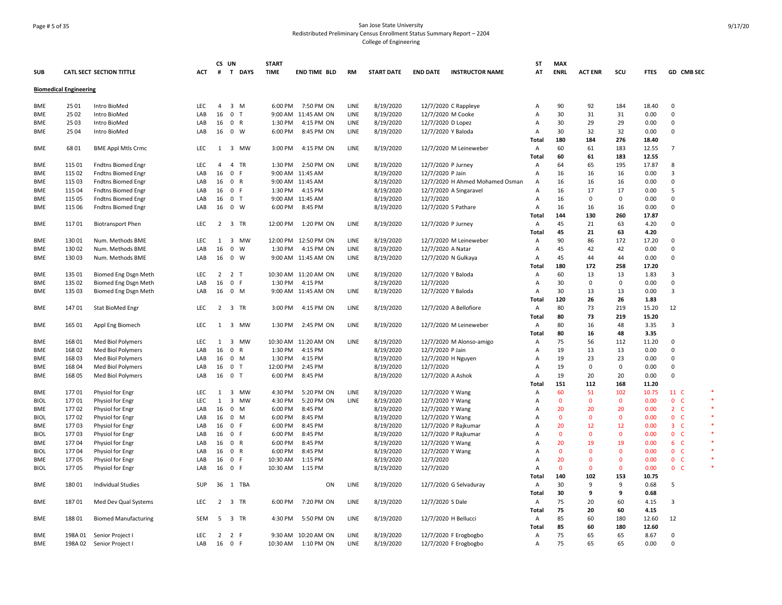# Page # 5 of 35 San Jose State University Redistributed Preliminary Census Enrollment Status Summary Report – 2204 College of Engineering

| <b>SUB</b>  |                               | <b>CATL SECT SECTION TITTLE</b> | ACT        | CS UN          | # T DAYS                             | <b>START</b><br><b>TIME</b> | <b>END TIME BLD</b>  | <b>RM</b> | <b>START DATE</b> | <b>END DATE</b>    | <b>INSTRUCTOR NAME</b>          | ST<br>AT       | <b>MAX</b><br><b>ENRL</b> | <b>ACT ENR</b> | scu          | <b>FTES</b> | GD CMB SEC     |  |
|-------------|-------------------------------|---------------------------------|------------|----------------|--------------------------------------|-----------------------------|----------------------|-----------|-------------------|--------------------|---------------------------------|----------------|---------------------------|----------------|--------------|-------------|----------------|--|
|             | <b>Biomedical Engineering</b> |                                 |            |                |                                      |                             |                      |           |                   |                    |                                 |                |                           |                |              |             |                |  |
| <b>BME</b>  | 25 01                         | Intro BioMed                    | LEC.       | $\overline{4}$ | 3 M                                  | 6:00 PM                     | 7:50 PM ON           | LINE      | 8/19/2020         |                    | 12/7/2020 C Rappleye            | $\overline{A}$ | 90                        | 92             | 184          | 18.40       | $\mathbf 0$    |  |
| <b>BME</b>  | 25 02                         | Intro BioMed                    | LAB        | 16             | $\mathbf 0$<br>T                     |                             | 9:00 AM 11:45 AM ON  | LINE      | 8/19/2020         |                    | 12/7/2020 M Cooke               | Α              | 30                        | 31             | 31           | 0.00        | $\Omega$       |  |
| BME         | 25 03                         | Intro BioMed                    | LAB        | 16             | $\mathbf 0$<br>$\mathsf{R}$          | 1:30 PM                     | 4:15 PM ON           | LINE      | 8/19/2020         | 12/7/2020 D Lopez  |                                 | Α              | 30                        | 29             | 29           | 0.00        | $\Omega$       |  |
| <b>BME</b>  | 25 04                         | Intro BioMed                    | LAB        | 16             | $\overline{0}$<br>W                  | 6:00 PM                     | 8:45 PM ON           | LINE      | 8/19/2020         |                    | 12/7/2020 Y Baloda              | Α              | 30                        | 32             | 32           | 0.00        | $\Omega$       |  |
|             |                               |                                 |            |                |                                      |                             |                      |           |                   |                    |                                 | Total          | 180                       | 184            | 276          | 18.40       |                |  |
| BME         | 6801                          | <b>BME Appl Mtls Crmc</b>       | LEC        | 1              | $\overline{\mathbf{3}}$<br><b>MW</b> | 3:00 PM                     | 4:15 PM ON           | LINE      | 8/19/2020         |                    | 12/7/2020 M Leineweber          | Α              | 60                        | 61             | 183          | 12.55       | $\overline{7}$ |  |
|             |                               |                                 |            |                |                                      |                             |                      |           |                   |                    |                                 | Total          | 60                        | 61             | 183          | 12.55       |                |  |
| BME         | 115 01                        | <b>Fndtns Biomed Engr</b>       | LEC        | 4              | $\overline{4}$<br>TR                 | 1:30 PM                     | 2:50 PM ON           | LINE      | 8/19/2020         | 12/7/2020 P Jurney |                                 | Α              | 64                        | 65             | 195          | 17.87       | 8              |  |
| <b>BME</b>  | 115 02                        | <b>Fndtns Biomed Engr</b>       | LAB        | 16             | $\mathbf 0$<br>-F                    |                             | 9:00 AM 11:45 AM     |           | 8/19/2020         | 12/7/2020 P Jain   |                                 | A              | 16                        | 16             | 16           | 0.00        | 3              |  |
| <b>BME</b>  | 115 03                        | Fndtns Biomed Engr              | LAB        | 16             | 0 R                                  |                             | 9:00 AM 11:45 AM     |           | 8/19/2020         |                    | 12/7/2020 H Ahmed Mohamed Osman | $\overline{A}$ | 16                        | 16             | 16           | 0.00        | $\Omega$       |  |
| <b>BME</b>  | 115 04                        | <b>Fndtns Biomed Engr</b>       | LAB        | 16             | 0 F                                  | 1:30 PM                     | 4:15 PM              |           | 8/19/2020         |                    | 12/7/2020 A Singaravel          | Α              | 16                        | 17             | 17           | 0.00        | 5              |  |
| <b>BME</b>  | 115 05                        | <b>Fndtns Biomed Engr</b>       | LAB        | 16             | 0 <sub>T</sub>                       |                             | 9:00 AM 11:45 AM     |           | 8/19/2020         | 12/7/2020          |                                 | Α              | 16                        | 0              | $\mathbf 0$  | 0.00        | $\Omega$       |  |
| <b>BME</b>  | 115 06                        | <b>Fndtns Biomed Engr</b>       | LAB        | 16             | $\mathbf{0}$<br>W                    | 6:00 PM                     | 8:45 PM              |           | 8/19/2020         |                    | 12/7/2020 S Pathare             | Α              | 16                        | 16             | 16           | 0.00        | $\mathbf 0$    |  |
|             |                               |                                 |            |                |                                      |                             |                      |           |                   |                    |                                 | Total          | 144                       | 130            | 260          | 17.87       |                |  |
| BME         | 11701                         | <b>Biotransport Phen</b>        | LEC        |                | 2 3 TR                               | 12:00 PM                    | 1:20 PM ON           | LINE      | 8/19/2020         |                    | 12/7/2020 P Jurney              | $\mathsf{A}$   | 45                        | 21             | 63           | 4.20        | $\Omega$       |  |
|             |                               |                                 |            |                |                                      |                             |                      |           |                   |                    |                                 | Total          | 45                        | 21             | 63           | 4.20        |                |  |
| <b>BME</b>  | 130 01                        | Num. Methods BME                | <b>LEC</b> | 1              | $\overline{\mathbf{3}}$<br><b>MW</b> |                             | 12:00 PM 12:50 PM ON | LINE      | 8/19/2020         |                    | 12/7/2020 M Leineweber          | $\overline{A}$ | 90                        | 86             | 172          | 17.20       | $\Omega$       |  |
| <b>BME</b>  | 130 02                        | Num. Methods BME                | LAB        | 16             | $\overline{0}$<br>W                  | 1:30 PM                     | 4:15 PM ON           | LINE      | 8/19/2020         | 12/7/2020 A Natar  |                                 | А              | 45                        | 42             | 42           | 0.00        | $\Omega$       |  |
| <b>BME</b>  | 130 03                        | Num. Methods BME                | LAB        | 16             | $\mathbf 0$<br>W                     |                             | 9:00 AM 11:45 AM ON  | LINE      | 8/19/2020         |                    | 12/7/2020 N Gulkaya             | Α              | 45                        | 44             | 44           | 0.00        | $\Omega$       |  |
|             |                               |                                 |            |                |                                      |                             |                      |           |                   |                    |                                 | Total          | 180                       | 172            | 258          | 17.20       |                |  |
| <b>BME</b>  | 135 01                        | Biomed Eng Dsgn Meth            | LEC        | $\overline{2}$ | 2 <sub>T</sub>                       |                             | 10:30 AM 11:20 AM ON | LINE      | 8/19/2020         | 12/7/2020 Y Baloda |                                 | Α              | 60                        | 13             | 13           | 1.83        | 3              |  |
| <b>BME</b>  | 135 02                        | Biomed Eng Dsgn Meth            | LAB        | 16             | $\mathbf 0$<br>$\mathsf{F}$          | 1:30 PM                     | 4:15 PM              |           | 8/19/2020         | 12/7/2020          |                                 | Α              | 30                        | 0              | $\Omega$     | 0.00        | $\Omega$       |  |
| BME         | 135 03                        | Biomed Eng Dsgn Meth            | LAB        | 16             | 0 M                                  |                             | 9:00 AM 11:45 AM ON  | LINE      | 8/19/2020         |                    | 12/7/2020 Y Baloda              | A              | 30                        | 13             | 13           | 0.00        | 3              |  |
|             |                               |                                 |            |                |                                      |                             |                      |           |                   |                    |                                 | Total          | 120                       | 26             | 26           | 1.83        |                |  |
| <b>BME</b>  | 14701                         | Stat BioMed Engr                | LEC        | $\overline{2}$ | 3 TR                                 | 3:00 PM                     | 4:15 PM ON           | LINE      | 8/19/2020         |                    | 12/7/2020 A Bellofiore          | $\mathsf{A}$   | 80                        | 73             | 219          | 15.20       | 12             |  |
|             |                               |                                 |            |                |                                      |                             |                      |           |                   |                    |                                 | Total          | 80                        | 73             | 219          | 15.20       |                |  |
| <b>BME</b>  | 165 01                        | Appl Eng Biomech                | <b>LEC</b> | 1              | 3 MW                                 | 1:30 PM                     | 2:45 PM ON           | LINE      | 8/19/2020         |                    | 12/7/2020 M Leineweber          | Α              | 80                        | 16             | 48           | 3.35        | 3              |  |
|             |                               |                                 |            |                |                                      |                             |                      |           |                   |                    |                                 | Total          | 80                        | 16             | 48           | 3.35        |                |  |
| <b>BME</b>  | 168 01                        | Med Biol Polymers               | <b>LEC</b> | 1              | $\overline{\mathbf{3}}$<br>MW        |                             | 10:30 AM 11:20 AM ON | LINE      | 8/19/2020         |                    | 12/7/2020 M Alonso-amigo        | Α              | 75                        | 56             | 112          | 11.20       | 0              |  |
| <b>BME</b>  | 16802                         | Med Biol Polymers               | LAB        | 16             | $\mathbf 0$<br>R                     | 1:30 PM                     | 4:15 PM              |           | 8/19/2020         | 12/7/2020 P Jain   |                                 | Α              | 19                        | 13             | 13           | 0.00        | $\Omega$       |  |
| BME         | 168 03                        | Med Biol Polymers               | LAB        | 16             | $^{\circ}$<br>M                      | 1:30 PM                     | 4:15 PM              |           | 8/19/2020         |                    | 12/7/2020 H Nguyen              | $\overline{A}$ | 19                        | 23             | 23           | 0.00        | $\Omega$       |  |
| <b>BME</b>  | 168 04                        | Med Biol Polymers               | LAB        | 16             | $\mathbf 0$<br>$\mathsf{T}$          | 12:00 PM                    | 2:45 PM              |           | 8/19/2020         | 12/7/2020          |                                 | Α              | 19                        | $\Omega$       | $\mathbf 0$  | 0.00        | $\mathbf 0$    |  |
| BME         | 168 05                        | Med Biol Polymers               | LAB        | 16             | $\overline{\mathbf{0}}$<br>$\top$    | 6:00 PM                     | 8:45 PM              |           | 8/19/2020         | 12/7/2020 A Ashok  |                                 | Α              | 19                        | 20             | 20           | 0.00        | $\Omega$       |  |
|             |                               |                                 |            |                |                                      |                             |                      |           |                   |                    |                                 | Total          | 151                       | 112            | 168          | 11.20       |                |  |
| <b>BME</b>  | 17701                         | Physiol for Engr                | <b>LEC</b> | 1              | $\overline{\mathbf{3}}$<br><b>MW</b> | 4:30 PM                     | 5:20 PM ON           | LINE      | 8/19/2020         | 12/7/2020 Y Wang   |                                 | $\overline{A}$ | 60                        | 51             | 102          | 10.75       | 11 C           |  |
| <b>BIOL</b> | 17701                         | Physiol for Engr                | LEC        | $\mathbf{1}$   | $\overline{\mathbf{3}}$<br>MW        | 4:30 PM                     | 5:20 PM ON           | LINE      | 8/19/2020         | 12/7/2020 Y Wang   |                                 | Α              | 0                         | $\mathbf 0$    | $\mathbf 0$  | 0.00        | 0 <sub>c</sub> |  |
| <b>BME</b>  | 17702                         | Physiol for Engr                | LAB        | 16             | $\mathbf 0$<br>M                     | 6:00 PM                     | 8:45 PM              |           | 8/19/2020         | 12/7/2020 Y Wang   |                                 | Α              | 20                        | 20             | 20           | 0.00        | 2 <sub>c</sub> |  |
| <b>BIOL</b> | 17702                         | Physiol for Engr                | LAB        | 16             | $\mathbf{0}$<br>M                    | 6:00 PM                     | 8:45 PM              |           | 8/19/2020         | 12/7/2020 Y Wang   |                                 | А              | 0                         | $\mathbf{0}$   | $\mathbf 0$  | 0.00        | 0 <sub>c</sub> |  |
| <b>BME</b>  | 17703                         | Physiol for Engr                | LAB        | 16             | $\overline{0}$<br>-F                 | 6:00 PM                     | 8:45 PM              |           | 8/19/2020         |                    | 12/7/2020 P Rajkumar            | А              | 20                        | 12             | 12           | 0.00        | 3 <sup>°</sup> |  |
| <b>BIOL</b> | 17703                         | Physiol for Engr                | LAB        | 16             | 0 F                                  | 6:00 PM                     | 8:45 PM              |           | 8/19/2020         |                    | 12/7/2020 P Rajkumar            | A              | 0                         | $\Omega$       | $\mathbf{0}$ | 0.00        | 0 <sub>c</sub> |  |
| BME         | 17704                         | Physiol for Engr                | LAB        | 16             | 0 R                                  | 6:00 PM                     | 8:45 PM              |           | 8/19/2020         | 12/7/2020 Y Wang   |                                 | А              | 20                        | 19             | 19           | 0.00        | $6-$           |  |
| <b>BIOL</b> | 17704                         | Physiol for Engr                | LAB        | 16             | 0 R                                  | 6:00 PM                     | 8:45 PM              |           | 8/19/2020         | 12/7/2020 Y Wang   |                                 | A              | $\Omega$                  | $\Omega$       | $\Omega$     | 0.00        | 0 <sup>o</sup> |  |
| <b>BME</b>  | 17705                         | Physiol for Engr                | LAB        | 16             | 0 F                                  | 10:30 AM                    | 1:15 PM              |           | 8/19/2020         | 12/7/2020          |                                 | A              | 20                        | $\Omega$       | $\mathbf{0}$ | 0.00        | 0 <sub>c</sub> |  |
| <b>BIOL</b> | 17705                         | Physiol for Engr                | LAB        | 16             | 0 F                                  | 10:30 AM                    | 1:15 PM              |           | 8/19/2020         | 12/7/2020          |                                 | A              | $\mathbf{0}$              | $\Omega$       | $\mathbf{0}$ | 0.00        | 0 <sub>c</sub> |  |
|             |                               |                                 |            |                |                                      |                             |                      |           |                   |                    |                                 | Total          | 140                       | 102            | 153          | 10.75       |                |  |
| <b>BME</b>  | 18001                         | Individual Studies              | SUP        | 36             | 1 TBA                                |                             | ON                   | LINE      | 8/19/2020         |                    | 12/7/2020 G Selvaduray          | Α              | 30                        | 9              | 9            | 0.68        | 5              |  |
|             |                               |                                 |            |                |                                      |                             |                      |           |                   |                    |                                 | Total          | 30                        | 9              | 9            | 0.68        |                |  |
| <b>BME</b>  | 18701                         | Med Dev Qual Systems            | LEC        |                | 2 3 TR                               | 6:00 PM                     | 7:20 PM ON           | LINE      | 8/19/2020         | 12/7/2020 S Dale   |                                 | A              | 75                        | 20             | 60           | 4.15        | 3              |  |
|             |                               |                                 |            |                |                                      |                             |                      |           |                   |                    |                                 | Total          | 75                        | 20             | 60           | 4.15        |                |  |
| <b>BME</b>  | 18801                         | <b>Biomed Manufacturing</b>     | SEM        | 5              | 3 TR                                 | 4:30 PM                     | 5:50 PM ON           | LINE      | 8/19/2020         |                    | 12/7/2020 H Bellucci            | $\mathsf{A}$   | 85                        | 60             | 180          | 12.60       | 12             |  |
|             |                               |                                 |            |                |                                      |                             |                      |           |                   |                    |                                 | Total          | 85                        | 60             | 180          | 12.60       |                |  |
| <b>BME</b>  | 198A01                        | Senior Project I                | <b>LEC</b> | $\overline{2}$ | 2 F                                  |                             | 9:30 AM 10:20 AM ON  | LINE      | 8/19/2020         |                    | 12/7/2020 F Erogbogbo           | A              | 75                        | 65             | 65           | 8.67        | $\Omega$       |  |
| <b>BME</b>  | 198A02                        | Senior Project                  | LAB        | 16             | 0 F                                  | 10:30 AM                    | 1:10 PM ON           | LINE      | 8/19/2020         |                    | 12/7/2020 F Erogbogbo           | Α              | 75                        | 65             | 65           | 0.00        | $\Omega$       |  |
|             |                               |                                 |            |                |                                      |                             |                      |           |                   |                    |                                 |                |                           |                |              |             |                |  |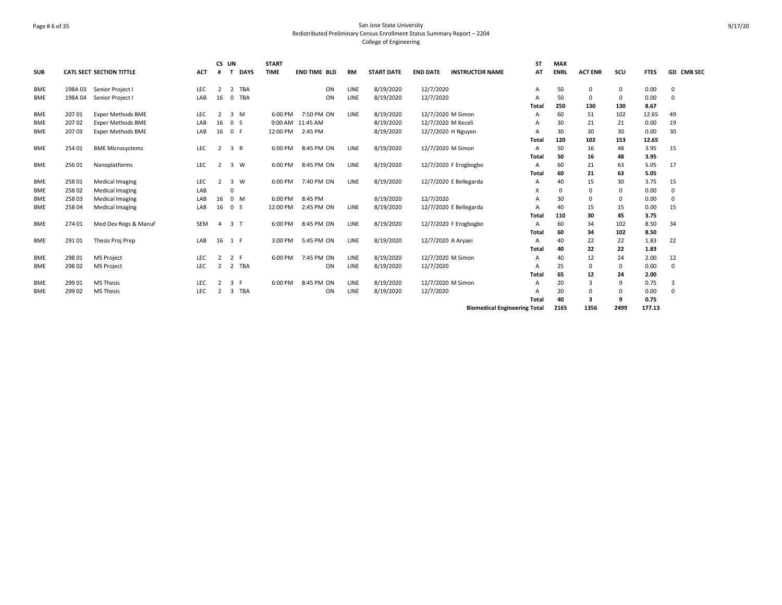# Page # 6 of 35 San Jose State University Redistributed Preliminary Census Enrollment Status Summary Report – 2204 College of Engineering

|            |        |                                 |            | CS UN          |                             | <b>START</b> |                     |           |                   |                    |                                     | <b>ST</b> | <b>MAX</b>  |                |          |             |             |
|------------|--------|---------------------------------|------------|----------------|-----------------------------|--------------|---------------------|-----------|-------------------|--------------------|-------------------------------------|-----------|-------------|----------------|----------|-------------|-------------|
| <b>SUB</b> |        | <b>CATL SECT SECTION TITTLE</b> | <b>ACT</b> | #              | <b>DAYS</b><br>$\mathbf{T}$ | <b>TIME</b>  | <b>END TIME BLD</b> | <b>RM</b> | <b>START DATE</b> | <b>END DATE</b>    | <b>INSTRUCTOR NAME</b>              | AT        | <b>ENRL</b> | <b>ACT ENR</b> | scu      | <b>FTES</b> | GD CMB SEC  |
| BME        | 198A03 | Senior Project I                | LEC        | $\overline{2}$ | 2 TBA                       |              | ON                  | LINE      | 8/19/2020         | 12/7/2020          |                                     | Α         | 50          | $\mathbf 0$    | 0        | 0.00        | $\Omega$    |
| <b>BME</b> | 198A04 | Senior Project I                | LAB        | 16             | <b>TBA</b><br>$\mathbf 0$   |              | ON                  | LINE      | 8/19/2020         | 12/7/2020          |                                     | А         | 50          | $\Omega$       | 0        | 0.00        | $\mathbf 0$ |
|            |        |                                 |            |                |                             |              |                     |           |                   |                    |                                     | Total     | 250         | 130            | 130      | 8.67        |             |
| <b>BME</b> | 207 01 | <b>Exper Methods BME</b>        | LEC        | $\overline{2}$ | 3 M                         | 6:00 PM      | 7:50 PM ON          | LINE      | 8/19/2020         | 12/7/2020 M Simon  |                                     | А         | 60          | 51             | 102      | 12.65       | 49          |
| <b>BME</b> | 207 02 | <b>Exper Methods BME</b>        | LAB        | 16             | 0 <sup>5</sup>              |              | 9:00 AM 11:45 AM    |           | 8/19/2020         | 12/7/2020 M Keceli |                                     | А         | 30          | 21             | 21       | 0.00        | 19          |
| <b>BME</b> | 20703  | <b>Exper Methods BME</b>        | LAB        | 16             | 0 F                         | 12:00 PM     | 2:45 PM             |           | 8/19/2020         | 12/7/2020 H Nguyen |                                     | А         | 30          | 30             | 30       | 0.00        | 30          |
|            |        |                                 |            |                |                             |              |                     |           |                   |                    |                                     | Total     | 120         | 102            | 153      | 12.65       |             |
| BME        | 254 01 | <b>BME Microsystems</b>         | LEC        | 2              | 3 R                         | 6:00 PM      | 8:45 PM ON          | LINE      | 8/19/2020         | 12/7/2020 M Simon  |                                     | А         | 50          | 16             | 48       | 3.95        | 15          |
|            |        |                                 |            |                |                             |              |                     |           |                   |                    |                                     | Total     | 50          | 16             | 48       | 3.95        |             |
| <b>BME</b> | 256 01 | Nanoplatforms                   | <b>LEC</b> | $\overline{2}$ | 3 W                         | 6:00 PM      | 8:45 PM ON          | LINE      | 8/19/2020         |                    | 12/7/2020 F Erogbogbo               | А         | 60          | 21             | 63       | 5.05        | 17          |
|            |        |                                 |            |                |                             |              |                     |           |                   |                    |                                     | Total     | 60          | 21             | 63       | 5.05        |             |
| <b>BME</b> | 258 01 | Medical Imaging                 | <b>LEC</b> | 2              | 3 W                         | 6:00 PM      | 7:40 PM ON          | LINE      | 8/19/2020         |                    | 12/7/2020 E Bellegarda              | А         | 40          | 15             | 30       | 3.75        | 15          |
| <b>BME</b> | 25802  | Medical Imaging                 | LAB        |                |                             |              |                     |           |                   |                    |                                     | X         | 0           | 0              | 0        | 0.00        | 0           |
| BME        | 258 03 | <b>Medical Imaging</b>          | LAB        | 16             | 0 M                         | 6:00 PM      | 8:45 PM             |           | 8/19/2020         | 12/7/2020          |                                     |           | 30          | $\Omega$       | $\Omega$ | 0.00        | $\Omega$    |
| BME        | 258 04 | <b>Medical Imaging</b>          | LAB        | 16             | 0 <sup>5</sup>              | 12:00 PM     | 2:45 PM ON          | LINE      | 8/19/2020         |                    | 12/7/2020 E Bellegarda              | А         | 40          | 15             | 15       | 0.00        | 15          |
|            |        |                                 |            |                |                             |              |                     |           |                   |                    |                                     | Total     | 110         | 30             | 45       | 3.75        |             |
| <b>BME</b> | 274 01 | Med Dev Regs & Manuf            | <b>SEM</b> | 4              | 3 <sub>1</sub>              | 6:00 PM      | 8:45 PM ON          | LINE      | 8/19/2020         |                    | 12/7/2020 F Erogbogbo               | А         | 60          | 34             | 102      | 8.50        | 34          |
|            |        |                                 |            |                |                             |              |                     |           |                   |                    |                                     | Total     | 60          | 34             | 102      | 8.50        |             |
| <b>BME</b> | 291 01 | Thesis Proj Prep                | LAB        | 16             | 1 F                         | 3:00 PM      | 5:45 PM ON          | LINE      | 8/19/2020         | 12/7/2020 A Aryaei |                                     | А         | 40          | 22             | 22       | 1.83        | 22          |
|            |        |                                 |            |                |                             |              |                     |           |                   |                    |                                     | Total     | 40          | 22             | 22       | 1.83        |             |
| <b>BME</b> | 298 01 | <b>MS Project</b>               | LEC        | $\overline{2}$ | 2 F                         | 6:00 PM      | 7:45 PM ON          | LINE      | 8/19/2020         | 12/7/2020 M Simon  |                                     | А         | 40          | 12             | 24       | 2.00        | 12          |
| <b>BME</b> | 298 02 | <b>MS Project</b>               | LEC        | $\overline{2}$ | 2 TBA                       |              | ON                  | LINE      | 8/19/2020         | 12/7/2020          |                                     | А         | 25          | $\Omega$       | 0        | 0.00        | $\Omega$    |
|            |        |                                 |            |                |                             |              |                     |           |                   |                    |                                     | Total     | 65          | 12             | 24       | 2.00        |             |
| BME        | 299 01 | <b>MS Thesis</b>                | LEC        | 2              | 3 F                         | 6:00 PM      | 8:45 PM ON          | LINE      | 8/19/2020         | 12/7/2020 M Simon  |                                     | Α         | 20          | 3              | 9        | 0.75        | 3           |
| <b>BME</b> | 299 02 | <b>MS Thesis</b>                | LEC        | 2              | TBA<br>3                    |              | ON                  | LINE      | 8/19/2020         | 12/7/2020          |                                     | А         | 20          | $\Omega$       | 0        | 0.00        | $\Omega$    |
|            |        |                                 |            |                |                             |              |                     |           |                   |                    |                                     | Total     | 40          | 3              | 9        | 0.75        |             |
|            |        |                                 |            |                |                             |              |                     |           |                   |                    | <b>Biomedical Engineering Total</b> |           | 2165        | 1356           | 2499     | 177.13      |             |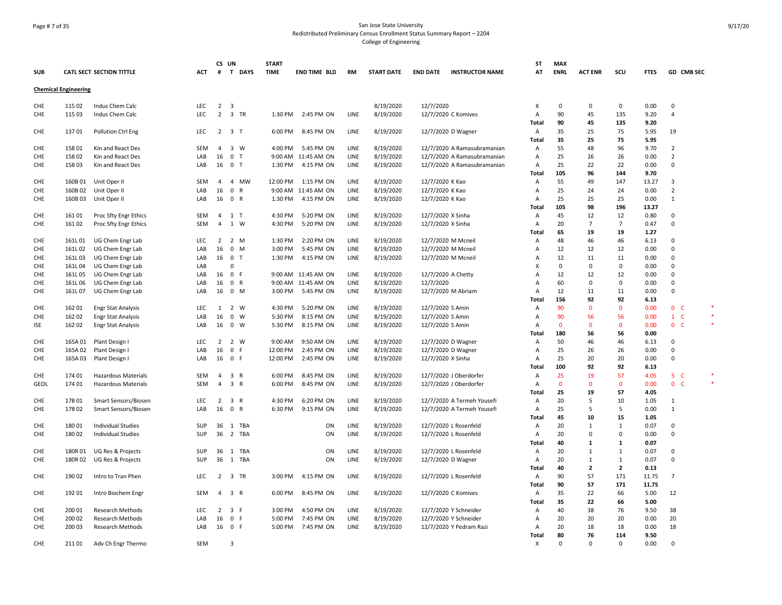# Page # 7 of 35 San Jose State University Redistributed Preliminary Census Enrollment Status Summary Report – 2204 College of Engineering

| <b>SUB</b>  |                             | <b>CATL SECT SECTION TITTLE</b> | АСТ        | CS UN<br>T DAYS<br>#                                      | <b>START</b><br><b>TIME</b> | END TIME BLD        | RM   | <b>START DATE</b> | <b>END DATE</b>   | <b>INSTRUCTOR NAME</b>      | ST<br>AT       | <b>MAX</b><br><b>ENRL</b> | <b>ACT ENR</b> | scu          | <b>FTES</b> | GD CMB SEC     |   |
|-------------|-----------------------------|---------------------------------|------------|-----------------------------------------------------------|-----------------------------|---------------------|------|-------------------|-------------------|-----------------------------|----------------|---------------------------|----------------|--------------|-------------|----------------|---|
|             | <b>Chemical Engineering</b> |                                 |            |                                                           |                             |                     |      |                   |                   |                             |                |                           |                |              |             |                |   |
| CHE         | 115 02                      | Indus Chem Calc                 | <b>LEC</b> | 2 <sup>3</sup>                                            |                             |                     |      | 8/19/2020         | 12/7/2020         |                             | X              | 0                         | 0              | 0            | 0.00        | $\mathbf 0$    |   |
| CHE         | 115 03                      | Indus Chem Calc                 | LEC        | $2 \quad 3$<br><b>TR</b>                                  | 1:30 PM                     | 2:45 PM ON          | LINE | 8/19/2020         |                   | 12/7/2020 C Komives         | A              | 90                        | 45             | 135          | 9.20        | 4              |   |
|             |                             |                                 |            |                                                           |                             |                     |      |                   |                   |                             | Total          | 90                        | 45             | 135          | 9.20        |                |   |
| CHE         | 13701                       | Pollution Ctrl Eng              | LEC        | $2 \quad 3 \quad T$                                       | 6:00 PM                     | 8:45 PM ON          | LINE | 8/19/2020         |                   | 12/7/2020 D Wagner          | Α              | 35                        | 25             | 75           | 5.95        | 19             |   |
|             |                             |                                 |            |                                                           |                             |                     |      |                   |                   |                             | Total          | 35                        | 25             | 75           | 5.95        |                |   |
| CHE         | 158 01                      | Kin and React Des               | <b>SEM</b> | $\overline{4}$<br>$\overline{\mathbf{3}}$<br>W            | 4:00 PM                     | 5:45 PM ON          | LINE | 8/19/2020         |                   | 12/7/2020 A Ramasubramanian | A              | 55                        | 48             | 96           | 9.70        | $\overline{2}$ |   |
| CHE         | 158 02                      | Kin and React Des               | LAB        | 16<br>$\overline{0}$<br>$\mathsf{T}$                      |                             | 9:00 AM 11:45 AM ON | LINE | 8/19/2020         |                   | 12/7/2020 A Ramasubramanian | $\overline{A}$ | 25                        | 26             | 26           | 0.00        | $\overline{2}$ |   |
| CHE         | 15803                       | Kin and React Des               | LAB        | 16<br>0 <sub>T</sub>                                      | 1:30 PM                     | 4:15 PM ON          | LINE | 8/19/2020         |                   | 12/7/2020 A Ramasubramanian | $\overline{A}$ | 25                        | 22             | 22           | 0.00        | $\Omega$       |   |
|             |                             |                                 |            |                                                           |                             |                     |      |                   |                   |                             |                | 105                       | 96             | 144          | 9.70        |                |   |
|             |                             |                                 |            |                                                           |                             |                     | LINE |                   |                   |                             | Total          |                           |                |              |             |                |   |
| CHE         | 160B01                      | Unit Oper II                    | SEM        | 4 MW<br>$\overline{4}$                                    | 12:00 PM                    | 1:15 PM ON          |      | 8/19/2020         | 12/7/2020 K Kao   |                             | A              | 55                        | 49             | 147          | 13.27       | 3              |   |
| CHE         | 160B02                      | Unit Oper II                    | LAB        | 16<br>$\mathbf{0}$<br>R                                   |                             | 9:00 AM 11:45 AM ON | LINE | 8/19/2020         | 12/7/2020 K Kao   |                             | A              | 25                        | 24             | 24           | 0.00        | $\overline{2}$ |   |
| CHE         | 160B03                      | Unit Oper II                    | LAB        | 16<br>$\mathbf 0$<br>R                                    | 1:30 PM                     | 4:15 PM ON          | LINE | 8/19/2020         | 12/7/2020 K Kao   |                             | Α              | 25                        | 25             | 25           | 0.00        | 1              |   |
|             |                             |                                 |            |                                                           |                             |                     |      |                   |                   |                             | Total          | 105                       | 98             | 196          | 13.27       |                |   |
| CHE         | 161 01                      | Proc Sfty Engr Ethics           | SEM        | 4<br>1 T                                                  | 4:30 PM                     | 5:20 PM ON          | LINE | 8/19/2020         | 12/7/2020 X Sinha |                             | A              | 45                        | 12             | 12           | 0.80        | 0              |   |
| CHE         | 161 02                      | Proc Sfty Engr Ethics           | SEM        | 4<br>1<br>W                                               | 4:30 PM                     | 5:20 PM ON          | LINE | 8/19/2020         | 12/7/2020 X Sinha |                             | A              | 20                        | $\overline{7}$ | 7            | 0.47        | $\mathbf 0$    |   |
|             |                             |                                 |            |                                                           |                             |                     |      |                   |                   |                             | <b>Total</b>   | 65                        | 19             | 19           | 1.27        |                |   |
| CHE         | 161L01                      | UG Chem Engr Lab                | LEC        | $2^{\circ}$<br>$\overline{2}$<br>M                        | 1:30 PM                     | 2:20 PM ON          | LINE | 8/19/2020         |                   | 12/7/2020 M Mcneil          | Α              | 48                        | 46             | 46           | 6.13        | $\Omega$       |   |
| CHE         | 161L 02                     | UG Chem Engr Lab                | LAB        | $\mathbf 0$<br>M<br>16                                    | 3:00 PM                     | 5:45 PM ON          | LINE | 8/19/2020         |                   | 12/7/2020 M Mcneil          | Α              | 12                        | 12             | 12           | 0.00        | $\Omega$       |   |
| CHE         | 161L03                      | UG Chem Engr Lab                | LAB        | 16<br>$\overline{\mathbf{0}}$<br>$\mathsf{T}$             | 1:30 PM                     | 4:15 PM ON          | LINE | 8/19/2020         |                   | 12/7/2020 M Mcneil          | Α              | 12                        | 11             | 11           | 0.00        | 0              |   |
| CHE         | 161L04                      | UG Chem Engr Lab                | LAB        | 0                                                         |                             |                     |      |                   |                   |                             | X              | 0                         | 0              | $\mathbf 0$  | 0.00        | $\Omega$       |   |
| CHE         | 161L 05                     | UG Chem Engr Lab                | LAB        | 16<br>0 F                                                 |                             | 9:00 AM 11:45 AM ON | LINE | 8/19/2020         |                   | 12/7/2020 A Chetty          | $\overline{A}$ | 12                        | 12             | 12           | 0.00        | $\Omega$       |   |
| CHE         | 161L06                      | UG Chem Engr Lab                | LAB        | 16<br>$\overline{0}$<br>R                                 |                             | 9:00 AM 11:45 AM ON | LINE | 8/19/2020         | 12/7/2020         |                             | Α              | 60                        | $\Omega$       | 0            | 0.00        | 0              |   |
| CHE         | 161L 07                     | UG Chem Engr Lab                | LAB        | 16<br>$\mathbf 0$<br>M                                    | 3:00 PM                     | 5:45 PM ON          | LINE | 8/19/2020         |                   | 12/7/2020 M Abriam          | A              | 12                        | 11             | 11           | 0.00        | $\Omega$       |   |
|             |                             |                                 |            |                                                           |                             |                     |      |                   |                   |                             | <b>Total</b>   | 156                       | 92             | 92           | 6.13        |                |   |
| CHE         | 162 01                      | <b>Engr Stat Analysis</b>       | <b>LEC</b> | 1 2 W                                                     | 4:30 PM                     | 5:20 PM ON          | LINE | 8/19/2020         | 12/7/2020 S Amin  |                             | A              | 90                        | $\Omega$       | $\Omega$     | 0.00        | 0 <sub>c</sub> |   |
| CHE         | 162 02                      | <b>Engr Stat Analysis</b>       | LAB        | 16<br>$\overline{0}$<br>W                                 | 5:30 PM                     | 8:15 PM ON          | LINE | 8/19/2020         | 12/7/2020 S Amin  |                             | A              | 90                        | 56             | 56           | 0.00        | $1 \quad C$    |   |
| ISE         | 162 02                      | <b>Engr Stat Analysis</b>       | LAB        | $\overline{0}$<br>16<br>W                                 | 5:30 PM                     | 8:15 PM ON          | LINE | 8/19/2020         | 12/7/2020 S Amin  |                             | A              | $\mathbf 0$               | $\mathbf{0}$   | $\mathbf 0$  | 0.00        | 0 <sub>c</sub> |   |
|             |                             |                                 |            |                                                           |                             |                     |      |                   |                   |                             | Total          | 180                       | 56             | 56           | 0.00        |                |   |
| CHE         |                             |                                 | <b>LEC</b> | 2 2 W                                                     | 9:00 AM                     |                     | LINE |                   |                   |                             |                | 50                        | 46             | 46           |             | $\Omega$       |   |
|             | 165A 01                     | Plant Design I                  |            | $\mathbf 0$<br>-F                                         | 12:00 PM                    | 9:50 AM ON          |      | 8/19/2020         |                   | 12/7/2020 D Wagner          | Α              |                           |                |              | 6.13        | $\mathbf 0$    |   |
| CHE         | 165A 02                     | Plant Design I                  | LAB        | 16                                                        |                             | 2:45 PM ON          | LINE | 8/19/2020         |                   | 12/7/2020 D Wagner          | Α              | 25                        | 26             | 26           | 0.00        |                |   |
| CHE         | 165A03                      | Plant Design I                  | LAB        | 16<br>0 F                                                 | 12:00 PM                    | 2:45 PM ON          | LINE | 8/19/2020         | 12/7/2020 X Sinha |                             | A              | 25                        | 20             | 20           | 0.00        | $\Omega$       |   |
|             |                             |                                 |            |                                                           |                             |                     |      |                   |                   |                             | <b>Total</b>   | 100                       | 92             | 92           | 6.13        |                |   |
| <b>CHE</b>  | 174 01                      | <b>Hazardous Materials</b>      | <b>SEM</b> | 3 R<br>$\overline{4}$                                     | 6:00 PM                     | 8:45 PM ON          | LINE | 8/19/2020         |                   | 12/7/2020 J Oberdorfer      | $\overline{A}$ | 25                        | 19             | 57           | 4.05        | 5 <sub>C</sub> | × |
| <b>GEOL</b> | 174 01                      | <b>Hazardous Materials</b>      | SEM        | $\overline{4}$<br>$\overline{\mathbf{3}}$<br>$\mathsf{R}$ | 6:00 PM                     | 8:45 PM ON          | LINE | 8/19/2020         |                   | 12/7/2020 J Oberdorfer      | A              | $\mathbf 0$               | $\Omega$       | $\mathbf 0$  | 0.00        | 0 <sub>c</sub> |   |
|             |                             |                                 |            |                                                           |                             |                     |      |                   |                   |                             | Total          | 25                        | 19             | 57           | 4.05        |                |   |
| CHE         | 178 01                      | Smart Sensors/Biosen            | LEC        | $2 \quad 3 \quad R$                                       | 4:30 PM                     | 6:20 PM ON          | LINE | 8/19/2020         |                   | 12/7/2020 A Termeh Yousefi  | Α              | 20                        | 5              | 10           | 1.05        | 1              |   |
| CHE         | 178 02                      | Smart Sensors/Biosen            | LAB        | 16<br>$\mathbf 0$<br>R                                    | 6:30 PM                     | 9:15 PM ON          | LINE | 8/19/2020         |                   | 12/7/2020 A Termeh Yousefi  | A              | 25                        | 5              | 5            | 0.00        | $\mathbf{1}$   |   |
|             |                             |                                 |            |                                                           |                             |                     |      |                   |                   |                             | Total          | 45                        | 10             | 15           | 1.05        |                |   |
| CHE         | 18001                       | <b>Individual Studies</b>       | SUP        | 36<br>1<br>TBA                                            |                             | ON                  | LINE | 8/19/2020         |                   | 12/7/2020 L Rosenfeld       | A              | 20                        | 1              | $\mathbf{1}$ | 0.07        | 0              |   |
| CHE         | 180 02                      | <b>Individual Studies</b>       | SUP        | 36<br>2 TBA                                               |                             | ON                  | LINE | 8/19/2020         |                   | 12/7/2020 L Rosenfeld       | A              | 20                        | $\Omega$       | 0            | 0.00        | 0              |   |
|             |                             |                                 |            |                                                           |                             |                     |      |                   |                   |                             | <b>Total</b>   | 40                        | $\mathbf{1}$   | 1            | 0.07        |                |   |
| CHE         | 180R01                      | UG Res & Projects               | SUP        | 36<br>1 TBA                                               |                             | ON                  | LINE | 8/19/2020         |                   | 12/7/2020 L Rosenfeld       | Α              | 20                        | $\mathbf{1}$   | $\mathbf{1}$ | 0.07        | $\Omega$       |   |
| CHE         | 180R02                      | UG Res & Projects               | SUP        | 36<br>1 TBA                                               |                             | ON                  | LINE | 8/19/2020         |                   | 12/7/2020 D Wagner          | A              | 20                        | $\mathbf{1}$   | $\mathbf{1}$ | 0.07        | $\Omega$       |   |
|             |                             |                                 |            |                                                           |                             |                     |      |                   |                   |                             | Total          | 40                        | $\mathbf{2}$   | $\mathbf{2}$ | 0.13        |                |   |
| CHE         | 190 02                      | Intro to Tran Phen              | LEC        | $2 \quad 3$<br>TR                                         | 3:00 PM                     | 4:15 PM ON          | LINE | 8/19/2020         |                   | 12/7/2020 L Rosenfeld       | A              | 90                        | 57             | 171          | 11.75       | 7              |   |
|             |                             |                                 |            |                                                           |                             |                     |      |                   |                   |                             | <b>Total</b>   | 90                        | 57             | 171          | 11.75       |                |   |
| CHE         | 192 01                      | Intro Biochem Engr              | SEM        | $\overline{4}$<br>3 R                                     | 6:00 PM                     | 8:45 PM ON          | LINE | 8/19/2020         |                   | 12/7/2020 C Komives         | A              | 35                        | 22             | 66           | 5.00        | 12             |   |
|             |                             |                                 |            |                                                           |                             |                     |      |                   |                   |                             | Total          | 35                        | 22             | 66           | 5.00        |                |   |
| <b>CHE</b>  |                             |                                 | <b>LEC</b> | 3 F                                                       | 3:00 PM                     |                     | LINE |                   |                   |                             | $\overline{A}$ |                           | 38             | 76           |             |                |   |
|             | 200 01                      | <b>Research Methods</b>         |            | $\overline{2}$                                            |                             | 4:50 PM ON          |      | 8/19/2020         |                   | 12/7/2020 Y Schneider       |                | 40                        |                |              | 9.50        | 38             |   |
| CHE         | 200 02                      | Research Methods                | LAB        | 16<br>0 F                                                 | 5:00 PM                     | 7:45 PM ON          | LINE | 8/19/2020         |                   | 12/7/2020 Y Schneider       | Α              | 20                        | 20             | 20           | 0.00        | 20             |   |
| CHE         | 200 03                      | <b>Research Methods</b>         | LAB        | 16<br>0 F                                                 | 5:00 PM                     | 7:45 PM ON          | LINE | 8/19/2020         |                   | 12/7/2020 Y Pedram Razi     | Α              | 20                        | 18             | 18           | 0.00        | 18             |   |
|             |                             |                                 |            |                                                           |                             |                     |      |                   |                   |                             | Total          | 80                        | 76             | 114          | 9.50        |                |   |
| CHE         | 21101                       | Adv Ch Engr Thermo              | SEM        | $\mathbf{R}$                                              |                             |                     |      |                   |                   |                             | X              | $\Omega$                  | $\Omega$       | $\Omega$     | 0.00        | $\Omega$       |   |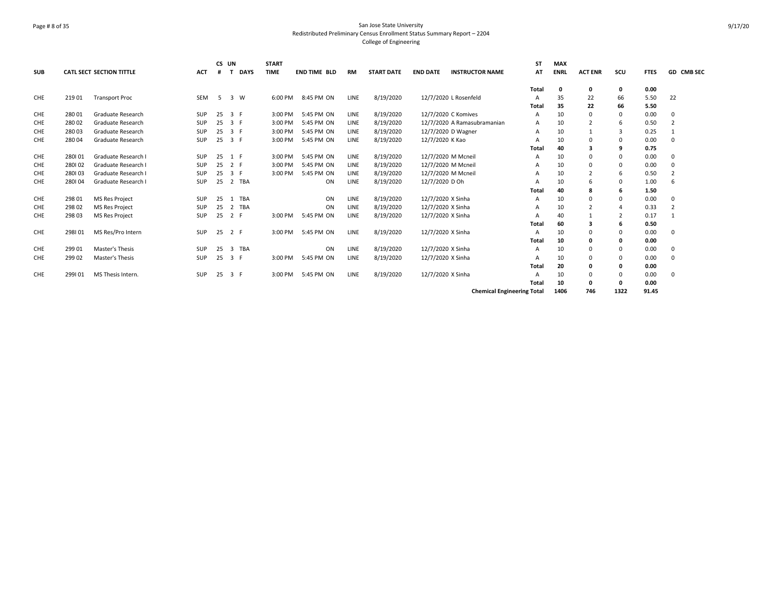# Page # 8 of 35 San Jose State University Redistributed Preliminary Census Enrollment Status Summary Report – 2204 College of Engineering

|            |        |                                 |            |    | CS UN                      | <b>START</b> |                     |           |                   |                                           | <b>ST</b>                         | <b>MAX</b>  |                |                |             |                |
|------------|--------|---------------------------------|------------|----|----------------------------|--------------|---------------------|-----------|-------------------|-------------------------------------------|-----------------------------------|-------------|----------------|----------------|-------------|----------------|
| <b>SUB</b> |        | <b>CATL SECT SECTION TITTLE</b> | <b>ACT</b> | #  | <b>DAYS</b>                | <b>TIME</b>  | <b>END TIME BLD</b> | <b>RM</b> | <b>START DATE</b> | <b>END DATE</b><br><b>INSTRUCTOR NAME</b> | AT                                | <b>ENRL</b> | <b>ACT ENR</b> | scu            | <b>FTES</b> | GD CMB SEC     |
|            |        |                                 |            |    |                            |              |                     |           |                   |                                           | Total                             | 0           | 0              | 0              | 0.00        |                |
| CHE        | 219 01 | <b>Transport Proc</b>           | <b>SEM</b> | -5 | 3 W                        | 6:00 PM      | 8:45 PM ON          | LINE      | 8/19/2020         | 12/7/2020 L Rosenfeld                     | A                                 | 35          | 22             | 66             | 5.50        | 22             |
|            |        |                                 |            |    |                            |              |                     |           |                   |                                           | Total                             | 35          | 22             | 66             | 5.50        |                |
| CHE        | 280 01 | Graduate Research               | <b>SUP</b> | 25 | 3 F                        | 3:00 PM      | 5:45 PM ON          | LINE      | 8/19/2020         | 12/7/2020 C Komives                       | A                                 | 10          | $\Omega$       | $\Omega$       | 0.00        | $\Omega$       |
| <b>CHE</b> | 280 02 | Graduate Research               | <b>SUP</b> | 25 | 3 F                        | 3:00 PM      | 5:45 PM ON          | LINE      | 8/19/2020         | 12/7/2020 A Ramasubramanian               | A                                 | 10          | $\overline{2}$ | 6              | 0.50        | $\overline{2}$ |
| CHE        | 28003  | Graduate Research               | <b>SUP</b> | 25 | 3 F                        | 3:00 PM      | 5:45 PM ON          | LINE      | 8/19/2020         | 12/7/2020 D Wagner                        | A                                 | 10          |                | 3              | 0.25        | $\mathbf{1}$   |
| CHE        | 280 04 | Graduate Research               | <b>SUP</b> | 25 | 3 F                        | 3:00 PM      | 5:45 PM ON          | LINE      | 8/19/2020         | 12/7/2020 K Kao                           | A                                 | 10          | 0              | $\Omega$       | 0.00        | 0              |
|            |        |                                 |            |    |                            |              |                     |           |                   |                                           | Total                             | 40          |                | 9              | 0.75        |                |
| <b>CHE</b> | 280101 | Graduate Research I             | <b>SUP</b> | 25 | 1 F                        | 3:00 PM      | 5:45 PM ON          | LINE      | 8/19/2020         | 12/7/2020 M Mcneil                        | A                                 | 10          | $\Omega$       | $\Omega$       | 0.00        | $\Omega$       |
| <b>CHE</b> | 280102 | Graduate Research I             | <b>SUP</b> | 25 | 2 F                        | 3:00 PM      | 5:45 PM ON          | LINE      | 8/19/2020         | 12/7/2020 M Mcneil                        | A                                 | 10          | 0              | $\Omega$       | 0.00        | 0              |
| <b>CHE</b> | 280103 | Graduate Research I             | <b>SUP</b> | 25 | 3 F                        | 3:00 PM      | 5:45 PM ON          | LINE      | 8/19/2020         | 12/7/2020 M Mcneil                        | A                                 | 10          |                | 6              | 0.50        | $\overline{2}$ |
| CHE        | 280104 | Graduate Research I             | <b>SUP</b> | 25 | 2 TBA                      |              | ON                  | LINE      | 8/19/2020         | 12/7/2020 D Oh                            | A                                 | 10          | 6              | $\Omega$       | 1.00        | 6              |
|            |        |                                 |            |    |                            |              |                     |           |                   |                                           | <b>Total</b>                      | 40          | 8              | 6              | 1.50        |                |
| <b>CHE</b> | 298 01 | <b>MS Res Project</b>           | <b>SUP</b> | 25 | <b>TBA</b><br>$\mathbf{1}$ |              | ON                  | LINE      | 8/19/2020         | 12/7/2020 X Sinha                         | A                                 | 10          | $\Omega$       | $\Omega$       | 0.00        | $\Omega$       |
| <b>CHE</b> | 298 02 | <b>MS Res Project</b>           | <b>SUP</b> | 25 | 2 TBA                      |              | ON                  | LINE      | 8/19/2020         | 12/7/2020 X Sinha                         | A                                 | 10          | $\overline{2}$ | 4              | 0.33        | $\overline{2}$ |
| <b>CHE</b> | 298 03 | <b>MS Res Project</b>           | <b>SUP</b> | 25 | 2 F                        | 3:00 PM      | 5:45 PM ON          | LINE      | 8/19/2020         | 12/7/2020 X Sinha                         | A                                 | 40          |                | $\overline{2}$ | 0.17        | $\mathbf{1}$   |
|            |        |                                 |            |    |                            |              |                     |           |                   |                                           | Total                             | 60          | з              | 6              | 0.50        |                |
| CHE        | 298101 | MS Res/Pro Intern               | SUP        | 25 | 2 F                        | 3:00 PM      | 5:45 PM ON          | LINE      | 8/19/2020         | 12/7/2020 X Sinha                         | A                                 | 10          | $\Omega$       | $\Omega$       | 0.00        | $\Omega$       |
|            |        |                                 |            |    |                            |              |                     |           |                   |                                           | Total                             | 10          | 0              | 0              | 0.00        |                |
| CHE        | 299 01 | Master's Thesis                 | SUP        | 25 | 3 TBA                      |              | ON                  | LINE      | 8/19/2020         | 12/7/2020 X Sinha                         | A                                 | 10          | $\Omega$       | $\Omega$       | 0.00        | 0              |
| CHE        | 299 02 | Master's Thesis                 | <b>SUP</b> | 25 | 3 F                        | 3:00 PM      | 5:45 PM ON          | LINE      | 8/19/2020         | 12/7/2020 X Sinha                         | A                                 | 10          | 0              | $\Omega$       | 0.00        | $\Omega$       |
|            |        |                                 |            |    |                            |              |                     |           |                   |                                           | <b>Total</b>                      | 20          | 0              | 0              | 0.00        |                |
| <b>CHE</b> | 299101 | MS Thesis Intern.               | <b>SUP</b> | 25 | 3 F                        | 3:00 PM      | 5:45 PM ON          | LINE      | 8/19/2020         | 12/7/2020 X Sinha                         | A                                 | 10          | 0              | $\Omega$       | 0.00        | 0              |
|            |        |                                 |            |    |                            |              |                     |           |                   |                                           | Total                             | 10          | 0              | 0              | 0.00        |                |
|            |        |                                 |            |    |                            |              |                     |           |                   |                                           | <b>Chemical Engineering Total</b> | 1406        | 746            | 1322           | 91.45       |                |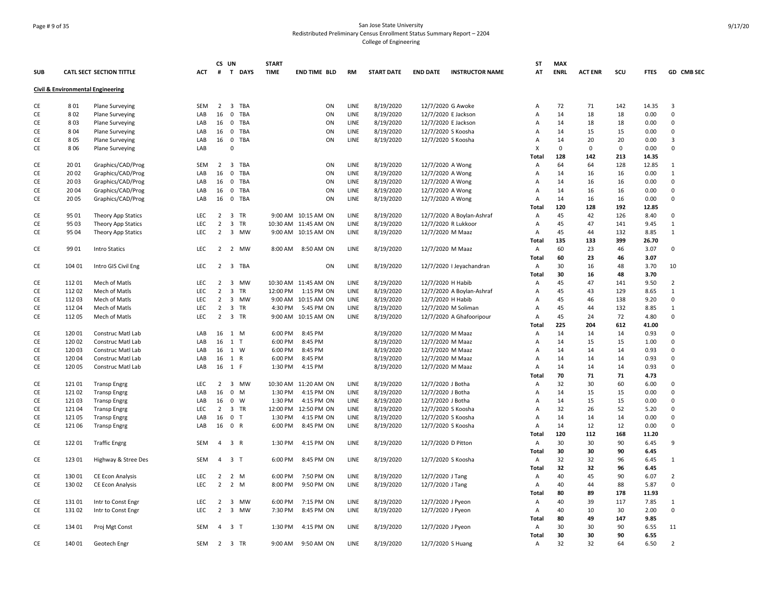# Page # 9 of 35 San Jose State University Redistributed Preliminary Census Enrollment Status Summary Report – 2204 College of Engineering

| <b>SUB</b> |        | <b>CATL SECT SECTION TITTLE</b>              | <b>ACT</b> | CS UN<br># T DAYS                               | <b>START</b><br><b>TIME</b> | <b>END TIME BLD</b>  | <b>RM</b> | <b>START DATE</b> | <b>END DATE</b><br><b>INSTRUCTOR NAME</b> | <b>ST</b><br>AT           | <b>MAX</b><br><b>ENRL</b> | <b>ACT ENR</b> | scu         | <b>FTES</b> | GD CMB SEC              |
|------------|--------|----------------------------------------------|------------|-------------------------------------------------|-----------------------------|----------------------|-----------|-------------------|-------------------------------------------|---------------------------|---------------------------|----------------|-------------|-------------|-------------------------|
|            |        | <b>Civil &amp; Environmental Engineering</b> |            |                                                 |                             |                      |           |                   |                                           |                           |                           |                |             |             |                         |
| CE         | 801    | <b>Plane Surveying</b>                       | SEM        | $\overline{2}$<br>3 TBA                         |                             | ON                   | LINE      | 8/19/2020         | 12/7/2020 G Awoke                         | Α                         | 72                        | 71             | 142         | 14.35       | $\overline{\mathbf{3}}$ |
| CE         | 802    | Plane Surveying                              | LAB        | 16<br>$\mathbf 0$<br>TBA                        |                             | ON                   | LINE      | 8/19/2020         | 12/7/2020 E Jackson                       | Α                         | 14                        | 18             | 18          | 0.00        | $\Omega$                |
| CE         | 803    | <b>Plane Surveying</b>                       | LAB        | 16<br>$\mathbf 0$<br>TBA                        |                             | ON                   | LINE      | 8/19/2020         | 12/7/2020 E Jackson                       | Α                         | 14                        | 18             | 18          | 0.00        | $\overline{0}$          |
| CE         | 804    | <b>Plane Surveying</b>                       | LAB        | $\mathbf 0$<br>16<br>TBA                        |                             | ON                   | LINE      | 8/19/2020         | 12/7/2020 S Koosha                        | Α                         | 14                        | 15             | 15          | 0.00        | $\overline{0}$          |
| CE         | 805    | <b>Plane Surveying</b>                       | LAB        | $\mathbf 0$<br>16<br>TBA                        |                             | ON                   | LINE      | 8/19/2020         | 12/7/2020 S Koosha                        | $\overline{A}$            | 14                        | 20             | 20          | 0.00        | $\overline{3}$          |
| CE         | 806    | Plane Surveying                              | LAB        | $\mathbf 0$                                     |                             |                      |           |                   |                                           | $\boldsymbol{\mathsf{x}}$ | $\mathbf 0$               | $\Omega$       | $\mathbf 0$ | 0.00        | $\mathbf 0$             |
|            |        |                                              |            |                                                 |                             |                      |           |                   |                                           | <b>Total</b>              | 128                       | 142            | 213         | 14.35       |                         |
| CE         | 20 01  | Graphics/CAD/Prog                            | SEM        | $\overline{2}$<br>3 TBA                         |                             | ON                   | LINE      | 8/19/2020         | 12/7/2020 A Wong                          | Α                         | 64                        | 64             | 128         | 12.85       | $\mathbf{1}$            |
| CE         | 2002   | Graphics/CAD/Prog                            | LAB        | 0<br><b>TBA</b><br>16                           |                             | ON                   | LINE      | 8/19/2020         | 12/7/2020 A Wong                          | Α                         | 14                        | 16             | 16          | 0.00        | $\mathbf{1}$            |
| CE         | 2003   | Graphics/CAD/Prog                            | LAB        | 0 TBA<br>16                                     |                             | ON                   | LINE      | 8/19/2020         | 12/7/2020 A Wong                          | A                         | 14                        | 16             | 16          | 0.00        | $\mathbf 0$             |
| CE         | 2004   | Graphics/CAD/Prog                            | LAB        | 16<br>$\mathbf 0$<br>TBA                        |                             | ON                   | LINE      | 8/19/2020         | 12/7/2020 A Wong                          | Α                         | 14                        | 16             | 16          | 0.00        | $\mathsf 0$             |
| CE         | 2005   | Graphics/CAD/Prog                            | LAB        | 0 TBA<br>16                                     |                             | ON                   | LINE      | 8/19/2020         | 12/7/2020 A Wong                          | Α                         | 14                        | 16             | 16          | 0.00        | $\mathbf 0$             |
|            |        |                                              |            |                                                 |                             |                      |           |                   |                                           | Total                     | 120                       | 128            | 192         | 12.85       |                         |
| CE         | 95 01  | Theory App Statics                           | <b>LEC</b> | 2<br>$\overline{3}$<br>TR                       |                             | 9:00 AM 10:15 AM ON  | LINE      | 8/19/2020         | 12/7/2020 A Boylan-Ashraf                 | $\overline{A}$            | 45                        | 42             | 126         | 8.40        | $\mathbf 0$             |
| CE         | 95 03  | Theory App Statics                           | LEC        | $\overline{3}$<br>$\overline{2}$<br>TR          |                             | 10:30 AM 11:45 AM ON | LINE      | 8/19/2020         | 12/7/2020 R Lukkoor                       | Α                         | 45                        | 47             | 141         | 9.45        | $\mathbf{1}$            |
| CE         | 95 04  | Theory App Statics                           | <b>LEC</b> | $\overline{2}$<br>3 MW                          |                             | 9:00 AM 10:15 AM ON  | LINE      | 8/19/2020         | 12/7/2020 M Maaz                          | Α                         | 45                        | 44             | 132         | 8.85        | $\mathbf{1}$            |
|            |        |                                              |            |                                                 |                             |                      |           |                   |                                           | <b>Total</b>              | 135                       | 133            | 399         | 26.70       |                         |
| CE         | 9901   | <b>Intro Statics</b>                         | LEC        | 2 2 MW                                          |                             | 8:00 AM 8:50 AM ON   | LINE      | 8/19/2020         | 12/7/2020 M Maaz                          | Α                         | 60                        | 23             | 46          | 3.07        | $\mathbf 0$             |
|            |        |                                              |            |                                                 |                             |                      |           |                   |                                           | <b>Total</b>              | 60                        | 23             | 46          | 3.07        |                         |
| CE         | 104 01 | Intro GIS Civil Eng                          | <b>LEC</b> | $\overline{2}$<br>3 TBA                         |                             | ON                   | LINE      | 8/19/2020         | 12/7/2020   Jeyachandran                  | Α                         | 30                        | 16             | 48          | 3.70        | 10                      |
|            |        |                                              |            |                                                 |                             |                      |           |                   |                                           | Total                     | 30                        | 16             | 48          | 3.70        |                         |
| CE         | 11201  | Mech of Matls                                | LEC        | $\overline{2}$<br>3 MW                          |                             | 10:30 AM 11:45 AM ON | LINE      | 8/19/2020         | 12/7/2020 H Habib                         |                           | 45                        | 47             | 141         | 9.50        | $\overline{2}$          |
|            | 11202  |                                              | LEC        | $\overline{3}$<br>$\overline{2}$<br>TR          | 12:00 PM                    | 1:15 PM ON           | LINE      |                   |                                           | Α<br>$\overline{A}$       | 45                        | 43             | 129         |             | $\mathbf{1}$            |
| CE         |        | Mech of Matls                                |            |                                                 |                             |                      |           | 8/19/2020         | 12/7/2020 A Boylan-Ashraf                 |                           |                           |                |             | 8.65        |                         |
| CE         | 11203  | Mech of Matls                                | LEC        | $\overline{2}$<br>$\overline{\mathbf{3}}$<br>MW |                             | 9:00 AM 10:15 AM ON  | LINE      | 8/19/2020         | 12/7/2020 H Habib                         | Α                         | 45                        | 46             | 138         | 9.20        | $\mathbf 0$             |
| CE         | 112 04 | Mech of Matls                                | <b>LEC</b> | $\overline{2}$<br>$\overline{\mathbf{3}}$<br>TR | 4:30 PM                     | 5:45 PM ON           | LINE      | 8/19/2020         | 12/7/2020 M Soliman                       | Α                         | 45                        | 44             | 132         | 8.85        | 1                       |
| CE         | 112 05 | Mech of Matls                                | LEC        | $\overline{2}$<br>3 TR                          |                             | 9:00 AM 10:15 AM ON  | LINE      | 8/19/2020         | 12/7/2020 A Ghafooripour                  | A                         | 45                        | 24             | 72          | 4.80        | $\mathbf 0$             |
|            |        |                                              |            |                                                 |                             |                      |           |                   |                                           | <b>Total</b>              | 225                       | 204            | 612         | 41.00       |                         |
| CE         | 120 01 | Construc Matl Lab                            | LAB        | 16 1 M                                          | 6:00 PM                     | 8:45 PM              |           | 8/19/2020         | 12/7/2020 M Maaz                          | Α                         | 14                        | 14             | 14          | 0.93        | $\mathbf 0$             |
| CE         | 120 02 | Construc Matl Lab                            | LAB        | 16<br>$1$ T                                     | 6:00 PM                     | 8:45 PM              |           | 8/19/2020         | 12/7/2020 M Maaz                          | Α                         | 14                        | 15             | 15          | 1.00        | $\mathbf 0$             |
| CE         | 120 03 | Construc Matl Lab                            | LAB        | 16 1 W                                          | 6:00 PM                     | 8:45 PM              |           | 8/19/2020         | 12/7/2020 M Maaz                          | A                         | 14                        | 14             | 14          | 0.93        | $\mathbf 0$             |
| CE         | 120 04 | Construc Matl Lab                            | LAB        | 16<br>1 R                                       | 6:00 PM                     | 8:45 PM              |           | 8/19/2020         | 12/7/2020 M Maaz                          | Α                         | 14                        | 14             | 14          | 0.93        | $\mathbf 0$             |
| CE         | 120 05 | Construc Matl Lab                            | LAB        | 16 1 F                                          | 1:30 PM                     | 4:15 PM              |           | 8/19/2020         | 12/7/2020 M Maaz                          | А                         | 14                        | 14             | 14          | 0.93        | $\mathbf 0$             |
|            |        |                                              |            |                                                 |                             |                      |           |                   |                                           | <b>Total</b>              | 70                        | 71             | 71          | 4.73        |                         |
| CE         | 12101  | <b>Transp Engrg</b>                          | <b>LEC</b> | 3 MW<br>$\overline{2}$                          |                             | 10:30 AM 11:20 AM ON | LINE      | 8/19/2020         | 12/7/2020 J Botha                         | Α                         | 32                        | 30             | 60          | 6.00        | $\Omega$                |
| CE         | 121 02 | <b>Transp Engrg</b>                          | LAB        | 16<br>$\mathbf{0}$<br>M                         | 1:30 PM                     | 4:15 PM ON           | LINE      | 8/19/2020         | 12/7/2020 J Botha                         | А                         | 14                        | 15             | 15          | 0.00        | $\mathbf 0$             |
| CE         | 12103  | <b>Transp Engrg</b>                          | LAB        | $\mathbf 0$<br>16<br>W                          | 1:30 PM                     | 4:15 PM ON           | LINE      | 8/19/2020         | 12/7/2020 J Botha                         | Α                         | 14                        | 15             | 15          | 0.00        | $\mathbf 0$             |
| CE         | 12104  | <b>Transp Engrg</b>                          | <b>LEC</b> | 3 TR<br>$\overline{2}$                          |                             | 12:00 PM 12:50 PM ON | LINE      | 8/19/2020         | 12/7/2020 S Koosha                        | Α                         | 32                        | 26             | 52          | 5.20        | $\mathbf 0$             |
| CE         | 12105  | <b>Transp Engrg</b>                          | LAB        | 16<br>0 <sub>T</sub>                            | 1:30 PM                     | 4:15 PM ON           | LINE      | 8/19/2020         | 12/7/2020 S Koosha                        | Α                         | 14                        | 14             | 14          | 0.00        | $\mathbf 0$             |
| CE         | 121 06 | <b>Transp Engrg</b>                          | LAB        | 0 R<br>16                                       | 6:00 PM                     | 8:45 PM ON           | LINE      | 8/19/2020         | 12/7/2020 S Koosha                        | А                         | 14                        | 12             | 12          | 0.00        | $\mathbf 0$             |
|            |        |                                              |            |                                                 |                             |                      |           |                   |                                           | Total                     | 120                       | 112            | 168         | 11.20       |                         |
| CE         | 122 01 | <b>Traffic Engrg</b>                         | SEM        | 3 R<br>4                                        | 1:30 PM                     | 4:15 PM ON           | LINE      | 8/19/2020         | 12/7/2020 D Pitton                        | Α                         | 30                        | 30             | 90          | 6.45        | 9                       |
|            |        |                                              |            |                                                 |                             |                      |           |                   |                                           | <b>Total</b>              | 30                        | 30             | 90          | 6.45        |                         |
| CE         | 123 01 | Highway & Stree Des                          | SEM        | 3 <sub>1</sub><br>$\overline{4}$                | 6:00 PM                     | 8:45 PM ON           | LINE      | 8/19/2020         | 12/7/2020 S Koosha                        | Α                         | 32                        | 32             | 96          | 6.45        | 1                       |
|            |        |                                              |            |                                                 |                             |                      |           |                   |                                           | <b>Total</b>              | 32                        | 32             | 96          | 6.45        |                         |
| CE         | 130 01 | <b>CE Econ Analysis</b>                      | LEC        | 2 M<br>2                                        | 6:00 PM                     | 7:50 PM ON           | LINE      | 8/19/2020         | 12/7/2020 J Tang                          | Α                         | 40                        | 45             | 90          | 6.07        | $\overline{2}$          |
| CE         | 130 02 | CE Econ Analysis                             | LEC        | $\overline{2}$<br>2 M                           | 8:00 PM                     | 9:50 PM ON           | LINE      | 8/19/2020         | 12/7/2020 J Tang                          | Α                         | 40                        | 44             | 88          | 5.87        | $\mathbf 0$             |
|            |        |                                              |            |                                                 |                             |                      |           |                   |                                           | <b>Total</b>              | 80                        | 89             | 178         | 11.93       |                         |
| CE         | 13101  | Intr to Const Engr                           | <b>LEC</b> | $\overline{2}$<br>3 MW                          | 6:00 PM                     | 7:15 PM ON           | LINE      | 8/19/2020         | 12/7/2020 J Pyeon                         | Α                         | 40                        | 39             | 117         | 7.85        | $\mathbf{1}$            |
| CE         | 13102  | Intr to Const Engr                           | LEC        | $\overline{2}$<br>3 MW                          | 7:30 PM                     | 8:45 PM ON           | LINE      | 8/19/2020         | 12/7/2020 J Pyeon                         | А                         | 40                        | 10             | 30          | 2.00        | $\mathbf 0$             |
|            |        |                                              |            |                                                 |                             |                      |           |                   |                                           | <b>Total</b>              | 80                        | 49             | 147         | 9.85        |                         |
| CE         | 134 01 | Proj Mgt Const                               | SEM        | 4 3 T                                           | 1:30 PM                     | 4:15 PM ON           | LINE      | 8/19/2020         | 12/7/2020 J Pyeon                         | A                         | 30                        | 30             | 90          | 6.55        | 11                      |
|            |        |                                              |            |                                                 |                             |                      |           |                   |                                           | Total                     | 30                        | 30             | 90          | 6.55        |                         |
| CE         | 140 01 | Geotech Engr                                 | SEM        | 2 3 TR                                          | 9:00 AM                     | 9:50 AM ON           | LINE      | 8/19/2020         | 12/7/2020 S Huang                         | Α                         | 32                        | 32             | 64          | 6.50        | $\overline{2}$          |
|            |        |                                              |            |                                                 |                             |                      |           |                   |                                           |                           |                           |                |             |             |                         |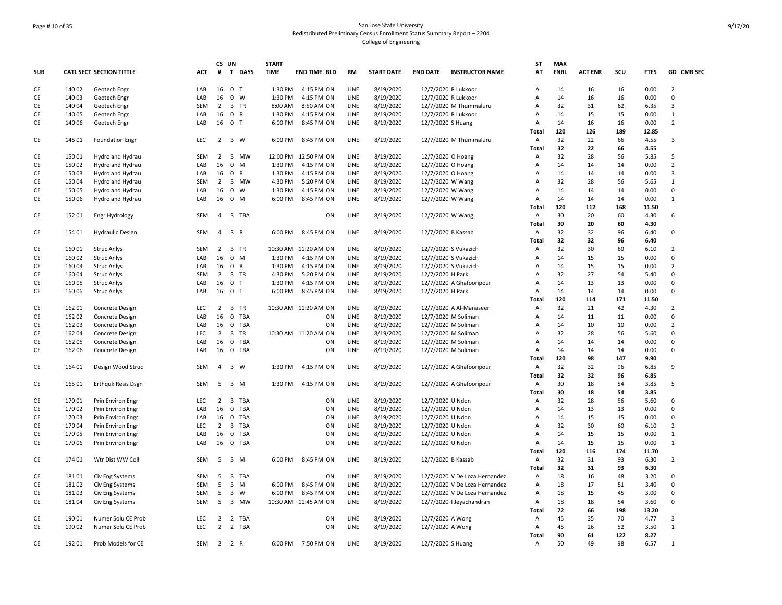# Page # 10 of 35 San Jose State University Redistributed Preliminary Census Enrollment Status Summary Report – 2204 College of Engineering

|            |        |                                 |            | CS UN          |                              | <b>START</b> |                      |           |                   |                                           | SΤ             | <b>MAX</b>  |                |     |             |                |
|------------|--------|---------------------------------|------------|----------------|------------------------------|--------------|----------------------|-----------|-------------------|-------------------------------------------|----------------|-------------|----------------|-----|-------------|----------------|
| <b>SUB</b> |        | <b>CATL SECT SECTION TITTLE</b> | <b>ACT</b> |                | # T DAYS                     | <b>TIME</b>  | <b>END TIME BLD</b>  | <b>RM</b> | <b>START DATE</b> | <b>END DATE</b><br><b>INSTRUCTOR NAME</b> | AT             | <b>ENRL</b> | <b>ACT ENR</b> | SCU | <b>FTES</b> | GD CMB SEC     |
| CE         | 140 02 | Geotech Engr                    | LAB        | 16             | 0 <sub>T</sub>               | 1:30 PM      | 4:15 PM ON           | LINE      | 8/19/2020         | 12/7/2020 R Lukkoor                       | Α              | 14          | 16             | 16  | 0.00        | $\overline{2}$ |
| CE         | 140 03 | Geotech Engr                    | LAB        | 16             | $0 \quad W$                  | 1:30 PM      | 4:15 PM ON           | LINE      | 8/19/2020         | 12/7/2020 R Lukkoor                       | Α              | 14          | 16             | 16  | 0.00        | $\mathsf 0$    |
| CE         | 140 04 | Geotech Engr                    | SEM        | $\overline{2}$ | 3 TR                         | 8:00 AM      | 8:50 AM ON           | LINE      | 8/19/2020         | 12/7/2020 M Thummaluru                    | Α              | 32          | 31             | 62  | 6.35        | $\overline{3}$ |
| CE         | 140 05 | Geotech Engr                    | LAB        | 16             | 0 R                          | 1:30 PM      | 4:15 PM ON           | LINE      | 8/19/2020         | 12/7/2020 R Lukkoor                       | Α              | 14          | 15             | 15  | 0.00        | $\mathbf{1}$   |
| <b>CE</b>  | 140 06 | Geotech Engr                    | LAB        | 16             | 0 <sub>T</sub>               | 6:00 PM      | 8:45 PM ON           | LINE      | 8/19/2020         | 12/7/2020 S Huang                         | A              | 14          | 16             | 16  | 0.00        | $\overline{2}$ |
|            |        |                                 |            |                |                              |              |                      |           |                   |                                           | Total          | 120         | 126            | 189 | 12.85       |                |
| CE         | 145 01 | <b>Foundation Engr</b>          | LEC        |                | 2 3 W                        | 6:00 PM      | 8:45 PM ON           | LINE      | 8/19/2020         | 12/7/2020 M Thummaluru                    | Α              | 32          | 22             | 66  | 4.55        | 3              |
|            |        |                                 |            |                |                              |              |                      |           |                   |                                           | Total          | 32          | 22             | 66  | 4.55        |                |
| CE         | 15001  |                                 | SEM        | $\overline{2}$ | 3 MW                         |              | 12:00 PM 12:50 PM ON | LINE      | 8/19/2020         | 12/7/2020 O Hoang                         |                | 32          | 28             | 56  | 5.85        | 5              |
|            |        | Hydro and Hydrau                |            |                |                              |              |                      |           |                   |                                           | Α              |             |                |     |             |                |
| CE         | 150 02 | Hydro and Hydrau                | LAB        | 16             | $0$ M                        | 1:30 PM      | 4:15 PM ON           | LINE      | 8/19/2020         | 12/7/2020 O Hoang                         | А              | 14          | 14             | 14  | 0.00        | $\overline{2}$ |
| CE         | 15003  | Hydro and Hydrau                | LAB        | 16             | 0 R                          | 1:30 PM      | 4:15 PM ON           | LINE      | 8/19/2020         | 12/7/2020 O Hoang                         | Α              | 14          | 14             | 14  | 0.00        | $\overline{3}$ |
| CE         | 150 04 | Hydro and Hydrau                | SEM        | $\overline{2}$ | 3 MW                         | 4:30 PM      | 5:20 PM ON           | LINE      | 8/19/2020         | 12/7/2020 W Wang                          | Α              | 32          | 28             | 56  | 5.65        | 1              |
| CE         | 150 05 | Hydro and Hydrau                | LAB        | 16             | $\overline{0}$<br>W          | 1:30 PM      | 4:15 PM ON           | LINE      | 8/19/2020         | 12/7/2020 W Wang                          | A              | 14          | 14             | 14  | 0.00        | $\Omega$       |
| <b>CE</b>  | 150 06 | Hydro and Hydrau                | LAB        | 16             | $0 \mathsf{M}$               | 6:00 PM      | 8:45 PM ON           | LINE      | 8/19/2020         | 12/7/2020 W Wang                          | A              | 14          | 14             | 14  | 0.00        | $\mathbf{1}$   |
|            |        |                                 |            |                |                              |              |                      |           |                   |                                           | <b>Total</b>   | 120         | 112            | 168 | 11.50       |                |
| CE         | 152 01 | Engr Hydrology                  | <b>SEM</b> | 4              | 3 TBA                        |              | ON                   | LINE      | 8/19/2020         | 12/7/2020 W Wang                          | Α              | 30          | 20             | 60  | 4.30        | 6              |
|            |        |                                 |            |                |                              |              |                      |           |                   |                                           | Total          | 30          | 20             | 60  | 4.30        |                |
| CE         | 154 01 | <b>Hydraulic Design</b>         | SEM        |                | 4 3 R                        | 6:00 PM      | 8:45 PM ON           | LINE      | 8/19/2020         | 12/7/2020 B Kassab                        | Α              | 32          | 32             | 96  | 6.40        | $\Omega$       |
|            |        |                                 |            |                |                              |              |                      |           |                   |                                           | Total          | 32          | 32             | 96  | 6.40        |                |
| CE         | 16001  | <b>Struc Anlys</b>              | SEM        | $\overline{2}$ | 3 TR                         |              | 10:30 AM 11:20 AM ON | LINE      | 8/19/2020         | 12/7/2020 S Vukazich                      | Α              | 32          | 30             | 60  | 6.10        | $\overline{2}$ |
| CE         | 160 02 | <b>Struc Anlys</b>              | LAB        | 16             | 0 M                          | 1:30 PM      | 4:15 PM ON           | LINE      | 8/19/2020         | 12/7/2020 S Vukazich                      | Α              | 14          | 15             | 15  | 0.00        | 0              |
| CE         | 160 03 | <b>Struc Anlys</b>              | LAB        | 16             | 0 R                          | 1:30 PM      | 4:15 PM ON           | LINE      | 8/19/2020         | 12/7/2020 S Vukazich                      | A              | 14          | 15             | 15  | 0.00        | $\overline{2}$ |
| <b>CE</b>  | 160 04 |                                 | <b>SEM</b> | $\overline{2}$ | 3 TR                         | 4:30 PM      | 5:20 PM ON           | LINE      |                   | 12/7/2020 H Park                          | A              | 32          | 27             | 54  | 5.40        | $\Omega$       |
|            |        | <b>Struc Anlys</b>              |            |                |                              |              |                      |           | 8/19/2020         |                                           |                |             |                |     |             | 0              |
| CE         | 160 05 | <b>Struc Anlys</b>              | LAB        | 16             | 0 <sub>T</sub>               | 1:30 PM      | 4:15 PM ON           | LINE      | 8/19/2020         | 12/7/2020 A Ghafooripour                  | А              | 14          | 13             | 13  | 0.00        |                |
| CE         | 160 06 | <b>Struc Anlys</b>              | LAB        |                | 16 0 T                       | 6:00 PM      | 8:45 PM ON           | LINE      | 8/19/2020         | 12/7/2020 H Park                          | Α              | 14          | 14             | 14  | 0.00        | $\Omega$       |
|            |        |                                 |            |                |                              |              |                      |           |                   |                                           | Total          | 120         | 114            | 171 | 11.50       |                |
| CE         | 162 01 | Concrete Design                 | <b>LEC</b> | $\overline{2}$ | 3 TR                         |              | 10:30 AM 11:20 AM ON | LINE      | 8/19/2020         | 12/7/2020 A Al-Manaseer                   | Α              | 32          | 21             | 42  | 4.30        | $\overline{2}$ |
| CE         | 162 02 | Concrete Design                 | LAB        | 16             | 0 TBA                        |              | ON                   | LINE      | 8/19/2020         | 12/7/2020 M Soliman                       | Α              | 14          | 11             | 11  | 0.00        | $\Omega$       |
| CE         | 162 03 | <b>Concrete Design</b>          | LAB        | 16             | 0 TBA                        |              | ON                   | LINE      | 8/19/2020         | 12/7/2020 M Soliman                       | Α              | 14          | 10             | 10  | 0.00        | $\overline{2}$ |
| <b>CE</b>  | 162 04 | Concrete Design                 | <b>LEC</b> | $\overline{2}$ | 3 TR                         |              | 10:30 AM 11:20 AM ON | LINE      | 8/19/2020         | 12/7/2020 M Soliman                       | A              | 32          | 28             | 56  | 5.60        | $\Omega$       |
| CE         | 162 05 | Concrete Design                 | LAB        | 16             | 0 TBA                        |              | ON                   | LINE      | 8/19/2020         | 12/7/2020 M Soliman                       | А              | 14          | 14             | 14  | 0.00        | $\Omega$       |
| CE         | 162 06 | Concrete Design                 | LAB        | 16             | 0 TBA                        |              | ON                   | LINE      | 8/19/2020         | 12/7/2020 M Soliman                       | А              | 14          | 14             | 14  | 0.00        | $\Omega$       |
|            |        |                                 |            |                |                              |              |                      |           |                   |                                           | Total          | 120         | 98             | 147 | 9.90        |                |
| CE         | 164 01 | Design Wood Struc               | <b>SEM</b> | 4              | 3 W                          | 1:30 PM      | 4:15 PM ON           | LINE      | 8/19/2020         | 12/7/2020 A Ghafooripour                  | Α              | 32          | 32             | 96  | 6.85        | 9              |
|            |        |                                 |            |                |                              |              |                      |           |                   |                                           | Total          | 32          | 32             | 96  | 6.85        |                |
| CE         | 165 01 | <b>Erthquk Resis Dsgn</b>       | <b>SEM</b> | 5              | 3 M                          | 1:30 PM      | 4:15 PM ON           | LINE      | 8/19/2020         | 12/7/2020 A Ghafooripour                  | Α              | 30          | 18             | 54  | 3.85        | 5              |
|            |        |                                 |            |                |                              |              |                      |           |                   |                                           | Total          | 30          | 18             | 54  | 3.85        |                |
| CE         | 170 01 | Prin Environ Engr               | LEC.       | $\overline{2}$ | 3 TBA                        |              | ON                   | LINE      | 8/19/2020         | 12/7/2020 U Ndon                          | Α              | 32          | 28             | 56  | 5.60        | $\Omega$       |
| CE         |        |                                 | LAB        | 16             | 0 TBA                        |              | ON                   | LINE      |                   |                                           | Α              | 14          | 13             | 13  | 0.00        | $\Omega$       |
|            | 170 02 | Prin Environ Engr               |            |                |                              |              |                      |           | 8/19/2020         | 12/7/2020 U Ndon                          |                |             |                |     |             |                |
| CE         | 170 03 | Prin Environ Engr               | LAB        | 16             | 0 TBA                        |              | ON                   | LINE      | 8/19/2020         | 12/7/2020 U Ndon                          | Α              | 14          | 15             | 15  | 0.00        | 0              |
| CE         | 170 04 | Prin Environ Engr               | LEC        | $\overline{2}$ | 3 TBA                        |              | ON                   | LINE      | 8/19/2020         | 12/7/2020 U Ndon                          | А              | 32          | 30             | 60  | 6.10        | $\overline{2}$ |
| CE         | 170 05 | Prin Environ Engr               | LAB        | 16             | 0 TBA                        |              | ON                   | LINE      | 8/19/2020         | 12/7/2020 U Ndon                          | А              | 14          | 15             | 15  | 0.00        | $\mathbf{1}$   |
| CE         | 170 06 | Prin Environ Engr               | LAB        | 16             | 0 TBA                        |              | ON                   | LINE      | 8/19/2020         | 12/7/2020 U Ndon                          | Α              | 14          | 15             | 15  | 0.00        | $\mathbf{1}$   |
|            |        |                                 |            |                |                              |              |                      |           |                   |                                           | Total          | 120         | 116            | 174 | 11.70       |                |
| CE         | 174 01 | Wtr Dist WW Coll                | SEM        |                | 5 3 M                        | 6:00 PM      | 8:45 PM ON           | LINE      | 8/19/2020         | 12/7/2020 B Kassab                        | $\overline{A}$ | 32          | 31             | 93  | 6.30        | $\overline{2}$ |
|            |        |                                 |            |                |                              |              |                      |           |                   |                                           | Total          | 32          | 31             | 93  | 6.30        |                |
| CE         | 18101  | Civ Eng Systems                 | <b>SEM</b> | 5              | 3 TBA                        |              | ON                   | LINE      | 8/19/2020         | 12/7/2020 V De Loza Hernandez             | Α              | 18          | 16             | 48  | 3.20        | 0              |
| CE         | 181 02 | Civ Eng Systems                 | SEM        | 5              | 3 M                          | 6:00 PM      | 8:45 PM ON           | LINE      | 8/19/2020         | 12/7/2020 V De Loza Hernandez             | Α              | 18          | 17             | 51  | 3.40        | $\mathbf 0$    |
| CE         | 18103  | Civ Eng Systems                 | SEM        | 5              | $\overline{\mathbf{3}}$<br>W | 6:00 PM      | 8:45 PM ON           | LINE      | 8/19/2020         | 12/7/2020 V De Loza Hernandez             | Α              | 18          | 15             | 45  | 3.00        | 0              |
| CE         | 18104  | Civ Eng Systems                 | <b>SEM</b> | 5              | 3 MW                         |              | 10:30 AM 11:45 AM ON | LINE      | 8/19/2020         | 12/7/2020   Jeyachandran                  | А              | 18          | 18             | 54  | 3.60        | $\Omega$       |
|            |        |                                 |            |                |                              |              |                      |           |                   |                                           | Total          | 72          | 66             | 198 | 13.20       |                |
|            |        |                                 |            |                |                              |              |                      |           |                   |                                           |                |             |                |     |             | 3              |
| CE         | 190 01 | Numer Solu CE Prob              | <b>LEC</b> | $\overline{2}$ | 2 TBA                        |              | ON                   | LINE      | 8/19/2020         | 12/7/2020 A Wong                          | Α              | 45          | 35             | 70  | 4.77        |                |
| CE         | 190 02 | Numer Solu CE Prob              | <b>LEC</b> | $\overline{2}$ | 2 TBA                        |              | ON                   | LINE      | 8/19/2020         | 12/7/2020 A Wong                          | Α              | 45          | 26             | 52  | 3.50        | 1              |
|            |        |                                 |            |                |                              |              |                      |           |                   |                                           | <b>Total</b>   | 90          | 61             | 122 | 8.27        |                |
| CE         | 192 01 | Prob Models for CE              | SEM        |                | 2 2 R                        |              | 6:00 PM 7:50 PM ON   | LINE      | 8/19/2020         | 12/7/2020 S Huang                         | Α              | 50          | 49             | 98  | 6.57        | 1              |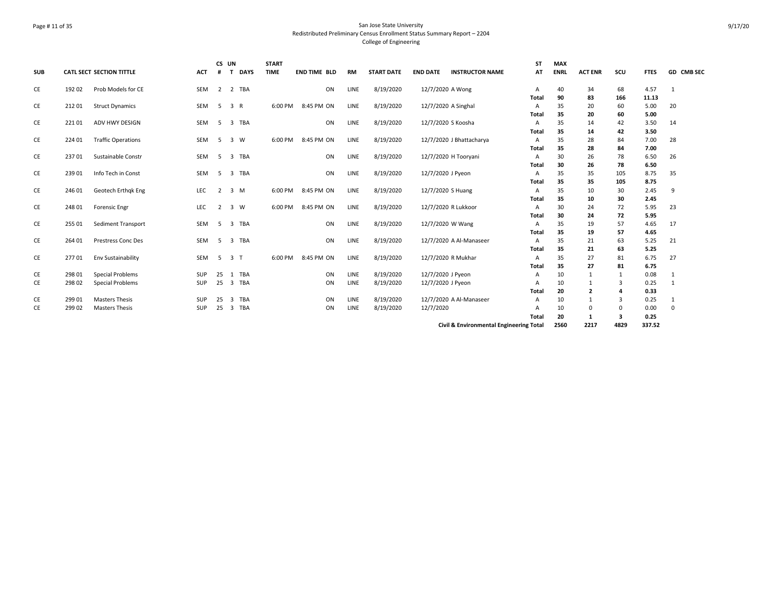### Page # 11 of 35 San Jose State University Redistributed Preliminary Census Enrollment Status Summary Report – 2204 College of Engineering

| <b>SUB</b> |        | <b>CATL SECT SECTION TITTLE</b> | <b>ACT</b> | CS UN<br>#     | <b>DAYS</b><br>$\mathbf{T}$    | <b>START</b><br><b>TIME</b> | <b>END TIME BLD</b> | RM   | <b>START DATE</b> | <b>END DATE</b>     | <b>INSTRUCTOR NAME</b>   | ST<br>AT     | <b>MAX</b><br><b>ENRL</b> | <b>ACT ENR</b> | scu           | <b>FTES</b>  | <b>GD CMB SEC</b> |
|------------|--------|---------------------------------|------------|----------------|--------------------------------|-----------------------------|---------------------|------|-------------------|---------------------|--------------------------|--------------|---------------------------|----------------|---------------|--------------|-------------------|
|            |        |                                 |            |                |                                |                             |                     |      |                   |                     |                          |              |                           |                |               |              |                   |
| CE         | 192 02 | Prob Models for CE              | SEM        | 2              | 2 TBA                          |                             | ON                  | LINE | 8/19/2020         | 12/7/2020 A Wong    |                          | Α            | 40                        | 34             | 68            | 4.57         | 1                 |
|            |        |                                 |            |                |                                |                             |                     |      |                   |                     |                          | <b>Total</b> | 90                        | 83             | 166           | 11.13        |                   |
| CE         | 212 01 | <b>Struct Dynamics</b>          | SEM        | 5              | 3 R                            | 6:00 PM                     | 8:45 PM ON          | LINE | 8/19/2020         | 12/7/2020 A Singhal |                          | A            | 35                        | 20             | 60            | 5.00         | 20                |
|            |        |                                 |            |                |                                |                             |                     |      |                   |                     |                          | Total        | 35                        | 20             | 60            | 5.00         |                   |
| CE         | 22101  | ADV HWY DESIGN                  | SEM        | 5              | 3 TBA                          |                             | ON                  | LINE | 8/19/2020         | 12/7/2020 S Koosha  |                          | Α            | 35                        | 14             | 42            | 3.50         | 14                |
|            |        |                                 |            |                |                                |                             |                     |      |                   |                     |                          | Total        | 35                        | 14             | 42            | 3.50         |                   |
| CE         | 224 01 | <b>Traffic Operations</b>       | SEM        | -5             | 3 W                            | 6:00 PM                     | 8:45 PM ON          | LINE | 8/19/2020         |                     | 12/7/2020 J Bhattacharya | A            | 35                        | 28             | 84            | 7.00         | 28                |
|            |        |                                 |            |                |                                |                             |                     |      |                   |                     |                          | <b>Total</b> | 35                        | 28             | 84            | 7.00         |                   |
| CE         | 23701  | Sustainable Constr              | SEM        | -5             | $\overline{\mathbf{3}}$<br>TBA |                             | ON                  | LINE | 8/19/2020         |                     | 12/7/2020 H Tooryani     | Α            | 30                        | 26             | 78            | 6.50         | 26                |
|            | 239 01 |                                 | SEM        | -5             | 3 TBA                          |                             | ON                  |      |                   |                     |                          | <b>Total</b> | 30<br>35                  | 26             | 78            | 6.50         |                   |
| CE         |        | Info Tech in Const              |            |                |                                |                             |                     | LINE | 8/19/2020         | 12/7/2020 J Pyeon   |                          | Α<br>Total   | 35                        | 35<br>35       | 105<br>105    | 8.75<br>8.75 | 35                |
| CE         | 246 01 | Geotech Erthak Eng              | <b>LEC</b> | 2              | 3 M                            |                             | 6:00 PM 8:45 PM ON  | LINE | 8/19/2020         | 12/7/2020 S Huang   |                          | Α            | 35                        | 10             | 30            | 2.45         | 9                 |
|            |        |                                 |            |                |                                |                             |                     |      |                   |                     |                          | Total        | 35                        | 10             | 30            | 2.45         |                   |
| CE         | 248 01 | <b>Forensic Engr</b>            | LEC        | $\overline{2}$ | 3 W                            | 6:00 PM                     | 8:45 PM ON          | LINE | 8/19/2020         | 12/7/2020 R Lukkoor |                          | Α            | 30                        | 24             | 72            | 5.95         | 23                |
|            |        |                                 |            |                |                                |                             |                     |      |                   |                     |                          | <b>Total</b> | 30                        | 24             | 72            | 5.95         |                   |
| CE         | 255 01 | Sediment Transport              | <b>SEM</b> | -5             | 3 TBA                          |                             | ON                  | LINE | 8/19/2020         | 12/7/2020 W Wang    |                          | A            | 35                        | 19             | 57            | 4.65         | 17                |
|            |        |                                 |            |                |                                |                             |                     |      |                   |                     |                          | Total        | 35                        | 19             | 57            | 4.65         |                   |
| CE         | 264 01 | <b>Prestress Conc Des</b>       | SEM        | -5             | 3 TBA                          |                             | ON                  | LINE | 8/19/2020         |                     | 12/7/2020 A Al-Manaseer  | Α            | 35                        | 21             | 63            | 5.25         | 21                |
|            |        |                                 |            |                |                                |                             |                     |      |                   |                     |                          | <b>Total</b> | 35                        | 21             | 63            | 5.25         |                   |
| CE         | 27701  | Env Sustainability              | <b>SEM</b> | - 5            | 3 <sub>1</sub>                 | 6:00 PM                     | 8:45 PM ON          | LINE | 8/19/2020         | 12/7/2020 R Mukhar  |                          | A            | 35                        | 27             | 81            | 6.75         | 27                |
|            |        |                                 |            |                |                                |                             |                     |      |                   |                     |                          | Total        | 35                        | 27             | 81            | 6.75         |                   |
| CE         | 298 01 | <b>Special Problems</b>         | <b>SUP</b> | 25             | 1 TBA                          |                             | ON                  | LINE | 8/19/2020         | 12/7/2020 J Pyeon   |                          | A            | 10                        |                | 1             | 0.08         |                   |
| CE         | 298 02 | <b>Special Problems</b>         | SUP        | 25             | 3<br>TBA                       |                             | ON                  | LINE | 8/19/2020         | 12/7/2020 J Pyeon   |                          | A            | 10                        |                | 3             | 0.25         |                   |
|            |        |                                 |            |                |                                |                             |                     |      |                   |                     |                          | Total        | 20                        | $\overline{2}$ |               | 0.33         |                   |
| CE         | 299 01 | <b>Masters Thesis</b>           | <b>SUP</b> | 25             | TBA<br>3                       |                             | ON                  | LINE | 8/19/2020         |                     | 12/7/2020 A Al-Manaseer  | A            | 10                        |                | 3             | 0.25         | 1                 |
| CE         | 299 02 | <b>Masters Thesis</b>           | <b>SUP</b> | 25             | TBA<br>3                       |                             | ON                  | LINE | 8/19/2020         | 12/7/2020           |                          | A            | 10<br>20                  | $\Omega$       | $\Omega$<br>3 | 0.00<br>0.25 | 0                 |
|            |        |                                 |            |                |                                |                             |                     |      |                   |                     |                          | <b>Total</b> |                           |                |               |              |                   |

**Civil & Environmental Engineering Total 2560 2217 4829 337.52**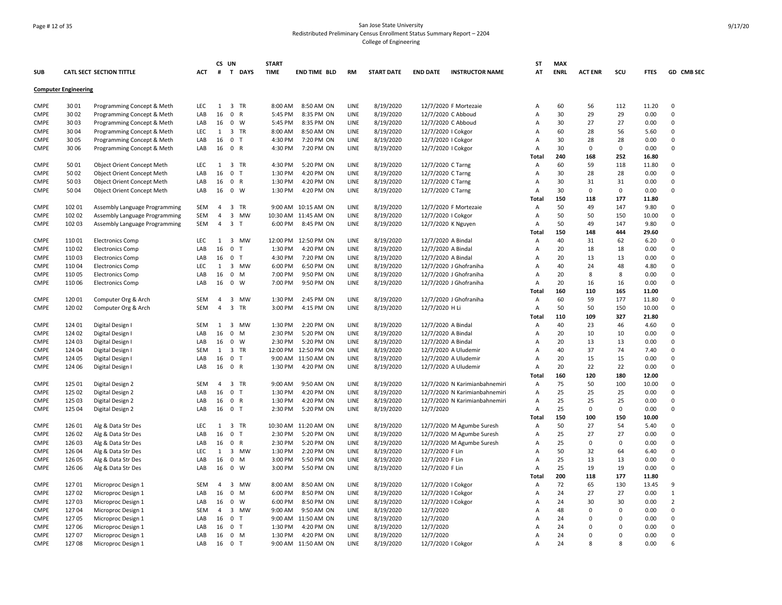# Page # 12 of 35 San Jose State University Redistributed Preliminary Census Enrollment Status Summary Report – 2204 College of Engineering

| <b>SUB</b>  |                             | <b>CATL SECT SECTION TITTLE</b>   | <b>ACT</b> |                | CS UN<br># T DAYS            | <b>START</b><br><b>TIME</b> | <b>END TIME BLD</b>  | <b>RM</b> | <b>START DATE</b> | <b>END DATE</b>   | <b>INSTRUCTOR NAME</b>        | ST<br>AT     | <b>MAX</b><br><b>ENRL</b> | <b>ACT ENR</b> | scu             | <b>FTES</b>   | GD CMB SEC     |
|-------------|-----------------------------|-----------------------------------|------------|----------------|------------------------------|-----------------------------|----------------------|-----------|-------------------|-------------------|-------------------------------|--------------|---------------------------|----------------|-----------------|---------------|----------------|
|             | <b>Computer Engineering</b> |                                   |            |                |                              |                             |                      |           |                   |                   |                               |              |                           |                |                 |               |                |
|             |                             |                                   |            |                |                              |                             |                      |           |                   |                   |                               |              |                           |                |                 |               |                |
| <b>CMPE</b> | 3001                        | Programming Concept & Meth        | LEC        |                | 1 3 TR                       | 8:00 AM                     | 8:50 AM ON           | LINE      | 8/19/2020         |                   | 12/7/2020 F Mortezaie         | A            | 60                        | 56             | 112             | 11.20         | $\Omega$       |
| <b>CMPE</b> | 3002                        | Programming Concept & Meth        | LAB        | 16             | $\mathbf 0$<br>$\mathsf{R}$  | 5:45 PM                     | 8:35 PM ON           | LINE      | 8/19/2020         |                   | 12/7/2020 C Abboud            | Α            | 30                        | 29             | 29              | 0.00          | $\Omega$       |
| CMPE        | 3003                        | Programming Concept & Meth        | LAB        | 16             | $\mathbf{0}$<br>W            | 5:45 PM                     | 8:35 PM ON           | LINE      | 8/19/2020         |                   | 12/7/2020 C Abboud            | Α            | 30                        | 27             | 27              | 0.00          | $\Omega$       |
| <b>CMPE</b> | 3004                        | Programming Concept & Meth        | <b>LEC</b> | 1              | 3 TR                         | 8:00 AM                     | 8:50 AM ON           | LINE      | 8/19/2020         |                   | 12/7/2020   Cokgor            | A            | 60                        | 28             | 56              | 5.60          | $\Omega$       |
| <b>CMPE</b> | 3005                        | Programming Concept & Meth        | LAB        | 16             | 0 <sub>T</sub>               | 4:30 PM                     | 7:20 PM ON           | LINE      | 8/19/2020         |                   | 12/7/2020   Cokgor            | A            | 30                        | 28             | 28              | 0.00          | $\Omega$       |
| <b>CMPE</b> | 30 06                       | Programming Concept & Meth        | LAB        | 16             | 0 R                          | 4:30 PM                     | 7:20 PM ON           | LINE      | 8/19/2020         |                   | 12/7/2020   Cokgor            | Α<br>Total   | 30<br>240                 | 0<br>168       | $\Omega$<br>252 | 0.00<br>16.80 | $\Omega$       |
| <b>CMPE</b> | 50 01                       | Object Orient Concept Meth        | <b>LEC</b> | 1              | 3 TR                         | 4:30 PM                     | 5:20 PM ON           | LINE      | 8/19/2020         | 12/7/2020 C Tarng |                               | A            | 60                        | 59             | 118             | 11.80         | $\Omega$       |
| <b>CMPE</b> | 5002                        | <b>Object Orient Concept Meth</b> | LAB        | 16             | 0 <sub>T</sub>               | 1:30 PM                     | 4:20 PM ON           | LINE      | 8/19/2020         | 12/7/2020 C Tarng |                               | Α            | 30                        | 28             | 28              | 0.00          | $\Omega$       |
| <b>CMPE</b> | 5003                        | Object Orient Concept Meth        | LAB        | 16             | 0 R                          | 1:30 PM                     | 4:20 PM ON           | LINE      | 8/19/2020         | 12/7/2020 C Tarng |                               | А            | 30                        | 31             | 31              | 0.00          | $\Omega$       |
| <b>CMPE</b> | 5004                        | Object Orient Concept Meth        | LAB        | 16             | $0 \quad W$                  | 1:30 PM                     | 4:20 PM ON           | LINE      | 8/19/2020         | 12/7/2020 C Tarng |                               | A            | 30                        | 0              | $\mathbf 0$     | 0.00          | $\Omega$       |
|             |                             |                                   |            |                |                              |                             |                      |           |                   |                   |                               | Total        | 150                       | 118            | 177             | 11.80         |                |
| <b>CMPE</b> | 102 01                      |                                   | SEM        | 4              | 3 TR                         | 9:00 AM                     |                      | LINE      | 8/19/2020         |                   | 12/7/2020 F Mortezaie         |              | 50                        | 49             | 147             |               | $\Omega$       |
|             |                             | Assembly Language Programming     |            |                |                              |                             | 10:15 AM ON          |           |                   |                   |                               | Α            |                           |                |                 | 9.80          | $\mathbf 0$    |
| <b>CMPE</b> | 102 02                      | Assembly Language Programming     | SEM        | 4              | 3<br>MW                      |                             | 10:30 AM 11:45 AM ON | LINE      | 8/19/2020         |                   | 12/7/2020   Cokgor            | Α            | 50                        | 50             | 150             | 10.00         | $\Omega$       |
| <b>CMPE</b> | 102 03                      | Assembly Language Programming     | SEM        | 4              | 3 <sub>T</sub>               | 6:00 PM                     | 8:45 PM ON           | LINE      | 8/19/2020         |                   | 12/7/2020 K Nguyen            | Α            | 50                        | 49             | 147             | 9.80          |                |
|             |                             |                                   |            |                |                              |                             |                      |           |                   |                   |                               | <b>Total</b> | 150                       | 148            | 444             | 29.60         |                |
| <b>CMPE</b> | 110 01                      | <b>Electronics Comp</b>           | <b>LEC</b> | 1              | $\overline{3}$<br><b>MW</b>  |                             | 12:00 PM 12:50 PM ON | LINE      | 8/19/2020         |                   | 12/7/2020 A Bindal            | A            | 40                        | 31             | 62              | 6.20          | $\Omega$       |
| <b>CMPE</b> | 110 02                      | <b>Electronics Comp</b>           | LAB        | 16             | 0 <sub>T</sub>               | 1:30 PM                     | 4:20 PM ON           | LINE      | 8/19/2020         |                   | 12/7/2020 A Bindal            | A            | 20                        | 18             | 18              | 0.00          | $\Omega$       |
| <b>CMPE</b> | 11003                       | <b>Electronics Comp</b>           | LAB        | 16             | 0 <sub>T</sub>               | 4:30 PM                     | 7:20 PM ON           | LINE      | 8/19/2020         |                   | 12/7/2020 A Bindal            | А            | 20                        | 13             | 13              | 0.00          | $\Omega$       |
| <b>CMPE</b> | 110 04                      | <b>Electronics Comp</b>           | <b>LEC</b> | 1              | 3 MW                         | 6:00 PM                     | 6:50 PM ON           | LINE      | 8/19/2020         |                   | 12/7/2020 J Ghofraniha        | A            | 40                        | 24             | 48              | 4.80          | $\Omega$       |
| <b>CMPE</b> | 11005                       | <b>Electronics Comp</b>           | LAB        | 16             | $0 \quad M$                  | 7:00 PM                     | 9:50 PM ON           | LINE      | 8/19/2020         |                   | 12/7/2020 J Ghofraniha        | Α            | 20                        | 8              | 8               | 0.00          | $\Omega$       |
| <b>CMPE</b> | 110 06                      | <b>Electronics Comp</b>           | LAB        | 16             | $0 \quad W$                  | 7:00 PM                     | 9:50 PM ON           | LINE      | 8/19/2020         |                   | 12/7/2020 J Ghofraniha        | A            | 20                        | 16             | 16              | 0.00          | $\Omega$       |
|             |                             |                                   |            |                |                              |                             |                      |           |                   |                   |                               | Total        | 160                       | 110            | 165             | 11.00         |                |
| <b>CMPE</b> | 120 01                      | Computer Org & Arch               | <b>SEM</b> | $\overline{4}$ | 3 MW                         | 1:30 PM                     | 2:45 PM ON           | LINE      | 8/19/2020         |                   | 12/7/2020 J Ghofraniha        | Α            | 60                        | 59             | 177             | 11.80         | $\Omega$       |
| <b>CMPE</b> | 120 02                      | Computer Org & Arch               | <b>SEM</b> | $\overline{4}$ | 3 TR                         | 3:00 PM                     | 4:15 PM ON           | LINE      | 8/19/2020         | 12/7/2020 H Li    |                               | Α            | 50                        | 50             | 150             | 10.00         | $\Omega$       |
|             |                             |                                   |            |                |                              |                             |                      |           |                   |                   |                               | Total        | 110                       | 109            | 327             | 21.80         |                |
| CMPE        | 124 01                      | Digital Design I                  | SEM        | 1              | $\overline{3}$<br><b>MW</b>  | 1:30 PM                     | 2:20 PM ON           | LINE      | 8/19/2020         |                   | 12/7/2020 A Bindal            | Α            | 40                        | 23             | 46              | 4.60          | $\Omega$       |
| <b>CMPE</b> | 124 02                      | Digital Design I                  | LAB        | 16             | $\pmb{0}$<br>M               | 2:30 PM                     | 5:20 PM ON           | LINE      | 8/19/2020         |                   | 12/7/2020 A Bindal            | Α            | 20                        | 10             | 10              | 0.00          | $\Omega$       |
| <b>CMPE</b> | 124 03                      | Digital Design                    | LAB        | 16             | $0 \quad W$                  | 2:30 PM                     | 5:20 PM ON           | LINE      | 8/19/2020         |                   | 12/7/2020 A Bindal            | Α            | 20                        | 13             | 13              | 0.00          | $\Omega$       |
| <b>CMPE</b> | 124 04                      | Digital Design                    | <b>SEM</b> | 1              | 3 TR                         |                             | 12:00 PM 12:50 PM ON | LINE      | 8/19/2020         |                   | 12/7/2020 A Uludemir          | A            | 40                        | 37             | 74              | 7.40          | $\Omega$       |
| <b>CMPE</b> | 124 05                      | Digital Design I                  | LAB        | 16             | $\mathbf{0}$<br>$\mathsf{T}$ |                             | 9:00 AM 11:50 AM ON  | LINE      | 8/19/2020         |                   | 12/7/2020 A Uludemir          | Α            | 20                        | 15             | 15              | 0.00          | $\Omega$       |
| CMPE        | 124 06                      | Digital Design I                  | LAB        |                | 16 0 R                       | 1:30 PM                     | 4:20 PM ON           | LINE      | 8/19/2020         |                   | 12/7/2020 A Uludemir          | A            | 20                        | 22             | 22              | 0.00          | $\Omega$       |
|             |                             |                                   |            |                |                              |                             |                      |           |                   |                   |                               | Total        | 160                       | 120            | 180             | 12.00         |                |
| <b>CMPE</b> | 125 01                      | Digital Design 2                  | <b>SEM</b> | 4              | 3 TR                         | 9:00 AM                     | 9:50 AM ON           | LINE      | 8/19/2020         |                   | 12/7/2020 N Karimianbahnemiri | Α            | 75                        | 50             | 100             | 10.00         | $\Omega$       |
| <b>CMPE</b> | 125 02                      | Digital Design 2                  | LAB        | 16             | 0 <sub>T</sub>               | 1:30 PM                     | 4:20 PM ON           | LINE      | 8/19/2020         |                   | 12/7/2020 N Karimianbahnemiri | A            | 25                        | 25             | 25              | 0.00          | $\Omega$       |
| <b>CMPE</b> | 125 03                      | Digital Design 2                  | LAB        | 16             | $\mathbf{0}$<br>$\mathsf{R}$ | 1:30 PM                     | 4:20 PM ON           | LINE      | 8/19/2020         |                   | 12/7/2020 N Karimianbahnemiri | Α            | 25                        | 25             | 25              | 0.00          | $\Omega$       |
| <b>CMPE</b> | 125 04                      | Digital Design 2                  | LAB        | 16             | 0 <sub>T</sub>               | 2:30 PM                     | 5:20 PM ON           | LINE      | 8/19/2020         | 12/7/2020         |                               | A            | 25                        | $\mathbf 0$    | 0               | 0.00          | $\Omega$       |
|             |                             |                                   |            |                |                              |                             |                      |           |                   |                   |                               | <b>Total</b> | 150                       | 100            | 150             | 10.00         |                |
| <b>CMPE</b> | 126 01                      | Alg & Data Str Des                | <b>LEC</b> | 1              | 3<br>TR                      |                             | 10:30 AM 11:20 AM ON | LINE      | 8/19/2020         |                   | 12/7/2020 M Agumbe Suresh     | Α            | 50                        | 27             | 54              | 5.40          | $\Omega$       |
| <b>CMPE</b> | 126 02                      | Alg & Data Str Des                | LAB        | 16             | 0 <sub>T</sub>               | 2:30 PM                     | 5:20 PM ON           | LINE      | 8/19/2020         |                   | 12/7/2020 M Agumbe Suresh     | Α            | 25                        | 27             | 27              | 0.00          | $\Omega$       |
| <b>CMPE</b> | 126 03                      | Alg & Data Str Des                | LAB        | 16             | $\mathbf{0}$<br>$\mathsf{R}$ | 2:30 PM                     | 5:20 PM ON           | LINE      | 8/19/2020         |                   | 12/7/2020 M Agumbe Suresh     | Α            | 25                        | $\mathbf 0$    | $\mathbf 0$     | 0.00          | $\Omega$       |
| <b>CMPE</b> | 126 04                      | Alg & Data Str Des                | LEC        | $\mathbf{1}$   | 3 MW                         | 1:30 PM                     | 2:20 PM ON           | LINE      | 8/19/2020         | 12/7/2020 F Lin   |                               | Α            | 50                        | 32             | 64              | 6.40          | $\Omega$       |
| <b>CMPE</b> | 126 05                      | Alg & Data Str Des                | LAB        | 16             | $\mathbf 0$<br>M             | 3:00 PM                     | 5:50 PM ON           | LINE      | 8/19/2020         | 12/7/2020 F Lin   |                               | A            | 25                        | 13             | 13              | 0.00          | $\Omega$       |
| CMPE        | 126 06                      | Alg & Data Str Des                | LAB        | 16             | $\mathbf 0$<br>W             | 3:00 PM                     | 5:50 PM ON           | LINE      | 8/19/2020         | 12/7/2020 F Lin   |                               | A            | 25                        | 19             | 19              | 0.00          | $\Omega$       |
|             |                             |                                   |            |                |                              |                             |                      |           |                   |                   |                               | Total        | 200                       | 118            | 177             | 11.80         |                |
| <b>CMPE</b> | 12701                       | Microproc Design 1                | <b>SEM</b> | $\overline{4}$ | 3 MW                         | 8:00 AM                     | 8:50 AM ON           | LINE      | 8/19/2020         |                   | 12/7/2020   Cokgor            | Α            | 72                        | 65             | 130             | 13.45         | 9              |
| <b>CMPE</b> | 127 02                      |                                   | LAB        | 16             | $\mathbf 0$<br>M             | 6:00 PM                     | 8:50 PM ON           | LINE      |                   |                   |                               |              | 24                        | 27             | 27              | 0.00          | $\mathbf{1}$   |
| <b>CMPE</b> | 12703                       | Microproc Design 1                | LAB        |                | 0<br>W                       | 6:00 PM                     | 8:50 PM ON           | LINE      | 8/19/2020         |                   | 12/7/2020   Cokgor            | Α            | 24                        | 30             | 30              | 0.00          | $\overline{2}$ |
|             |                             | Microproc Design 1                |            | 16             |                              |                             |                      |           | 8/19/2020         |                   | 12/7/2020   Cokgor            | А            |                           |                |                 |               |                |
| <b>CMPE</b> | 127 04                      | Microproc Design 1                | SEM        | $\overline{4}$ | 3 MW                         | 9:00 AM                     | 9:50 AM ON           | LINE      | 8/19/2020         | 12/7/2020         |                               | А            | 48                        | $\Omega$       | $\Omega$        | 0.00          | $\mathbf 0$    |
| <b>CMPE</b> | 12705                       | Microproc Design 1                | LAB        | 16             | 0 <sub>T</sub>               |                             | 9:00 AM 11:50 AM ON  | LINE      | 8/19/2020         | 12/7/2020         |                               | A            | 24                        | $\Omega$       | $\Omega$        | 0.00          | $\Omega$       |
| <b>CMPE</b> | 127 06                      | Microproc Design 1                | LAB        | 16             | 0 <sub>T</sub>               | 1:30 PM                     | 4:20 PM ON           | LINE      | 8/19/2020         | 12/7/2020         |                               | A            | 24                        | $\Omega$       | $\Omega$        | 0.00          | $\Omega$       |
| <b>CMPE</b> | 127 07                      | Microproc Design 1                | LAB        | 16             | 0 M                          | 1:30 PM                     | 4:20 PM ON           | LINE      | 8/19/2020         | 12/7/2020         |                               | A            | 24                        | $\Omega$       | $\Omega$        | 0.00          | $\Omega$       |
| <b>CMPE</b> | 12708                       | Microproc Design 1                | LAB        | 16             | 0 <sub>T</sub>               |                             | 9:00 AM 11:50 AM ON  | LINE      | 8/19/2020         |                   | 12/7/2020   Cokgor            | A            | 24                        | 8              | 8               | 0.00          | 6              |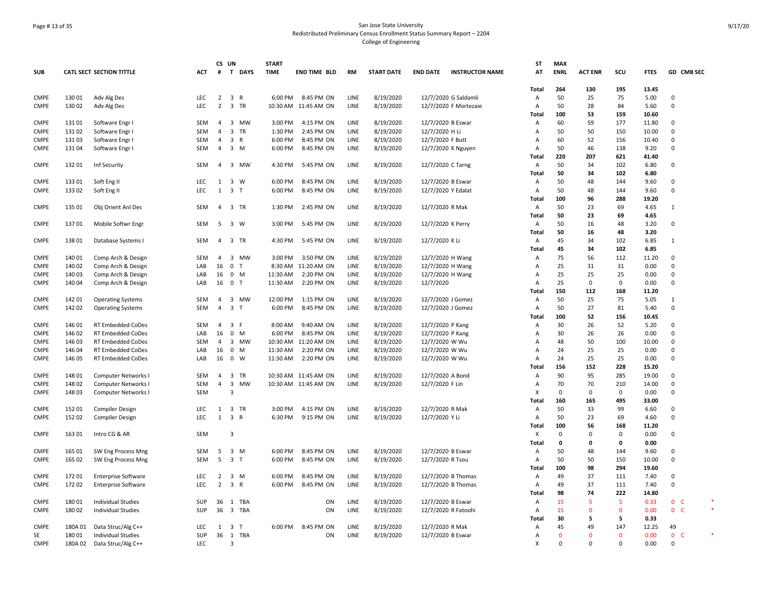# Page # 13 of 35 San Jose State University Redistributed Preliminary Census Enrollment Status Summary Report – 2204 College of Engineering

| <b>SUB</b>                 |                  | CATL SECT SECTION TITTLE                   | АСТ        | CS UN<br>#     | T DAYS                                                   | <b>START</b><br><b>TIME</b> | <b>END TIME BLD</b>                          | <b>RM</b>    | <b>START DATE</b> | <b>END DATE</b>                     | <b>INSTRUCTOR NAME</b> | <b>ST</b><br>ΑT | <b>MAX</b><br><b>ENRL</b> | <b>ACT ENR</b> | scu         | <b>FTES</b>    | GD CMB SEC     |  |
|----------------------------|------------------|--------------------------------------------|------------|----------------|----------------------------------------------------------|-----------------------------|----------------------------------------------|--------------|-------------------|-------------------------------------|------------------------|-----------------|---------------------------|----------------|-------------|----------------|----------------|--|
|                            |                  |                                            |            |                |                                                          |                             |                                              |              |                   |                                     |                        | Total           | 264                       | 130            | 195         | 13.45          |                |  |
| <b>CMPE</b>                | 13001            | Adv Alg Des                                | <b>LEC</b> | $\overline{2}$ | 3 R                                                      | 6:00 PM                     | 8:45 PM ON                                   | LINE         | 8/19/2020         |                                     | 12/7/2020 G Saldamli   | Α               | 50                        | 25             | 75          | 5.00           | 0              |  |
| <b>CMPE</b>                | 130 02           | Adv Alg Des                                | <b>LEC</b> | $\overline{2}$ | 3 TR                                                     |                             | 10:30 AM 11:45 AM ON                         | LINE         | 8/19/2020         |                                     | 12/7/2020 F Mortezaie  | $\overline{A}$  | 50                        | 28             | 84          | 5.60           | $\Omega$       |  |
|                            |                  |                                            |            |                |                                                          |                             |                                              |              |                   |                                     |                        | Total           | 100                       | 53             | 159         | 10.60          |                |  |
| <b>CMPE</b>                | 13101            | Software Engr I                            | <b>SEM</b> | $\overline{4}$ | $\overline{\mathbf{3}}$<br><b>MW</b>                     | 3:00 PM                     | 4:15 PM ON                                   | LINE         | 8/19/2020         | 12/7/2020 B Eswar                   |                        | $\overline{A}$  | 60                        | 59             | 177         | 11.80          | $\Omega$       |  |
| <b>CMPE</b>                | 13102            | Software Engr I                            | <b>SEM</b> | $\overline{4}$ | $\overline{3}$<br><b>TR</b>                              | 1:30 PM                     | 2:45 PM ON                                   | LINE         | 8/19/2020         | 12/7/2020 H Li                      |                        | A               | 50                        | 50             | 150         | 10.00          | $\Omega$       |  |
| <b>CMPE</b>                | 13103            | Software Engr I                            | SEM        | $\overline{4}$ | 3 R                                                      | 6:00 PM                     | 8:45 PM ON                                   | LINE         | 8/19/2020         | 12/7/2020 F Butt                    |                        | Α               | 60                        | 52             | 156         | 10.40          | $\mathbf 0$    |  |
| <b>CMPE</b>                | 13104            | Software Engr I                            | SEM        | $\overline{4}$ | $\overline{\mathbf{3}}$<br>M                             | 6:00 PM                     | 8:45 PM ON                                   | LINE         | 8/19/2020         | 12/7/2020 K Nguyen                  |                        | Α               | 50                        | 46             | 138         | 9.20           | $\Omega$       |  |
|                            |                  |                                            |            |                |                                                          |                             |                                              |              |                   |                                     |                        | Total           | 220                       | 207            | 621         | 41.40          |                |  |
| <b>CMPE</b>                | 132 01           | Inf Security                               | SEM        | 4              | 3 MW                                                     | 4:30 PM                     | 5:45 PM ON                                   | LINE         | 8/19/2020         | 12/7/2020 C Tarng                   |                        | A               | 50                        | 34             | 102         | 6.80           | $\mathbf 0$    |  |
|                            |                  |                                            |            |                |                                                          |                             |                                              |              |                   |                                     |                        | Total           | 50                        | 34             | 102         | 6.80           |                |  |
| <b>CMPE</b>                | 133 01           | Soft Eng II                                | LEC        | 1              | $\overline{\mathbf{3}}$<br>W                             | 6:00 PM                     | 8:45 PM ON                                   | LINE         | 8/19/2020         | 12/7/2020 B Eswar                   |                        | Α               | 50                        | 48             | 144         | 9.60           | $\Omega$       |  |
| <b>CMPE</b>                | 133 02           | Soft Eng II                                | LEC        | 1              | $\overline{\mathbf{3}}$<br>T                             | 6:00 PM                     | 8:45 PM ON                                   | LINE         | 8/19/2020         | 12/7/2020 Y Edalat                  |                        | A               | 50                        | 48             | 144         | 9.60           | $\Omega$       |  |
|                            |                  |                                            |            |                |                                                          |                             |                                              |              |                   |                                     |                        | Total           | 100                       | 96             | 288         | 19.20          |                |  |
| CMPE                       | 135 01           | Obj Orient Anl Des                         | SEM        | $\overline{4}$ | $\overline{\mathbf{3}}$<br>TR                            | 1:30 PM                     | 2:45 PM ON                                   | LINE         | 8/19/2020         | 12/7/2020 R Mak                     |                        | $\mathsf{A}$    | 50                        | 23             | 69          | 4.65           | $\mathbf{1}$   |  |
|                            |                  |                                            |            |                |                                                          |                             |                                              |              |                   |                                     |                        | Total           | 50                        | 23             | 69          | 4.65           |                |  |
| <b>CMPE</b>                | 13701            | Mobile Softwr Engr                         | SEM        |                | 5 3 W                                                    | 3:00 PM                     | 5:45 PM ON                                   | LINE         | 8/19/2020         | 12/7/2020 K Perry                   |                        | $\overline{A}$  | 50                        | 16             | 48          | 3.20           | $\Omega$       |  |
|                            |                  |                                            |            |                |                                                          |                             |                                              |              |                   |                                     |                        | Total           | 50                        | 16             | 48          | 3.20           |                |  |
| <b>CMPE</b>                | 13801            | Database Systems I                         | SEM        | 4              | $\overline{\mathbf{3}}$<br>TR                            | 4:30 PM                     | 5:45 PM ON                                   | LINE         | 8/19/2020         | 12/7/2020 K Li                      |                        | A               | 45                        | 34             | 102         | 6.85           | 1              |  |
|                            |                  |                                            |            |                |                                                          |                             |                                              |              |                   |                                     |                        | Total           | 45                        | 34             | 102         | 6.85           |                |  |
| <b>CMPE</b>                | 140 01           | Comp Arch & Design                         | SEM        | 4              | 3 MW                                                     | 3:00 PM                     | 3:50 PM ON                                   | LINE         | 8/19/2020         | 12/7/2020 H Wang                    |                        | Α               | 75                        | 56             | 112         | 11.20          | $\Omega$       |  |
| <b>CMPE</b>                | 140 02           | Comp Arch & Design                         | LAB        | 16             | $\mathbf 0$<br>$\mathsf{T}$                              | 8:30 AM                     | 11:20 AM ON                                  | LINE         | 8/19/2020         | 12/7/2020 H Wang                    |                        | Α               | 25                        | 31             | 31          | 0.00           | 0              |  |
| <b>CMPE</b>                | 14003            | Comp Arch & Design                         | LAB        | 16             | 0 M                                                      | 11:30 AM                    | 2:20 PM ON                                   | LINE         | 8/19/2020         | 12/7/2020 H Wang                    |                        | Α               | 25                        | 25             | 25          | 0.00           | $\Omega$       |  |
| CMPE                       | 14004            | Comp Arch & Design                         | LAB        | 16             | $\mathbf 0$<br>T                                         | 11:30 AM                    | 2:20 PM ON                                   | LINE         | 8/19/2020         | 12/7/2020                           |                        | Α               | 25                        | 0              | $\mathbf 0$ | 0.00           | 0              |  |
|                            |                  |                                            |            |                |                                                          |                             |                                              |              |                   |                                     |                        | Total           | 150                       | 112            | 168         | 11.20          |                |  |
| <b>CMPE</b>                | 14201            | <b>Operating Systems</b>                   | <b>SEM</b> | $\overline{4}$ | $\overline{3}$<br><b>MW</b>                              | 12:00 PM                    | 1:15 PM ON                                   | LINE         | 8/19/2020         | 12/7/2020 J Gomez                   |                        | $\overline{A}$  | 50                        | 25             | 75          | 5.05           | $\mathbf{1}$   |  |
| <b>CMPE</b>                | 142 02           | <b>Operating Systems</b>                   | SEM        | $\overline{4}$ | $\overline{\mathbf{3}}$<br>T                             | 6:00 PM                     | 8:45 PM ON                                   | LINE         | 8/19/2020         | 12/7/2020 J Gomez                   |                        | A               | 50                        | 27             | 81          | 5.40           | $\Omega$       |  |
|                            |                  |                                            |            |                |                                                          |                             |                                              |              |                   |                                     |                        | Total           | 100                       | 52             | 156         | 10.45          |                |  |
| <b>CMPE</b>                | 146 01           | RT Embedded CoDes                          | <b>SEM</b> | $\overline{4}$ | 3 F                                                      | 8:00 AM                     | 9:40 AM ON                                   | LINE         | 8/19/2020         | 12/7/2020 P Kang                    |                        | Α               | 30                        | 26             | 52          | 5.20           | $\Omega$       |  |
| CMPE                       | 146 02           | RT Embedded CoDes                          | LAB        | 16             | $\mathbf 0$<br>M                                         | 6:00 PM                     | 8:45 PM ON                                   | LINE         | 8/19/2020         | 12/7/2020 P Kang                    |                        | Α               | 30                        | 26             | 26          | 0.00           | $\Omega$       |  |
| <b>CMPE</b>                | 146 03           | <b>RT Embedded CoDes</b>                   | SEM        | 4              | $\overline{\mathbf{3}}$<br>MW                            | 10:30 AM                    | 11:20 AM ON                                  | LINE         | 8/19/2020         | 12/7/2020 W Wu                      |                        | А               | 48                        | 50             | 100         | 10.00          | 0              |  |
| CMPE                       | 146 04           | <b>RT Embedded CoDes</b>                   | LAB        | 16             | $\mathbf 0$<br>M                                         | 11:30 AM                    | 2:20 PM ON                                   | LINE         | 8/19/2020         | 12/7/2020 W Wu                      |                        | Α               | 24                        | 25             | 25          | 0.00           | $\Omega$       |  |
| <b>CMPE</b>                | 146 05           | RT Embedded CoDes                          | LAB        | 16             | $\mathbf 0$<br>W                                         | 11:30 AM                    | 2:20 PM ON                                   | LINE         | 8/19/2020         | 12/7/2020 W Wu                      |                        | Α               | 24                        | 25             | 25          | 0.00           | $\mathbf 0$    |  |
|                            |                  |                                            |            | $\overline{4}$ | TR                                                       |                             |                                              |              | 8/19/2020         |                                     |                        | Total           | 156<br>90                 | 152            | 228         | 15.20          | $\Omega$       |  |
| <b>CMPE</b><br><b>CMPE</b> | 148 01<br>148 02 | Computer Networks I                        | SEM<br>SEM | $\overline{4}$ | $\overline{\mathbf{3}}$<br>$\overline{\mathbf{3}}$<br>MW |                             | 10:30 AM 11:45 AM ON<br>10:30 AM 11:45 AM ON | LINE<br>LINE | 8/19/2020         | 12/7/2020 A Bond<br>12/7/2020 F Lin |                        | Α<br>A          | 70                        | 95<br>70       | 285<br>210  | 19.00<br>14.00 | $\mathbf 0$    |  |
| CMPE                       | 14803            | Computer Networks I<br>Computer Networks I | <b>SEM</b> |                | $\overline{3}$                                           |                             |                                              |              |                   |                                     |                        | $\times$        | $\Omega$                  | 0              | 0           | 0.00           | $\Omega$       |  |
|                            |                  |                                            |            |                |                                                          |                             |                                              |              |                   |                                     |                        | Total           | 160                       | 165            | 495         | 33.00          |                |  |
| <b>CMPE</b>                | 152 01           | <b>Compiler Design</b>                     | LEC        |                | 1 3 TR                                                   | 3:00 PM                     | 4:15 PM ON                                   | LINE         | 8/19/2020         | 12/7/2020 R Mak                     |                        | A               | 50                        | 33             | 99          | 6.60           | $\mathbf 0$    |  |
| <b>CMPE</b>                | 152 02           | <b>Compiler Design</b>                     | <b>LEC</b> | $\mathbf{1}$   | $\overline{\mathbf{3}}$<br>R                             | 6:30 PM                     | 9:15 PM ON                                   | LINE         | 8/19/2020         | 12/7/2020 Y Li                      |                        | Α               | 50                        | 23             | 69          | 4.60           | $\mathbf 0$    |  |
|                            |                  |                                            |            |                |                                                          |                             |                                              |              |                   |                                     |                        | Total           | 100                       | 56             | 168         | 11.20          |                |  |
| <b>CMPE</b>                | 163 01           | Intro CG & AR                              | SEM        |                | 3                                                        |                             |                                              |              |                   |                                     |                        | X               | 0                         | $\Omega$       | $\mathbf 0$ | 0.00           | $\mathbf 0$    |  |
|                            |                  |                                            |            |                |                                                          |                             |                                              |              |                   |                                     |                        | Total           | 0                         | 0              | 0           | 0.00           |                |  |
| <b>CMPE</b>                | 165 01           | SW Eng Process Mng                         | <b>SEM</b> | 5              | $\overline{3}$<br>M                                      | 6:00 PM                     | 8:45 PM ON                                   | LINE         | 8/19/2020         | 12/7/2020 B Eswar                   |                        | $\overline{A}$  | 50                        | 48             | 144         | 9.60           | $\Omega$       |  |
| <b>CMPE</b>                | 165 02           | SW Eng Process Mng                         | SEM        | 5              | 3 T                                                      | 6:00 PM                     | 8:45 PM ON                                   | LINE         | 8/19/2020         | 12/7/2020 R Tsou                    |                        | A               | 50                        | 50             | 150         | 10.00          | 0              |  |
|                            |                  |                                            |            |                |                                                          |                             |                                              |              |                   |                                     |                        | Total           | 100                       | 98             | 294         | 19.60          |                |  |
| <b>CMPE</b>                | 17201            | <b>Enterprise Software</b>                 | LEC        | $\overline{2}$ | $\overline{\mathbf{3}}$<br>M                             | 6:00 PM                     | 8:45 PM ON                                   | LINE         | 8/19/2020         |                                     | 12/7/2020 B Thomas     | $\overline{A}$  | 49                        | 37             | 111         | 7.40           | $\Omega$       |  |
| CMPE                       | 172 02           | <b>Enterprise Software</b>                 | <b>LEC</b> | $\overline{2}$ | $\overline{\mathbf{3}}$<br>R                             | 6:00 PM                     | 8:45 PM ON                                   | LINE         | 8/19/2020         | 12/7/2020 B Thomas                  |                        | Α               | 49                        | 37             | 111         | 7.40           | 0              |  |
|                            |                  |                                            |            |                |                                                          |                             |                                              |              |                   |                                     |                        | Total           | 98                        | 74             | 222         | 14.80          |                |  |
| CMPE                       | 180 01           | <b>Individual Studies</b>                  | SUP        | 36             | 1 TBA                                                    |                             | ON                                           | LINE         | 8/19/2020         | 12/7/2020 B Eswar                   |                        | Α               | 15                        | 5              | 5           | 0.33           | 0 <sub>c</sub> |  |
| <b>CMPE</b>                | 180 02           | <b>Individual Studies</b>                  | SUP        | 36             | $\overline{\mathbf{3}}$<br>TBA                           |                             | ON                                           | LINE         | 8/19/2020         | 12/7/2020 R Fatoohi                 |                        | Α               | 15                        | $\mathbf{0}$   | $\mathbf 0$ | 0.00           | 0 <sub>c</sub> |  |
|                            |                  |                                            |            |                |                                                          |                             |                                              |              |                   |                                     |                        | Total           | 30                        | 5              | 5           | 0.33           |                |  |
| <b>CMPE</b>                | 180A01           | Data Struc/Alg C++                         | LEC        | 1              | $\overline{\mathbf{3}}$<br>$\top$                        | 6:00 PM                     | 8:45 PM ON                                   | LINE         | 8/19/2020         | 12/7/2020 R Mak                     |                        | Α               | 45                        | 49             | 147         | 12.25          | 49             |  |
| SE                         | 18001            | Individual Studies                         | SUP        | 36             | 1 TBA                                                    |                             | ON                                           | LINE         | 8/19/2020         | 12/7/2020 B Eswar                   |                        | А               | 0                         | $\Omega$       | $\mathbf 0$ | 0.00           | 0 <sub>c</sub> |  |
| CMPE                       | 180A02           | Data Struc/Alg C++                         | LEC        |                | 3                                                        |                             |                                              |              |                   |                                     |                        | X               | 0                         | $\Omega$       | $\Omega$    | 0.00           | $\Omega$       |  |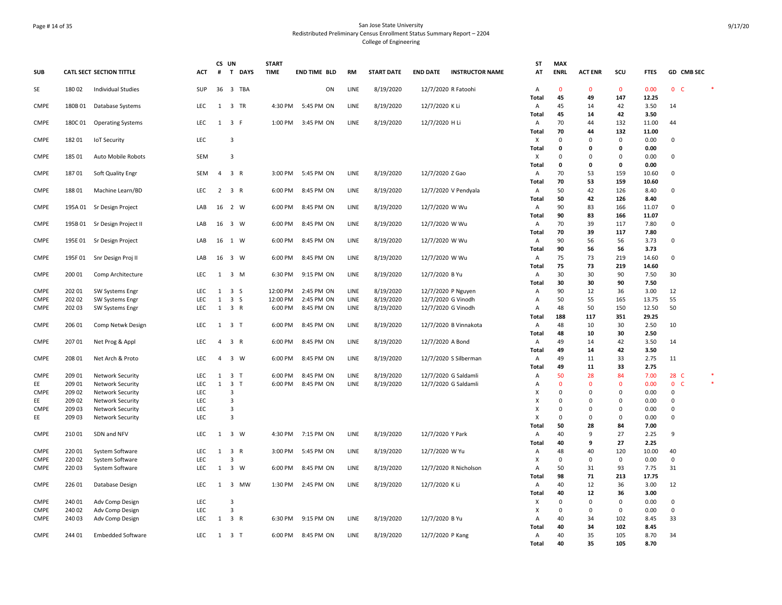### Page # 14 of 35 San Jose State University Redistributed Preliminary Census Enrollment Status Summary Report – 2204 College of Engineering

| <b>SUB</b>                 |                  | <b>CATL SECT SECTION TITTLE</b>    | ACT                      | CS UN<br>#     | T DAYS                                         | <b>START</b><br><b>TIME</b> | <b>END TIME BLD</b> | RM   | <b>START DATE</b> | <b>END DATE</b>     | <b>INSTRUCTOR NAME</b> | <b>ST</b><br>AT   | <b>MAX</b><br><b>ENRL</b> | <b>ACT ENR</b>    | scu                | <b>FTES</b>   |                   | GD CMB SEC |        |
|----------------------------|------------------|------------------------------------|--------------------------|----------------|------------------------------------------------|-----------------------------|---------------------|------|-------------------|---------------------|------------------------|-------------------|---------------------------|-------------------|--------------------|---------------|-------------------|------------|--------|
| SE                         | 180 02           | <b>Individual Studies</b>          | SUP                      | 36             | 3 TBA                                          |                             | ON                  | LINE | 8/19/2020         | 12/7/2020 R Fatoohi |                        | A                 | $\mathbf 0$               | $\overline{0}$    | $\mathbf 0$        | 0.00          | 0 <sub>c</sub>    |            | $\ast$ |
|                            |                  |                                    |                          |                |                                                |                             |                     |      |                   |                     |                        | <b>Total</b>      | 45                        | 49                | 147                | 12.25         |                   |            |        |
| <b>CMPE</b>                | 180B01           | Database Systems                   | LEC                      |                | 1 3 TR                                         | 4:30 PM                     | 5:45 PM ON          | LINE | 8/19/2020         | 12/7/2020 K Li      |                        | A                 | 45                        | 14                | 42                 | 3.50          | 14                |            |        |
|                            |                  |                                    |                          |                |                                                |                             |                     |      |                   |                     |                        | <b>Total</b>      | 45                        | 14                | 42                 | 3.50          |                   |            |        |
| CMPE                       | 180C01           | <b>Operating Systems</b>           | LEC                      |                | $1 \quad 3 \quad F$                            | 1:00 PM                     | 3:45 PM ON          | LINE | 8/19/2020         | 12/7/2020 H Li      |                        | Α                 | 70                        | 44                | 132                | 11.00         | 44                |            |        |
| <b>CMPE</b>                | 182 01           |                                    | LEC                      |                | $\overline{3}$                                 |                             |                     |      |                   |                     |                        | Total<br>х        | 70<br>0                   | 44<br>$\mathbf 0$ | 132<br>0           | 11.00<br>0.00 | 0                 |            |        |
|                            |                  | <b>IoT Security</b>                |                          |                |                                                |                             |                     |      |                   |                     |                        | <b>Total</b>      | 0                         | $\mathbf 0$       | 0                  | 0.00          |                   |            |        |
| <b>CMPE</b>                | 185 01           | Auto Mobile Robots                 | <b>SEM</b>               |                | 3                                              |                             |                     |      |                   |                     |                        | X                 | 0                         | $\mathbf{0}$      | $\mathbf 0$        | 0.00          | $\Omega$          |            |        |
|                            |                  |                                    |                          |                |                                                |                             |                     |      |                   |                     |                        | <b>Total</b>      | 0                         | $\mathbf 0$       | 0                  | 0.00          |                   |            |        |
| CMPE                       | 18701            | Soft Quality Engr                  | SEM                      | $\overline{4}$ | 3 R                                            | 3:00 PM                     | 5:45 PM ON          | LINE | 8/19/2020         | 12/7/2020 Z Gao     |                        | Α                 | 70                        | 53                | 159                | 10.60         | $\overline{0}$    |            |        |
|                            |                  |                                    |                          |                |                                                |                             |                     |      |                   |                     |                        | <b>Total</b>      | 70                        | 53                | 159                | 10.60         |                   |            |        |
| <b>CMPE</b>                | 18801            | Machine Learn/BD                   | LEC                      |                | $2 \quad 3 \quad R$                            | 6:00 PM                     | 8:45 PM ON          | LINE | 8/19/2020         |                     | 12/7/2020 V Pendyala   | Α                 | 50                        | 42                | 126                | 8.40          | $\overline{0}$    |            |        |
|                            |                  |                                    |                          |                |                                                |                             |                     |      |                   |                     |                        | <b>Total</b>      | 50                        | 42                | 126                | 8.40          |                   |            |        |
| <b>CMPE</b>                | 195A01           | Sr Design Project                  | LAB                      | 16             | 2 W                                            | 6:00 PM                     | 8:45 PM ON          | LINE | 8/19/2020         | 12/7/2020 W Wu      |                        | Α                 | 90                        | 83                | 166                | 11.07         | $\Omega$          |            |        |
|                            |                  |                                    |                          |                |                                                |                             |                     |      |                   |                     |                        | <b>Total</b>      | 90                        | 83                | 166                | 11.07         |                   |            |        |
| <b>CMPE</b>                | 195B 01          | Sr Design Project II               | LAB                      |                | 16 3 W                                         | 6:00 PM                     | 8:45 PM ON          | LINE | 8/19/2020         | 12/7/2020 W Wu      |                        | A                 | 70                        | 39                | 117                | 7.80          | 0                 |            |        |
| <b>CMPE</b>                | 195E01           |                                    | LAB                      |                | 16 1 W                                         | 6:00 PM                     | 8:45 PM ON          | LINE |                   |                     |                        | <b>Total</b>      | 70<br>90                  | 39<br>56          | 117<br>56          | 7.80<br>3.73  | $\mathbf 0$       |            |        |
|                            |                  | Sr Design Project                  |                          |                |                                                |                             |                     |      | 8/19/2020         | 12/7/2020 W Wu      |                        | Α<br><b>Total</b> | 90                        | 56                | 56                 | 3.73          |                   |            |        |
| CMPE                       | 195F01           | Snr Design Proj II                 | LAB                      |                | 16 3 W                                         | 6:00 PM                     | 8:45 PM ON          | LINE | 8/19/2020         | 12/7/2020 W Wu      |                        | Α                 | 75                        | 73                | 219                | 14.60         | $\mathsf 0$       |            |        |
|                            |                  |                                    |                          |                |                                                |                             |                     |      |                   |                     |                        | Total             | 75                        | 73                | 219                | 14.60         |                   |            |        |
| <b>CMPE</b>                | 200 01           | Comp Architecture                  | <b>LEC</b>               | 1              | 3 M                                            | 6:30 PM                     | 9:15 PM ON          | LINE | 8/19/2020         | 12/7/2020 B Yu      |                        | A                 | 30                        | 30                | 90                 | 7.50          | 30                |            |        |
|                            |                  |                                    |                          |                |                                                |                             |                     |      |                   |                     |                        | <b>Total</b>      | 30                        | 30                | 90                 | 7.50          |                   |            |        |
| <b>CMPE</b>                | 202 01           | SW Systems Engr                    | LEC                      | $\mathbf{1}$   | 3S                                             | 12:00 PM                    | 2:45 PM ON          | LINE | 8/19/2020         | 12/7/2020 P Nguyen  |                        | Α                 | 90                        | 12                | 36                 | 3.00          | 12                |            |        |
| CMPE                       | 202 02           | SW Systems Engr                    | LEC                      | 1              | 3 <sub>5</sub>                                 | 12:00 PM                    | 2:45 PM ON          | LINE | 8/19/2020         | 12/7/2020 G Vinodh  |                        | Α                 | 50                        | 55                | 165                | 13.75         | 55                |            |        |
| <b>CMPE</b>                | 202 03           | SW Systems Engr                    | LEC                      |                | 1 3 R                                          | 6:00 PM                     | 8:45 PM ON          | LINE | 8/19/2020         | 12/7/2020 G Vinodh  |                        | A                 | 48                        | 50                | 150                | 12.50         | 50                |            |        |
|                            |                  |                                    |                          |                |                                                |                             |                     |      |                   |                     |                        | <b>Total</b>      | 188                       | 117               | 351                | 29.25         |                   |            |        |
| CMPE                       | 206 01           | Comp Netwk Design                  | LEC                      | 1              | 3 <sub>1</sub>                                 | 6:00 PM                     | 8:45 PM ON          | LINE | 8/19/2020         |                     | 12/7/2020 B Vinnakota  | Α                 | 48                        | 10                | 30                 | 2.50          | 10                |            |        |
|                            |                  |                                    |                          |                |                                                |                             |                     |      |                   |                     |                        | Total             | 48                        | 10                | 30                 | 2.50          |                   |            |        |
| <b>CMPE</b>                | 207 01           | Net Prog & Appl                    | <b>LEC</b>               | $\overline{4}$ | 3 R                                            | 6:00 PM                     | 8:45 PM ON          | LINE | 8/19/2020         | 12/7/2020 A Bond    |                        | A<br>Total        | 49<br>49                  | 14<br>14          | 42<br>42           | 3.50<br>3.50  | 14                |            |        |
| <b>CMPE</b>                | 208 01           | Net Arch & Proto                   | <b>LEC</b>               | $\overline{4}$ | 3 W                                            | 6:00 PM                     | 8:45 PM ON          | LINE | 8/19/2020         |                     | 12/7/2020 S Silberman  | $\overline{A}$    | 49                        | 11                | 33                 | 2.75          | 11                |            |        |
|                            |                  |                                    |                          |                |                                                |                             |                     |      |                   |                     |                        | <b>Total</b>      | 49                        | 11                | 33                 | 2.75          |                   |            |        |
| <b>CMPE</b>                | 209 01           | Network Security                   | LEC                      |                | $1 \quad 3 \quad T$                            | 6:00 PM                     | 8:45 PM ON          | LINE | 8/19/2020         |                     | 12/7/2020 G Saldamli   | Α                 | 50                        | 28                | 84                 | 7.00          | 28 C              |            |        |
| EE                         | 209 01           | <b>Network Security</b>            | LEC                      | $\mathbf{1}$   | 3 <sub>1</sub>                                 | 6:00 PM                     | 8:45 PM ON          | LINE | 8/19/2020         |                     | 12/7/2020 G Saldamli   | Α                 | $\mathbf{0}$              | $\overline{0}$    | $\mathbf 0$        | 0.00          | $\mathbf{0}$      | <b>C</b>   | $\ast$ |
| <b>CMPE</b>                | 209 02           | <b>Network Security</b>            | LEC                      |                | $\overline{3}$                                 |                             |                     |      |                   |                     |                        | х                 | $\Omega$                  | $\mathbf 0$       | $\mathbf 0$        | 0.00          | $\mathbf 0$       |            |        |
| EE                         | 209 02           | Network Security                   | LEC                      |                | $\overline{3}$                                 |                             |                     |      |                   |                     |                        | X                 | $\Omega$                  | $\mathbf 0$       | $\mathbf 0$        | 0.00          | $\mathsf 0$       |            |        |
| <b>CMPE</b>                | 209 03           | <b>Network Security</b>            | LEC                      |                | $\overline{3}$                                 |                             |                     |      |                   |                     |                        | X                 | 0                         | $\mathbf 0$       | $\mathbf 0$        | 0.00          | $\Omega$          |            |        |
| EE                         | 209 03           | Network Security                   | LEC                      |                | $\overline{3}$                                 |                             |                     |      |                   |                     |                        | X                 | 0                         | $\mathbf 0$       | $\mathsf 0$        | 0.00          | $\mathbf 0$       |            |        |
|                            |                  |                                    |                          |                |                                                |                             |                     |      |                   |                     |                        | Total             | 50                        | 28                | 84                 | 7.00          |                   |            |        |
| <b>CMPE</b>                | 210 01           | SDN and NFV                        | LEC                      |                | $1 \quad 3 \quad W$                            | 4:30 PM                     | 7:15 PM ON          | LINE | 8/19/2020         | 12/7/2020 Y Park    |                        | A                 | 40                        | 9                 | 27                 | 2.25          | 9                 |            |        |
|                            |                  |                                    |                          |                |                                                |                             |                     |      |                   |                     |                        | <b>Total</b>      | 40                        | 9                 | 27                 | 2.25          |                   |            |        |
| <b>CMPE</b>                | 220 01           | System Software                    | LEC                      |                | $1 \quad 3 \quad R$<br>$\overline{\mathbf{3}}$ | 3:00 PM                     | 5:45 PM ON          | LINE | 8/19/2020         | 12/7/2020 W Yu      |                        | Α                 | 48                        | 40<br>$\mathsf 0$ | 120<br>$\mathbf 0$ | 10.00<br>0.00 | 40<br>$\mathsf 0$ |            |        |
| <b>CMPE</b><br><b>CMPE</b> | 220 02<br>220 03 | System Software<br>System Software | <b>LEC</b><br><b>LEC</b> | 1              | 3 W                                            | 6:00 PM                     | 8:45 PM ON          | LINE | 8/19/2020         |                     | 12/7/2020 R Nicholson  | х<br>Α            | 0<br>50                   | 31                | 93                 | 7.75          | 31                |            |        |
|                            |                  |                                    |                          |                |                                                |                             |                     |      |                   |                     |                        | <b>Total</b>      | 98                        | 71                | 213                | 17.75         |                   |            |        |
| <b>CMPE</b>                | 226 01           | Database Design                    | <b>LEC</b>               | 1              | 3 MW                                           | 1:30 PM                     | 2:45 PM ON          | LINE | 8/19/2020         | 12/7/2020 K Li      |                        | Α                 | 40                        | 12                | 36                 | 3.00          | 12                |            |        |
|                            |                  |                                    |                          |                |                                                |                             |                     |      |                   |                     |                        | <b>Total</b>      | 40                        | 12                | 36                 | 3.00          |                   |            |        |
| <b>CMPE</b>                | 240 01           | Adv Comp Design                    | LEC                      |                | 3                                              |                             |                     |      |                   |                     |                        | X                 | $\mathbf 0$               | $\mathbf 0$       | 0                  | 0.00          | $\overline{0}$    |            |        |
| <b>CMPE</b>                | 240 02           | Adv Comp Design                    | LEC                      |                | 3                                              |                             |                     |      |                   |                     |                        | X                 | $\Omega$                  | $\mathbf 0$       | $\mathsf{O}$       | 0.00          | $\mathbf 0$       |            |        |
| <b>CMPE</b>                | 240 03           | Adv Comp Design                    | LEC                      |                | $1 \quad 3 \quad R$                            | 6:30 PM                     | 9:15 PM ON          | LINE | 8/19/2020         | 12/7/2020 B Yu      |                        | A                 | 40                        | 34                | 102                | 8.45          | 33                |            |        |
|                            |                  |                                    |                          |                |                                                |                             |                     |      |                   |                     |                        | Total             | 40                        | 34                | 102                | 8.45          |                   |            |        |
| CMPE                       | 244 01           | <b>Embedded Software</b>           | LEC                      |                | $1 \quad 3 \quad T$                            | 6:00 PM                     | 8:45 PM ON          | LINE | 8/19/2020         | 12/7/2020 P Kang    |                        | Α                 | 40                        | 35                | 105                | 8.70          | 34                |            |        |
|                            |                  |                                    |                          |                |                                                |                             |                     |      |                   |                     |                        | <b>Total</b>      | 40                        | 35                | 105                | 8.70          |                   |            |        |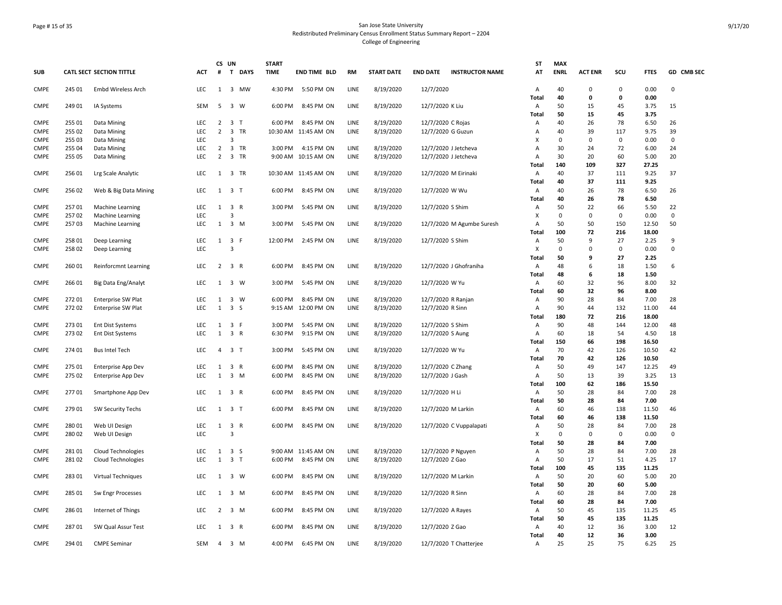# Page # 15 of 35 San Jose State University Redistributed Preliminary Census Enrollment Status Summary Report – 2204 College of Engineering

| <b>SUB</b>  |        | <b>CATL SECT SECTION TITTLE</b> | <b>ACT</b> | CS UN<br>$\#$  | T DAYS                                  | <b>START</b><br><b>TIME</b> | <b>END TIME BLD</b>  | <b>RM</b> | <b>START DATE</b> | <b>END DATE</b><br><b>INSTRUCTOR NAME</b> | <b>ST</b><br>AT   | <b>MAX</b><br><b>ENRL</b> | <b>ACT ENR</b> | SCU         | <b>FTES</b>    | GD CMB SEC  |
|-------------|--------|---------------------------------|------------|----------------|-----------------------------------------|-----------------------------|----------------------|-----------|-------------------|-------------------------------------------|-------------------|---------------------------|----------------|-------------|----------------|-------------|
| <b>CMPE</b> | 245 01 | Embd Wireless Arch              | <b>LEC</b> | 1              | 3 MW                                    | 4:30 PM                     | 5:50 PM ON           | LINE      | 8/19/2020         | 12/7/2020                                 | A                 | 40                        | $\mathbf 0$    | $\mathbf 0$ | 0.00           | $\mathbf 0$ |
| <b>CMPE</b> | 249 01 | IA Systems                      | SEM        | 5              | 3 W                                     | 6:00 PM                     | 8:45 PM ON           | LINE      | 8/19/2020         | 12/7/2020 K Liu                           | Total<br>Α        | 40<br>50                  | 0<br>15        | 0<br>45     | 0.00<br>3.75   | 15          |
|             |        |                                 |            |                |                                         |                             |                      |           |                   |                                           | Total             | 50                        | 15             | 45          | 3.75           |             |
| <b>CMPE</b> | 255 01 | Data Mining                     | LEC        | $\overline{2}$ | 3 <sub>T</sub>                          | 6:00 PM                     | 8:45 PM ON           | LINE      | 8/19/2020         | 12/7/2020 C Rojas                         | A                 | 40                        | 26             | 78          | 6.50           | 26          |
| <b>CMPE</b> | 255 02 | Data Mining                     | LEC        | $\overline{2}$ | $\overline{3}$<br>TR                    |                             | 10:30 AM 11:45 AM ON | LINE      | 8/19/2020         | 12/7/2020 G Guzun                         | Α                 | 40                        | 39             | 117         | 9.75           | 39          |
| <b>CMPE</b> | 255 03 | Data Mining                     | LEC        |                | 3                                       |                             |                      |           |                   |                                           | X                 | $\mathbf 0$               | 0              | 0           | 0.00           | 0           |
| <b>CMPE</b> | 255 04 | Data Mining                     | LEC        | $\overline{2}$ | 3 TR                                    | 3:00 PM                     | 4:15 PM ON           | LINE      | 8/19/2020         | 12/7/2020 J Jetcheva                      | Α                 | 30                        | 24             | 72          | 6.00           | 24          |
| <b>CMPE</b> | 255 05 | Data Mining                     | <b>LEC</b> | $\overline{2}$ | 3 TR                                    |                             | 9:00 AM 10:15 AM ON  | LINE      | 8/19/2020         | 12/7/2020 J Jetcheva                      | A                 | 30                        | 20             | 60          | 5.00           | 20          |
| CMPE        | 256 01 |                                 | LEC        | 1              | 3 TR                                    |                             | 10:30 AM 11:45 AM ON | LINE      | 8/19/2020         | 12/7/2020 M Eirinaki                      | Total<br>Α        | 140<br>40                 | 109<br>37      | 327<br>111  | 27.25<br>9.25  | 37          |
|             |        | Lrg Scale Analytic              |            |                |                                         |                             |                      |           |                   |                                           | Total             | 40                        | 37             | 111         | 9.25           |             |
| <b>CMPE</b> | 256 02 | Web & Big Data Mining           | LEC        |                | 1 3 T                                   | 6:00 PM                     | 8:45 PM ON           | LINE      | 8/19/2020         | 12/7/2020 W Wu                            | Α                 | 40                        | 26             | 78          | 6.50           | 26          |
|             |        |                                 |            |                |                                         |                             |                      |           |                   |                                           | Total             | 40                        | 26             | 78          | 6.50           |             |
| <b>CMPE</b> | 25701  | <b>Machine Learning</b>         | LEC        |                | 1 3 R                                   | 3:00 PM                     | 5:45 PM ON           | LINE      | 8/19/2020         | 12/7/2020 S Shim                          | Α                 | 50                        | 22             | 66          | 5.50           | 22          |
| <b>CMPE</b> | 25702  | Machine Learning                | LEC        |                | 3                                       |                             |                      |           |                   |                                           | X                 | $\mathbf 0$               | $\mathbf 0$    | 0           | 0.00           | $\mathbf 0$ |
| <b>CMPE</b> | 25703  | Machine Learning                | LEC        |                | $1 \quad 3 \quad M$                     | 3:00 PM                     | 5:45 PM ON           | LINE      | 8/19/2020         | 12/7/2020 M Agumbe Suresh                 | Α                 | 50                        | 50             | 150         | 12.50          | 50          |
|             |        |                                 |            |                |                                         |                             |                      |           |                   |                                           | Total             | 100                       | 72             | 216         | 18.00          |             |
| <b>CMPE</b> | 258 01 | Deep Learning                   | <b>LEC</b> | 1              | $\overline{\mathbf{3}}$<br>F            | 12:00 PM                    | 2:45 PM ON           | LINE      | 8/19/2020         | 12/7/2020 S Shim                          | A                 | 50                        | 9              | 27          | 2.25           | 9           |
| CMPE        | 258 02 | Deep Learning                   | <b>LEC</b> |                | $\overline{3}$                          |                             |                      |           |                   |                                           | X                 | $\mathbf 0$               | $\mathbf 0$    | $\mathbf 0$ | 0.00           | $\mathbf 0$ |
|             |        |                                 |            |                |                                         |                             |                      |           |                   |                                           | Total             | 50                        | 9              | 27          | 2.25           |             |
| CMPE        | 260 01 | Reinforcmnt Learning            | LEC        |                | $2 \quad 3 \quad R$                     | 6:00 PM                     | 8:45 PM ON           | LINE      | 8/19/2020         | 12/7/2020 J Ghofraniha                    | Α                 | 48                        | 6              | 18          | 1.50           | 6           |
|             |        |                                 |            |                |                                         |                             |                      |           |                   |                                           | <b>Total</b>      | 48                        | 6              | 18          | 1.50           |             |
| <b>CMPE</b> | 26601  | Big Data Eng/Analyt             | LEC        |                | 1 3 W                                   | 3:00 PM                     | 5:45 PM ON           | LINE      | 8/19/2020         | 12/7/2020 W Yu                            | Α<br>Total        | 60<br>60                  | 32<br>32       | 96<br>96    | 8.00<br>8.00   | 32          |
| <b>CMPE</b> | 27201  | Enterprise SW Plat              | LEC        | 1              | 3 W                                     | 6:00 PM                     | 8:45 PM ON           | LINE      | 8/19/2020         | 12/7/2020 R Ranjan                        | Α                 | 90                        | 28             | 84          | 7.00           | 28          |
| <b>CMPE</b> | 27202  | <b>Enterprise SW Plat</b>       | <b>LEC</b> | 1              | 3 <sub>5</sub>                          | 9:15 AM                     | 12:00 PM ON          | LINE      | 8/19/2020         | 12/7/2020 R Sinn                          | Α                 | 90                        | 44             | 132         | 11.00          | 44          |
|             |        |                                 |            |                |                                         |                             |                      |           |                   |                                           | Total             | 180                       | 72             | 216         | 18.00          |             |
| <b>CMPE</b> | 273 01 | <b>Ent Dist Systems</b>         | LEC        | 1              | 3 F                                     | 3:00 PM                     | 5:45 PM ON           | LINE      | 8/19/2020         | 12/7/2020 S Shim                          | Α                 | 90                        | 48             | 144         | 12.00          | 48          |
| <b>CMPE</b> | 27302  | Ent Dist Systems                | <b>LEC</b> | 1              | 3 R                                     | 6:30 PM                     | 9:15 PM ON           | LINE      | 8/19/2020         | 12/7/2020 S Aung                          | Α                 | 60                        | 18             | 54          | 4.50           | 18          |
|             |        |                                 |            |                |                                         |                             |                      |           |                   |                                           | <b>Total</b>      | 150                       | 66             | 198         | 16.50          |             |
| CMPE        | 274 01 | <b>Bus Intel Tech</b>           | LEC        |                | 4 3 T                                   | 3:00 PM                     | 5:45 PM ON           | LINE      | 8/19/2020         | 12/7/2020 W Yu                            | Α                 | 70                        | 42             | 126         | 10.50          | 42          |
|             |        |                                 |            |                |                                         |                             |                      |           |                   |                                           | Total             | 70                        | 42             | 126         | 10.50          |             |
| <b>CMPE</b> | 275 01 | <b>Enterprise App Dev</b>       | LEC        | 1              | 3 R                                     | 6:00 PM                     | 8:45 PM ON           | LINE      | 8/19/2020         | 12/7/2020 C Zhang                         | Α                 | 50                        | 49             | 147         | 12.25          | 49          |
| <b>CMPE</b> | 275 02 | Enterprise App Dev              | LEC        | $\mathbf{1}$   | $3 \, M$                                | 6:00 PM                     | 8:45 PM ON           | LINE      | 8/19/2020         | 12/7/2020 J Gash                          | Α                 | 50                        | 13             | 39          | 3.25           | 13          |
|             |        |                                 |            |                |                                         |                             |                      |           |                   |                                           | Total             | 100                       | 62             | 186         | 15.50          |             |
| <b>CMPE</b> | 27701  | Smartphone App Dev              | LEC        | 1              | 3 R                                     | 6:00 PM                     | 8:45 PM ON           | LINE      | 8/19/2020         | 12/7/2020 H Li                            | Α<br>Total        | 50<br>50                  | 28<br>28       | 84<br>84    | 7.00<br>7.00   | 28          |
| <b>CMPE</b> | 279 01 | <b>SW Security Techs</b>        | LEC        |                | 1 3 T                                   | 6:00 PM                     | 8:45 PM ON           | LINE      | 8/19/2020         | 12/7/2020 M Larkin                        | Α                 | 60                        | 46             | 138         | 11.50          | 46          |
|             |        |                                 |            |                |                                         |                             |                      |           |                   |                                           | Total             | 60                        | 46             | 138         | 11.50          |             |
| <b>CMPE</b> | 280 01 | Web UI Design                   | LEC        | 1              | $\overline{\mathbf{3}}$<br>$\mathsf{R}$ | 6:00 PM                     | 8:45 PM ON           | LINE      | 8/19/2020         | 12/7/2020 C Vuppalapati                   | Α                 | 50                        | 28             | 84          | 7.00           | 28          |
| <b>CMPE</b> | 280 02 | Web UI Design                   | LEC        |                | $\overline{3}$                          |                             |                      |           |                   |                                           | Х                 | $^{\circ}$                | $\mathbf 0$    | 0           | 0.00           | 0           |
|             |        |                                 |            |                |                                         |                             |                      |           |                   |                                           | Total             | 50                        | 28             | 84          | 7.00           |             |
| <b>CMPE</b> | 281 01 | Cloud Technologies              | LEC        | 1              | 3 <sub>5</sub>                          |                             | 9:00 AM 11:45 AM ON  | LINE      | 8/19/2020         | 12/7/2020 P Nguyen                        | Α                 | 50                        | 28             | 84          | 7.00           | 28          |
| <b>CMPE</b> | 281 02 | <b>Cloud Technologies</b>       | LEC        | 1              | 3 <sub>T</sub>                          | 6:00 PM                     | 8:45 PM ON           | LINE      | 8/19/2020         | 12/7/2020 Z Gao                           | Α                 | 50                        | 17             | 51          | 4.25           | 17          |
|             |        |                                 |            |                |                                         |                             |                      |           |                   |                                           | Total             | 100                       | 45             | 135         | 11.25          |             |
| <b>CMPE</b> | 283 01 | Virtual Techniques              | <b>LEC</b> | 1              | 3 W                                     | 6:00 PM                     | 8:45 PM ON           | LINE      | 8/19/2020         | 12/7/2020 M Larkin                        | Α                 | 50                        | 20             | 60          | 5.00           | 20          |
|             |        |                                 |            |                |                                         |                             |                      |           |                   |                                           | Total             | 50                        | 20             | 60          | 5.00           |             |
| <b>CMPE</b> | 285 01 | Sw Engr Processes               | <b>LEC</b> | 1              | 3 M                                     | 6:00 PM                     | 8:45 PM ON           | LINE      | 8/19/2020         | 12/7/2020 R Sinn                          | A                 | 60                        | 28             | 84          | 7.00           | 28          |
|             |        |                                 |            |                |                                         |                             |                      |           |                   |                                           | <b>Total</b>      | 60                        | 28             | 84          | 7.00           |             |
| <b>CMPE</b> | 286 01 | Internet of Things              | <b>LEC</b> | 2              | 3 M                                     | 6:00 PM                     | 8:45 PM ON           | LINE      | 8/19/2020         | 12/7/2020 A Rayes                         | Α                 | 50<br>50                  | 45<br>45       | 135<br>135  | 11.25<br>11.25 | 45          |
| <b>CMPE</b> | 28701  | SW Qual Assur Test              | <b>LEC</b> |                | $1 \quad 3 \quad R$                     | 6:00 PM                     | 8:45 PM ON           | LINE      | 8/19/2020         | 12/7/2020 Z Gao                           | <b>Total</b><br>Α | 40                        | 12             | 36          | 3.00           | 12          |
|             |        |                                 |            |                |                                         |                             |                      |           |                   |                                           | Total             | 40                        | 12             | 36          | 3.00           |             |
| <b>CMPE</b> | 294 01 | <b>CMPE Seminar</b>             | SEM        |                | 4 3 M                                   | 4:00 PM                     | 6:45 PM ON           | LINE      | 8/19/2020         | 12/7/2020 T Chatterjee                    | Α                 | 25                        | 25             | 75          | 6.25           | 25          |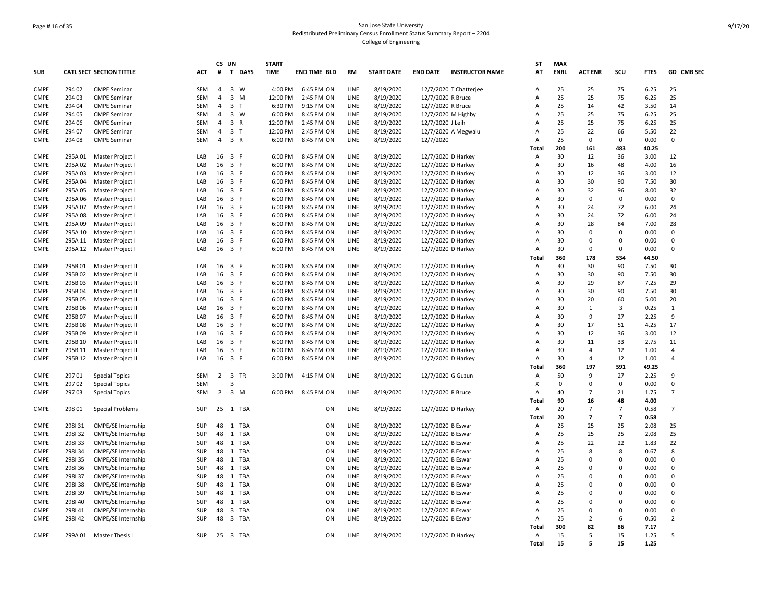### Page # 16 of 35 San Jose State University Redistributed Preliminary Census Enrollment Status Summary Report – 2204 College of Engineering

|             |         |                                 |            | CS UN          |                                | <b>START</b> |                     |           |                   |                        |                        | <b>ST</b>                        | <b>MAX</b>  |                |                         |               |                |
|-------------|---------|---------------------------------|------------|----------------|--------------------------------|--------------|---------------------|-----------|-------------------|------------------------|------------------------|----------------------------------|-------------|----------------|-------------------------|---------------|----------------|
| <b>SUB</b>  |         | <b>CATL SECT SECTION TITTLE</b> | <b>ACT</b> |                | # T DAYS                       | <b>TIME</b>  | <b>END TIME BLD</b> | <b>RM</b> | <b>START DATE</b> | <b>END DATE</b>        | <b>INSTRUCTOR NAME</b> | AT                               | <b>ENRL</b> | <b>ACT ENR</b> | SCU                     | <b>FTES</b>   | GD CMB SEC     |
| <b>CMPE</b> | 294 02  | <b>CMPE Seminar</b>             | <b>SEM</b> | $\overline{4}$ | $\overline{3}$<br>W            | 4:00 PM      | 6:45 PM ON          | LINE      | 8/19/2020         | 12/7/2020 T Chatterjee |                        | Α                                | 25          | 25             | 75                      | 6.25          | 25             |
| <b>CMPE</b> | 294 03  | <b>CMPE Seminar</b>             | SEM        | $\overline{4}$ | $\overline{3}$<br>M            | 12:00 PM     | 2:45 PM ON          | LINE      | 8/19/2020         | 12/7/2020 R Bruce      |                        | Α                                | 25          | 25             | 75                      | 6.25          | 25             |
| <b>CMPE</b> | 294 04  | <b>CMPE Seminar</b>             | SEM        | $\overline{4}$ | 3 <sub>1</sub>                 | 6:30 PM      | 9:15 PM ON          | LINE      | 8/19/2020         | 12/7/2020 R Bruce      |                        | A                                | 25          | 14             | 42                      | 3.50          | 14             |
| <b>CMPE</b> | 294 05  | <b>CMPE Seminar</b>             | SEM        | $\overline{4}$ | 3 W                            | 6:00 PM      | 8:45 PM ON          | LINE      | 8/19/2020         | 12/7/2020 M Highby     |                        | А                                | 25          | 25             | 75                      | 6.25          | 25             |
| <b>CMPE</b> | 294 06  | <b>CMPE Seminar</b>             | SEM        | $\overline{4}$ | $\overline{3}$<br>$\mathsf{R}$ | 12:00 PM     | 2:45 PM ON          | LINE      | 8/19/2020         | 12/7/2020 J Leih       |                        | A                                | 25          | 25             | 75                      | 6.25          | 25             |
| <b>CMPE</b> | 294 07  |                                 | SEM        | 4              | $\overline{\mathbf{3}}$<br>T   | 12:00 PM     | 2:45 PM ON          | LINE      |                   |                        |                        | A                                | 25          | 22             | 66                      | 5.50          | 22             |
| <b>CMPE</b> | 294 08  | <b>CMPE Seminar</b>             | <b>SEM</b> | 4              | 3 R                            | 6:00 PM      | 8:45 PM ON          | LINE      | 8/19/2020         | 12/7/2020 A Megwalu    |                        | Α                                | 25          | 0              | $\mathbf 0$             | 0.00          | 0              |
|             |         | <b>CMPE Seminar</b>             |            |                |                                |              |                     |           | 8/19/2020         | 12/7/2020              |                        |                                  | 200         |                |                         |               |                |
| <b>CMPE</b> |         |                                 | LAB        | $16 \quad 3$   | E                              | 6:00 PM      | 8:45 PM ON          | LINE      |                   |                        |                        | Total                            | 30          | 161<br>12      | 483<br>36               | 40.25<br>3.00 | 12             |
|             | 295A01  | Master Project I                |            |                | 3 F                            |              |                     |           | 8/19/2020         | 12/7/2020 D Harkey     |                        | $\overline{A}$<br>$\overline{A}$ |             |                |                         |               |                |
| <b>CMPE</b> | 295A02  | Master Project I                | LAB        | 16             |                                | 6:00 PM      | 8:45 PM ON          | LINE      | 8/19/2020         | 12/7/2020 D Harkey     |                        |                                  | 30          | 16             | 48                      | 4.00          | 16             |
| <b>CMPE</b> | 295A03  | Master Project I                | LAB        | 16             | 3 F                            | 6:00 PM      | 8:45 PM ON          | LINE      | 8/19/2020         | 12/7/2020 D Harkey     |                        | А                                | 30          | 12             | 36                      | 3.00          | 12             |
| <b>CMPE</b> | 295A 04 | Master Project I                | LAB        |                | 16 3 F                         | 6:00 PM      | 8:45 PM ON          | LINE      | 8/19/2020         | 12/7/2020 D Harkey     |                        | $\overline{A}$                   | 30          | 30             | 90                      | 7.50          | 30             |
| <b>CMPE</b> | 295A 05 | Master Project I                | LAB        |                | 16 3 F                         | 6:00 PM      | 8:45 PM ON          | LINE      | 8/19/2020         | 12/7/2020 D Harkey     |                        | A                                | 30          | 32             | 96                      | 8.00          | 32             |
| <b>CMPE</b> | 295A 06 | Master Project I                | LAB        |                | 16 3 F                         | 6:00 PM      | 8:45 PM ON          | LINE      | 8/19/2020         | 12/7/2020 D Harkey     |                        | $\overline{A}$                   | 30          | $\mathbf 0$    | $\Omega$                | 0.00          | $\mathbf 0$    |
| <b>CMPE</b> | 295A 07 | Master Project I                | LAB        | 16             | 3 F                            | 6:00 PM      | 8:45 PM ON          | LINE      | 8/19/2020         | 12/7/2020 D Harkey     |                        | A                                | 30          | 24             | 72                      | 6.00          | 24             |
| <b>CMPE</b> | 295A08  | Master Project I                | LAB        | 16             | 3 F                            | 6:00 PM      | 8:45 PM ON          | LINE      | 8/19/2020         | 12/7/2020 D Harkey     |                        | Α                                | 30          | 24             | 72                      | 6.00          | 24             |
| <b>CMPE</b> | 295A09  | Master Project I                | LAB        | 16             | 3 F                            | 6:00 PM      | 8:45 PM ON          | LINE      | 8/19/2020         | 12/7/2020 D Harkey     |                        | A                                | 30          | 28             | 84                      | 7.00          | 28             |
| <b>CMPE</b> | 295A 10 | Master Project I                | LAB        | 16             | 3 F                            | 6:00 PM      | 8:45 PM ON          | LINE      | 8/19/2020         | 12/7/2020 D Harkey     |                        | A                                | 30          | $\Omega$       | $\Omega$                | 0.00          | $\Omega$       |
| <b>CMPE</b> | 295A 11 | Master Project I                | LAB        | 16             | $\overline{3}$<br>E            | 6:00 PM      | 8:45 PM ON          | LINE      | 8/19/2020         | 12/7/2020 D Harkey     |                        | $\overline{A}$                   | 30          | $\Omega$       | $\mathbf 0$             | 0.00          | $\mathbf 0$    |
| CMPE        | 295A 12 | Master Project I                | LAB        |                | 16 3 F                         | 6:00 PM      | 8:45 PM ON          | LINE      | 8/19/2020         | 12/7/2020 D Harkey     |                        | Α                                | 30          | $\mathbf 0$    | $\mathbf 0$             | 0.00          | 0              |
|             |         |                                 |            |                |                                |              |                     |           |                   |                        |                        | Total                            | 360         | 178            | 534                     | 44.50         |                |
| <b>CMPE</b> | 295B 01 | Master Project II               | LAB        | 16             | 3 F                            | 6:00 PM      | 8:45 PM ON          | LINE      | 8/19/2020         | 12/7/2020 D Harkey     |                        | Α                                | 30          | 30             | 90                      | 7.50          | 30             |
| <b>CMPE</b> | 295B02  | Master Project II               | LAB        | 16             | $\overline{\mathbf{3}}$<br>F.  | 6:00 PM      | 8:45 PM ON          | LINE      | 8/19/2020         | 12/7/2020 D Harkey     |                        | Α                                | 30          | 30             | 90                      | 7.50          | 30             |
| <b>CMPE</b> | 295B03  | Master Project II               | LAB        |                | 16 3 F                         | 6:00 PM      | 8:45 PM ON          | LINE      | 8/19/2020         | 12/7/2020 D Harkey     |                        | A                                | 30          | 29             | 87                      | 7.25          | 29             |
| <b>CMPE</b> | 295B 04 | Master Project II               | LAB        | 16             | 3 F                            | 6:00 PM      | 8:45 PM ON          | LINE      | 8/19/2020         | 12/7/2020 D Harkey     |                        | Α                                | 30          | 30             | 90                      | 7.50          | 30             |
| <b>CMPE</b> | 295B 05 | Master Project II               | LAB        |                | 16 3 F                         | 6:00 PM      | 8:45 PM ON          | LINE      | 8/19/2020         | 12/7/2020 D Harkey     |                        | A                                | 30          | 20             | 60                      | 5.00          | 20             |
| <b>CMPE</b> | 295B 06 | Master Project II               | LAB        | 16             | 3 F                            | 6:00 PM      | 8:45 PM ON          | LINE      | 8/19/2020         | 12/7/2020 D Harkey     |                        | А                                | 30          | $\mathbf{1}$   | $\overline{3}$          | 0.25          | 1              |
| <b>CMPE</b> | 295B 07 | Master Project II               | LAB        |                | 16 3 F                         | 6:00 PM      | 8:45 PM ON          | LINE      | 8/19/2020         | 12/7/2020 D Harkey     |                        | A                                | 30          | 9              | 27                      | 2.25          | 9              |
| CMPE        | 295B08  | Master Project II               | LAB        | 16             | 3 F                            | 6:00 PM      | 8:45 PM ON          | LINE      | 8/19/2020         | 12/7/2020 D Harkey     |                        | A                                | 30          | 17             | 51                      | 4.25          | 17             |
| <b>CMPE</b> | 295B 09 | Master Project II               | LAB        | 16             | $\overline{\mathbf{3}}$<br>F.  | 6:00 PM      | 8:45 PM ON          | LINE      | 8/19/2020         | 12/7/2020 D Harkey     |                        | А                                | 30          | 12             | 36                      | 3.00          | 12             |
| <b>CMPE</b> | 295B 10 | Master Project II               | LAB        | 16             | $\overline{3}$<br>F.           | 6:00 PM      | 8:45 PM ON          | LINE      | 8/19/2020         | 12/7/2020 D Harkey     |                        | A                                | 30          | 11             | 33                      | 2.75          | 11             |
| <b>CMPE</b> | 295B 11 | Master Project II               | LAB        | 16             | $\overline{\mathbf{3}}$<br>-F  | 6:00 PM      | 8:45 PM ON          | LINE      | 8/19/2020         | 12/7/2020 D Harkey     |                        | Α                                | 30          | $\overline{4}$ | 12                      | 1.00          | 4              |
| <b>CMPE</b> | 295B 12 | Master Project II               | LAB        |                | 16 3 F                         | 6:00 PM      | 8:45 PM ON          | LINE      | 8/19/2020         | 12/7/2020 D Harkey     |                        | $\overline{A}$                   | 30          | $\overline{4}$ | 12                      | 1.00          | $\overline{4}$ |
|             |         |                                 |            |                |                                |              |                     |           |                   |                        |                        | Total                            | 360         | 197            | 591                     | 49.25         |                |
| <b>CMPE</b> | 297 01  | <b>Special Topics</b>           | SEM        | $2^{\circ}$    | 3 TR                           | 3:00 PM      | 4:15 PM ON          | LINE      | 8/19/2020         | 12/7/2020 G Guzun      |                        | $\overline{A}$                   | 50          | q              | 27                      | 2.25          | 9              |
| <b>CMPE</b> | 297 02  | <b>Special Topics</b>           | <b>SEM</b> |                | $\overline{3}$                 |              |                     |           |                   |                        |                        | X                                | 0           | $\mathbf 0$    | $\mathbf 0$             | 0.00          | 0              |
| <b>CMPE</b> | 297 03  | <b>Special Topics</b>           | <b>SEM</b> |                | $2 \quad 3 \quad M$            | 6:00 PM      | 8:45 PM ON          | LINE      | 8/19/2020         | 12/7/2020 R Bruce      |                        | Α                                | 40          | $\overline{7}$ | 21                      | 1.75          | $\overline{7}$ |
|             |         |                                 |            |                |                                |              |                     |           |                   |                        |                        | Total                            | 90          | 16             | 48                      | 4.00          |                |
| <b>CMPE</b> | 298 01  | Special Problems                | SUP        |                | 25 1 TBA                       |              | ON                  | LINE      | 8/19/2020         | 12/7/2020 D Harkey     |                        | $\overline{A}$                   | 20          | $\overline{7}$ | $\overline{7}$          | 0.58          | $\overline{7}$ |
|             |         |                                 |            |                |                                |              |                     |           |                   |                        |                        | Total                            | 20          | $\overline{7}$ | $\overline{\mathbf{z}}$ | 0.58          |                |
| <b>CMPE</b> | 298131  | CMPE/SE Internship              | SUP        | 48             | 1 TBA                          |              | ON                  | LINE      |                   |                        |                        |                                  | 25          | 25             | 25                      |               | 25             |
|             |         |                                 |            |                | 1 TBA                          |              |                     |           | 8/19/2020         | 12/7/2020 B Eswar      |                        | Α                                | 25          | 25             |                         | 2.08<br>2.08  | 25             |
| <b>CMPE</b> | 298132  | <b>CMPE/SE Internship</b>       | SUP        | 48             |                                |              | ON                  | LINE      | 8/19/2020         | 12/7/2020 B Eswar      |                        | A                                |             |                | 25                      |               |                |
| <b>CMPE</b> | 298133  | <b>CMPE/SE Internship</b>       | SUP        | 48             | 1 TBA                          |              | ON                  | LINE      | 8/19/2020         | 12/7/2020 B Eswar      |                        | А                                | 25          | 22             | 22                      | 1.83          | 22             |
| <b>CMPE</b> | 298134  | CMPE/SE Internship              | SUP        | 48             | 1 TBA                          |              | ON                  | LINE      | 8/19/2020         | 12/7/2020 B Eswar      |                        | Α                                | 25          | $\mathbf{R}$   | 8                       | 0.67          | 8              |
| <b>CMPE</b> | 298135  | <b>CMPE/SE Internship</b>       | <b>SUP</b> | 48             | 1<br>TBA                       |              | ON                  | LINE      | 8/19/2020         | 12/7/2020 B Eswar      |                        | A                                | 25          | $\Omega$       | $\mathbf 0$             | 0.00          | 0              |
| <b>CMPE</b> | 298136  | <b>CMPE/SE Internship</b>       | <b>SUP</b> | 48             | 1<br>TBA                       |              | ON                  | LINE      | 8/19/2020         | 12/7/2020 B Eswar      |                        | A                                | 25          | $\Omega$       | $\mathbf 0$             | 0.00          | 0              |
| <b>CMPE</b> | 298137  | <b>CMPE/SE Internship</b>       | <b>SUP</b> | 48             | 1<br>TBA                       |              | ON                  | LINE      | 8/19/2020         | 12/7/2020 B Eswar      |                        | A                                | 25          | $\Omega$       | $\mathbf 0$             | 0.00          | $\Omega$       |
| <b>CMPE</b> | 298138  | <b>CMPE/SE Internship</b>       | SUP        | 48             | 1 TBA                          |              | ON                  | LINE      | 8/19/2020         | 12/7/2020 B Eswar      |                        | A                                | 25          | $\Omega$       | $\Omega$                | 0.00          | $\Omega$       |
| <b>CMPE</b> | 298139  | CMPE/SE Internship              | SUP        | 48             | 1<br>TBA                       |              | ON                  | LINE      | 8/19/2020         | 12/7/2020 B Eswar      |                        | A                                | 25          | $\Omega$       | $\mathbf 0$             | 0.00          | $\Omega$       |
| <b>CMPE</b> | 298140  | CMPE/SE Internship              | SUP        | 48             | 1 TBA                          |              | ON                  | LINE      | 8/19/2020         | 12/7/2020 B Eswar      |                        | A                                | 25          | $\Omega$       | $\mathbf 0$             | 0.00          | 0              |
| <b>CMPE</b> | 298141  | CMPE/SE Internship              | SUP        | 48             | $\overline{3}$<br>TBA          |              | ON                  | LINE      | 8/19/2020         | 12/7/2020 B Eswar      |                        | Α                                | 25          | $\Omega$       | $\mathbf 0$             | 0.00          | $\mathbf 0$    |
| <b>CMPE</b> | 298142  | CMPE/SE Internship              | SUP        | 48             | 3 TBA                          |              | ON                  | LINE      | 8/19/2020         | 12/7/2020 B Eswar      |                        | Α                                | 25          | $\overline{2}$ | 6                       | 0.50          | $\overline{2}$ |
|             |         |                                 |            |                |                                |              |                     |           |                   |                        |                        | Total                            | 300         | 82             | 86                      | 7.17          |                |
| <b>CMPE</b> |         | 299A 01 Master Thesis I         | SUP        |                | 25 3 TBA                       |              | ON                  | LINE      | 8/19/2020         | 12/7/2020 D Harkey     |                        | Α                                | 15          | 5              | 15                      | 1.25          | 5              |
|             |         |                                 |            |                |                                |              |                     |           |                   |                        |                        | <b>Total</b>                     | 15          | 5              | 15                      | 1.25          |                |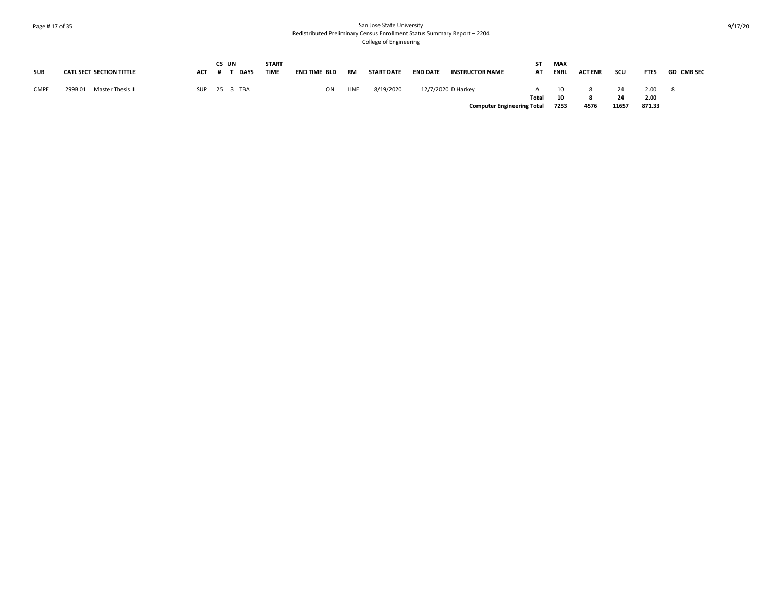### Page # 17 of 35 San Jose State University Redistributed Preliminary Census Enrollment Status Summary Report – 2204 College of Engineering

| <b>SUB</b>  | <b>CATL SECT SECTION TITTLE</b> | <b>ACT</b> | CS UN | <b>DAYS</b>  | <b>START</b><br><b>TIME</b> | END TIME BLD | <b>RM</b> | <b>START DATE</b> | <b>END DATE</b> | <b>INSTRUCTOR NAME</b>            | ST.<br>AT    | <b>MAX</b><br><b>ENRL</b> | <b>ACT ENR</b> | scu   | <b>FTES</b>    | <b>GD CMB SEC</b> |
|-------------|---------------------------------|------------|-------|--------------|-----------------------------|--------------|-----------|-------------------|-----------------|-----------------------------------|--------------|---------------------------|----------------|-------|----------------|-------------------|
| <b>CMPE</b> | Master Thesis II<br>299B01      |            |       | SUP 25 3 TBA |                             | ON           | LINE      | 8/19/2020         |                 | 12/7/2020 D Harkey                | $\mathsf{A}$ | 10                        |                | 24    | 2.00           |                   |
|             |                                 |            |       |              |                             |              |           |                   |                 | <b>Computer Engineering Total</b> | Total        | 10<br>7253                | 4576           | 11657 | 2.00<br>871.33 |                   |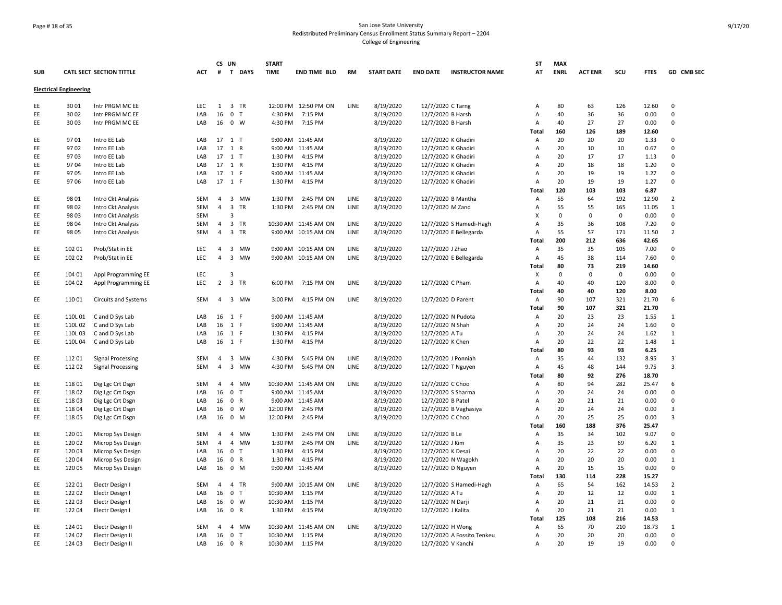# Page # 18 of 35 San Jose State University Redistributed Preliminary Census Enrollment Status Summary Report – 2204 College of Engineering

|            |                               |                          |            | CS UN          |                              | <b>START</b> |                      |           |                   |                    |                            | SΤ           | <b>MAX</b>  |                |             |             |                         |
|------------|-------------------------------|--------------------------|------------|----------------|------------------------------|--------------|----------------------|-----------|-------------------|--------------------|----------------------------|--------------|-------------|----------------|-------------|-------------|-------------------------|
| <b>SUB</b> |                               | CATL SECT SECTION TITTLE | <b>ACT</b> |                | # T DAYS                     | <b>TIME</b>  | <b>END TIME BLD</b>  | <b>RM</b> | <b>START DATE</b> | <b>END DATE</b>    | <b>INSTRUCTOR NAME</b>     | AT           | <b>ENRL</b> | <b>ACT ENR</b> | scu         | <b>FTES</b> | GD CMB SEC              |
|            | <b>Electrical Engineering</b> |                          |            |                |                              |              |                      |           |                   |                    |                            |              |             |                |             |             |                         |
| EE         | 3001                          | Intr PRGM MC EE          | LEC        | 1              | 3 TR                         |              | 12:00 PM 12:50 PM ON | LINE      | 8/19/2020         | 12/7/2020 C Tarng  |                            | Α            | 80          | 63             | 126         | 12.60       | $\mathbf 0$             |
| EE         | 3002                          | Intr PRGM MC EE          | LAB        | 16             | 0 <sub>T</sub>               | 4:30 PM      | 7:15 PM              |           | 8/19/2020         |                    | 12/7/2020 B Harsh          | A            | 40          | 36             | 36          | 0.00        | $\Omega$                |
| EE         | 3003                          | Intr PRGM MC EE          | LAB        |                | 16 0 W                       | 4:30 PM      | 7:15 PM              |           | 8/19/2020         |                    | 12/7/2020 B Harsh          | A            | 40          | 27             | 27          | 0.00        | $\Omega$                |
|            |                               |                          |            |                |                              |              |                      |           |                   |                    |                            | <b>Total</b> | 160         | 126            | 189         | 12.60       |                         |
| EE         | 9701                          | Intro EE Lab             | LAB        |                | 17 1 T                       |              | 9:00 AM 11:45 AM     |           | 8/19/2020         |                    | 12/7/2020 K Ghadiri        | A            | 20          | 20             | 20          | 1.33        | $\Omega$                |
| EE         | 9702                          | Intro EE Lab             | LAB        |                | 17 1 R                       |              | 9:00 AM 11:45 AM     |           | 8/19/2020         |                    | 12/7/2020 K Ghadiri        | A            | 20          | 10             | 10          | 0.67        | $\Omega$                |
| EE         | 9703                          | Intro EE Lab             | LAB        |                | 17 1 T                       | 1:30 PM      | 4:15 PM              |           | 8/19/2020         |                    | 12/7/2020 K Ghadiri        | A            | 20          | 17             | 17          | 1.13        | $\Omega$                |
| EE         | 9704                          | Intro EE Lab             | LAB        |                | 17 1 R                       | 1:30 PM      | 4:15 PM              |           | 8/19/2020         |                    | 12/7/2020 K Ghadiri        | A            | 20          | 18             | 18          | 1.20        | $\Omega$                |
| EE         | 9705                          | Intro EE Lab             | LAB        |                | 17 1 F                       |              | 9:00 AM 11:45 AM     |           | 8/19/2020         |                    | 12/7/2020 K Ghadiri        | A            | 20          | 19             | 19          | 1.27        | $\Omega$                |
| EE         | 9706                          | Intro EE Lab             | LAB        |                | 17 1 F                       | 1:30 PM      | 4:15 PM              |           | 8/19/2020         |                    | 12/7/2020 K Ghadiri        | A            | 20          | 19             | 19          | 1.27        | $\Omega$                |
|            |                               |                          |            |                |                              |              |                      |           |                   |                    |                            | <b>Total</b> | 120         | 103            | 103         | 6.87        |                         |
| EE         | 98 01                         | Intro Ckt Analysis       | SEM        | $\overline{4}$ | 3 MW                         | 1:30 PM      | 2:45 PM ON           | LINE      | 8/19/2020         |                    | 12/7/2020 B Mantha         | Α            | 55          | 64             | 192         | 12.90       | $\overline{2}$          |
| EE         | 98 02                         | Intro Ckt Analysis       | SEM        | 4              | 3 TR                         | 1:30 PM      | 2:45 PM ON           | LINE      | 8/19/2020         | 12/7/2020 M Zand   |                            | Α            | 55          | 55             | 165         | 11.05       | $\mathbf{1}$            |
| EE         | 98 03                         | Intro Ckt Analysis       | <b>SEM</b> |                | -3                           |              |                      |           |                   |                    |                            | X            | $\mathbf 0$ | 0              | $\mathbf 0$ | 0.00        | $\Omega$                |
| EE         | 98 04                         | Intro Ckt Analysis       | SEM        | 4              | 3 TR                         |              | 10:30 AM 11:45 AM ON | LINE      | 8/19/2020         |                    | 12/7/2020 S Hamedi-Hagh    | A            | 35          | 36             | 108         | 7.20        | $\mathbf 0$             |
| EE         | 98 05                         | Intro Ckt Analysis       | <b>SEM</b> | $\overline{4}$ | 3 TR                         |              | 9:00 AM 10:15 AM ON  | LINE      | 8/19/2020         |                    | 12/7/2020 E Bellegarda     | A            | 55          | 57             | 171         | 11.50       | $\overline{2}$          |
|            |                               |                          |            |                |                              |              |                      |           |                   |                    |                            | <b>Total</b> | 200         | 212            | 636         | 42.65       |                         |
| EE         | 102 01                        | Prob/Stat in EE          | <b>LEC</b> | 4              | 3 MW                         |              | 9:00 AM 10:15 AM ON  | LINE      | 8/19/2020         | 12/7/2020 J Zhao   |                            | Α            | 35          | 35             | 105         | 7.00        | $\Omega$                |
| EE         | 102 02                        | Prob/Stat in EE          | <b>LEC</b> | $\overline{4}$ | $\overline{3}$<br>MW         |              | 9:00 AM 10:15 AM ON  | LINE      | 8/19/2020         |                    | 12/7/2020 E Bellegarda     | Α            | 45          | 38             | 114         | 7.60        | $\Omega$                |
|            |                               |                          |            |                |                              |              |                      |           |                   |                    |                            | Total        | 80          | 73             | 219         | 14.60       |                         |
| EE         | 104 01                        | Appl Programming EE      | LEC        |                | $\overline{3}$               |              |                      |           |                   |                    |                            | Х            | $\Omega$    | 0              | $\mathbf 0$ | 0.00        | $\Omega$                |
| EE         | 104 02                        | Appl Programming EE      | LEC        | $\overline{2}$ | 3 TR                         | 6:00 PM      | 7:15 PM ON           | LINE      | 8/19/2020         | 12/7/2020 C Pham   |                            | Α            | 40          | 40             | 120         | 8.00        | $\Omega$                |
|            |                               |                          |            |                |                              |              |                      |           |                   |                    |                            | Total        | 40          | 40             | 120         | 8.00        |                         |
| EE         | 11001                         | Circuits and Systems     | SEM        | $\overline{a}$ | 3 MW                         | 3:00 PM      | 4:15 PM ON           | LINE      | 8/19/2020         |                    | 12/7/2020 D Parent         | Α            | 90          | 107            | 321         | 21.70       | 6                       |
|            |                               |                          |            |                |                              |              |                      |           |                   |                    |                            | Total        | 90          | 107            | 321         | 21.70       |                         |
| EE         | 110L 01                       | C and D Sys Lab          | LAB        |                | 16 1 F                       |              | 9:00 AM 11:45 AM     |           | 8/19/2020         |                    | 12/7/2020 N Pudota         | Α            | 20          | 23             | 23          | 1.55        | $\mathbf{1}$            |
| EE         | 110L02                        | C and D Sys Lab          | LAB        | 16             | 1 F                          |              | 9:00 AM 11:45 AM     |           | 8/19/2020         | 12/7/2020 N Shah   |                            | Α            | 20          | 24             | 24          | 1.60        | $\Omega$                |
| EE         | 110L03                        | C and D Sys Lab          | LAB        |                | 16 1 F                       | 1:30 PM      | 4:15 PM              |           | 8/19/2020         | 12/7/2020 A Tu     |                            | Α            | 20          | 24             | 24          | 1.62        | $\mathbf{1}$            |
| EE         | 110L04                        | C and D Sys Lab          | LAB        |                | 16 1 F                       | 1:30 PM      | 4:15 PM              |           | 8/19/2020         | 12/7/2020 K Chen   |                            | A            | 20          | 22             | 22          | 1.48        | $\mathbf{1}$            |
|            |                               |                          |            |                |                              |              |                      |           |                   |                    |                            | Total        | 80          | 93             | 93          | 6.25        |                         |
| EE         | 112 01                        | <b>Signal Processing</b> | <b>SEM</b> | 4              | $\overline{3}$<br>MW         | 4:30 PM      | 5:45 PM ON           | LINE      | 8/19/2020         |                    | 12/7/2020 J Ponniah        | A            | 35          | 44             | 132         | 8.95        | $\overline{\mathbf{3}}$ |
| EE         | 112 02                        | <b>Signal Processing</b> | SEM        | $\overline{4}$ | 3 MW                         | 4:30 PM      | 5:45 PM ON           | LINE      | 8/19/2020         |                    | 12/7/2020 T Nguyen         | A            | 45          | 48             | 144         | 9.75        | $\overline{3}$          |
|            |                               |                          |            |                |                              |              |                      |           |                   |                    |                            | Total        | 80          | 92             | 276         | 18.70       |                         |
| EE         | 11801                         | Dig Lgc Crt Dsgn         | SEM        | $\overline{4}$ | $\overline{4}$<br><b>MW</b>  |              | 10:30 AM 11:45 AM ON | LINE      | 8/19/2020         | 12/7/2020 C Choo   |                            | A            | 80          | 94             | 282         | 25.47       | 6                       |
| EE         | 11802                         | Dig Lgc Crt Dsgn         | LAB        | 16             | $\mathsf{O}$<br>$\mathsf{T}$ |              | 9:00 AM 11:45 AM     |           | 8/19/2020         |                    | 12/7/2020 S Sharma         | A            | 20          | 24             | 24          | 0.00        | $\Omega$                |
| EE         | 11803                         | Dig Lgc Crt Dsgn         | LAB        | 16             | $\mathbf 0$<br>R             |              | 9:00 AM 11:45 AM     |           | 8/19/2020         | 12/7/2020 B Patel  |                            | A            | 20          | 21             | 21          | 0.00        | $\Omega$                |
| EE         | 11804                         | Dig Lgc Crt Dsgn         | LAB        | 16             | $\mathbf 0$<br>W             | 12:00 PM     | 2:45 PM              |           | 8/19/2020         |                    | 12/7/2020 B Vaghasiya      | A            | 20          | 24             | 24          | 0.00        | $\overline{\mathbf{3}}$ |
| EE         | 11805                         | Dig Lgc Crt Dsgn         | LAB        | 16             | $\mathbf 0$<br>M             | 12:00 PM     | 2:45 PM              |           | 8/19/2020         | 12/7/2020 C Choo   |                            | A            | 20          | 25             | 25          | 0.00        | 3                       |
|            |                               |                          |            |                |                              |              |                      |           |                   |                    |                            | <b>Total</b> | 160         | 188            | 376         | 25.47       |                         |
| EE         | 120 01                        | Microp Sys Design        | SEM        | 4              | $\overline{4}$<br>MW         | 1:30 PM      | 2:45 PM ON           | LINE      | 8/19/2020         | 12/7/2020 B Le     |                            | Α            | 35          | 34             | 102         | 9.07        | $\Omega$                |
| EE         | 120 02                        | Microp Sys Design        | SEM        | $\overline{4}$ | 4 MW                         | 1:30 PM      | 2:45 PM ON           | LINE      | 8/19/2020         | 12/7/2020 J Kim    |                            | A            | 35          | 23             | 69          | 6.20        | $\mathbf{1}$            |
| EE         | 120 03                        | Microp Sys Design        | LAB        | 16             | $\mathbf 0$<br>$\mathsf{T}$  | 1:30 PM      | 4:15 PM              |           | 8/19/2020         | 12/7/2020 K Desai  |                            | Α            | 20          | 22             | 22          | 0.00        | $\mathbf 0$             |
| EE         | 120 04                        | Microp Sys Design        | LAB        | 16             | $\mathbf 0$<br>R             | 1:30 PM      | 4:15 PM              |           | 8/19/2020         |                    | 12/7/2020 N Wagokh         | A            | 20          | 20             | 20          | 0.00        | $\mathbf{1}$            |
| EE         | 120 05                        | Microp Sys Design        | LAB        |                | 16 0 M                       |              | 9:00 AM 11:45 AM     |           | 8/19/2020         |                    | 12/7/2020 D Nguyen         | A            | 20          | 15             | 15          | 0.00        | $\Omega$                |
|            |                               |                          |            |                |                              |              |                      |           |                   |                    |                            | Total        | 130         | 114            | 228         | 15.27       |                         |
| EE         | 12201                         | Electr Design I          | SEM        | 4              | 4 TR                         |              | 9:00 AM 10:15 AM ON  | LINE      | 8/19/2020         |                    | 12/7/2020 S Hamedi-Hagh    | Α            | 65          | 54             | 162         | 14.53       | $\overline{2}$          |
| EE         | 122 02                        | Electr Design I          | LAB        | 16             | $\mathbf 0$<br>$\mathsf{T}$  | 10:30 AM     | 1:15 PM              |           | 8/19/2020         | 12/7/2020 A Tu     |                            | A            | 20          | 12             | 12          | 0.00        | $\mathbf{1}$            |
| EE         | 122 03                        | Electr Design I          | LAB        | 16             | $\mathbf 0$<br>W             | 10:30 AM     | 1:15 PM              |           | 8/19/2020         | 12/7/2020 N Darji  |                            | A            | 20          | 21             | 21          | 0.00        | $\Omega$                |
| EE         | 122 04                        | Electr Design I          | LAB        |                | 16 0 R                       | 1:30 PM      | 4:15 PM              |           | 8/19/2020         | 12/7/2020 J Kalita |                            | Α            | 20          | 21             | 21          | 0.00        | $\mathbf{1}$            |
|            |                               |                          |            |                |                              |              |                      |           |                   |                    |                            | Total        | 125         | 108            | 216         | 14.53       |                         |
| EE         | 124 01                        | Electr Design II         | SEM        | 4              | 4 MW                         |              | 10:30 AM 11:45 AM ON | LINE      | 8/19/2020         |                    | 12/7/2020 H Wong           | A            | 65          | 70             | 210         | 18.73       | 1                       |
| EE         | 124 02                        | Electr Design II         | LAB        | 16             | $\mathsf{o}$<br>$\mathsf{T}$ | 10:30 AM     | 1:15 PM              |           | 8/19/2020         |                    | 12/7/2020 A Fossito Tenkeu | Α            | 20          | 20             | 20          | 0.00        | $\mathbf 0$             |
| EE         | 124 03                        | Electr Design II         | LAB        |                | 16 0 R                       | 10:30 AM     | 1:15 PM              |           | 8/19/2020         |                    | 12/7/2020 V Kanchi         | A            | 20          | 19             | 19          | 0.00        | $\Omega$                |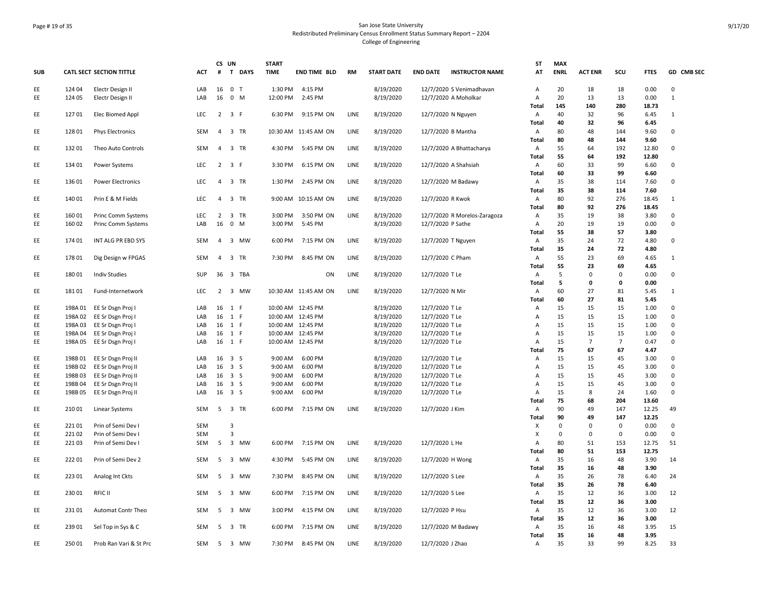# Page # 19 of 35 San Jose State University Redistributed Preliminary Census Enrollment Status Summary Report – 2204 College of Engineering

| <b>SUB</b> |                    | <b>CATL SECT SECTION TITTLE</b>          | <b>ACT</b> | CS UN          | # T DAYS                | <b>START</b><br><b>TIME</b> | <b>END TIME BLD</b>           | <b>RM</b> | <b>START DATE</b>      | <b>END DATE</b><br><b>INSTRUCTOR NAME</b>        | <b>ST</b><br>AT     | <b>MAX</b><br><b>ENRL</b> | <b>ACT ENR</b> | scu               | <b>FTES</b>    | GD CMB SEC                  |
|------------|--------------------|------------------------------------------|------------|----------------|-------------------------|-----------------------------|-------------------------------|-----------|------------------------|--------------------------------------------------|---------------------|---------------------------|----------------|-------------------|----------------|-----------------------------|
|            |                    |                                          |            |                |                         |                             |                               |           |                        |                                                  |                     |                           |                |                   |                |                             |
| EE<br>EE   | 124 04<br>124 05   | Electr Design II                         | LAB<br>LAB | 16<br>16       | 0 <sub>T</sub><br>$0$ M | 1:30 PM<br>12:00 PM         | 4:15 PM<br>2:45 PM            |           | 8/19/2020              | 12/7/2020 S Venimadhavan<br>12/7/2020 A Moholkar | $\overline{A}$<br>А | 20<br>20                  | 18<br>13       | 18<br>13          | 0.00<br>0.00   | $\mathbf 0$<br>$\mathbf{1}$ |
|            |                    | Electr Design II                         |            |                |                         |                             |                               |           | 8/19/2020              |                                                  | Total               | 145                       | 140            | 280               | 18.73          |                             |
| EE         | 12701              | Elec Biomed Appl                         | LEC        |                | $2 \quad 3 \quad F$     | 6:30 PM                     | 9:15 PM ON                    | LINE      | 8/19/2020              | 12/7/2020 N Nguyen                               | Α                   | 40                        | 32             | 96                | 6.45           | 1                           |
|            |                    |                                          |            |                |                         |                             |                               |           |                        |                                                  | Total               | 40                        | 32             | 96                | 6.45           |                             |
| EE         | 128 01             | <b>Phys Electronics</b>                  | SEM        | $\overline{4}$ | 3 TR                    |                             | 10:30 AM 11:45 AM ON          | LINE      | 8/19/2020              | 12/7/2020 B Mantha                               | Α                   | 80                        | 48             | 144               | 9.60           | $\mathbf 0$                 |
|            |                    |                                          |            |                |                         |                             |                               |           |                        |                                                  | <b>Total</b>        | 80                        | 48             | 144               | 9.60           |                             |
| EE         | 132 01             | Theo Auto Controls                       | SEM        | $\overline{4}$ | 3 TR                    | 4:30 PM                     | 5:45 PM ON                    | LINE      | 8/19/2020              | 12/7/2020 A Bhattacharya                         | A<br>Total          | 55<br>55                  | 64<br>64       | 192<br>192        | 12.80<br>12.80 | 0                           |
| EE         | 134 01             | Power Systems                            | <b>LEC</b> |                | $2 \quad 3 \quad F$     | 3:30 PM                     | 6:15 PM ON                    | LINE      | 8/19/2020              | 12/7/2020 A Shahsiah                             | Α                   | 60                        | 33             | 99                | 6.60           | $\mathbf 0$                 |
|            |                    |                                          |            |                |                         |                             |                               |           |                        |                                                  | Total               | 60                        | 33             | 99                | 6.60           |                             |
| EE         | 136 01             | <b>Power Electronics</b>                 | LEC        | $\overline{4}$ | 3 TR                    | 1:30 PM                     | 2:45 PM ON                    | LINE      | 8/19/2020              | 12/7/2020 M Badawy                               | Α                   | 35                        | 38             | 114               | 7.60           | $\mathbf 0$                 |
|            |                    |                                          |            |                |                         |                             |                               |           |                        |                                                  | Total               | 35                        | 38             | 114               | 7.60           |                             |
| EE         | 140 01             | Prin E & M Fields                        | LEC        |                | 4 3 TR                  |                             | 9:00 AM 10:15 AM ON           | LINE      | 8/19/2020              | 12/7/2020 R Kwok                                 | Α                   | 80                        | 92             | 276               | 18.45          | $\mathbf{1}$                |
| EE         | 16001              | Princ Comm Systems                       | LEC        | $\overline{2}$ | 3 TR                    | 3:00 PM                     | 3:50 PM ON                    | LINE      | 8/19/2020              | 12/7/2020 R Morelos-Zaragoza                     | Total<br>Α          | 80<br>35                  | 92<br>19       | 276<br>38         | 18.45<br>3.80  | 0                           |
| EE         | 16002              | Princ Comm Systems                       | LAB        | 16             | $0 \quad M$             | 3:00 PM                     | 5:45 PM                       |           | 8/19/2020              | 12/7/2020 P Sathe                                | Α                   | 20                        | 19             | 19                | 0.00           | $\mathbf 0$                 |
|            |                    |                                          |            |                |                         |                             |                               |           |                        |                                                  | Total               | 55                        | 38             | 57                | 3.80           |                             |
| EE         | 174 01             | INT ALG PR EBD SYS                       | SEM        | $\overline{4}$ | 3 MW                    | 6:00 PM                     | 7:15 PM ON                    | LINE      | 8/19/2020              | 12/7/2020 T Nguyen                               | A                   | 35                        | 24             | 72                | 4.80           | $\mathsf 0$                 |
|            |                    |                                          |            |                |                         |                             |                               |           |                        |                                                  | Total               | 35                        | 24             | 72                | 4.80           |                             |
| EE         | 17801              | Dig Design w FPGAS                       | <b>SEM</b> |                | 4 3 TR                  | 7:30 PM                     | 8:45 PM ON                    | LINE      | 8/19/2020              | 12/7/2020 C Pham                                 | A                   | 55                        | 23             | 69                | 4.65           | $\mathbf{1}$                |
| EE         | 18001              | <b>Indiv Studies</b>                     | SUP        |                | 36 3 TBA                |                             | ON                            | LINE      | 8/19/2020              | 12/7/2020 T Le                                   | Total<br>A          | 55<br>5                   | 23<br>$\Omega$ | 69<br>$\mathbf 0$ | 4.65<br>0.00   | $\mathbf 0$                 |
|            |                    |                                          |            |                |                         |                             |                               |           |                        |                                                  | Total               | 5                         | 0              | $\mathbf 0$       | 0.00           |                             |
| EE         | 18101              | Fund-Internetwork                        | <b>LEC</b> |                | 2 3 MW                  |                             | 10:30 AM 11:45 AM ON          | LINE      | 8/19/2020              | 12/7/2020 N Mir                                  | Α                   | 60                        | 27             | 81                | 5.45           | $\mathbf{1}$                |
|            |                    |                                          |            |                |                         |                             |                               |           |                        |                                                  | Total               | 60                        | 27             | 81                | 5.45           |                             |
| EE         |                    | 198A 01 EE Sr Dsgn Proj I                | LAB        |                | 16 1 F                  |                             | 10:00 AM 12:45 PM             |           | 8/19/2020              | 12/7/2020 T Le                                   | A                   | 15                        | 15             | 15                | 1.00           | 0                           |
| EE.        |                    | 198A 02 EE Sr Dsgn Proj I                | LAB        |                | 16 1 F                  |                             | 10:00 AM 12:45 PM             |           | 8/19/2020              | 12/7/2020 T Le                                   | $\overline{A}$      | 15                        | 15             | 15                | 1.00           | $\mathbf 0$                 |
| EE<br>EE   | 198A 03<br>198A 04 | EE Sr Dsgn Proj I<br>EE Sr Dsgn Proj I   | LAB<br>LAB |                | 16 1 F<br>16 1 F        | 10:00 AM                    | 10:00 AM 12:45 PM<br>12:45 PM |           | 8/19/2020<br>8/19/2020 | 12/7/2020 T Le<br>12/7/2020 TLe                  | Α<br>Α              | 15<br>15                  | 15<br>15       | 15<br>15          | 1.00<br>1.00   | $\mathbf 0$<br>$\mathsf 0$  |
| EE         |                    | 198A 05 EE Sr Dsgn Proj I                | LAB        |                | 16 1 F                  |                             | 10:00 AM 12:45 PM             |           | 8/19/2020              | 12/7/2020 T Le                                   | Α                   | 15                        | $\overline{7}$ | $\overline{7}$    | 0.47           | $\mathbf 0$                 |
|            |                    |                                          |            |                |                         |                             |                               |           |                        |                                                  | Total               | 75                        | 67             | 67                | 4.47           |                             |
| EE         | 198B01             | EE Sr Dsgn Proj II                       | LAB        |                | 16 3 S                  | 9:00 AM                     | 6:00 PM                       |           | 8/19/2020              | 12/7/2020 T Le                                   | Α                   | 15                        | 15             | 45                | 3.00           | $\mathbf 0$                 |
| EE         | 198B02             | EE Sr Dsgn Proj II                       | LAB        |                | 16 3 S                  | 9:00 AM                     | 6:00 PM                       |           | 8/19/2020              | 12/7/2020 T Le                                   | Α                   | 15                        | 15             | 45                | 3.00           | 0                           |
| EE         | 198B03             | EE Sr Dsgn Proj II                       | LAB        |                | 16 3 S                  | 9:00 AM                     | 6:00 PM                       |           | 8/19/2020              | 12/7/2020 TLe                                    | Α                   | 15                        | 15             | 45                | 3.00           | $\mathbf 0$                 |
| EE<br>EE   | 198B04<br>198B05   | EE Sr Dsgn Proj II<br>EE Sr Dsgn Proj II | LAB<br>LAB | 16             | 3S<br>16 3 S            | 9:00 AM<br>9:00 AM          | 6:00 PM<br>6:00 PM            |           | 8/19/2020<br>8/19/2020 | 12/7/2020 T Le<br>12/7/2020 T Le                 | Α<br>А              | 15<br>15                  | 15<br>8        | 45<br>24          | 3.00<br>1.60   | $\Omega$<br>$\mathbf 0$     |
|            |                    |                                          |            |                |                         |                             |                               |           |                        |                                                  | Total               | 75                        | 68             | 204               | 13.60          |                             |
| EE         | 210 01             | Linear Systems                           | SEM        |                | 5 3 TR                  | 6:00 PM                     | 7:15 PM ON                    | LINE      | 8/19/2020              | 12/7/2020 J Kim                                  | A                   | 90                        | 49             | 147               | 12.25          | 49                          |
|            |                    |                                          |            |                |                         |                             |                               |           |                        |                                                  | Total               | 90                        | 49             | 147               | 12.25          |                             |
| EE         | 22101              | Prin of Semi Dev                         | <b>SEM</b> |                | $\overline{3}$          |                             |                               |           |                        |                                                  | X                   | 0                         | $\mathbf 0$    | 0                 | 0.00           | $\mathbf 0$                 |
| EE         | 221 02             | Prin of Semi Dev I                       | SEM        |                | $\overline{3}$          |                             |                               |           |                        |                                                  | X                   | 0                         | $\mathbf 0$    | 0                 | 0.00           | $\mathbf 0$                 |
| EE         | 221 03             | Prin of Semi Dev I                       | SEM        | 5              | 3 MW                    | 6:00 PM                     | 7:15 PM ON                    | LINE      | 8/19/2020              | 12/7/2020 L He                                   | Α<br>Total          | 80<br>80                  | 51<br>51       | 153<br>153        | 12.75<br>12.75 | 51                          |
| EE         | 22201              | Prin of Semi Dev 2                       | SEM        | -5             | 3 MW                    | 4:30 PM                     | 5:45 PM ON                    | LINE      | 8/19/2020              | 12/7/2020 H Wong                                 | Α                   | 35                        | 16             | 48                | 3.90           | 14                          |
|            |                    |                                          |            |                |                         |                             |                               |           |                        |                                                  | Total               | 35                        | 16             | 48                | 3.90           |                             |
| EE         | 223 01             | Analog Int Ckts                          | <b>SEM</b> | 5              | 3 MW                    | 7:30 PM                     | 8:45 PM ON                    | LINE      | 8/19/2020              | 12/7/2020 S Lee                                  | Α                   | 35                        | 26             | 78                | 6.40           | 24                          |
|            |                    |                                          |            |                |                         |                             |                               |           |                        |                                                  | Total               | 35                        | 26             | 78                | 6.40           |                             |
| EE         | 230 01             | RFIC II                                  | SEM        |                | 5 3 MW                  | 6:00 PM                     | 7:15 PM ON                    | LINE      | 8/19/2020              | 12/7/2020 S Lee                                  | A                   | 35                        | 12             | 36                | 3.00           | 12                          |
|            |                    |                                          |            |                |                         |                             |                               |           |                        |                                                  | Total               | 35                        | 12             | 36                | 3.00           |                             |
| EE         | 23101              | Automat Contr Theo                       | SEM        | 5              | 3 MW                    | 3:00 PM                     | 4:15 PM ON                    | LINE      | 8/19/2020              | 12/7/2020 P Hsu                                  | Α<br>Total          | 35<br>35                  | 12<br>12       | 36<br>36          | 3.00<br>3.00   | 12                          |
| EE         | 239 01             | Sel Top in Sys & C                       | SEM        |                | 5 3 TR                  | 6:00 PM                     | 7:15 PM ON                    | LINE      | 8/19/2020              | 12/7/2020 M Badawy                               | A                   | 35                        | 16             | 48                | 3.95           | 15                          |
|            |                    |                                          |            |                |                         |                             |                               |           |                        |                                                  | Total               | 35                        | 16             | 48                | 3.95           |                             |
| EE         | 250 01             | Prob Ran Vari & St Prc                   | SEM        |                | 5 3 MW                  | 7:30 PM                     | 8:45 PM ON                    | LINE      | 8/19/2020              | 12/7/2020 J Zhao                                 | Α                   | 35                        | 33             | 99                | 8.25           | 33                          |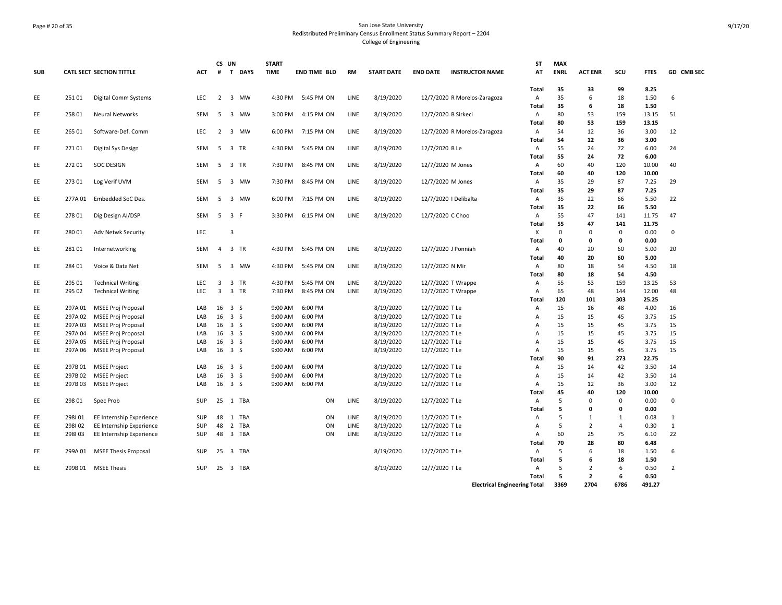# Page # 20 of 35 San Jose State University Redistributed Preliminary Census Enrollment Status Summary Report – 2204 College of Engineering

| <b>SUB</b> |         | <b>CATL SECT SECTION TITTLE</b> | <b>ACT</b> | CS UN<br>#     | T DAYS                      | <b>START</b><br><b>TIME</b> | <b>END TIME BLD</b> | <b>RM</b> | <b>START DATE</b> | <b>END DATE</b>     | <b>INSTRUCTOR NAME</b>       | <b>ST</b><br>AT                     | <b>MAX</b><br><b>ENRL</b> | <b>ACT ENR</b> | SCU          | <b>FTES</b>  | GD CMB SEC     |
|------------|---------|---------------------------------|------------|----------------|-----------------------------|-----------------------------|---------------------|-----------|-------------------|---------------------|------------------------------|-------------------------------------|---------------------------|----------------|--------------|--------------|----------------|
|            |         |                                 |            |                |                             |                             |                     |           |                   |                     |                              | Total                               | 35                        | 33             | 99           | 8.25         |                |
| EE         | 25101   | Digital Comm Systems            | <b>LEC</b> | $\overline{2}$ | 3 MW                        | 4:30 PM                     | 5:45 PM ON          | LINE      | 8/19/2020         |                     | 12/7/2020 R Morelos-Zaragoza | Α                                   | 35                        | 6              | 18           | 1.50         | 6              |
|            |         |                                 |            |                |                             |                             |                     |           |                   |                     |                              | Total                               | 35                        | 6              | 18           | 1.50         |                |
| EE         | 258 01  | <b>Neural Networks</b>          | <b>SEM</b> | -5             | $\overline{3}$<br><b>MW</b> | 3:00 PM                     | 4:15 PM ON          | LINE      | 8/19/2020         | 12/7/2020 B Sirkeci |                              | A                                   | 80                        | 53             | 159          | 13.15        | 51             |
|            |         |                                 |            |                |                             |                             |                     |           |                   |                     |                              | <b>Total</b>                        | 80                        | 53             | 159          | 13.15        |                |
| EE         | 265 01  | Software-Def. Comm              | <b>LEC</b> | 2              | $\overline{3}$<br>MW        | 6:00 PM                     | 7:15 PM ON          | LINE      | 8/19/2020         |                     | 12/7/2020 R Morelos-Zaragoza | A                                   | 54                        | 12             | 36           | 3.00         | 12             |
|            |         |                                 |            |                |                             |                             |                     |           |                   |                     |                              | Total                               | 54                        | 12             | 36           | 3.00         |                |
| EE         | 27101   | Digital Sys Design              | <b>SEM</b> | -5             | 3 TR                        | 4:30 PM                     | 5:45 PM ON          | LINE      | 8/19/2020         | 12/7/2020 B Le      |                              | Α                                   | 55                        | 24             | 72           | 6.00         | 24             |
|            |         |                                 |            |                |                             |                             |                     |           |                   |                     |                              | Total                               | 55                        | 24             | 72           | 6.00         |                |
| EE         | 27201   | <b>SOC DESIGN</b>               | <b>SEM</b> | 5              | 3 TR                        | 7:30 PM                     | 8:45 PM ON          | LINE      | 8/19/2020         | 12/7/2020 M Jones   |                              | Α                                   | 60                        | 40             | 120          | 10.00        | 40             |
|            |         |                                 |            |                |                             |                             |                     |           |                   |                     |                              | Total                               | 60                        | 40             | 120          | 10.00        |                |
| EE         | 27301   | Log Verif UVM                   | <b>SEM</b> | 5              | 3 MW                        | 7:30 PM                     | 8:45 PM ON          | LINE      | 8/19/2020         | 12/7/2020 M Jones   |                              | Α                                   | 35                        | 29             | 87           | 7.25         | 29             |
|            |         |                                 |            |                |                             |                             |                     |           |                   |                     |                              | Total                               | 35                        | 29             | 87           | 7.25         |                |
| EE         | 277A 01 | Embedded SoC Des.               | SEM        | 5              | 3 MW                        | 6:00 PM                     | 7:15 PM ON          | LINE      | 8/19/2020         |                     | 12/7/2020   Delibalta        | Α                                   | 35                        | 22             | 66           | 5.50         | 22             |
|            |         |                                 |            |                |                             |                             |                     |           |                   |                     |                              | Total                               | 35                        | 22             | 66           | 5.50         |                |
| EE         | 278 01  | Dig Design AI/DSP               | <b>SEM</b> |                | 5 3 F                       | 3:30 PM                     | 6:15 PM ON          | LINE      | 8/19/2020         | 12/7/2020 C Choo    |                              | Α                                   | 55                        | 47             | 141          | 11.75        | 47             |
|            |         |                                 |            |                |                             |                             |                     |           |                   |                     |                              | Total                               | 55                        | 47             | 141          | 11.75        |                |
| EE         | 280 01  | Adv Netwk Security              | LEC        |                | $\overline{3}$              |                             |                     |           |                   |                     |                              | X                                   | $\Omega$                  | 0              | 0            | 0.00         | $\mathbf 0$    |
|            |         |                                 |            |                |                             |                             |                     |           |                   |                     |                              | Total                               | $\mathbf{0}$              | $\mathbf{0}$   | 0            | 0.00         |                |
| EE         | 28101   | Internetworking                 | <b>SEM</b> | $\overline{4}$ | 3 TR                        | 4:30 PM                     | 5:45 PM ON          | LINE      | 8/19/2020         |                     | 12/7/2020 J Ponniah          | Α<br><b>Total</b>                   | 40<br>40                  | 20<br>20       | 60<br>60     | 5.00<br>5.00 | 20             |
|            | 284 01  |                                 | <b>SEM</b> | -5             | $\overline{3}$<br>MW        |                             |                     | LINE      |                   |                     |                              |                                     | 80                        | 18             | 54           |              | 18             |
| EE         |         | Voice & Data Net                |            |                |                             | 4:30 PM                     | 5:45 PM ON          |           | 8/19/2020         | 12/7/2020 N Mir     |                              | Α<br>Total                          | 80                        | 18             | 54           | 4.50<br>4.50 |                |
| EE         | 295 01  | <b>Technical Writing</b>        | <b>LEC</b> | 3              | 3 TR                        | 4:30 PM                     | 5:45 PM ON          | LINE      | 8/19/2020         |                     | 12/7/2020 T Wrappe           | Α                                   | 55                        | 53             | 159          | 13.25        | 53             |
| EE         | 295 02  | <b>Technical Writing</b>        | LEC        | $\overline{3}$ | 3 TR                        | 7:30 PM                     | 8:45 PM ON          | LINE      | 8/19/2020         |                     | 12/7/2020 T Wrappe           | Α                                   | 65                        | 48             | 144          | 12.00        | 48             |
|            |         |                                 |            |                |                             |                             |                     |           |                   |                     |                              | Total                               | 120                       | 101            | 303          | 25.25        |                |
| EE         | 297A 01 | <b>MSEE Proj Proposal</b>       | LAB        |                | 16 3 S                      | 9:00 AM                     | 6:00 PM             |           | 8/19/2020         | 12/7/2020 T Le      |                              | Α                                   | 15                        | 16             | 48           | 4.00         | 16             |
| EE         | 297A02  | <b>MSEE Proj Proposal</b>       | LAB        | 16             | 3S                          | 9:00 AM                     | 6:00 PM             |           | 8/19/2020         | 12/7/2020 T Le      |                              | Α                                   | 15                        | 15             | 45           | 3.75         | 15             |
| EE         | 297A03  | <b>MSEE Proj Proposal</b>       | LAB        |                | $16 \quad 3 \quad S$        | 9:00 AM                     | 6:00 PM             |           | 8/19/2020         | 12/7/2020 T Le      |                              | A                                   | 15                        | 15             | 45           | 3.75         | 15             |
| EE         | 297A04  | <b>MSEE Proj Proposal</b>       | LAB        |                | 16 3 S                      | 9:00 AM                     | 6:00 PM             |           | 8/19/2020         | 12/7/2020 T Le      |                              | Α                                   | 15                        | 15             | 45           | 3.75         | 15             |
| EE         | 297A 05 | <b>MSEE Proj Proposal</b>       | LAB        |                | 16 3 S                      | 9:00 AM                     | 6:00 PM             |           | 8/19/2020         | 12/7/2020 T Le      |                              | Α                                   | 15                        | 15             | 45           | 3.75         | 15             |
| EE         | 297A 06 | <b>MSEE Proj Proposal</b>       | LAB        | 16             | 3S                          | 9:00 AM                     | 6:00 PM             |           | 8/19/2020         | 12/7/2020 T Le      |                              | Α                                   | 15                        | 15             | 45           | 3.75         | 15             |
|            |         |                                 |            |                |                             |                             |                     |           |                   |                     |                              | Total                               | 90                        | 91             | 273          | 22.75        |                |
| EE         | 297B01  | <b>MSEE Project</b>             | LAB        |                | 16 3 S                      | 9:00 AM                     | 6:00 PM             |           | 8/19/2020         | 12/7/2020 T Le      |                              | Α                                   | 15                        | 14             | 42           | 3.50         | 14             |
| EE         | 297B02  | <b>MSEE Project</b>             | LAB        |                | 16 3 S                      | 9:00 AM                     | 6:00 PM             |           | 8/19/2020         | 12/7/2020 T Le      |                              | Α                                   | 15                        | 14             | 42           | 3.50         | 14             |
| EE         | 297B03  | <b>MSEE Project</b>             | LAB        |                | $16 \quad 3 \quad S$        | 9:00 AM                     | 6:00 PM             |           | 8/19/2020         | 12/7/2020 T Le      |                              | Α                                   | 15                        | 12             | 36           | 3.00         | 12             |
|            |         |                                 |            |                |                             |                             |                     |           |                   |                     |                              | <b>Total</b>                        | 45                        | 40             | 120          | 10.00        |                |
| EE         | 298 01  | Spec Prob                       | <b>SUP</b> |                | 25 1 TBA                    |                             | ON                  | LINE      | 8/19/2020         | 12/7/2020 T Le      |                              | Α                                   | 5                         | $\Omega$       | 0            | 0.00         | $\Omega$       |
|            |         |                                 |            |                |                             |                             |                     |           |                   |                     |                              | Total                               | 5                         | $\mathbf{0}$   | 0            | 0.00         |                |
| EE         | 298101  | EE Internship Experience        | <b>SUP</b> | 48             | 1 TBA                       |                             | ON                  | LINE      | 8/19/2020         | 12/7/2020 T Le      |                              | Α                                   | 5                         | 1              | $\mathbf{1}$ | 0.08         | $\mathbf{1}$   |
| EE         | 298102  | EE Internship Experience        | <b>SUP</b> | 48             | 2 TBA                       |                             | ON                  | LINE      | 8/19/2020         | 12/7/2020 T Le      |                              | Α                                   | 5                         | $\overline{2}$ | 4            | 0.30         | $\mathbf{1}$   |
| EE         | 298103  | EE Internship Experience        | <b>SUP</b> | 48             | 3 TBA                       |                             | ON                  | LINE      | 8/19/2020         | 12/7/2020 T Le      |                              | Α                                   | 60                        | 25             | 75           | 6.10         | 22             |
|            |         |                                 |            |                |                             |                             |                     |           |                   |                     |                              | Total                               | 70                        | 28             | 80           | 6.48         |                |
| EE         | 299A 01 | <b>MSEE Thesis Proposal</b>     | <b>SUP</b> | 25             | 3 TBA                       |                             |                     |           | 8/19/2020         | 12/7/2020 T Le      |                              | Α                                   | 5                         | 6              | 18           | 1.50         | 6              |
|            |         |                                 |            |                |                             |                             |                     |           |                   |                     |                              | Total                               | 5                         | 6              | 18           | 1.50         |                |
| EE.        |         | 299B 01 MSEE Thesis             | SUP        |                | 25 3 TBA                    |                             |                     |           | 8/19/2020         | 12/7/2020 T Le      |                              | Α                                   | 5                         | $\overline{2}$ | 6            | 0.50         | $\overline{2}$ |
|            |         |                                 |            |                |                             |                             |                     |           |                   |                     |                              | Total                               | 5                         | $\mathbf{2}$   | 6            | 0.50         |                |
|            |         |                                 |            |                |                             |                             |                     |           |                   |                     |                              | <b>Electrical Engineering Total</b> | 3369                      | 2704           | 6786         | 491.27       |                |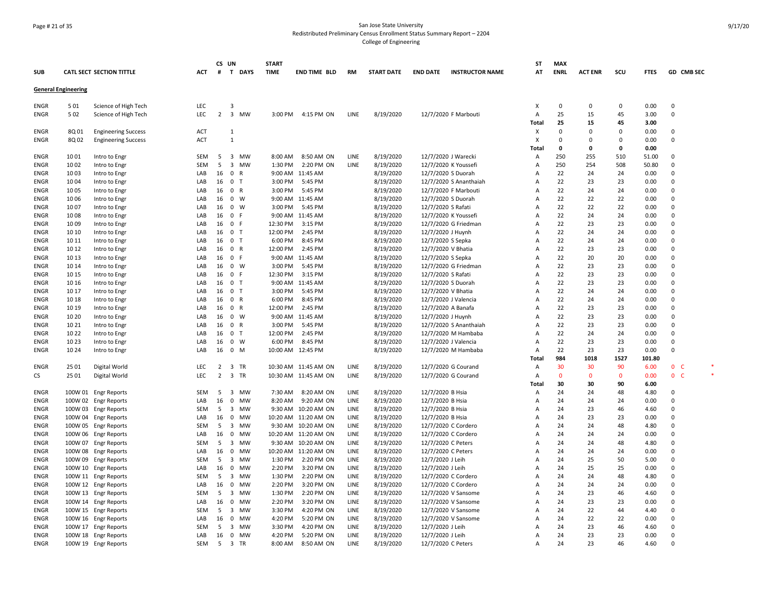# Page # 21 of 35 San Jose State University Redistributed Preliminary Census Enrollment Status Summary Report – 2204 College of Engineering

| <b>CATL SECT SECTION TITTLE</b><br>T DAYS<br><b>TIME</b><br><b>START DATE</b><br>AT<br><b>ENRL</b><br><b>ACT ENR</b><br>scu<br>GD CMB SEC<br><b>SUB</b><br>ACT<br>#<br><b>END TIME BLD</b><br><b>RM</b><br><b>END DATE</b><br><b>INSTRUCTOR NAME</b><br><b>FTES</b><br><b>General Engineering</b><br>$\mathbf 0$<br>$\mathbf 0$<br>0.00<br>$\Omega$<br>501<br>Science of High Tech<br>LEC<br>3<br>х<br>0<br>ENGR<br>25<br>502<br>LEC<br>$\overline{2}$<br>$\overline{\mathbf{3}}$<br>MW<br>8/19/2020<br>45<br>$\Omega$<br><b>ENGR</b><br>Science of High Tech<br>3:00 PM<br>4:15 PM ON<br>LINE<br>12/7/2020 F Marbouti<br>Α<br>15<br>3.00<br>25<br>45<br>3.00<br>Total<br>15<br><b>ENGR</b><br>8Q 01<br><b>Engineering Success</b><br><b>ACT</b><br>1<br>х<br>0<br>$\Omega$<br>0.00<br>$\Omega$<br>$\Omega$<br><b>ENGR</b><br>8Q 02<br><b>Engineering Success</b><br><b>ACT</b><br>$\mathbf{1}$<br>$\times$<br>0<br>$\Omega$<br>0.00<br>$\Omega$<br>$\Omega$<br>$\mathbf 0$<br>0<br>0.00<br>Total<br>$\Omega$<br>8/19/2020<br>10 01<br>SEM<br>5<br>$\overline{\mathbf{3}}$<br>MW<br>8:00 AM<br>8:50 AM ON<br>LINE<br>12/7/2020 J Warecki<br>250<br>255<br>510<br>51.00<br>$\Omega$<br><b>ENGR</b><br>Intro to Engr<br>Α<br>10 02<br>SEM<br>5<br>$\overline{\mathbf{3}}$<br>MW<br>1:30 PM<br>2:20 PM ON<br>LINE<br>8/19/2020<br>12/7/2020 K Youssefi<br>250<br>254<br>508<br>50.80<br>$\mathbf 0$<br>ENGR<br>Intro to Engr<br>Α<br>8/19/2020<br>1003<br>LAB<br>16<br>$\mathbf 0$<br>R<br>9:00 AM 11:45 AM<br>12/7/2020 S Duorah<br>22<br>24<br>0.00<br>0<br>ENGR<br>Intro to Engr<br>Α<br>24<br>23<br>1004<br>Intro to Engr<br>LAB<br>16<br>$\overline{0}$<br>$\mathsf{T}$<br>3:00 PM<br>5:45 PM<br>8/19/2020<br>12/7/2020 S Ananthaiah<br>22<br>23<br>0.00<br>$\Omega$<br>ENGR<br>A<br>16 0<br>3:00 PM<br>5:45 PM<br>8/19/2020<br>22<br>24<br>24<br><b>ENGR</b><br>1005<br>Intro to Engr<br>LAB<br>R<br>12/7/2020 F Marbouti<br>A<br>0.00<br>$\Omega$<br>16<br>$\mathbf 0$<br>W<br>8/19/2020<br>22<br>22<br>22<br><b>ENGR</b><br>1006<br>Intro to Engr<br>LAB<br>9:00 AM 11:45 AM<br>12/7/2020 S Duorah<br>A<br>0.00<br>$\Omega$<br>1007<br>16<br>$\overline{0}$<br>W<br>3:00 PM<br>5:45 PM<br>8/19/2020<br>12/7/2020 S Rafati<br>22<br>22<br>22<br>0.00<br>$\Omega$<br>ENGR<br>Intro to Engr<br>LAB<br>A<br>8/19/2020<br>22<br>24<br>0.00<br>1008<br>LAB<br>16<br>$\overline{0}$<br>-F<br>9:00 AM 11:45 AM<br>12/7/2020 K Youssefi<br>Α<br>24<br>$\Omega$<br>ENGR<br>Intro to Engr<br>3:15 PM<br>8/19/2020<br>22<br>23<br>23<br>$\Omega$<br><b>ENGR</b><br>10 09<br>LAB<br>16<br>0 F<br>12:30 PM<br>12/7/2020 G Friedman<br>0.00<br>Intro to Engr<br>Α<br>12:00 PM<br>8/19/2020<br>22<br>$\mathbf 0$<br><b>ENGR</b><br>10 10<br>LAB<br>16<br>0 <sub>T</sub><br>2:45 PM<br>12/7/2020 J Huynh<br>24<br>24<br>0.00<br>Intro to Engr<br>Α<br>0 <sub>T</sub><br>8/19/2020<br>22<br>24<br>$\mathbf 0$<br><b>ENGR</b><br>10 11<br>Intro to Engr<br>LAB<br>16<br>6:00 PM<br>8:45 PM<br>12/7/2020 S Sepka<br>Α<br>24<br>0.00<br>10 12<br>LAB<br>16<br>$\overline{0}$<br>R<br>12:00 PM<br>2:45 PM<br>8/19/2020<br>12/7/2020 V Bhatia<br>22<br>23<br>23<br>0.00<br>$\Omega$<br>ENGR<br>Intro to Engr<br>Α<br>10 13<br>LAB<br>16<br>0 F<br>9:00 AM 11:45 AM<br>8/19/2020<br>22<br>20<br>20<br>0.00<br>0<br>ENGR<br>Intro to Engr<br>12/7/2020 S Sepka<br>Α<br>W<br>3:00 PM<br>8/19/2020<br>22<br>23<br><b>ENGR</b><br>10 14<br>Intro to Engr<br>LAB<br>16<br>$\overline{0}$<br>5:45 PM<br>12/7/2020 G Friedman<br>A<br>23<br>0.00<br>$\Omega$<br>10 15<br>16<br>$\overline{0}$<br>12:30 PM<br>3:15 PM<br>8/19/2020<br>22<br>23<br>23<br>0.00<br>$\Omega$<br><b>ENGR</b><br>Intro to Engr<br>LAB<br>-F<br>12/7/2020 S Rafati<br>A<br>22<br>23<br>23<br>10 16<br>0 <sub>T</sub><br>9:00 AM 11:45 AM<br>8/19/2020<br>12/7/2020 S Duorah<br>0.00<br>$\Omega$<br>ENGR<br>Intro to Engr<br>LAB<br>16<br>A<br>8/19/2020<br>10 17<br>LAB<br>0 <sub>T</sub><br>3:00 PM<br>5:45 PM<br>12/7/2020 V Bhatia<br>22<br>24<br>24<br>0.00<br>0<br>ENGR<br>Intro to Engr<br>16<br>А<br>22<br>$\mathbf 0$<br>10 18<br>16<br>$\overline{0}$<br>6:00 PM<br>8:45 PM<br>8/19/2020<br>12/7/2020 J Valencia<br>24<br>24<br>0.00<br>ENGR<br>Intro to Engr<br>LAB<br>R<br>A<br>22<br>23<br><b>ENGR</b><br>10 19<br>Intro to Engr<br>LAB<br>16<br>$\mathbf{0}$<br>$\mathsf{R}$<br>12:00 PM<br>2:45 PM<br>8/19/2020<br>12/7/2020 A Banafa<br>A<br>23<br>0.00<br>$\Omega$<br>22<br>23<br><b>ENGR</b><br>10 20<br>Intro to Engr<br>LAB<br>16<br>$\mathbf{0}$<br>W<br>9:00 AM 11:45 AM<br>8/19/2020<br>12/7/2020 J Huynh<br>23<br>0.00<br>$\Omega$<br>A<br>$\overline{0}$<br>3:00 PM<br>5:45 PM<br>8/19/2020<br>12/7/2020 S Ananthaiah<br>22<br>23<br>23<br>0.00<br>$\mathbf 0$<br><b>ENGR</b><br>10 21<br>Intro to Engr<br>LAB<br>16<br>R<br>Α<br>22<br>24<br><b>ENGR</b><br>1022<br>Intro to Engr<br>LAB<br>16<br>$\overline{0}$<br>$\mathsf{T}$<br>12:00 PM<br>2:45 PM<br>8/19/2020<br>12/7/2020 M Hambaba<br>A<br>24<br>0.00<br>$\Omega$<br>10 23<br>$\overline{0}$<br>W<br>8/19/2020<br>22<br>23<br>23<br>0.00<br>$\Omega$<br><b>ENGR</b><br>LAB<br>16<br>6:00 PM<br>8:45 PM<br>12/7/2020 J Valencia<br>A<br>Intro to Engr<br>10 24<br>8/19/2020<br>22<br>23<br>23<br>0.00<br>$\Omega$<br><b>ENGR</b><br>Intro to Engr<br>LAB<br>16<br>$\overline{0}$<br>M<br>10:00 AM 12:45 PM<br>12/7/2020 M Hambaba<br>Α<br>984<br>1018<br>1527<br>101.80<br><b>Total</b><br>25 01<br>8/19/2020<br>30<br>30<br>90<br>6.00<br>0 <sub>c</sub><br>ENGR<br>Digital World<br>LEC<br>$\overline{2}$<br>$\overline{\mathbf{3}}$<br>TR<br>10:30 AM 11:45 AM ON<br>LINE<br>12/7/2020 G Courand<br>A<br>$\overline{2}$<br>3 TR<br>CS<br>25 01<br>Digital World<br>LEC<br>LINE<br>8/19/2020<br>12/7/2020 G Courand<br>0<br>$\mathbf 0$<br>0.00<br>0 <sub>c</sub><br>10:30 AM 11:45 AM ON<br>A<br>0<br><b>Total</b><br>30<br>30<br>90<br>6.00<br><b>MW</b><br>24<br>48<br><b>ENGR</b><br>100W 01 Engr Reports<br>SEM<br>5<br>$\overline{\mathbf{3}}$<br>7:30 AM<br>8:20 AM ON<br>LINE<br>8/19/2020<br>12/7/2020 B Hsia<br>$\overline{A}$<br>24<br>4.80<br>$\Omega$<br>100W 02 Engr Reports<br>LAB<br>16<br>$\mathbf 0$<br>MW<br>8:20 AM<br>9:20 AM ON<br>LINE<br>8/19/2020<br>12/7/2020 B Hsia<br>24<br>24<br>24<br>0.00<br>$\Omega$<br><b>ENGR</b><br>Α<br>100W 03<br>SEM<br>5<br>$\overline{\mathbf{3}}$<br>MW<br>9:30 AM 10:20 AM ON<br>LINE<br>8/19/2020<br>12/7/2020 B Hsia<br>24<br>23<br>46<br>4.60<br>$\mathbf 0$<br>ENGR<br><b>Engr Reports</b><br>Α<br>23<br>100W 04<br>LAB<br>16<br>$\mathbf 0$<br>MW<br>10:20 AM 11:20 AM ON<br>LINE<br>8/19/2020<br>12/7/2020 B Hsia<br>24<br>23<br>0.00<br>$\Omega$<br>ENGR<br><b>Engr Reports</b><br>A<br>8/19/2020<br>48<br>100W 05<br>SEM<br>5<br>3<br>MW<br>9:30 AM 10:20 AM ON<br>LINE<br>12/7/2020 C Cordero<br>24<br>24<br>4.80<br>0<br>ENGR<br><b>Engr Reports</b><br>A<br>$\mathbf 0$<br>$\Omega$<br>100W 06 Engr Reports<br>LAB<br>16<br>MW<br>10:20 AM 11:20 AM ON<br>LINE<br>8/19/2020<br>24<br>24<br>24<br>0.00<br>ENGR<br>12/7/2020 C Cordero<br>A<br>8/19/2020<br>48<br><b>ENGR</b><br>100W 07<br><b>Engr Reports</b><br>SEM<br>5<br>$\overline{\mathbf{3}}$<br>MW<br>9:30 AM 10:20 AM ON<br>LINE<br>12/7/2020 C Peters<br>24<br>24<br>4.80<br>$\Omega$<br>A<br>100W 08<br><b>Engr Reports</b><br>16<br>$\mathbf 0$<br>MW<br>10:20 AM 11:20 AM ON<br>LINE<br>8/19/2020<br>12/7/2020 C Peters<br>24<br>24<br>24<br>0.00<br>$\mathbf 0$<br>ENGR<br>LAB<br>Α<br>50<br>100W 09 Engr Reports<br>SEM<br>- 5<br>$\overline{\mathbf{3}}$<br>MW<br>1:30 PM<br>2:20 PM ON<br>LINE<br>8/19/2020<br>12/7/2020 J Leih<br>24<br>25<br>5.00<br>$\Omega$<br>ENGR<br>A<br>25<br><b>ENGR</b><br>100W 10 Engr Reports<br>LAB<br>16<br>$\mathbf 0$<br><b>MW</b><br>2:20 PM<br>3:20 PM ON<br>LINE<br>8/19/2020<br>12/7/2020 J Leih<br>24<br>25<br>0.00<br>$\Omega$<br>A<br>SEM<br>$\overline{3}$<br><b>MW</b><br>1:30 PM<br>2:20 PM ON<br>LINE<br>8/19/2020<br>24<br>48<br>4.80<br>$\Omega$<br><b>ENGR</b><br>100W 11 Engr Reports<br>- 5<br>12/7/2020 C Cordero<br>24<br>A<br>100W 12 Engr Reports<br>$\mathbf 0$<br>MW<br>2:20 PM<br>LINE<br>8/19/2020<br>24<br>24<br>24<br>0.00<br>$\Omega$<br><b>ENGR</b><br>LAB<br>16<br>3:20 PM ON<br>12/7/2020 C Cordero<br>Α<br>SEM<br>5<br>$\overline{\mathbf{3}}$<br>MW<br>LINE<br>8/19/2020<br>24<br>23<br>46<br>0<br>ENGR<br>100W 13 Engr Reports<br>1:30 PM<br>2:20 PM ON<br>12/7/2020 V Sansome<br>A<br>4.60<br>$\mathbf 0$<br>MW<br>2:20 PM<br>LINE<br>8/19/2020<br>23<br>0.00<br>0<br>ENGR<br>100W 14 Engr Reports<br>LAB<br>16<br>3:20 PM ON<br>12/7/2020 V Sansome<br>Α<br>24<br>23<br>100W 15 Engr Reports<br>SEM<br>- 5<br>3<br>MW<br>3:30 PM<br>4:20 PM ON<br>LINE<br>8/19/2020<br>12/7/2020 V Sansome<br>24<br>22<br>44<br>4.40<br>$\Omega$<br>ENGR<br>Α<br>$\mathbf{0}$<br>4:20 PM<br>5:20 PM ON<br>LINE<br>8/19/2020<br>24<br>22<br>22<br><b>ENGR</b><br>100W 16 Engr Reports<br>LAB<br>16<br><b>MW</b><br>12/7/2020 V Sansome<br>A<br>0.00<br>$\Omega$<br>4:20 PM ON<br>LINE<br>24<br>23<br>46<br><b>ENGR</b><br>100W 17 Engr Reports<br>SEM<br>5<br>$\overline{\mathbf{3}}$<br>MW<br>3:30 PM<br>8/19/2020<br>12/7/2020 J Leih<br>Α<br>4.60<br>$\Omega$<br><b>ENGR</b><br>100W 18 Engr Reports<br>LAB<br>16<br>$\overline{0}$<br>MW<br>4:20 PM<br>5:20 PM ON<br>LINE<br>8/19/2020<br>12/7/2020 J Leih<br>24<br>23<br>23<br>0.00<br>$\Omega$<br>A<br>SEM<br>8:00 AM<br>LINE<br>8/19/2020<br>12/7/2020 C Peters<br>24<br>23<br>46<br>4.60<br><b>ENGR</b><br>100W 19 Engr Reports<br>5 3 TR<br>8:50 AM ON<br>A<br>$\Omega$ |  |  | CS UN | <b>START</b> |  |  | ST | <b>MAX</b> |  |  |  |
|-----------------------------------------------------------------------------------------------------------------------------------------------------------------------------------------------------------------------------------------------------------------------------------------------------------------------------------------------------------------------------------------------------------------------------------------------------------------------------------------------------------------------------------------------------------------------------------------------------------------------------------------------------------------------------------------------------------------------------------------------------------------------------------------------------------------------------------------------------------------------------------------------------------------------------------------------------------------------------------------------------------------------------------------------------------------------------------------------------------------------------------------------------------------------------------------------------------------------------------------------------------------------------------------------------------------------------------------------------------------------------------------------------------------------------------------------------------------------------------------------------------------------------------------------------------------------------------------------------------------------------------------------------------------------------------------------------------------------------------------------------------------------------------------------------------------------------------------------------------------------------------------------------------------------------------------------------------------------------------------------------------------------------------------------------------------------------------------------------------------------------------------------------------------------------------------------------------------------------------------------------------------------------------------------------------------------------------------------------------------------------------------------------------------------------------------------------------------------------------------------------------------------------------------------------------------------------------------------------------------------------------------------------------------------------------------------------------------------------------------------------------------------------------------------------------------------------------------------------------------------------------------------------------------------------------------------------------------------------------------------------------------------------------------------------------------------------------------------------------------------------------------------------------------------------------------------------------------------------------------------------------------------------------------------------------------------------------------------------------------------------------------------------------------------------------------------------------------------------------------------------------------------------------------------------------------------------------------------------------------------------------------------------------------------------------------------------------------------------------------------------------------------------------------------------------------------------------------------------------------------------------------------------------------------------------------------------------------------------------------------------------------------------------------------------------------------------------------------------------------------------------------------------------------------------------------------------------------------------------------------------------------------------------------------------------------------------------------------------------------------------------------------------------------------------------------------------------------------------------------------------------------------------------------------------------------------------------------------------------------------------------------------------------------------------------------------------------------------------------------------------------------------------------------------------------------------------------------------------------------------------------------------------------------------------------------------------------------------------------------------------------------------------------------------------------------------------------------------------------------------------------------------------------------------------------------------------------------------------------------------------------------------------------------------------------------------------------------------------------------------------------------------------------------------------------------------------------------------------------------------------------------------------------------------------------------------------------------------------------------------------------------------------------------------------------------------------------------------------------------------------------------------------------------------------------------------------------------------------------------------------------------------------------------------------------------------------------------------------------------------------------------------------------------------------------------------------------------------------------------------------------------------------------------------------------------------------------------------------------------------------------------------------------------------------------------------------------------------------------------------------------------------------------------------------------------------------------------------------------------------------------------------------------------------------------------------------------------------------------------------------------------------------------------------------------------------------------------------------------------------------------------------------------------------------------------------------------------------------------------------------------------------------------------------------------------------------------------------------------------------------------------------------------------------------------------------------------------------------------------------------------------------------------------------------------------------------------------------------------------------------------------------------------------------------------------------------------------------------------------------------------------------------------------------------------------------------------------------------------------------------------------------------------------------------------------------------------------------------------------------------------------------------------------------------------------------------------------------------------------------------------------------------------------------------------------------------------------------------------------------------------------------------------------------------------------------------------------------------------------------------------------------------------------------------------------------------------------------------------------------------------------------------------------------------------------------------------------------------------------------------------------------------------------------------------------------------------------------------------------------------------------------------------------------------------------------------------------------------------------------------------------------------------------------------------------------------------------------------------------------------------------------------------------------------------------------------------------------------------------------------------------------------------------------------------------------------------------------------------------------------------------------------------------------------------------------------------------------------------------------------------------------------------------------------------------------------------------------------------------------------------------------------------------------------------------------------------------------------------------------------------------------------------------------------------------------------------------------------------------------------------------------------------------------------------------------------------------------------------------------------------------------------------------------------------|--|--|-------|--------------|--|--|----|------------|--|--|--|
|                                                                                                                                                                                                                                                                                                                                                                                                                                                                                                                                                                                                                                                                                                                                                                                                                                                                                                                                                                                                                                                                                                                                                                                                                                                                                                                                                                                                                                                                                                                                                                                                                                                                                                                                                                                                                                                                                                                                                                                                                                                                                                                                                                                                                                                                                                                                                                                                                                                                                                                                                                                                                                                                                                                                                                                                                                                                                                                                                                                                                                                                                                                                                                                                                                                                                                                                                                                                                                                                                                                                                                                                                                                                                                                                                                                                                                                                                                                                                                                                                                                                                                                                                                                                                                                                                                                                                                                                                                                                                                                                                                                                                                                                                                                                                                                                                                                                                                                                                                                                                                                                                                                                                                                                                                                                                                                                                                                                                                                                                                                                                                                                                                                                                                                                                                                                                                                                                                                                                                                                                                                                                                                                                                                                                                                                                                                                                                                                                                                                                                                                                                                                                                                                                                                                                                                                                                                                                                                                                                                                                                                                                                                                                                                                                                                                                                                                                                                                                                                                                                                                                                                                                                                                                                                                                                                                                                                                                                                                                                                                                                                                                                                                                                                                                                                                                                                                                                                                                                                                                                                                                                                                                                                                                                                                                                                                                                                                                                                                                                                                                                                                                                                                                                                                                                                                                                                                                                                                                                                                                                                                                           |  |  |       |              |  |  |    |            |  |  |  |
|                                                                                                                                                                                                                                                                                                                                                                                                                                                                                                                                                                                                                                                                                                                                                                                                                                                                                                                                                                                                                                                                                                                                                                                                                                                                                                                                                                                                                                                                                                                                                                                                                                                                                                                                                                                                                                                                                                                                                                                                                                                                                                                                                                                                                                                                                                                                                                                                                                                                                                                                                                                                                                                                                                                                                                                                                                                                                                                                                                                                                                                                                                                                                                                                                                                                                                                                                                                                                                                                                                                                                                                                                                                                                                                                                                                                                                                                                                                                                                                                                                                                                                                                                                                                                                                                                                                                                                                                                                                                                                                                                                                                                                                                                                                                                                                                                                                                                                                                                                                                                                                                                                                                                                                                                                                                                                                                                                                                                                                                                                                                                                                                                                                                                                                                                                                                                                                                                                                                                                                                                                                                                                                                                                                                                                                                                                                                                                                                                                                                                                                                                                                                                                                                                                                                                                                                                                                                                                                                                                                                                                                                                                                                                                                                                                                                                                                                                                                                                                                                                                                                                                                                                                                                                                                                                                                                                                                                                                                                                                                                                                                                                                                                                                                                                                                                                                                                                                                                                                                                                                                                                                                                                                                                                                                                                                                                                                                                                                                                                                                                                                                                                                                                                                                                                                                                                                                                                                                                                                                                                                                                                           |  |  |       |              |  |  |    |            |  |  |  |
|                                                                                                                                                                                                                                                                                                                                                                                                                                                                                                                                                                                                                                                                                                                                                                                                                                                                                                                                                                                                                                                                                                                                                                                                                                                                                                                                                                                                                                                                                                                                                                                                                                                                                                                                                                                                                                                                                                                                                                                                                                                                                                                                                                                                                                                                                                                                                                                                                                                                                                                                                                                                                                                                                                                                                                                                                                                                                                                                                                                                                                                                                                                                                                                                                                                                                                                                                                                                                                                                                                                                                                                                                                                                                                                                                                                                                                                                                                                                                                                                                                                                                                                                                                                                                                                                                                                                                                                                                                                                                                                                                                                                                                                                                                                                                                                                                                                                                                                                                                                                                                                                                                                                                                                                                                                                                                                                                                                                                                                                                                                                                                                                                                                                                                                                                                                                                                                                                                                                                                                                                                                                                                                                                                                                                                                                                                                                                                                                                                                                                                                                                                                                                                                                                                                                                                                                                                                                                                                                                                                                                                                                                                                                                                                                                                                                                                                                                                                                                                                                                                                                                                                                                                                                                                                                                                                                                                                                                                                                                                                                                                                                                                                                                                                                                                                                                                                                                                                                                                                                                                                                                                                                                                                                                                                                                                                                                                                                                                                                                                                                                                                                                                                                                                                                                                                                                                                                                                                                                                                                                                                                                           |  |  |       |              |  |  |    |            |  |  |  |
|                                                                                                                                                                                                                                                                                                                                                                                                                                                                                                                                                                                                                                                                                                                                                                                                                                                                                                                                                                                                                                                                                                                                                                                                                                                                                                                                                                                                                                                                                                                                                                                                                                                                                                                                                                                                                                                                                                                                                                                                                                                                                                                                                                                                                                                                                                                                                                                                                                                                                                                                                                                                                                                                                                                                                                                                                                                                                                                                                                                                                                                                                                                                                                                                                                                                                                                                                                                                                                                                                                                                                                                                                                                                                                                                                                                                                                                                                                                                                                                                                                                                                                                                                                                                                                                                                                                                                                                                                                                                                                                                                                                                                                                                                                                                                                                                                                                                                                                                                                                                                                                                                                                                                                                                                                                                                                                                                                                                                                                                                                                                                                                                                                                                                                                                                                                                                                                                                                                                                                                                                                                                                                                                                                                                                                                                                                                                                                                                                                                                                                                                                                                                                                                                                                                                                                                                                                                                                                                                                                                                                                                                                                                                                                                                                                                                                                                                                                                                                                                                                                                                                                                                                                                                                                                                                                                                                                                                                                                                                                                                                                                                                                                                                                                                                                                                                                                                                                                                                                                                                                                                                                                                                                                                                                                                                                                                                                                                                                                                                                                                                                                                                                                                                                                                                                                                                                                                                                                                                                                                                                                                                           |  |  |       |              |  |  |    |            |  |  |  |
|                                                                                                                                                                                                                                                                                                                                                                                                                                                                                                                                                                                                                                                                                                                                                                                                                                                                                                                                                                                                                                                                                                                                                                                                                                                                                                                                                                                                                                                                                                                                                                                                                                                                                                                                                                                                                                                                                                                                                                                                                                                                                                                                                                                                                                                                                                                                                                                                                                                                                                                                                                                                                                                                                                                                                                                                                                                                                                                                                                                                                                                                                                                                                                                                                                                                                                                                                                                                                                                                                                                                                                                                                                                                                                                                                                                                                                                                                                                                                                                                                                                                                                                                                                                                                                                                                                                                                                                                                                                                                                                                                                                                                                                                                                                                                                                                                                                                                                                                                                                                                                                                                                                                                                                                                                                                                                                                                                                                                                                                                                                                                                                                                                                                                                                                                                                                                                                                                                                                                                                                                                                                                                                                                                                                                                                                                                                                                                                                                                                                                                                                                                                                                                                                                                                                                                                                                                                                                                                                                                                                                                                                                                                                                                                                                                                                                                                                                                                                                                                                                                                                                                                                                                                                                                                                                                                                                                                                                                                                                                                                                                                                                                                                                                                                                                                                                                                                                                                                                                                                                                                                                                                                                                                                                                                                                                                                                                                                                                                                                                                                                                                                                                                                                                                                                                                                                                                                                                                                                                                                                                                                                           |  |  |       |              |  |  |    |            |  |  |  |
|                                                                                                                                                                                                                                                                                                                                                                                                                                                                                                                                                                                                                                                                                                                                                                                                                                                                                                                                                                                                                                                                                                                                                                                                                                                                                                                                                                                                                                                                                                                                                                                                                                                                                                                                                                                                                                                                                                                                                                                                                                                                                                                                                                                                                                                                                                                                                                                                                                                                                                                                                                                                                                                                                                                                                                                                                                                                                                                                                                                                                                                                                                                                                                                                                                                                                                                                                                                                                                                                                                                                                                                                                                                                                                                                                                                                                                                                                                                                                                                                                                                                                                                                                                                                                                                                                                                                                                                                                                                                                                                                                                                                                                                                                                                                                                                                                                                                                                                                                                                                                                                                                                                                                                                                                                                                                                                                                                                                                                                                                                                                                                                                                                                                                                                                                                                                                                                                                                                                                                                                                                                                                                                                                                                                                                                                                                                                                                                                                                                                                                                                                                                                                                                                                                                                                                                                                                                                                                                                                                                                                                                                                                                                                                                                                                                                                                                                                                                                                                                                                                                                                                                                                                                                                                                                                                                                                                                                                                                                                                                                                                                                                                                                                                                                                                                                                                                                                                                                                                                                                                                                                                                                                                                                                                                                                                                                                                                                                                                                                                                                                                                                                                                                                                                                                                                                                                                                                                                                                                                                                                                                                           |  |  |       |              |  |  |    |            |  |  |  |
|                                                                                                                                                                                                                                                                                                                                                                                                                                                                                                                                                                                                                                                                                                                                                                                                                                                                                                                                                                                                                                                                                                                                                                                                                                                                                                                                                                                                                                                                                                                                                                                                                                                                                                                                                                                                                                                                                                                                                                                                                                                                                                                                                                                                                                                                                                                                                                                                                                                                                                                                                                                                                                                                                                                                                                                                                                                                                                                                                                                                                                                                                                                                                                                                                                                                                                                                                                                                                                                                                                                                                                                                                                                                                                                                                                                                                                                                                                                                                                                                                                                                                                                                                                                                                                                                                                                                                                                                                                                                                                                                                                                                                                                                                                                                                                                                                                                                                                                                                                                                                                                                                                                                                                                                                                                                                                                                                                                                                                                                                                                                                                                                                                                                                                                                                                                                                                                                                                                                                                                                                                                                                                                                                                                                                                                                                                                                                                                                                                                                                                                                                                                                                                                                                                                                                                                                                                                                                                                                                                                                                                                                                                                                                                                                                                                                                                                                                                                                                                                                                                                                                                                                                                                                                                                                                                                                                                                                                                                                                                                                                                                                                                                                                                                                                                                                                                                                                                                                                                                                                                                                                                                                                                                                                                                                                                                                                                                                                                                                                                                                                                                                                                                                                                                                                                                                                                                                                                                                                                                                                                                                                           |  |  |       |              |  |  |    |            |  |  |  |
|                                                                                                                                                                                                                                                                                                                                                                                                                                                                                                                                                                                                                                                                                                                                                                                                                                                                                                                                                                                                                                                                                                                                                                                                                                                                                                                                                                                                                                                                                                                                                                                                                                                                                                                                                                                                                                                                                                                                                                                                                                                                                                                                                                                                                                                                                                                                                                                                                                                                                                                                                                                                                                                                                                                                                                                                                                                                                                                                                                                                                                                                                                                                                                                                                                                                                                                                                                                                                                                                                                                                                                                                                                                                                                                                                                                                                                                                                                                                                                                                                                                                                                                                                                                                                                                                                                                                                                                                                                                                                                                                                                                                                                                                                                                                                                                                                                                                                                                                                                                                                                                                                                                                                                                                                                                                                                                                                                                                                                                                                                                                                                                                                                                                                                                                                                                                                                                                                                                                                                                                                                                                                                                                                                                                                                                                                                                                                                                                                                                                                                                                                                                                                                                                                                                                                                                                                                                                                                                                                                                                                                                                                                                                                                                                                                                                                                                                                                                                                                                                                                                                                                                                                                                                                                                                                                                                                                                                                                                                                                                                                                                                                                                                                                                                                                                                                                                                                                                                                                                                                                                                                                                                                                                                                                                                                                                                                                                                                                                                                                                                                                                                                                                                                                                                                                                                                                                                                                                                                                                                                                                                                           |  |  |       |              |  |  |    |            |  |  |  |
|                                                                                                                                                                                                                                                                                                                                                                                                                                                                                                                                                                                                                                                                                                                                                                                                                                                                                                                                                                                                                                                                                                                                                                                                                                                                                                                                                                                                                                                                                                                                                                                                                                                                                                                                                                                                                                                                                                                                                                                                                                                                                                                                                                                                                                                                                                                                                                                                                                                                                                                                                                                                                                                                                                                                                                                                                                                                                                                                                                                                                                                                                                                                                                                                                                                                                                                                                                                                                                                                                                                                                                                                                                                                                                                                                                                                                                                                                                                                                                                                                                                                                                                                                                                                                                                                                                                                                                                                                                                                                                                                                                                                                                                                                                                                                                                                                                                                                                                                                                                                                                                                                                                                                                                                                                                                                                                                                                                                                                                                                                                                                                                                                                                                                                                                                                                                                                                                                                                                                                                                                                                                                                                                                                                                                                                                                                                                                                                                                                                                                                                                                                                                                                                                                                                                                                                                                                                                                                                                                                                                                                                                                                                                                                                                                                                                                                                                                                                                                                                                                                                                                                                                                                                                                                                                                                                                                                                                                                                                                                                                                                                                                                                                                                                                                                                                                                                                                                                                                                                                                                                                                                                                                                                                                                                                                                                                                                                                                                                                                                                                                                                                                                                                                                                                                                                                                                                                                                                                                                                                                                                                                           |  |  |       |              |  |  |    |            |  |  |  |
|                                                                                                                                                                                                                                                                                                                                                                                                                                                                                                                                                                                                                                                                                                                                                                                                                                                                                                                                                                                                                                                                                                                                                                                                                                                                                                                                                                                                                                                                                                                                                                                                                                                                                                                                                                                                                                                                                                                                                                                                                                                                                                                                                                                                                                                                                                                                                                                                                                                                                                                                                                                                                                                                                                                                                                                                                                                                                                                                                                                                                                                                                                                                                                                                                                                                                                                                                                                                                                                                                                                                                                                                                                                                                                                                                                                                                                                                                                                                                                                                                                                                                                                                                                                                                                                                                                                                                                                                                                                                                                                                                                                                                                                                                                                                                                                                                                                                                                                                                                                                                                                                                                                                                                                                                                                                                                                                                                                                                                                                                                                                                                                                                                                                                                                                                                                                                                                                                                                                                                                                                                                                                                                                                                                                                                                                                                                                                                                                                                                                                                                                                                                                                                                                                                                                                                                                                                                                                                                                                                                                                                                                                                                                                                                                                                                                                                                                                                                                                                                                                                                                                                                                                                                                                                                                                                                                                                                                                                                                                                                                                                                                                                                                                                                                                                                                                                                                                                                                                                                                                                                                                                                                                                                                                                                                                                                                                                                                                                                                                                                                                                                                                                                                                                                                                                                                                                                                                                                                                                                                                                                                                           |  |  |       |              |  |  |    |            |  |  |  |
|                                                                                                                                                                                                                                                                                                                                                                                                                                                                                                                                                                                                                                                                                                                                                                                                                                                                                                                                                                                                                                                                                                                                                                                                                                                                                                                                                                                                                                                                                                                                                                                                                                                                                                                                                                                                                                                                                                                                                                                                                                                                                                                                                                                                                                                                                                                                                                                                                                                                                                                                                                                                                                                                                                                                                                                                                                                                                                                                                                                                                                                                                                                                                                                                                                                                                                                                                                                                                                                                                                                                                                                                                                                                                                                                                                                                                                                                                                                                                                                                                                                                                                                                                                                                                                                                                                                                                                                                                                                                                                                                                                                                                                                                                                                                                                                                                                                                                                                                                                                                                                                                                                                                                                                                                                                                                                                                                                                                                                                                                                                                                                                                                                                                                                                                                                                                                                                                                                                                                                                                                                                                                                                                                                                                                                                                                                                                                                                                                                                                                                                                                                                                                                                                                                                                                                                                                                                                                                                                                                                                                                                                                                                                                                                                                                                                                                                                                                                                                                                                                                                                                                                                                                                                                                                                                                                                                                                                                                                                                                                                                                                                                                                                                                                                                                                                                                                                                                                                                                                                                                                                                                                                                                                                                                                                                                                                                                                                                                                                                                                                                                                                                                                                                                                                                                                                                                                                                                                                                                                                                                                                                           |  |  |       |              |  |  |    |            |  |  |  |
|                                                                                                                                                                                                                                                                                                                                                                                                                                                                                                                                                                                                                                                                                                                                                                                                                                                                                                                                                                                                                                                                                                                                                                                                                                                                                                                                                                                                                                                                                                                                                                                                                                                                                                                                                                                                                                                                                                                                                                                                                                                                                                                                                                                                                                                                                                                                                                                                                                                                                                                                                                                                                                                                                                                                                                                                                                                                                                                                                                                                                                                                                                                                                                                                                                                                                                                                                                                                                                                                                                                                                                                                                                                                                                                                                                                                                                                                                                                                                                                                                                                                                                                                                                                                                                                                                                                                                                                                                                                                                                                                                                                                                                                                                                                                                                                                                                                                                                                                                                                                                                                                                                                                                                                                                                                                                                                                                                                                                                                                                                                                                                                                                                                                                                                                                                                                                                                                                                                                                                                                                                                                                                                                                                                                                                                                                                                                                                                                                                                                                                                                                                                                                                                                                                                                                                                                                                                                                                                                                                                                                                                                                                                                                                                                                                                                                                                                                                                                                                                                                                                                                                                                                                                                                                                                                                                                                                                                                                                                                                                                                                                                                                                                                                                                                                                                                                                                                                                                                                                                                                                                                                                                                                                                                                                                                                                                                                                                                                                                                                                                                                                                                                                                                                                                                                                                                                                                                                                                                                                                                                                                                           |  |  |       |              |  |  |    |            |  |  |  |
|                                                                                                                                                                                                                                                                                                                                                                                                                                                                                                                                                                                                                                                                                                                                                                                                                                                                                                                                                                                                                                                                                                                                                                                                                                                                                                                                                                                                                                                                                                                                                                                                                                                                                                                                                                                                                                                                                                                                                                                                                                                                                                                                                                                                                                                                                                                                                                                                                                                                                                                                                                                                                                                                                                                                                                                                                                                                                                                                                                                                                                                                                                                                                                                                                                                                                                                                                                                                                                                                                                                                                                                                                                                                                                                                                                                                                                                                                                                                                                                                                                                                                                                                                                                                                                                                                                                                                                                                                                                                                                                                                                                                                                                                                                                                                                                                                                                                                                                                                                                                                                                                                                                                                                                                                                                                                                                                                                                                                                                                                                                                                                                                                                                                                                                                                                                                                                                                                                                                                                                                                                                                                                                                                                                                                                                                                                                                                                                                                                                                                                                                                                                                                                                                                                                                                                                                                                                                                                                                                                                                                                                                                                                                                                                                                                                                                                                                                                                                                                                                                                                                                                                                                                                                                                                                                                                                                                                                                                                                                                                                                                                                                                                                                                                                                                                                                                                                                                                                                                                                                                                                                                                                                                                                                                                                                                                                                                                                                                                                                                                                                                                                                                                                                                                                                                                                                                                                                                                                                                                                                                                                                           |  |  |       |              |  |  |    |            |  |  |  |
|                                                                                                                                                                                                                                                                                                                                                                                                                                                                                                                                                                                                                                                                                                                                                                                                                                                                                                                                                                                                                                                                                                                                                                                                                                                                                                                                                                                                                                                                                                                                                                                                                                                                                                                                                                                                                                                                                                                                                                                                                                                                                                                                                                                                                                                                                                                                                                                                                                                                                                                                                                                                                                                                                                                                                                                                                                                                                                                                                                                                                                                                                                                                                                                                                                                                                                                                                                                                                                                                                                                                                                                                                                                                                                                                                                                                                                                                                                                                                                                                                                                                                                                                                                                                                                                                                                                                                                                                                                                                                                                                                                                                                                                                                                                                                                                                                                                                                                                                                                                                                                                                                                                                                                                                                                                                                                                                                                                                                                                                                                                                                                                                                                                                                                                                                                                                                                                                                                                                                                                                                                                                                                                                                                                                                                                                                                                                                                                                                                                                                                                                                                                                                                                                                                                                                                                                                                                                                                                                                                                                                                                                                                                                                                                                                                                                                                                                                                                                                                                                                                                                                                                                                                                                                                                                                                                                                                                                                                                                                                                                                                                                                                                                                                                                                                                                                                                                                                                                                                                                                                                                                                                                                                                                                                                                                                                                                                                                                                                                                                                                                                                                                                                                                                                                                                                                                                                                                                                                                                                                                                                                                           |  |  |       |              |  |  |    |            |  |  |  |
|                                                                                                                                                                                                                                                                                                                                                                                                                                                                                                                                                                                                                                                                                                                                                                                                                                                                                                                                                                                                                                                                                                                                                                                                                                                                                                                                                                                                                                                                                                                                                                                                                                                                                                                                                                                                                                                                                                                                                                                                                                                                                                                                                                                                                                                                                                                                                                                                                                                                                                                                                                                                                                                                                                                                                                                                                                                                                                                                                                                                                                                                                                                                                                                                                                                                                                                                                                                                                                                                                                                                                                                                                                                                                                                                                                                                                                                                                                                                                                                                                                                                                                                                                                                                                                                                                                                                                                                                                                                                                                                                                                                                                                                                                                                                                                                                                                                                                                                                                                                                                                                                                                                                                                                                                                                                                                                                                                                                                                                                                                                                                                                                                                                                                                                                                                                                                                                                                                                                                                                                                                                                                                                                                                                                                                                                                                                                                                                                                                                                                                                                                                                                                                                                                                                                                                                                                                                                                                                                                                                                                                                                                                                                                                                                                                                                                                                                                                                                                                                                                                                                                                                                                                                                                                                                                                                                                                                                                                                                                                                                                                                                                                                                                                                                                                                                                                                                                                                                                                                                                                                                                                                                                                                                                                                                                                                                                                                                                                                                                                                                                                                                                                                                                                                                                                                                                                                                                                                                                                                                                                                                                           |  |  |       |              |  |  |    |            |  |  |  |
|                                                                                                                                                                                                                                                                                                                                                                                                                                                                                                                                                                                                                                                                                                                                                                                                                                                                                                                                                                                                                                                                                                                                                                                                                                                                                                                                                                                                                                                                                                                                                                                                                                                                                                                                                                                                                                                                                                                                                                                                                                                                                                                                                                                                                                                                                                                                                                                                                                                                                                                                                                                                                                                                                                                                                                                                                                                                                                                                                                                                                                                                                                                                                                                                                                                                                                                                                                                                                                                                                                                                                                                                                                                                                                                                                                                                                                                                                                                                                                                                                                                                                                                                                                                                                                                                                                                                                                                                                                                                                                                                                                                                                                                                                                                                                                                                                                                                                                                                                                                                                                                                                                                                                                                                                                                                                                                                                                                                                                                                                                                                                                                                                                                                                                                                                                                                                                                                                                                                                                                                                                                                                                                                                                                                                                                                                                                                                                                                                                                                                                                                                                                                                                                                                                                                                                                                                                                                                                                                                                                                                                                                                                                                                                                                                                                                                                                                                                                                                                                                                                                                                                                                                                                                                                                                                                                                                                                                                                                                                                                                                                                                                                                                                                                                                                                                                                                                                                                                                                                                                                                                                                                                                                                                                                                                                                                                                                                                                                                                                                                                                                                                                                                                                                                                                                                                                                                                                                                                                                                                                                                                                           |  |  |       |              |  |  |    |            |  |  |  |
|                                                                                                                                                                                                                                                                                                                                                                                                                                                                                                                                                                                                                                                                                                                                                                                                                                                                                                                                                                                                                                                                                                                                                                                                                                                                                                                                                                                                                                                                                                                                                                                                                                                                                                                                                                                                                                                                                                                                                                                                                                                                                                                                                                                                                                                                                                                                                                                                                                                                                                                                                                                                                                                                                                                                                                                                                                                                                                                                                                                                                                                                                                                                                                                                                                                                                                                                                                                                                                                                                                                                                                                                                                                                                                                                                                                                                                                                                                                                                                                                                                                                                                                                                                                                                                                                                                                                                                                                                                                                                                                                                                                                                                                                                                                                                                                                                                                                                                                                                                                                                                                                                                                                                                                                                                                                                                                                                                                                                                                                                                                                                                                                                                                                                                                                                                                                                                                                                                                                                                                                                                                                                                                                                                                                                                                                                                                                                                                                                                                                                                                                                                                                                                                                                                                                                                                                                                                                                                                                                                                                                                                                                                                                                                                                                                                                                                                                                                                                                                                                                                                                                                                                                                                                                                                                                                                                                                                                                                                                                                                                                                                                                                                                                                                                                                                                                                                                                                                                                                                                                                                                                                                                                                                                                                                                                                                                                                                                                                                                                                                                                                                                                                                                                                                                                                                                                                                                                                                                                                                                                                                                                           |  |  |       |              |  |  |    |            |  |  |  |
|                                                                                                                                                                                                                                                                                                                                                                                                                                                                                                                                                                                                                                                                                                                                                                                                                                                                                                                                                                                                                                                                                                                                                                                                                                                                                                                                                                                                                                                                                                                                                                                                                                                                                                                                                                                                                                                                                                                                                                                                                                                                                                                                                                                                                                                                                                                                                                                                                                                                                                                                                                                                                                                                                                                                                                                                                                                                                                                                                                                                                                                                                                                                                                                                                                                                                                                                                                                                                                                                                                                                                                                                                                                                                                                                                                                                                                                                                                                                                                                                                                                                                                                                                                                                                                                                                                                                                                                                                                                                                                                                                                                                                                                                                                                                                                                                                                                                                                                                                                                                                                                                                                                                                                                                                                                                                                                                                                                                                                                                                                                                                                                                                                                                                                                                                                                                                                                                                                                                                                                                                                                                                                                                                                                                                                                                                                                                                                                                                                                                                                                                                                                                                                                                                                                                                                                                                                                                                                                                                                                                                                                                                                                                                                                                                                                                                                                                                                                                                                                                                                                                                                                                                                                                                                                                                                                                                                                                                                                                                                                                                                                                                                                                                                                                                                                                                                                                                                                                                                                                                                                                                                                                                                                                                                                                                                                                                                                                                                                                                                                                                                                                                                                                                                                                                                                                                                                                                                                                                                                                                                                                                           |  |  |       |              |  |  |    |            |  |  |  |
|                                                                                                                                                                                                                                                                                                                                                                                                                                                                                                                                                                                                                                                                                                                                                                                                                                                                                                                                                                                                                                                                                                                                                                                                                                                                                                                                                                                                                                                                                                                                                                                                                                                                                                                                                                                                                                                                                                                                                                                                                                                                                                                                                                                                                                                                                                                                                                                                                                                                                                                                                                                                                                                                                                                                                                                                                                                                                                                                                                                                                                                                                                                                                                                                                                                                                                                                                                                                                                                                                                                                                                                                                                                                                                                                                                                                                                                                                                                                                                                                                                                                                                                                                                                                                                                                                                                                                                                                                                                                                                                                                                                                                                                                                                                                                                                                                                                                                                                                                                                                                                                                                                                                                                                                                                                                                                                                                                                                                                                                                                                                                                                                                                                                                                                                                                                                                                                                                                                                                                                                                                                                                                                                                                                                                                                                                                                                                                                                                                                                                                                                                                                                                                                                                                                                                                                                                                                                                                                                                                                                                                                                                                                                                                                                                                                                                                                                                                                                                                                                                                                                                                                                                                                                                                                                                                                                                                                                                                                                                                                                                                                                                                                                                                                                                                                                                                                                                                                                                                                                                                                                                                                                                                                                                                                                                                                                                                                                                                                                                                                                                                                                                                                                                                                                                                                                                                                                                                                                                                                                                                                                                           |  |  |       |              |  |  |    |            |  |  |  |
|                                                                                                                                                                                                                                                                                                                                                                                                                                                                                                                                                                                                                                                                                                                                                                                                                                                                                                                                                                                                                                                                                                                                                                                                                                                                                                                                                                                                                                                                                                                                                                                                                                                                                                                                                                                                                                                                                                                                                                                                                                                                                                                                                                                                                                                                                                                                                                                                                                                                                                                                                                                                                                                                                                                                                                                                                                                                                                                                                                                                                                                                                                                                                                                                                                                                                                                                                                                                                                                                                                                                                                                                                                                                                                                                                                                                                                                                                                                                                                                                                                                                                                                                                                                                                                                                                                                                                                                                                                                                                                                                                                                                                                                                                                                                                                                                                                                                                                                                                                                                                                                                                                                                                                                                                                                                                                                                                                                                                                                                                                                                                                                                                                                                                                                                                                                                                                                                                                                                                                                                                                                                                                                                                                                                                                                                                                                                                                                                                                                                                                                                                                                                                                                                                                                                                                                                                                                                                                                                                                                                                                                                                                                                                                                                                                                                                                                                                                                                                                                                                                                                                                                                                                                                                                                                                                                                                                                                                                                                                                                                                                                                                                                                                                                                                                                                                                                                                                                                                                                                                                                                                                                                                                                                                                                                                                                                                                                                                                                                                                                                                                                                                                                                                                                                                                                                                                                                                                                                                                                                                                                                                           |  |  |       |              |  |  |    |            |  |  |  |
|                                                                                                                                                                                                                                                                                                                                                                                                                                                                                                                                                                                                                                                                                                                                                                                                                                                                                                                                                                                                                                                                                                                                                                                                                                                                                                                                                                                                                                                                                                                                                                                                                                                                                                                                                                                                                                                                                                                                                                                                                                                                                                                                                                                                                                                                                                                                                                                                                                                                                                                                                                                                                                                                                                                                                                                                                                                                                                                                                                                                                                                                                                                                                                                                                                                                                                                                                                                                                                                                                                                                                                                                                                                                                                                                                                                                                                                                                                                                                                                                                                                                                                                                                                                                                                                                                                                                                                                                                                                                                                                                                                                                                                                                                                                                                                                                                                                                                                                                                                                                                                                                                                                                                                                                                                                                                                                                                                                                                                                                                                                                                                                                                                                                                                                                                                                                                                                                                                                                                                                                                                                                                                                                                                                                                                                                                                                                                                                                                                                                                                                                                                                                                                                                                                                                                                                                                                                                                                                                                                                                                                                                                                                                                                                                                                                                                                                                                                                                                                                                                                                                                                                                                                                                                                                                                                                                                                                                                                                                                                                                                                                                                                                                                                                                                                                                                                                                                                                                                                                                                                                                                                                                                                                                                                                                                                                                                                                                                                                                                                                                                                                                                                                                                                                                                                                                                                                                                                                                                                                                                                                                                           |  |  |       |              |  |  |    |            |  |  |  |
|                                                                                                                                                                                                                                                                                                                                                                                                                                                                                                                                                                                                                                                                                                                                                                                                                                                                                                                                                                                                                                                                                                                                                                                                                                                                                                                                                                                                                                                                                                                                                                                                                                                                                                                                                                                                                                                                                                                                                                                                                                                                                                                                                                                                                                                                                                                                                                                                                                                                                                                                                                                                                                                                                                                                                                                                                                                                                                                                                                                                                                                                                                                                                                                                                                                                                                                                                                                                                                                                                                                                                                                                                                                                                                                                                                                                                                                                                                                                                                                                                                                                                                                                                                                                                                                                                                                                                                                                                                                                                                                                                                                                                                                                                                                                                                                                                                                                                                                                                                                                                                                                                                                                                                                                                                                                                                                                                                                                                                                                                                                                                                                                                                                                                                                                                                                                                                                                                                                                                                                                                                                                                                                                                                                                                                                                                                                                                                                                                                                                                                                                                                                                                                                                                                                                                                                                                                                                                                                                                                                                                                                                                                                                                                                                                                                                                                                                                                                                                                                                                                                                                                                                                                                                                                                                                                                                                                                                                                                                                                                                                                                                                                                                                                                                                                                                                                                                                                                                                                                                                                                                                                                                                                                                                                                                                                                                                                                                                                                                                                                                                                                                                                                                                                                                                                                                                                                                                                                                                                                                                                                                                           |  |  |       |              |  |  |    |            |  |  |  |
|                                                                                                                                                                                                                                                                                                                                                                                                                                                                                                                                                                                                                                                                                                                                                                                                                                                                                                                                                                                                                                                                                                                                                                                                                                                                                                                                                                                                                                                                                                                                                                                                                                                                                                                                                                                                                                                                                                                                                                                                                                                                                                                                                                                                                                                                                                                                                                                                                                                                                                                                                                                                                                                                                                                                                                                                                                                                                                                                                                                                                                                                                                                                                                                                                                                                                                                                                                                                                                                                                                                                                                                                                                                                                                                                                                                                                                                                                                                                                                                                                                                                                                                                                                                                                                                                                                                                                                                                                                                                                                                                                                                                                                                                                                                                                                                                                                                                                                                                                                                                                                                                                                                                                                                                                                                                                                                                                                                                                                                                                                                                                                                                                                                                                                                                                                                                                                                                                                                                                                                                                                                                                                                                                                                                                                                                                                                                                                                                                                                                                                                                                                                                                                                                                                                                                                                                                                                                                                                                                                                                                                                                                                                                                                                                                                                                                                                                                                                                                                                                                                                                                                                                                                                                                                                                                                                                                                                                                                                                                                                                                                                                                                                                                                                                                                                                                                                                                                                                                                                                                                                                                                                                                                                                                                                                                                                                                                                                                                                                                                                                                                                                                                                                                                                                                                                                                                                                                                                                                                                                                                                                                           |  |  |       |              |  |  |    |            |  |  |  |
|                                                                                                                                                                                                                                                                                                                                                                                                                                                                                                                                                                                                                                                                                                                                                                                                                                                                                                                                                                                                                                                                                                                                                                                                                                                                                                                                                                                                                                                                                                                                                                                                                                                                                                                                                                                                                                                                                                                                                                                                                                                                                                                                                                                                                                                                                                                                                                                                                                                                                                                                                                                                                                                                                                                                                                                                                                                                                                                                                                                                                                                                                                                                                                                                                                                                                                                                                                                                                                                                                                                                                                                                                                                                                                                                                                                                                                                                                                                                                                                                                                                                                                                                                                                                                                                                                                                                                                                                                                                                                                                                                                                                                                                                                                                                                                                                                                                                                                                                                                                                                                                                                                                                                                                                                                                                                                                                                                                                                                                                                                                                                                                                                                                                                                                                                                                                                                                                                                                                                                                                                                                                                                                                                                                                                                                                                                                                                                                                                                                                                                                                                                                                                                                                                                                                                                                                                                                                                                                                                                                                                                                                                                                                                                                                                                                                                                                                                                                                                                                                                                                                                                                                                                                                                                                                                                                                                                                                                                                                                                                                                                                                                                                                                                                                                                                                                                                                                                                                                                                                                                                                                                                                                                                                                                                                                                                                                                                                                                                                                                                                                                                                                                                                                                                                                                                                                                                                                                                                                                                                                                                                                           |  |  |       |              |  |  |    |            |  |  |  |
|                                                                                                                                                                                                                                                                                                                                                                                                                                                                                                                                                                                                                                                                                                                                                                                                                                                                                                                                                                                                                                                                                                                                                                                                                                                                                                                                                                                                                                                                                                                                                                                                                                                                                                                                                                                                                                                                                                                                                                                                                                                                                                                                                                                                                                                                                                                                                                                                                                                                                                                                                                                                                                                                                                                                                                                                                                                                                                                                                                                                                                                                                                                                                                                                                                                                                                                                                                                                                                                                                                                                                                                                                                                                                                                                                                                                                                                                                                                                                                                                                                                                                                                                                                                                                                                                                                                                                                                                                                                                                                                                                                                                                                                                                                                                                                                                                                                                                                                                                                                                                                                                                                                                                                                                                                                                                                                                                                                                                                                                                                                                                                                                                                                                                                                                                                                                                                                                                                                                                                                                                                                                                                                                                                                                                                                                                                                                                                                                                                                                                                                                                                                                                                                                                                                                                                                                                                                                                                                                                                                                                                                                                                                                                                                                                                                                                                                                                                                                                                                                                                                                                                                                                                                                                                                                                                                                                                                                                                                                                                                                                                                                                                                                                                                                                                                                                                                                                                                                                                                                                                                                                                                                                                                                                                                                                                                                                                                                                                                                                                                                                                                                                                                                                                                                                                                                                                                                                                                                                                                                                                                                                           |  |  |       |              |  |  |    |            |  |  |  |
|                                                                                                                                                                                                                                                                                                                                                                                                                                                                                                                                                                                                                                                                                                                                                                                                                                                                                                                                                                                                                                                                                                                                                                                                                                                                                                                                                                                                                                                                                                                                                                                                                                                                                                                                                                                                                                                                                                                                                                                                                                                                                                                                                                                                                                                                                                                                                                                                                                                                                                                                                                                                                                                                                                                                                                                                                                                                                                                                                                                                                                                                                                                                                                                                                                                                                                                                                                                                                                                                                                                                                                                                                                                                                                                                                                                                                                                                                                                                                                                                                                                                                                                                                                                                                                                                                                                                                                                                                                                                                                                                                                                                                                                                                                                                                                                                                                                                                                                                                                                                                                                                                                                                                                                                                                                                                                                                                                                                                                                                                                                                                                                                                                                                                                                                                                                                                                                                                                                                                                                                                                                                                                                                                                                                                                                                                                                                                                                                                                                                                                                                                                                                                                                                                                                                                                                                                                                                                                                                                                                                                                                                                                                                                                                                                                                                                                                                                                                                                                                                                                                                                                                                                                                                                                                                                                                                                                                                                                                                                                                                                                                                                                                                                                                                                                                                                                                                                                                                                                                                                                                                                                                                                                                                                                                                                                                                                                                                                                                                                                                                                                                                                                                                                                                                                                                                                                                                                                                                                                                                                                                                                           |  |  |       |              |  |  |    |            |  |  |  |
|                                                                                                                                                                                                                                                                                                                                                                                                                                                                                                                                                                                                                                                                                                                                                                                                                                                                                                                                                                                                                                                                                                                                                                                                                                                                                                                                                                                                                                                                                                                                                                                                                                                                                                                                                                                                                                                                                                                                                                                                                                                                                                                                                                                                                                                                                                                                                                                                                                                                                                                                                                                                                                                                                                                                                                                                                                                                                                                                                                                                                                                                                                                                                                                                                                                                                                                                                                                                                                                                                                                                                                                                                                                                                                                                                                                                                                                                                                                                                                                                                                                                                                                                                                                                                                                                                                                                                                                                                                                                                                                                                                                                                                                                                                                                                                                                                                                                                                                                                                                                                                                                                                                                                                                                                                                                                                                                                                                                                                                                                                                                                                                                                                                                                                                                                                                                                                                                                                                                                                                                                                                                                                                                                                                                                                                                                                                                                                                                                                                                                                                                                                                                                                                                                                                                                                                                                                                                                                                                                                                                                                                                                                                                                                                                                                                                                                                                                                                                                                                                                                                                                                                                                                                                                                                                                                                                                                                                                                                                                                                                                                                                                                                                                                                                                                                                                                                                                                                                                                                                                                                                                                                                                                                                                                                                                                                                                                                                                                                                                                                                                                                                                                                                                                                                                                                                                                                                                                                                                                                                                                                                                           |  |  |       |              |  |  |    |            |  |  |  |
|                                                                                                                                                                                                                                                                                                                                                                                                                                                                                                                                                                                                                                                                                                                                                                                                                                                                                                                                                                                                                                                                                                                                                                                                                                                                                                                                                                                                                                                                                                                                                                                                                                                                                                                                                                                                                                                                                                                                                                                                                                                                                                                                                                                                                                                                                                                                                                                                                                                                                                                                                                                                                                                                                                                                                                                                                                                                                                                                                                                                                                                                                                                                                                                                                                                                                                                                                                                                                                                                                                                                                                                                                                                                                                                                                                                                                                                                                                                                                                                                                                                                                                                                                                                                                                                                                                                                                                                                                                                                                                                                                                                                                                                                                                                                                                                                                                                                                                                                                                                                                                                                                                                                                                                                                                                                                                                                                                                                                                                                                                                                                                                                                                                                                                                                                                                                                                                                                                                                                                                                                                                                                                                                                                                                                                                                                                                                                                                                                                                                                                                                                                                                                                                                                                                                                                                                                                                                                                                                                                                                                                                                                                                                                                                                                                                                                                                                                                                                                                                                                                                                                                                                                                                                                                                                                                                                                                                                                                                                                                                                                                                                                                                                                                                                                                                                                                                                                                                                                                                                                                                                                                                                                                                                                                                                                                                                                                                                                                                                                                                                                                                                                                                                                                                                                                                                                                                                                                                                                                                                                                                                                           |  |  |       |              |  |  |    |            |  |  |  |
|                                                                                                                                                                                                                                                                                                                                                                                                                                                                                                                                                                                                                                                                                                                                                                                                                                                                                                                                                                                                                                                                                                                                                                                                                                                                                                                                                                                                                                                                                                                                                                                                                                                                                                                                                                                                                                                                                                                                                                                                                                                                                                                                                                                                                                                                                                                                                                                                                                                                                                                                                                                                                                                                                                                                                                                                                                                                                                                                                                                                                                                                                                                                                                                                                                                                                                                                                                                                                                                                                                                                                                                                                                                                                                                                                                                                                                                                                                                                                                                                                                                                                                                                                                                                                                                                                                                                                                                                                                                                                                                                                                                                                                                                                                                                                                                                                                                                                                                                                                                                                                                                                                                                                                                                                                                                                                                                                                                                                                                                                                                                                                                                                                                                                                                                                                                                                                                                                                                                                                                                                                                                                                                                                                                                                                                                                                                                                                                                                                                                                                                                                                                                                                                                                                                                                                                                                                                                                                                                                                                                                                                                                                                                                                                                                                                                                                                                                                                                                                                                                                                                                                                                                                                                                                                                                                                                                                                                                                                                                                                                                                                                                                                                                                                                                                                                                                                                                                                                                                                                                                                                                                                                                                                                                                                                                                                                                                                                                                                                                                                                                                                                                                                                                                                                                                                                                                                                                                                                                                                                                                                                                           |  |  |       |              |  |  |    |            |  |  |  |
|                                                                                                                                                                                                                                                                                                                                                                                                                                                                                                                                                                                                                                                                                                                                                                                                                                                                                                                                                                                                                                                                                                                                                                                                                                                                                                                                                                                                                                                                                                                                                                                                                                                                                                                                                                                                                                                                                                                                                                                                                                                                                                                                                                                                                                                                                                                                                                                                                                                                                                                                                                                                                                                                                                                                                                                                                                                                                                                                                                                                                                                                                                                                                                                                                                                                                                                                                                                                                                                                                                                                                                                                                                                                                                                                                                                                                                                                                                                                                                                                                                                                                                                                                                                                                                                                                                                                                                                                                                                                                                                                                                                                                                                                                                                                                                                                                                                                                                                                                                                                                                                                                                                                                                                                                                                                                                                                                                                                                                                                                                                                                                                                                                                                                                                                                                                                                                                                                                                                                                                                                                                                                                                                                                                                                                                                                                                                                                                                                                                                                                                                                                                                                                                                                                                                                                                                                                                                                                                                                                                                                                                                                                                                                                                                                                                                                                                                                                                                                                                                                                                                                                                                                                                                                                                                                                                                                                                                                                                                                                                                                                                                                                                                                                                                                                                                                                                                                                                                                                                                                                                                                                                                                                                                                                                                                                                                                                                                                                                                                                                                                                                                                                                                                                                                                                                                                                                                                                                                                                                                                                                                                           |  |  |       |              |  |  |    |            |  |  |  |
|                                                                                                                                                                                                                                                                                                                                                                                                                                                                                                                                                                                                                                                                                                                                                                                                                                                                                                                                                                                                                                                                                                                                                                                                                                                                                                                                                                                                                                                                                                                                                                                                                                                                                                                                                                                                                                                                                                                                                                                                                                                                                                                                                                                                                                                                                                                                                                                                                                                                                                                                                                                                                                                                                                                                                                                                                                                                                                                                                                                                                                                                                                                                                                                                                                                                                                                                                                                                                                                                                                                                                                                                                                                                                                                                                                                                                                                                                                                                                                                                                                                                                                                                                                                                                                                                                                                                                                                                                                                                                                                                                                                                                                                                                                                                                                                                                                                                                                                                                                                                                                                                                                                                                                                                                                                                                                                                                                                                                                                                                                                                                                                                                                                                                                                                                                                                                                                                                                                                                                                                                                                                                                                                                                                                                                                                                                                                                                                                                                                                                                                                                                                                                                                                                                                                                                                                                                                                                                                                                                                                                                                                                                                                                                                                                                                                                                                                                                                                                                                                                                                                                                                                                                                                                                                                                                                                                                                                                                                                                                                                                                                                                                                                                                                                                                                                                                                                                                                                                                                                                                                                                                                                                                                                                                                                                                                                                                                                                                                                                                                                                                                                                                                                                                                                                                                                                                                                                                                                                                                                                                                                                           |  |  |       |              |  |  |    |            |  |  |  |
|                                                                                                                                                                                                                                                                                                                                                                                                                                                                                                                                                                                                                                                                                                                                                                                                                                                                                                                                                                                                                                                                                                                                                                                                                                                                                                                                                                                                                                                                                                                                                                                                                                                                                                                                                                                                                                                                                                                                                                                                                                                                                                                                                                                                                                                                                                                                                                                                                                                                                                                                                                                                                                                                                                                                                                                                                                                                                                                                                                                                                                                                                                                                                                                                                                                                                                                                                                                                                                                                                                                                                                                                                                                                                                                                                                                                                                                                                                                                                                                                                                                                                                                                                                                                                                                                                                                                                                                                                                                                                                                                                                                                                                                                                                                                                                                                                                                                                                                                                                                                                                                                                                                                                                                                                                                                                                                                                                                                                                                                                                                                                                                                                                                                                                                                                                                                                                                                                                                                                                                                                                                                                                                                                                                                                                                                                                                                                                                                                                                                                                                                                                                                                                                                                                                                                                                                                                                                                                                                                                                                                                                                                                                                                                                                                                                                                                                                                                                                                                                                                                                                                                                                                                                                                                                                                                                                                                                                                                                                                                                                                                                                                                                                                                                                                                                                                                                                                                                                                                                                                                                                                                                                                                                                                                                                                                                                                                                                                                                                                                                                                                                                                                                                                                                                                                                                                                                                                                                                                                                                                                                                                           |  |  |       |              |  |  |    |            |  |  |  |
|                                                                                                                                                                                                                                                                                                                                                                                                                                                                                                                                                                                                                                                                                                                                                                                                                                                                                                                                                                                                                                                                                                                                                                                                                                                                                                                                                                                                                                                                                                                                                                                                                                                                                                                                                                                                                                                                                                                                                                                                                                                                                                                                                                                                                                                                                                                                                                                                                                                                                                                                                                                                                                                                                                                                                                                                                                                                                                                                                                                                                                                                                                                                                                                                                                                                                                                                                                                                                                                                                                                                                                                                                                                                                                                                                                                                                                                                                                                                                                                                                                                                                                                                                                                                                                                                                                                                                                                                                                                                                                                                                                                                                                                                                                                                                                                                                                                                                                                                                                                                                                                                                                                                                                                                                                                                                                                                                                                                                                                                                                                                                                                                                                                                                                                                                                                                                                                                                                                                                                                                                                                                                                                                                                                                                                                                                                                                                                                                                                                                                                                                                                                                                                                                                                                                                                                                                                                                                                                                                                                                                                                                                                                                                                                                                                                                                                                                                                                                                                                                                                                                                                                                                                                                                                                                                                                                                                                                                                                                                                                                                                                                                                                                                                                                                                                                                                                                                                                                                                                                                                                                                                                                                                                                                                                                                                                                                                                                                                                                                                                                                                                                                                                                                                                                                                                                                                                                                                                                                                                                                                                                                           |  |  |       |              |  |  |    |            |  |  |  |
|                                                                                                                                                                                                                                                                                                                                                                                                                                                                                                                                                                                                                                                                                                                                                                                                                                                                                                                                                                                                                                                                                                                                                                                                                                                                                                                                                                                                                                                                                                                                                                                                                                                                                                                                                                                                                                                                                                                                                                                                                                                                                                                                                                                                                                                                                                                                                                                                                                                                                                                                                                                                                                                                                                                                                                                                                                                                                                                                                                                                                                                                                                                                                                                                                                                                                                                                                                                                                                                                                                                                                                                                                                                                                                                                                                                                                                                                                                                                                                                                                                                                                                                                                                                                                                                                                                                                                                                                                                                                                                                                                                                                                                                                                                                                                                                                                                                                                                                                                                                                                                                                                                                                                                                                                                                                                                                                                                                                                                                                                                                                                                                                                                                                                                                                                                                                                                                                                                                                                                                                                                                                                                                                                                                                                                                                                                                                                                                                                                                                                                                                                                                                                                                                                                                                                                                                                                                                                                                                                                                                                                                                                                                                                                                                                                                                                                                                                                                                                                                                                                                                                                                                                                                                                                                                                                                                                                                                                                                                                                                                                                                                                                                                                                                                                                                                                                                                                                                                                                                                                                                                                                                                                                                                                                                                                                                                                                                                                                                                                                                                                                                                                                                                                                                                                                                                                                                                                                                                                                                                                                                                                           |  |  |       |              |  |  |    |            |  |  |  |
|                                                                                                                                                                                                                                                                                                                                                                                                                                                                                                                                                                                                                                                                                                                                                                                                                                                                                                                                                                                                                                                                                                                                                                                                                                                                                                                                                                                                                                                                                                                                                                                                                                                                                                                                                                                                                                                                                                                                                                                                                                                                                                                                                                                                                                                                                                                                                                                                                                                                                                                                                                                                                                                                                                                                                                                                                                                                                                                                                                                                                                                                                                                                                                                                                                                                                                                                                                                                                                                                                                                                                                                                                                                                                                                                                                                                                                                                                                                                                                                                                                                                                                                                                                                                                                                                                                                                                                                                                                                                                                                                                                                                                                                                                                                                                                                                                                                                                                                                                                                                                                                                                                                                                                                                                                                                                                                                                                                                                                                                                                                                                                                                                                                                                                                                                                                                                                                                                                                                                                                                                                                                                                                                                                                                                                                                                                                                                                                                                                                                                                                                                                                                                                                                                                                                                                                                                                                                                                                                                                                                                                                                                                                                                                                                                                                                                                                                                                                                                                                                                                                                                                                                                                                                                                                                                                                                                                                                                                                                                                                                                                                                                                                                                                                                                                                                                                                                                                                                                                                                                                                                                                                                                                                                                                                                                                                                                                                                                                                                                                                                                                                                                                                                                                                                                                                                                                                                                                                                                                                                                                                                                           |  |  |       |              |  |  |    |            |  |  |  |
|                                                                                                                                                                                                                                                                                                                                                                                                                                                                                                                                                                                                                                                                                                                                                                                                                                                                                                                                                                                                                                                                                                                                                                                                                                                                                                                                                                                                                                                                                                                                                                                                                                                                                                                                                                                                                                                                                                                                                                                                                                                                                                                                                                                                                                                                                                                                                                                                                                                                                                                                                                                                                                                                                                                                                                                                                                                                                                                                                                                                                                                                                                                                                                                                                                                                                                                                                                                                                                                                                                                                                                                                                                                                                                                                                                                                                                                                                                                                                                                                                                                                                                                                                                                                                                                                                                                                                                                                                                                                                                                                                                                                                                                                                                                                                                                                                                                                                                                                                                                                                                                                                                                                                                                                                                                                                                                                                                                                                                                                                                                                                                                                                                                                                                                                                                                                                                                                                                                                                                                                                                                                                                                                                                                                                                                                                                                                                                                                                                                                                                                                                                                                                                                                                                                                                                                                                                                                                                                                                                                                                                                                                                                                                                                                                                                                                                                                                                                                                                                                                                                                                                                                                                                                                                                                                                                                                                                                                                                                                                                                                                                                                                                                                                                                                                                                                                                                                                                                                                                                                                                                                                                                                                                                                                                                                                                                                                                                                                                                                                                                                                                                                                                                                                                                                                                                                                                                                                                                                                                                                                                                                           |  |  |       |              |  |  |    |            |  |  |  |
|                                                                                                                                                                                                                                                                                                                                                                                                                                                                                                                                                                                                                                                                                                                                                                                                                                                                                                                                                                                                                                                                                                                                                                                                                                                                                                                                                                                                                                                                                                                                                                                                                                                                                                                                                                                                                                                                                                                                                                                                                                                                                                                                                                                                                                                                                                                                                                                                                                                                                                                                                                                                                                                                                                                                                                                                                                                                                                                                                                                                                                                                                                                                                                                                                                                                                                                                                                                                                                                                                                                                                                                                                                                                                                                                                                                                                                                                                                                                                                                                                                                                                                                                                                                                                                                                                                                                                                                                                                                                                                                                                                                                                                                                                                                                                                                                                                                                                                                                                                                                                                                                                                                                                                                                                                                                                                                                                                                                                                                                                                                                                                                                                                                                                                                                                                                                                                                                                                                                                                                                                                                                                                                                                                                                                                                                                                                                                                                                                                                                                                                                                                                                                                                                                                                                                                                                                                                                                                                                                                                                                                                                                                                                                                                                                                                                                                                                                                                                                                                                                                                                                                                                                                                                                                                                                                                                                                                                                                                                                                                                                                                                                                                                                                                                                                                                                                                                                                                                                                                                                                                                                                                                                                                                                                                                                                                                                                                                                                                                                                                                                                                                                                                                                                                                                                                                                                                                                                                                                                                                                                                                                           |  |  |       |              |  |  |    |            |  |  |  |
|                                                                                                                                                                                                                                                                                                                                                                                                                                                                                                                                                                                                                                                                                                                                                                                                                                                                                                                                                                                                                                                                                                                                                                                                                                                                                                                                                                                                                                                                                                                                                                                                                                                                                                                                                                                                                                                                                                                                                                                                                                                                                                                                                                                                                                                                                                                                                                                                                                                                                                                                                                                                                                                                                                                                                                                                                                                                                                                                                                                                                                                                                                                                                                                                                                                                                                                                                                                                                                                                                                                                                                                                                                                                                                                                                                                                                                                                                                                                                                                                                                                                                                                                                                                                                                                                                                                                                                                                                                                                                                                                                                                                                                                                                                                                                                                                                                                                                                                                                                                                                                                                                                                                                                                                                                                                                                                                                                                                                                                                                                                                                                                                                                                                                                                                                                                                                                                                                                                                                                                                                                                                                                                                                                                                                                                                                                                                                                                                                                                                                                                                                                                                                                                                                                                                                                                                                                                                                                                                                                                                                                                                                                                                                                                                                                                                                                                                                                                                                                                                                                                                                                                                                                                                                                                                                                                                                                                                                                                                                                                                                                                                                                                                                                                                                                                                                                                                                                                                                                                                                                                                                                                                                                                                                                                                                                                                                                                                                                                                                                                                                                                                                                                                                                                                                                                                                                                                                                                                                                                                                                                                                           |  |  |       |              |  |  |    |            |  |  |  |
|                                                                                                                                                                                                                                                                                                                                                                                                                                                                                                                                                                                                                                                                                                                                                                                                                                                                                                                                                                                                                                                                                                                                                                                                                                                                                                                                                                                                                                                                                                                                                                                                                                                                                                                                                                                                                                                                                                                                                                                                                                                                                                                                                                                                                                                                                                                                                                                                                                                                                                                                                                                                                                                                                                                                                                                                                                                                                                                                                                                                                                                                                                                                                                                                                                                                                                                                                                                                                                                                                                                                                                                                                                                                                                                                                                                                                                                                                                                                                                                                                                                                                                                                                                                                                                                                                                                                                                                                                                                                                                                                                                                                                                                                                                                                                                                                                                                                                                                                                                                                                                                                                                                                                                                                                                                                                                                                                                                                                                                                                                                                                                                                                                                                                                                                                                                                                                                                                                                                                                                                                                                                                                                                                                                                                                                                                                                                                                                                                                                                                                                                                                                                                                                                                                                                                                                                                                                                                                                                                                                                                                                                                                                                                                                                                                                                                                                                                                                                                                                                                                                                                                                                                                                                                                                                                                                                                                                                                                                                                                                                                                                                                                                                                                                                                                                                                                                                                                                                                                                                                                                                                                                                                                                                                                                                                                                                                                                                                                                                                                                                                                                                                                                                                                                                                                                                                                                                                                                                                                                                                                                                                           |  |  |       |              |  |  |    |            |  |  |  |
|                                                                                                                                                                                                                                                                                                                                                                                                                                                                                                                                                                                                                                                                                                                                                                                                                                                                                                                                                                                                                                                                                                                                                                                                                                                                                                                                                                                                                                                                                                                                                                                                                                                                                                                                                                                                                                                                                                                                                                                                                                                                                                                                                                                                                                                                                                                                                                                                                                                                                                                                                                                                                                                                                                                                                                                                                                                                                                                                                                                                                                                                                                                                                                                                                                                                                                                                                                                                                                                                                                                                                                                                                                                                                                                                                                                                                                                                                                                                                                                                                                                                                                                                                                                                                                                                                                                                                                                                                                                                                                                                                                                                                                                                                                                                                                                                                                                                                                                                                                                                                                                                                                                                                                                                                                                                                                                                                                                                                                                                                                                                                                                                                                                                                                                                                                                                                                                                                                                                                                                                                                                                                                                                                                                                                                                                                                                                                                                                                                                                                                                                                                                                                                                                                                                                                                                                                                                                                                                                                                                                                                                                                                                                                                                                                                                                                                                                                                                                                                                                                                                                                                                                                                                                                                                                                                                                                                                                                                                                                                                                                                                                                                                                                                                                                                                                                                                                                                                                                                                                                                                                                                                                                                                                                                                                                                                                                                                                                                                                                                                                                                                                                                                                                                                                                                                                                                                                                                                                                                                                                                                                                           |  |  |       |              |  |  |    |            |  |  |  |
|                                                                                                                                                                                                                                                                                                                                                                                                                                                                                                                                                                                                                                                                                                                                                                                                                                                                                                                                                                                                                                                                                                                                                                                                                                                                                                                                                                                                                                                                                                                                                                                                                                                                                                                                                                                                                                                                                                                                                                                                                                                                                                                                                                                                                                                                                                                                                                                                                                                                                                                                                                                                                                                                                                                                                                                                                                                                                                                                                                                                                                                                                                                                                                                                                                                                                                                                                                                                                                                                                                                                                                                                                                                                                                                                                                                                                                                                                                                                                                                                                                                                                                                                                                                                                                                                                                                                                                                                                                                                                                                                                                                                                                                                                                                                                                                                                                                                                                                                                                                                                                                                                                                                                                                                                                                                                                                                                                                                                                                                                                                                                                                                                                                                                                                                                                                                                                                                                                                                                                                                                                                                                                                                                                                                                                                                                                                                                                                                                                                                                                                                                                                                                                                                                                                                                                                                                                                                                                                                                                                                                                                                                                                                                                                                                                                                                                                                                                                                                                                                                                                                                                                                                                                                                                                                                                                                                                                                                                                                                                                                                                                                                                                                                                                                                                                                                                                                                                                                                                                                                                                                                                                                                                                                                                                                                                                                                                                                                                                                                                                                                                                                                                                                                                                                                                                                                                                                                                                                                                                                                                                                                           |  |  |       |              |  |  |    |            |  |  |  |
|                                                                                                                                                                                                                                                                                                                                                                                                                                                                                                                                                                                                                                                                                                                                                                                                                                                                                                                                                                                                                                                                                                                                                                                                                                                                                                                                                                                                                                                                                                                                                                                                                                                                                                                                                                                                                                                                                                                                                                                                                                                                                                                                                                                                                                                                                                                                                                                                                                                                                                                                                                                                                                                                                                                                                                                                                                                                                                                                                                                                                                                                                                                                                                                                                                                                                                                                                                                                                                                                                                                                                                                                                                                                                                                                                                                                                                                                                                                                                                                                                                                                                                                                                                                                                                                                                                                                                                                                                                                                                                                                                                                                                                                                                                                                                                                                                                                                                                                                                                                                                                                                                                                                                                                                                                                                                                                                                                                                                                                                                                                                                                                                                                                                                                                                                                                                                                                                                                                                                                                                                                                                                                                                                                                                                                                                                                                                                                                                                                                                                                                                                                                                                                                                                                                                                                                                                                                                                                                                                                                                                                                                                                                                                                                                                                                                                                                                                                                                                                                                                                                                                                                                                                                                                                                                                                                                                                                                                                                                                                                                                                                                                                                                                                                                                                                                                                                                                                                                                                                                                                                                                                                                                                                                                                                                                                                                                                                                                                                                                                                                                                                                                                                                                                                                                                                                                                                                                                                                                                                                                                                                                           |  |  |       |              |  |  |    |            |  |  |  |
|                                                                                                                                                                                                                                                                                                                                                                                                                                                                                                                                                                                                                                                                                                                                                                                                                                                                                                                                                                                                                                                                                                                                                                                                                                                                                                                                                                                                                                                                                                                                                                                                                                                                                                                                                                                                                                                                                                                                                                                                                                                                                                                                                                                                                                                                                                                                                                                                                                                                                                                                                                                                                                                                                                                                                                                                                                                                                                                                                                                                                                                                                                                                                                                                                                                                                                                                                                                                                                                                                                                                                                                                                                                                                                                                                                                                                                                                                                                                                                                                                                                                                                                                                                                                                                                                                                                                                                                                                                                                                                                                                                                                                                                                                                                                                                                                                                                                                                                                                                                                                                                                                                                                                                                                                                                                                                                                                                                                                                                                                                                                                                                                                                                                                                                                                                                                                                                                                                                                                                                                                                                                                                                                                                                                                                                                                                                                                                                                                                                                                                                                                                                                                                                                                                                                                                                                                                                                                                                                                                                                                                                                                                                                                                                                                                                                                                                                                                                                                                                                                                                                                                                                                                                                                                                                                                                                                                                                                                                                                                                                                                                                                                                                                                                                                                                                                                                                                                                                                                                                                                                                                                                                                                                                                                                                                                                                                                                                                                                                                                                                                                                                                                                                                                                                                                                                                                                                                                                                                                                                                                                                                           |  |  |       |              |  |  |    |            |  |  |  |
|                                                                                                                                                                                                                                                                                                                                                                                                                                                                                                                                                                                                                                                                                                                                                                                                                                                                                                                                                                                                                                                                                                                                                                                                                                                                                                                                                                                                                                                                                                                                                                                                                                                                                                                                                                                                                                                                                                                                                                                                                                                                                                                                                                                                                                                                                                                                                                                                                                                                                                                                                                                                                                                                                                                                                                                                                                                                                                                                                                                                                                                                                                                                                                                                                                                                                                                                                                                                                                                                                                                                                                                                                                                                                                                                                                                                                                                                                                                                                                                                                                                                                                                                                                                                                                                                                                                                                                                                                                                                                                                                                                                                                                                                                                                                                                                                                                                                                                                                                                                                                                                                                                                                                                                                                                                                                                                                                                                                                                                                                                                                                                                                                                                                                                                                                                                                                                                                                                                                                                                                                                                                                                                                                                                                                                                                                                                                                                                                                                                                                                                                                                                                                                                                                                                                                                                                                                                                                                                                                                                                                                                                                                                                                                                                                                                                                                                                                                                                                                                                                                                                                                                                                                                                                                                                                                                                                                                                                                                                                                                                                                                                                                                                                                                                                                                                                                                                                                                                                                                                                                                                                                                                                                                                                                                                                                                                                                                                                                                                                                                                                                                                                                                                                                                                                                                                                                                                                                                                                                                                                                                                                           |  |  |       |              |  |  |    |            |  |  |  |
|                                                                                                                                                                                                                                                                                                                                                                                                                                                                                                                                                                                                                                                                                                                                                                                                                                                                                                                                                                                                                                                                                                                                                                                                                                                                                                                                                                                                                                                                                                                                                                                                                                                                                                                                                                                                                                                                                                                                                                                                                                                                                                                                                                                                                                                                                                                                                                                                                                                                                                                                                                                                                                                                                                                                                                                                                                                                                                                                                                                                                                                                                                                                                                                                                                                                                                                                                                                                                                                                                                                                                                                                                                                                                                                                                                                                                                                                                                                                                                                                                                                                                                                                                                                                                                                                                                                                                                                                                                                                                                                                                                                                                                                                                                                                                                                                                                                                                                                                                                                                                                                                                                                                                                                                                                                                                                                                                                                                                                                                                                                                                                                                                                                                                                                                                                                                                                                                                                                                                                                                                                                                                                                                                                                                                                                                                                                                                                                                                                                                                                                                                                                                                                                                                                                                                                                                                                                                                                                                                                                                                                                                                                                                                                                                                                                                                                                                                                                                                                                                                                                                                                                                                                                                                                                                                                                                                                                                                                                                                                                                                                                                                                                                                                                                                                                                                                                                                                                                                                                                                                                                                                                                                                                                                                                                                                                                                                                                                                                                                                                                                                                                                                                                                                                                                                                                                                                                                                                                                                                                                                                                                           |  |  |       |              |  |  |    |            |  |  |  |
|                                                                                                                                                                                                                                                                                                                                                                                                                                                                                                                                                                                                                                                                                                                                                                                                                                                                                                                                                                                                                                                                                                                                                                                                                                                                                                                                                                                                                                                                                                                                                                                                                                                                                                                                                                                                                                                                                                                                                                                                                                                                                                                                                                                                                                                                                                                                                                                                                                                                                                                                                                                                                                                                                                                                                                                                                                                                                                                                                                                                                                                                                                                                                                                                                                                                                                                                                                                                                                                                                                                                                                                                                                                                                                                                                                                                                                                                                                                                                                                                                                                                                                                                                                                                                                                                                                                                                                                                                                                                                                                                                                                                                                                                                                                                                                                                                                                                                                                                                                                                                                                                                                                                                                                                                                                                                                                                                                                                                                                                                                                                                                                                                                                                                                                                                                                                                                                                                                                                                                                                                                                                                                                                                                                                                                                                                                                                                                                                                                                                                                                                                                                                                                                                                                                                                                                                                                                                                                                                                                                                                                                                                                                                                                                                                                                                                                                                                                                                                                                                                                                                                                                                                                                                                                                                                                                                                                                                                                                                                                                                                                                                                                                                                                                                                                                                                                                                                                                                                                                                                                                                                                                                                                                                                                                                                                                                                                                                                                                                                                                                                                                                                                                                                                                                                                                                                                                                                                                                                                                                                                                                                           |  |  |       |              |  |  |    |            |  |  |  |
|                                                                                                                                                                                                                                                                                                                                                                                                                                                                                                                                                                                                                                                                                                                                                                                                                                                                                                                                                                                                                                                                                                                                                                                                                                                                                                                                                                                                                                                                                                                                                                                                                                                                                                                                                                                                                                                                                                                                                                                                                                                                                                                                                                                                                                                                                                                                                                                                                                                                                                                                                                                                                                                                                                                                                                                                                                                                                                                                                                                                                                                                                                                                                                                                                                                                                                                                                                                                                                                                                                                                                                                                                                                                                                                                                                                                                                                                                                                                                                                                                                                                                                                                                                                                                                                                                                                                                                                                                                                                                                                                                                                                                                                                                                                                                                                                                                                                                                                                                                                                                                                                                                                                                                                                                                                                                                                                                                                                                                                                                                                                                                                                                                                                                                                                                                                                                                                                                                                                                                                                                                                                                                                                                                                                                                                                                                                                                                                                                                                                                                                                                                                                                                                                                                                                                                                                                                                                                                                                                                                                                                                                                                                                                                                                                                                                                                                                                                                                                                                                                                                                                                                                                                                                                                                                                                                                                                                                                                                                                                                                                                                                                                                                                                                                                                                                                                                                                                                                                                                                                                                                                                                                                                                                                                                                                                                                                                                                                                                                                                                                                                                                                                                                                                                                                                                                                                                                                                                                                                                                                                                                                           |  |  |       |              |  |  |    |            |  |  |  |
|                                                                                                                                                                                                                                                                                                                                                                                                                                                                                                                                                                                                                                                                                                                                                                                                                                                                                                                                                                                                                                                                                                                                                                                                                                                                                                                                                                                                                                                                                                                                                                                                                                                                                                                                                                                                                                                                                                                                                                                                                                                                                                                                                                                                                                                                                                                                                                                                                                                                                                                                                                                                                                                                                                                                                                                                                                                                                                                                                                                                                                                                                                                                                                                                                                                                                                                                                                                                                                                                                                                                                                                                                                                                                                                                                                                                                                                                                                                                                                                                                                                                                                                                                                                                                                                                                                                                                                                                                                                                                                                                                                                                                                                                                                                                                                                                                                                                                                                                                                                                                                                                                                                                                                                                                                                                                                                                                                                                                                                                                                                                                                                                                                                                                                                                                                                                                                                                                                                                                                                                                                                                                                                                                                                                                                                                                                                                                                                                                                                                                                                                                                                                                                                                                                                                                                                                                                                                                                                                                                                                                                                                                                                                                                                                                                                                                                                                                                                                                                                                                                                                                                                                                                                                                                                                                                                                                                                                                                                                                                                                                                                                                                                                                                                                                                                                                                                                                                                                                                                                                                                                                                                                                                                                                                                                                                                                                                                                                                                                                                                                                                                                                                                                                                                                                                                                                                                                                                                                                                                                                                                                                           |  |  |       |              |  |  |    |            |  |  |  |
|                                                                                                                                                                                                                                                                                                                                                                                                                                                                                                                                                                                                                                                                                                                                                                                                                                                                                                                                                                                                                                                                                                                                                                                                                                                                                                                                                                                                                                                                                                                                                                                                                                                                                                                                                                                                                                                                                                                                                                                                                                                                                                                                                                                                                                                                                                                                                                                                                                                                                                                                                                                                                                                                                                                                                                                                                                                                                                                                                                                                                                                                                                                                                                                                                                                                                                                                                                                                                                                                                                                                                                                                                                                                                                                                                                                                                                                                                                                                                                                                                                                                                                                                                                                                                                                                                                                                                                                                                                                                                                                                                                                                                                                                                                                                                                                                                                                                                                                                                                                                                                                                                                                                                                                                                                                                                                                                                                                                                                                                                                                                                                                                                                                                                                                                                                                                                                                                                                                                                                                                                                                                                                                                                                                                                                                                                                                                                                                                                                                                                                                                                                                                                                                                                                                                                                                                                                                                                                                                                                                                                                                                                                                                                                                                                                                                                                                                                                                                                                                                                                                                                                                                                                                                                                                                                                                                                                                                                                                                                                                                                                                                                                                                                                                                                                                                                                                                                                                                                                                                                                                                                                                                                                                                                                                                                                                                                                                                                                                                                                                                                                                                                                                                                                                                                                                                                                                                                                                                                                                                                                                                                           |  |  |       |              |  |  |    |            |  |  |  |
|                                                                                                                                                                                                                                                                                                                                                                                                                                                                                                                                                                                                                                                                                                                                                                                                                                                                                                                                                                                                                                                                                                                                                                                                                                                                                                                                                                                                                                                                                                                                                                                                                                                                                                                                                                                                                                                                                                                                                                                                                                                                                                                                                                                                                                                                                                                                                                                                                                                                                                                                                                                                                                                                                                                                                                                                                                                                                                                                                                                                                                                                                                                                                                                                                                                                                                                                                                                                                                                                                                                                                                                                                                                                                                                                                                                                                                                                                                                                                                                                                                                                                                                                                                                                                                                                                                                                                                                                                                                                                                                                                                                                                                                                                                                                                                                                                                                                                                                                                                                                                                                                                                                                                                                                                                                                                                                                                                                                                                                                                                                                                                                                                                                                                                                                                                                                                                                                                                                                                                                                                                                                                                                                                                                                                                                                                                                                                                                                                                                                                                                                                                                                                                                                                                                                                                                                                                                                                                                                                                                                                                                                                                                                                                                                                                                                                                                                                                                                                                                                                                                                                                                                                                                                                                                                                                                                                                                                                                                                                                                                                                                                                                                                                                                                                                                                                                                                                                                                                                                                                                                                                                                                                                                                                                                                                                                                                                                                                                                                                                                                                                                                                                                                                                                                                                                                                                                                                                                                                                                                                                                                                           |  |  |       |              |  |  |    |            |  |  |  |
|                                                                                                                                                                                                                                                                                                                                                                                                                                                                                                                                                                                                                                                                                                                                                                                                                                                                                                                                                                                                                                                                                                                                                                                                                                                                                                                                                                                                                                                                                                                                                                                                                                                                                                                                                                                                                                                                                                                                                                                                                                                                                                                                                                                                                                                                                                                                                                                                                                                                                                                                                                                                                                                                                                                                                                                                                                                                                                                                                                                                                                                                                                                                                                                                                                                                                                                                                                                                                                                                                                                                                                                                                                                                                                                                                                                                                                                                                                                                                                                                                                                                                                                                                                                                                                                                                                                                                                                                                                                                                                                                                                                                                                                                                                                                                                                                                                                                                                                                                                                                                                                                                                                                                                                                                                                                                                                                                                                                                                                                                                                                                                                                                                                                                                                                                                                                                                                                                                                                                                                                                                                                                                                                                                                                                                                                                                                                                                                                                                                                                                                                                                                                                                                                                                                                                                                                                                                                                                                                                                                                                                                                                                                                                                                                                                                                                                                                                                                                                                                                                                                                                                                                                                                                                                                                                                                                                                                                                                                                                                                                                                                                                                                                                                                                                                                                                                                                                                                                                                                                                                                                                                                                                                                                                                                                                                                                                                                                                                                                                                                                                                                                                                                                                                                                                                                                                                                                                                                                                                                                                                                                                           |  |  |       |              |  |  |    |            |  |  |  |
|                                                                                                                                                                                                                                                                                                                                                                                                                                                                                                                                                                                                                                                                                                                                                                                                                                                                                                                                                                                                                                                                                                                                                                                                                                                                                                                                                                                                                                                                                                                                                                                                                                                                                                                                                                                                                                                                                                                                                                                                                                                                                                                                                                                                                                                                                                                                                                                                                                                                                                                                                                                                                                                                                                                                                                                                                                                                                                                                                                                                                                                                                                                                                                                                                                                                                                                                                                                                                                                                                                                                                                                                                                                                                                                                                                                                                                                                                                                                                                                                                                                                                                                                                                                                                                                                                                                                                                                                                                                                                                                                                                                                                                                                                                                                                                                                                                                                                                                                                                                                                                                                                                                                                                                                                                                                                                                                                                                                                                                                                                                                                                                                                                                                                                                                                                                                                                                                                                                                                                                                                                                                                                                                                                                                                                                                                                                                                                                                                                                                                                                                                                                                                                                                                                                                                                                                                                                                                                                                                                                                                                                                                                                                                                                                                                                                                                                                                                                                                                                                                                                                                                                                                                                                                                                                                                                                                                                                                                                                                                                                                                                                                                                                                                                                                                                                                                                                                                                                                                                                                                                                                                                                                                                                                                                                                                                                                                                                                                                                                                                                                                                                                                                                                                                                                                                                                                                                                                                                                                                                                                                                                           |  |  |       |              |  |  |    |            |  |  |  |
|                                                                                                                                                                                                                                                                                                                                                                                                                                                                                                                                                                                                                                                                                                                                                                                                                                                                                                                                                                                                                                                                                                                                                                                                                                                                                                                                                                                                                                                                                                                                                                                                                                                                                                                                                                                                                                                                                                                                                                                                                                                                                                                                                                                                                                                                                                                                                                                                                                                                                                                                                                                                                                                                                                                                                                                                                                                                                                                                                                                                                                                                                                                                                                                                                                                                                                                                                                                                                                                                                                                                                                                                                                                                                                                                                                                                                                                                                                                                                                                                                                                                                                                                                                                                                                                                                                                                                                                                                                                                                                                                                                                                                                                                                                                                                                                                                                                                                                                                                                                                                                                                                                                                                                                                                                                                                                                                                                                                                                                                                                                                                                                                                                                                                                                                                                                                                                                                                                                                                                                                                                                                                                                                                                                                                                                                                                                                                                                                                                                                                                                                                                                                                                                                                                                                                                                                                                                                                                                                                                                                                                                                                                                                                                                                                                                                                                                                                                                                                                                                                                                                                                                                                                                                                                                                                                                                                                                                                                                                                                                                                                                                                                                                                                                                                                                                                                                                                                                                                                                                                                                                                                                                                                                                                                                                                                                                                                                                                                                                                                                                                                                                                                                                                                                                                                                                                                                                                                                                                                                                                                                                                           |  |  |       |              |  |  |    |            |  |  |  |
|                                                                                                                                                                                                                                                                                                                                                                                                                                                                                                                                                                                                                                                                                                                                                                                                                                                                                                                                                                                                                                                                                                                                                                                                                                                                                                                                                                                                                                                                                                                                                                                                                                                                                                                                                                                                                                                                                                                                                                                                                                                                                                                                                                                                                                                                                                                                                                                                                                                                                                                                                                                                                                                                                                                                                                                                                                                                                                                                                                                                                                                                                                                                                                                                                                                                                                                                                                                                                                                                                                                                                                                                                                                                                                                                                                                                                                                                                                                                                                                                                                                                                                                                                                                                                                                                                                                                                                                                                                                                                                                                                                                                                                                                                                                                                                                                                                                                                                                                                                                                                                                                                                                                                                                                                                                                                                                                                                                                                                                                                                                                                                                                                                                                                                                                                                                                                                                                                                                                                                                                                                                                                                                                                                                                                                                                                                                                                                                                                                                                                                                                                                                                                                                                                                                                                                                                                                                                                                                                                                                                                                                                                                                                                                                                                                                                                                                                                                                                                                                                                                                                                                                                                                                                                                                                                                                                                                                                                                                                                                                                                                                                                                                                                                                                                                                                                                                                                                                                                                                                                                                                                                                                                                                                                                                                                                                                                                                                                                                                                                                                                                                                                                                                                                                                                                                                                                                                                                                                                                                                                                                                                           |  |  |       |              |  |  |    |            |  |  |  |
|                                                                                                                                                                                                                                                                                                                                                                                                                                                                                                                                                                                                                                                                                                                                                                                                                                                                                                                                                                                                                                                                                                                                                                                                                                                                                                                                                                                                                                                                                                                                                                                                                                                                                                                                                                                                                                                                                                                                                                                                                                                                                                                                                                                                                                                                                                                                                                                                                                                                                                                                                                                                                                                                                                                                                                                                                                                                                                                                                                                                                                                                                                                                                                                                                                                                                                                                                                                                                                                                                                                                                                                                                                                                                                                                                                                                                                                                                                                                                                                                                                                                                                                                                                                                                                                                                                                                                                                                                                                                                                                                                                                                                                                                                                                                                                                                                                                                                                                                                                                                                                                                                                                                                                                                                                                                                                                                                                                                                                                                                                                                                                                                                                                                                                                                                                                                                                                                                                                                                                                                                                                                                                                                                                                                                                                                                                                                                                                                                                                                                                                                                                                                                                                                                                                                                                                                                                                                                                                                                                                                                                                                                                                                                                                                                                                                                                                                                                                                                                                                                                                                                                                                                                                                                                                                                                                                                                                                                                                                                                                                                                                                                                                                                                                                                                                                                                                                                                                                                                                                                                                                                                                                                                                                                                                                                                                                                                                                                                                                                                                                                                                                                                                                                                                                                                                                                                                                                                                                                                                                                                                                                           |  |  |       |              |  |  |    |            |  |  |  |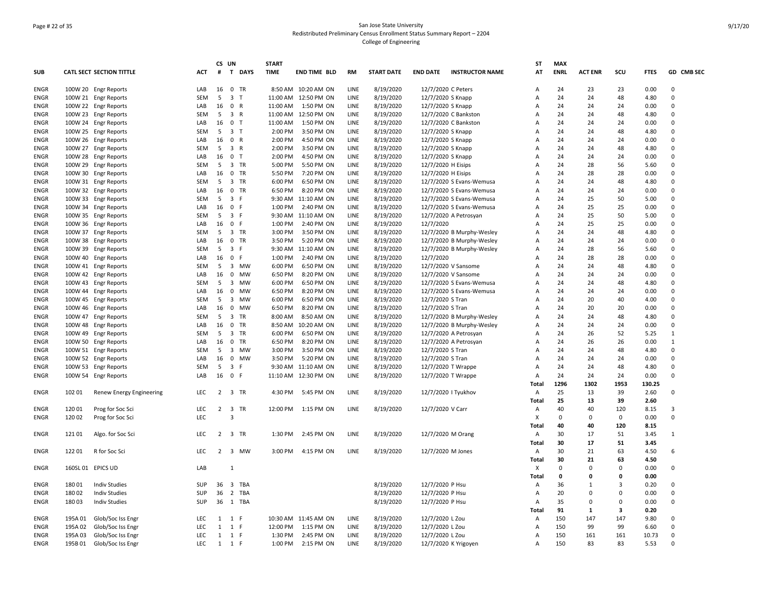# Page # 22 of 35 San Jose State University Redistributed Preliminary Census Enrollment Status Summary Report – 2204 College of Engineering

|             |         |                                              |            | CS UN          |                               | <b>START</b> |                      |      |                   |                    |                           | ST             | <b>MAX</b>  |                |                         |             |               |
|-------------|---------|----------------------------------------------|------------|----------------|-------------------------------|--------------|----------------------|------|-------------------|--------------------|---------------------------|----------------|-------------|----------------|-------------------------|-------------|---------------|
| <b>SUB</b>  |         | <b>CATL SECT SECTION TITTLE</b>              | ACT        | #              | T DAYS                        | <b>TIME</b>  | <b>END TIME BLD</b>  | RM   | <b>START DATE</b> | <b>END DATE</b>    | <b>INSTRUCTOR NAME</b>    | AT             | <b>ENRL</b> | <b>ACT ENR</b> | scu                     | <b>FTES</b> | GD CMB SEC    |
| ENGR        |         | 100W 20 Engr Reports                         | LAB        | 16             | 0 TR                          |              | 8:50 AM 10:20 AM ON  | LINE | 8/19/2020         | 12/7/2020 C Peters |                           | A              | 24          | 23             | 23                      | 0.00        | $\mathbf 0$   |
| ENGR        |         | 100W 21 Engr Reports                         | SEM        | 5              | 3 <sub>T</sub>                |              | 11:00 AM 12:50 PM ON | LINE | 8/19/2020         | 12/7/2020 S Knapp  |                           | Α              | 24          | 24             | 48                      | 4.80        | 0             |
| ENGR        |         | 100W 22 Engr Reports                         | LAB        | 16             | 0 R                           | 11:00 AM     | 1:50 PM ON           | LINE | 8/19/2020         | 12/7/2020 S Knapp  |                           | A              | 24          | 24             | 24                      | 0.00        | $\Omega$      |
| ENGR        |         | 100W 23 Engr Reports                         | <b>SEM</b> | 5              | 3 R                           | 11:00 AM     | 12:50 PM ON          | LINE | 8/19/2020         |                    | 12/7/2020 C Bankston      | A              | 24          | 24             | 48                      | 4.80        | 0             |
| <b>ENGR</b> |         | 100W 24 Engr Reports                         | LAB        | 16             | 0 <sub>T</sub>                | 11:00 AM     | 1:50 PM ON           | LINE | 8/19/2020         |                    | 12/7/2020 C Bankston      | A              | 24          | 24             | 24                      | 0.00        | $\Omega$      |
| <b>ENGR</b> |         | 100W 25 Engr Reports                         | SEM        |                | 5 3 T                         | 2:00 PM      | 3:50 PM ON           | LINE | 8/19/2020         | 12/7/2020 S Knapp  |                           | A              | 24          | 24             | 48                      | 4.80        | $\Omega$      |
| ENGR        |         | 100W 26 Engr Reports                         | LAB        |                | 16 0 R                        | 2:00 PM      | 4:50 PM ON           | LINE | 8/19/2020         | 12/7/2020 S Knapp  |                           | A              | 24          | 24             | 24                      | 0.00        | $\Omega$      |
| <b>ENGR</b> |         | 100W 27 Engr Reports                         | <b>SEM</b> | 5              | 3 R                           | 2:00 PM      | 3:50 PM ON           | LINE | 8/19/2020         | 12/7/2020 S Knapp  |                           | $\overline{A}$ | 24          | 24             | 48                      | 4.80        | $\Omega$      |
| <b>ENGR</b> |         | 100W 28 Engr Reports                         | LAB        | 16             | 0 <sub>T</sub>                | 2:00 PM      | 4:50 PM ON           | LINE | 8/19/2020         | 12/7/2020 S Knapp  |                           | $\overline{A}$ | 24          | 24             | 24                      | 0.00        | $\Omega$      |
| ENGR        |         | 100W 29 Engr Reports                         | SEM        | 5              | 3 TR                          | 5:00 PM      | 5:50 PM ON           | LINE | 8/19/2020         | 12/7/2020 H Eisips |                           | A              | 24          | 28             | 56                      | 5.60        | $\Omega$      |
| <b>ENGR</b> |         | 100W 30 Engr Reports                         | LAB        | 16             | $\mathbf 0$<br>TR             | 5:50 PM      | 7:20 PM ON           | LINE | 8/19/2020         | 12/7/2020 H Eisips |                           | A              | 24          | 28             | 28                      | 0.00        | 0             |
| ENGR        |         | 100W 31 Engr Reports                         | <b>SEM</b> | 5              | 3 TR                          | 6:00 PM      | 6:50 PM ON           | LINE | 8/19/2020         |                    | 12/7/2020 S Evans-Wemusa  | A              | 24          | 24             | 48                      | 4.80        | $\mathbf 0$   |
| <b>ENGR</b> |         | 100W 32 Engr Reports                         | LAB        | 16             | 0 TR                          | 6:50 PM      | 8:20 PM ON           | LINE | 8/19/2020         |                    | 12/7/2020 S Evans-Wemusa  | A              | 24          | 24             | 24                      | 0.00        | 0             |
| ENGR        |         | 100W 33 Engr Reports                         | <b>SEM</b> | 5              | 3 F                           |              | 9:30 AM 11:10 AM ON  | LINE | 8/19/2020         |                    | 12/7/2020 S Evans-Wemusa  | A              | 24          | 25             | 50                      | 5.00        | $\Omega$      |
| ENGR        |         | 100W 34 Engr Reports                         | LAB        | 16             | $\mathbf 0$<br>-F             | 1:00 PM      | 2:40 PM ON           | LINE | 8/19/2020         |                    | 12/7/2020 S Evans-Wemusa  | A              | 24          | 25             | 25                      | 0.00        | $\Omega$      |
| <b>ENGR</b> |         |                                              | <b>SEM</b> | 5              | 3 F                           |              | 9:30 AM 11:10 AM ON  | LINE | 8/19/2020         |                    | 12/7/2020 A Petrosyan     | A              | 24          | 25             | 50                      | 5.00        | $\Omega$      |
|             |         | 100W 35 Engr Reports<br>100W 36 Engr Reports | LAB        | 16             | 0 F                           | 1:00 PM      | 2:40 PM ON           | LINE |                   | 12/7/2020          |                           | A              | 24          | 25             | 25                      | 0.00        | 0             |
| ENGR        |         |                                              |            |                |                               |              |                      |      | 8/19/2020         |                    |                           |                |             |                |                         |             | $\Omega$      |
| <b>ENGR</b> |         | 100W 37 Engr Reports                         | SEM        | 5              | 3 TR                          | 3:00 PM      | 3:50 PM ON           | LINE | 8/19/2020         |                    | 12/7/2020 B Murphy-Wesley | Α              | 24          | 24             | 48                      | 4.80        | $\Omega$      |
| <b>ENGR</b> |         | 100W 38 Engr Reports                         | LAB        | 16             | 0 TR                          | 3:50 PM      | 5:20 PM ON           | LINE | 8/19/2020         |                    | 12/7/2020 B Murphy-Wesley | А              | 24          | 24             | 24                      | 0.00        |               |
| ENGR        |         | 100W 39 Engr Reports                         | <b>SEM</b> | 5              | 3 F                           |              | 9:30 AM 11:10 AM ON  | LINE | 8/19/2020         |                    | 12/7/2020 B Murphy-Wesley | A              | 24          | 28             | 56                      | 5.60        | 0<br>$\Omega$ |
| ENGR        |         | 100W 40 Engr Reports                         | LAB        | 16             | $\mathbf 0$<br>F              | 1:00 PM      | 2:40 PM ON           | LINE | 8/19/2020         | 12/7/2020          |                           | A              | 24          | 28             | 28                      | 0.00        |               |
| ENGR        |         | 100W 41 Engr Reports                         | <b>SEM</b> | 5              | 3 MW                          | 6:00 PM      | 6:50 PM ON           | LINE | 8/19/2020         |                    | 12/7/2020 V Sansome       | A              | 24          | 24             | 48                      | 4.80        | 0             |
| <b>ENGR</b> |         | 100W 42 Engr Reports                         | LAB        | 16             | 0 MW                          | 6:50 PM      | 8:20 PM ON           | LINE | 8/19/2020         |                    | 12/7/2020 V Sansome       | A              | 24          | 24             | 24                      | 0.00        | $\Omega$      |
| ENGR        |         | 100W 43 Engr Reports                         | SEM        | 5              | 3<br>MW                       | 6:00 PM      | 6:50 PM ON           | LINE | 8/19/2020         |                    | 12/7/2020 S Evans-Wemusa  | A              | 24          | 24             | 48                      | 4.80        | 0             |
| ENGR        |         | 100W 44 Engr Reports                         | LAB        | 16             | $\mathbf 0$<br>MW             | 6:50 PM      | 8:20 PM ON           | LINE | 8/19/2020         |                    | 12/7/2020 S Evans-Wemusa  | Α              | 24          | 24             | 24                      | 0.00        | $\Omega$      |
| <b>ENGR</b> |         | 100W 45 Engr Reports                         | <b>SEM</b> | 5              | $\overline{3}$<br><b>MW</b>   | 6:00 PM      | 6:50 PM ON           | LINE | 8/19/2020         | 12/7/2020 S Tran   |                           | A              | 24          | 20             | 40                      | 4.00        | $\Omega$      |
| <b>ENGR</b> |         | 100W 46 Engr Reports                         | LAB        | 16             | $\mathbf 0$<br><b>MW</b>      | 6:50 PM      | 8:20 PM ON           | LINE | 8/19/2020         | 12/7/2020 S Tran   |                           | Α              | 24          | 20             | 20                      | 0.00        | 0             |
| ENGR        |         | 100W 47 Engr Reports                         | SEM        | 5              | 3<br>TR                       | 8:00 AM      | 8:50 AM ON           | LINE | 8/19/2020         |                    | 12/7/2020 B Murphy-Wesley | A              | 24          | 24             | 48                      | 4.80        | $\Omega$      |
| <b>ENGR</b> |         | 100W 48 Engr Reports                         | LAB        | 16             | $\mathbf 0$<br>TR             | 8:50 AM      | 10:20 AM ON          | LINE | 8/19/2020         |                    | 12/7/2020 B Murphy-Wesley | A              | 24          | 24             | 24                      | 0.00        | 0             |
| <b>ENGR</b> |         | 100W 49 Engr Reports                         | <b>SEM</b> | 5              | $\overline{3}$<br>TR          | 6:00 PM      | 6:50 PM ON           | LINE | 8/19/2020         |                    | 12/7/2020 A Petrosyan     | A              | 24          | 26             | 52                      | 5.25        | $\mathbf{1}$  |
| ENGR        |         | 100W 50 Engr Reports                         | LAB        | 16             | $\mathbf 0$<br>TR             | 6:50 PM      | 8:20 PM ON           | LINE | 8/19/2020         |                    | 12/7/2020 A Petrosyan     | A              | 24          | 26             | 26                      | 0.00        | $\mathbf{1}$  |
| ENGR        |         | 100W 51 Engr Reports                         | <b>SEM</b> | 5              | 3 MW                          | 3:00 PM      | 3:50 PM ON           | LINE | 8/19/2020         | 12/7/2020 S Tran   |                           | A              | 24          | 24             | 48                      | 4.80        | 0             |
| <b>ENGR</b> |         | 100W 52 Engr Reports                         | LAB        | 16             | 0<br>MW                       | 3:50 PM      | 5:20 PM ON           | LINE | 8/19/2020         | 12/7/2020 S Tran   |                           | $\overline{A}$ | 24          | 24             | 24                      | 0.00        | $\Omega$      |
| <b>ENGR</b> |         | 100W 53 Engr Reports                         | <b>SEM</b> | 5              | $\overline{3}$<br>F           |              | 9:30 AM 11:10 AM ON  | LINE | 8/19/2020         |                    | 12/7/2020 T Wrappe        | Α              | 24          | 24             | 48                      | 4.80        | $\Omega$      |
| ENGR        |         | 100W 54 Engr Reports                         | LAB        |                | 16 0 F                        |              | 11:10 AM 12:30 PM ON | LINE | 8/19/2020         |                    | 12/7/2020 T Wrappe        | A              | 24          | 24             | 24                      | 0.00        | $\Omega$      |
|             |         |                                              |            |                |                               |              |                      |      |                   |                    |                           | Total          | 1296        | 1302           | 1953                    | 130.25      |               |
| <b>ENGR</b> | 102 01  | Renew Energy Engineering                     | <b>LEC</b> | 2              | $\overline{\mathbf{3}}$<br>TR | 4:30 PM      | 5:45 PM ON           | LINE | 8/19/2020         |                    | 12/7/2020   Tyukhov       | Α              | 25          | 13             | 39                      | 2.60        | $\mathbf 0$   |
|             |         |                                              |            |                |                               |              |                      |      |                   |                    |                           | Total          | 25          | 13             | 39                      | 2.60        |               |
| <b>ENGR</b> | 120 01  | Prog for Soc Sci                             | <b>LEC</b> | $\overline{2}$ | $\overline{\mathbf{3}}$<br>TR |              | 12:00 PM 1:15 PM ON  | LINE | 8/19/2020         | 12/7/2020 V Carr   |                           | A              | 40          | 40             | 120                     | 8.15        | 3             |
| <b>ENGR</b> | 120 02  | Prog for Soc Sci                             | LEC        |                | 3                             |              |                      |      |                   |                    |                           | X              | 0           | $\Omega$       | $\mathbf 0$             | 0.00        | $\Omega$      |
|             |         |                                              |            |                |                               |              |                      |      |                   |                    |                           | Total          | 40          | 40             | 120                     | 8.15        |               |
| ENGR        | 121 01  | Algo. for Soc Sci                            | <b>LEC</b> |                | 2 3 TR                        | 1:30 PM      | 2:45 PM ON           | LINE | 8/19/2020         | 12/7/2020 M Orang  |                           | A              | 30          | 17             | 51                      | 3.45        | 1             |
|             |         |                                              |            |                |                               |              |                      |      |                   |                    |                           | Total          | 30          | 17             | 51                      | 3.45        |               |
| <b>ENGR</b> | 12201   | R for Soc Sci                                | <b>LEC</b> | $\overline{2}$ | $\overline{3}$<br><b>MW</b>   | 3:00 PM      | 4:15 PM ON           | LINE | 8/19/2020         | 12/7/2020 M Jones  |                           | $\overline{A}$ | 30          | 21             | 63                      | 4.50        | 6             |
|             |         |                                              |            |                |                               |              |                      |      |                   |                    |                           | <b>Total</b>   | 30          | 21             | 63                      | 4.50        |               |
| ENGR        |         | 160SL 01 EPICS UD                            | LAB        |                | $\mathbf{1}$                  |              |                      |      |                   |                    |                           | х              | 0           | $\Omega$       | 0                       | 0.00        | $\Omega$      |
|             |         |                                              |            |                |                               |              |                      |      |                   |                    |                           | Total          | 0           | $\Omega$       | $\mathbf 0$             | 0.00        |               |
| <b>ENGR</b> | 180 01  | <b>Indiv Studies</b>                         | SUP        | 36             | 3 TBA                         |              |                      |      | 8/19/2020         | 12/7/2020 P Hsu    |                           | Α              | 36          | $\mathbf{1}$   | 3                       | 0.20        | $\Omega$      |
| ENGR        | 180 02  | <b>Indiv Studies</b>                         | <b>SUP</b> | 36             | $\overline{2}$<br>TBA         |              |                      |      | 8/19/2020         | 12/7/2020 P Hsu    |                           | Α              | 20          | 0              | $\mathbf 0$             | 0.00        | $\mathsf 0$   |
| ENGR        | 180 03  | <b>Indiv Studies</b>                         | SUP        | 36             | 1 TBA                         |              |                      |      | 8/19/2020         | 12/7/2020 P Hsu    |                           | A              | 35          | $\Omega$       | $\mathbf 0$             | 0.00        | $\Omega$      |
|             |         |                                              |            |                |                               |              |                      |      |                   |                    |                           | Total          | 91          | 1              | $\overline{\mathbf{3}}$ | 0.20        |               |
| <b>ENGR</b> | 195A 01 | Glob/Soc Iss Engr                            | LEC        |                | $1 \quad 1 \quad F$           |              | 10:30 AM 11:45 AM ON | LINE | 8/19/2020         | 12/7/2020 L Zou    |                           | Α              | 150         | 147            | 147                     | 9.80        | $\mathbf 0$   |
| ENGR        | 195A 02 | Glob/Soc Iss Engr                            | <b>LEC</b> | 1              | 1 F                           | 12:00 PM     | 1:15 PM ON           | LINE | 8/19/2020         | 12/7/2020 L Zou    |                           | A              | 150         | 99             | 99                      | 6.60        | 0             |
| <b>ENGR</b> | 195A03  | Glob/Soc Iss Engr                            | <b>LEC</b> |                | 1 1 F                         | 1:30 PM      | 2:45 PM ON           | LINE | 8/19/2020         | 12/7/2020 L Zou    |                           | A              | 150         | 161            | 161                     | 10.73       | $\Omega$      |
| <b>ENGR</b> | 195B01  | Glob/Soc Iss Engr                            | <b>LEC</b> |                | 1 1 F                         | 1:00 PM      | 2:15 PM ON           | LINE | 8/19/2020         |                    |                           | A              | 150         | 83             | 83                      | 5.53        | $\Omega$      |
|             |         |                                              |            |                |                               |              |                      |      |                   |                    | 12/7/2020 K Yrigoyen      |                |             |                |                         |             |               |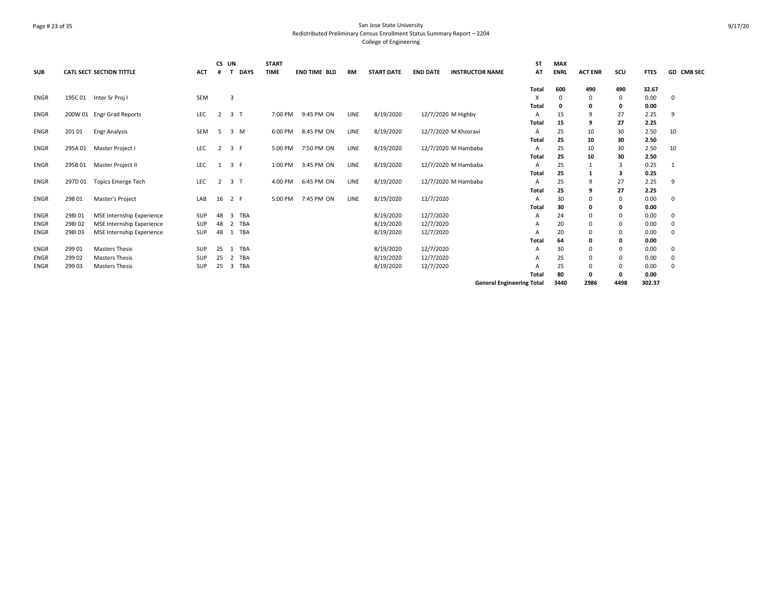# Page # 23 of 35 San Jose State University Redistributed Preliminary Census Enrollment Status Summary Report – 2204 College of Engineering

|             |         |                                  |            | CS UN          |                       | <b>START</b> |                     |           |                   |                 |                                  | <b>ST</b> | <b>MAX</b>  |                |          |             |            |
|-------------|---------|----------------------------------|------------|----------------|-----------------------|--------------|---------------------|-----------|-------------------|-----------------|----------------------------------|-----------|-------------|----------------|----------|-------------|------------|
| <b>SUB</b>  |         | <b>CATL SECT SECTION TITTLE</b>  | <b>ACT</b> |                | <b>DAYS</b>           | <b>TIME</b>  | <b>END TIME BLD</b> | <b>RM</b> | <b>START DATE</b> | <b>END DATE</b> | <b>INSTRUCTOR NAME</b>           | AT        | <b>ENRL</b> | <b>ACT ENR</b> | SCU      | <b>FTES</b> | GD CMB SEC |
|             |         |                                  |            |                |                       |              |                     |           |                   |                 |                                  | Total     | 600         | 490            | 490      | 32.67       |            |
| <b>ENGR</b> | 195C 01 | Inter Sr Proj I                  | SEM        |                | 3                     |              |                     |           |                   |                 |                                  | x         |             | $\Omega$       | 0        | 0.00        | 0          |
|             |         |                                  |            |                |                       |              |                     |           |                   |                 |                                  | Total     | $\Omega$    | 0              | 0        | 0.00        |            |
| ENGR        |         | 200W 01 Engr Grad Reports        | LEC        | 2              | 3 <sub>1</sub>        | 7:00 PM      | 9:45 PM ON          | LINE      | 8/19/2020         |                 | 12/7/2020 M Highby               | A         | 15          | 9              | 27       | 2.25        | 9          |
|             |         |                                  |            |                |                       |              |                     |           |                   |                 |                                  | Total     | 15          | 9              | 27       | 2.25        |            |
| <b>ENGR</b> | 201 01  | <b>Engr Analysis</b>             | <b>SEM</b> | 5              | 3 M                   | 6:00 PM      | 8:45 PM ON          | LINE      | 8/19/2020         |                 | 12/7/2020 M Khosravi             | A         | 25          | 10             | 30       | 2.50        | 10         |
|             |         |                                  |            |                |                       |              |                     |           |                   |                 |                                  | Total     | 25          | 10             | 30       | 2.50        |            |
| <b>ENGR</b> | 295A 01 | Master Project I                 | <b>LEC</b> | $\overline{2}$ | 3 F                   | 5:00 PM      | 7:50 PM ON          | LINE      | 8/19/2020         |                 | 12/7/2020 M Hambaba              | A         | 25          | 10             | 30       | 2.50        | 10         |
|             |         |                                  |            |                |                       |              |                     |           |                   |                 |                                  | Total     | 25          | 10             | 30       | 2.50        |            |
| <b>ENGR</b> | 295B01  | Master Project II                | LEC        | 1              | 3 F                   | 1:00 PM      | 3:45 PM ON          | LINE      | 8/19/2020         |                 | 12/7/2020 M Hambaba              | A         | 25          | $\mathbf{1}$   | 3        | 0.25        | 1          |
|             |         |                                  |            |                |                       |              |                     |           |                   |                 |                                  | Total     | 25          |                | з        | 0.25        |            |
| ENGR        | 297D 01 | <b>Topics Emerge Tech</b>        | <b>LEC</b> | $\overline{2}$ | 3 <sub>T</sub>        | 4:00 PM      | 6:45 PM ON          | LINE      | 8/19/2020         |                 | 12/7/2020 M Hambaba              | A         | 25          | 9              | 27       | 2.25        | 9          |
|             |         |                                  |            |                |                       |              |                     |           |                   |                 |                                  | Total     | 25          | 9              | 27       | 2.25        |            |
| ENGR        | 298 01  | Master's Project                 | LAB        | 16             | 2 F                   | 5:00 PM      | 7:45 PM ON          | LINE      | 8/19/2020         | 12/7/2020       |                                  | Α         | 30          | $\Omega$       | 0        | 0.00        | 0          |
|             |         |                                  |            |                |                       |              |                     |           |                   |                 |                                  | Total     | 30          | 0              | 0        | 0.00        |            |
| <b>ENGR</b> | 298101  | <b>MSE Internship Experience</b> | <b>SUP</b> | 48             | TBA<br>$\overline{3}$ |              |                     |           | 8/19/2020         | 12/7/2020       |                                  | Α         | 24          | 0              | $\Omega$ | 0.00        | 0          |
| <b>ENGR</b> | 298102  | <b>MSE Internship Experience</b> | SUP        | 48             | TBA<br>$\overline{2}$ |              |                     |           | 8/19/2020         | 12/7/2020       |                                  | Α         | 20          | 0              | $\Omega$ | 0.00        | 0          |
| <b>ENGR</b> | 298103  | MSE Internship Experience        | SUP        | 48             | TBA<br>1              |              |                     |           | 8/19/2020         | 12/7/2020       |                                  |           | 20          | $\Omega$       | 0        | 0.00        | $\Omega$   |
|             |         |                                  |            |                |                       |              |                     |           |                   |                 |                                  | Total     | 64          | 0              | 0        | 0.00        |            |
| <b>ENGR</b> | 29901   | <b>Masters Thesis</b>            | <b>SUP</b> | 25             | TBA<br>1              |              |                     |           | 8/19/2020         | 12/7/2020       |                                  | Α         | 30          | 0              | 0        | 0.00        | 0          |
| <b>ENGR</b> | 29902   | <b>Masters Thesis</b>            | <b>SUP</b> | 25             | 2 TBA                 |              |                     |           | 8/19/2020         | 12/7/2020       |                                  | A         | 25          | $\Omega$       | $\Omega$ | 0.00        | 0          |
| <b>ENGR</b> | 299 03  | <b>Masters Thesis</b>            | <b>SUP</b> | 25             | TBA<br>3              |              |                     |           | 8/19/2020         | 12/7/2020       |                                  |           | 25          | 0              | $\Omega$ | 0.00        | $\Omega$   |
|             |         |                                  |            |                |                       |              |                     |           |                   |                 |                                  | Total     | 80          | 0              | 0        | 0.00        |            |
|             |         |                                  |            |                |                       |              |                     |           |                   |                 | <b>General Engineering Total</b> |           | 3440        | 2986           | 4498     | 302.37      |            |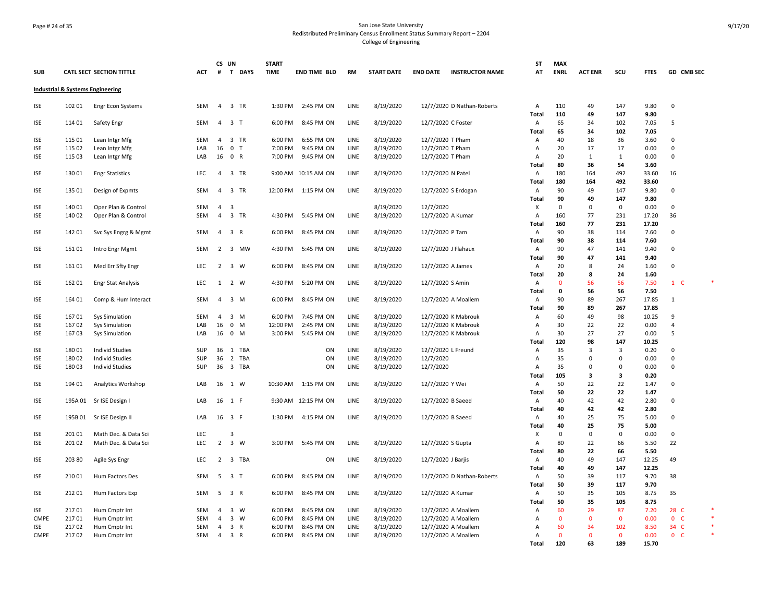# Page # 24 of 35 San Jose State University Redistributed Preliminary Census Enrollment Status Summary Report – 2204 College of Engineering

| <b>SUB</b>  |        | <b>CATL SECT SECTION TITTLE</b>             | <b>ACT</b> | #              | CS UN<br>T DAYS         | <b>START</b><br><b>TIME</b> | <b>END TIME BLD</b> | <b>RM</b>   | <b>START DATE</b> | <b>END DATE</b>    | <b>INSTRUCTOR NAME</b>     | ST<br>AT                  | <b>MAX</b><br><b>ENRL</b> | <b>ACT ENR</b> | SCU          | <b>FTES</b>  | GD CMB SEC     |         |
|-------------|--------|---------------------------------------------|------------|----------------|-------------------------|-----------------------------|---------------------|-------------|-------------------|--------------------|----------------------------|---------------------------|---------------------------|----------------|--------------|--------------|----------------|---------|
|             |        | <b>Industrial &amp; Systems Engineering</b> |            |                |                         |                             |                     |             |                   |                    |                            |                           |                           |                |              |              |                |         |
| ISE         | 102 01 | <b>Engr Econ Systems</b>                    | SEM        |                | 4 3 TR                  | 1:30 PM                     | 2:45 PM ON          | LINE        | 8/19/2020         |                    | 12/7/2020 D Nathan-Roberts | Α<br>Total                | 110<br>110                | 49<br>49       | 147<br>147   | 9.80<br>9.80 | $\mathbf 0$    |         |
| ISE         | 114 01 | Safety Engr                                 | SEM        |                | 4 3 T                   | 6:00 PM                     | 8:45 PM ON          | LINE        | 8/19/2020         |                    | 12/7/2020 C Foster         | $\mathsf{A}$              | 65                        | 34             | 102          | 7.05         | 5              |         |
|             |        |                                             |            |                |                         |                             |                     |             |                   |                    |                            | Total                     | 65                        | 34             | 102          | 7.05         |                |         |
| ISE         | 115 01 | Lean Intgr Mfg                              | SEM        | $\overline{4}$ | 3 TR                    | 6:00 PM                     | 6:55 PM ON          | LINE        | 8/19/2020         | 12/7/2020 T Pham   |                            | $\mathsf{A}$              | 40                        | 18             | 36           | 3.60         | 0              |         |
| <b>ISE</b>  | 115 02 | Lean Intgr Mfg                              | LAB        | 16             | 0 <sub>T</sub>          | 7:00 PM                     | 9:45 PM ON          | LINE        | 8/19/2020         | 12/7/2020 T Pham   |                            | A                         | 20                        | 17             | 17           | 0.00         | $\mathsf 0$    |         |
| ISE         | 115 03 | Lean Intgr Mfg                              | LAB        |                | 16 0 R                  | 7:00 PM                     | 9:45 PM ON          | LINE        | 8/19/2020         | 12/7/2020 T Pham   |                            | A                         | 20                        | 1              | 1            | 0.00         | $\mathbf 0$    |         |
|             |        |                                             |            |                |                         |                             |                     |             |                   |                    |                            | Total                     | 80                        | 36             | 54           | 3.60         |                |         |
| ISE         | 130 01 | <b>Engr Statistics</b>                      | LEC        | $\overline{4}$ | 3 TR                    |                             | 9:00 AM 10:15 AM ON | LINE        | 8/19/2020         | 12/7/2020 N Patel  |                            | A                         | 180                       | 164            | 492          | 33.60        | 16             |         |
|             |        |                                             |            |                |                         |                             |                     |             |                   |                    |                            | Total                     | 180                       | 164            | 492          | 33.60        |                |         |
| <b>ISE</b>  | 135 01 | Design of Expmts                            | SEM        |                | 4 3 TR                  |                             | 12:00 PM 1:15 PM ON | LINE        | 8/19/2020         |                    | 12/7/2020 S Erdogan        | A                         | 90                        | 49             | 147          | 9.80         | $\mathbf 0$    |         |
|             |        |                                             |            |                |                         |                             |                     |             |                   |                    |                            | Total                     | 90                        | 49             | 147          | 9.80         |                |         |
| <b>ISE</b>  | 140 01 | Oper Plan & Control                         | SEM        | $\overline{4}$ | $\overline{\mathbf{3}}$ |                             |                     |             | 8/19/2020         | 12/7/2020          |                            | $\boldsymbol{\mathsf{x}}$ | $\mathbf 0$               | $\Omega$       | 0            | 0.00         | 0              |         |
| ISE         | 140 02 | Oper Plan & Control                         | SEM        | $\overline{4}$ | 3 TR                    | 4:30 PM                     | 5:45 PM ON          | LINE        | 8/19/2020         |                    | 12/7/2020 A Kumar          | $\overline{A}$            | 160                       | 77             | 231          | 17.20        | 36             |         |
|             |        |                                             |            |                |                         |                             |                     |             |                   |                    |                            | Total                     | 160                       | 77             | 231          | 17.20        |                |         |
| ISE         | 14201  | Svc Sys Engrg & Mgmt                        | SEM        | $\overline{4}$ | 3 R                     | 6:00 PM                     | 8:45 PM ON          | LINE        | 8/19/2020         | 12/7/2020 P Tam    |                            | A                         | 90                        | 38             | 114          | 7.60         | $\mathbf 0$    |         |
|             |        |                                             |            |                |                         |                             |                     |             |                   |                    |                            | Total                     | 90                        | 38             | 114          | 7.60         |                |         |
| ISE         | 15101  | Intro Engr Mgmt                             | SEM        |                | 2 3 MW                  | 4:30 PM                     | 5:45 PM ON          | LINE        | 8/19/2020         |                    | 12/7/2020 J Flahaux        | $\overline{A}$            | 90                        | 47             | 141          | 9.40         | $\Omega$       |         |
|             |        |                                             |            |                |                         |                             |                     |             |                   |                    |                            | <b>Total</b>              | 90                        | 47             | 141          | 9.40         |                |         |
| <b>ISE</b>  | 161 01 | Med Err Sfty Engr                           | <b>LEC</b> |                | 2 3 W                   | 6:00 PM                     | 8:45 PM ON          | LINE        | 8/19/2020         |                    | 12/7/2020 A James          | $\overline{A}$            | 20                        | 8              | 24           | 1.60         | $\mathbf 0$    |         |
|             |        |                                             |            |                |                         |                             |                     |             |                   |                    |                            | Total                     | 20                        | 8              | 24           | 1.60         |                |         |
| ISE         | 162 01 | <b>Engr Stat Analysis</b>                   | <b>LEC</b> |                | 1 2 W                   | 4:30 PM                     | 5:20 PM ON          | LINE        | 8/19/2020         | 12/7/2020 S Amin   |                            | A                         | $\mathbf{0}$              | 56             | 56           | 7.50         | $1\quad C$     |         |
|             |        |                                             |            |                |                         |                             |                     |             |                   |                    |                            | Total                     | 0                         | 56             | 56           | 7.50         |                |         |
| ISE         | 164 01 | Comp & Hum Interact                         | SEM        | $\overline{4}$ | 3 M                     | 6:00 PM                     | 8:45 PM ON          | LINE        | 8/19/2020         |                    | 12/7/2020 A Moallem        | Α                         | 90                        | 89             | 267          | 17.85        | $\mathbf{1}$   |         |
|             |        |                                             |            |                |                         |                             |                     |             |                   |                    |                            | Total                     | 90                        | 89             | 267          | 17.85        |                |         |
| ISE         | 16701  | <b>Sys Simulation</b>                       | SEM        | $\overline{4}$ | 3 M                     | 6:00 PM                     | 7:45 PM ON          | LINE        | 8/19/2020         |                    | 12/7/2020 K Mabrouk        | A                         | 60                        | 49             | 98           | 10.25        | 9              |         |
| <b>ISE</b>  | 16702  | <b>Sys Simulation</b>                       | LAB        | 16             | $\overline{0}$<br>M     | 12:00 PM                    | 2:45 PM ON          | <b>LINE</b> | 8/19/2020         |                    | 12/7/2020 K Mabrouk        | $\overline{A}$            | 30                        | 22             | 22           | 0.00         | $\overline{4}$ |         |
| ISE         | 16703  | <b>Sys Simulation</b>                       | LAB        |                | 16 0 M                  | 3:00 PM                     | 5:45 PM ON          | LINE        | 8/19/2020         |                    | 12/7/2020 K Mabrouk        | Α                         | 30                        | 27             | 27           | 0.00         | 5              |         |
|             |        |                                             |            |                |                         |                             |                     |             |                   |                    |                            | Total                     | 120                       | 98             | 147          | 10.25        |                |         |
| ISE         | 180 01 | <b>Individ Studies</b>                      | SUP        | 36             | 1 TBA                   |                             | ON                  | LINE        | 8/19/2020         |                    | 12/7/2020 L Freund         | Α                         | 35                        | 3              | 3            | 0.20         | 0              |         |
| <b>ISE</b>  | 180 02 | <b>Individ Studies</b>                      | SUP        | 36             | $\overline{2}$<br>TBA   |                             | ON                  | LINE        | 8/19/2020         | 12/7/2020          |                            | Α                         | 35                        | $\Omega$       | 0            | 0.00         | $\mathbf 0$    |         |
| ISE         | 18003  | <b>Individ Studies</b>                      | SUP        | 36             | 3 TBA                   |                             | ON                  | LINE        | 8/19/2020         | 12/7/2020          |                            | A                         | 35                        | $\Omega$       | $\mathbf 0$  | 0.00         | $\Omega$       |         |
|             |        |                                             |            |                |                         |                             |                     |             |                   |                    |                            | Total                     | 105                       | 3              | з            | 0.20         |                |         |
| ISE         | 194 01 | Analytics Workshop                          | LAB        | 16             | 1 W                     | 10:30 AM                    | 1:15 PM ON          | LINE        | 8/19/2020         | 12/7/2020 Y Wei    |                            | A                         | 50                        | 22             | 22           | 1.47         | $\mathbf 0$    |         |
|             |        |                                             |            |                |                         |                             |                     |             |                   |                    |                            | <b>Total</b>              | 50                        | 22             | 22           | 1.47         |                |         |
| ISE         |        | 195A 01 Sr ISE Design I                     | LAB        |                | 16 1 F                  |                             | 9:30 AM 12:15 PM ON | LINE        | 8/19/2020         |                    | 12/7/2020 B Saeed          | A                         | 40                        | 42             | 42           | 2.80         | $\Omega$       |         |
|             |        |                                             |            |                |                         |                             |                     |             |                   |                    |                            | <b>Total</b>              | 40                        | 42             | 42           | 2.80         |                |         |
| <b>ISE</b>  | 195B01 | Sr ISE Design II                            | LAB        |                | 16 3 F                  | 1:30 PM                     | 4:15 PM ON          | LINE        | 8/19/2020         |                    | 12/7/2020 B Saeed          | A                         | 40                        | 25             | 75           | 5.00         | 0              |         |
|             |        |                                             |            |                |                         |                             |                     |             |                   |                    |                            | Total                     | 40                        | 25             | 75           | 5.00         |                |         |
| <b>ISE</b>  | 201 01 | Math Dec. & Data Sci                        | <b>LEC</b> |                | 3                       |                             |                     |             |                   |                    |                            | X                         | 0                         | $\mathbf 0$    | 0            | 0.00         | 0              |         |
| ISE         | 201 02 | Math Dec. & Data Sci                        | <b>LEC</b> | $\overline{2}$ | 3 W                     | 3:00 PM                     | 5:45 PM ON          | LINE        | 8/19/2020         | 12/7/2020 S Gupta  |                            | A                         | 80                        | 22             | 66           | 5.50         | 22             |         |
|             |        |                                             |            |                |                         |                             |                     |             |                   |                    |                            | Total                     | 80                        | 22             | 66           | 5.50         |                |         |
| ISE         | 203 80 | Agile Sys Engr                              | <b>LEC</b> |                | 2 3 TBA                 |                             | ON                  | LINE        | 8/19/2020         | 12/7/2020 J Barjis |                            | A                         | 40                        | 49             | 147          | 12.25        | 49             |         |
|             |        |                                             |            |                |                         |                             |                     |             |                   |                    |                            | Total                     | 40                        | 49             | 147          | 12.25        |                |         |
| ISE         | 210 01 | Hum Factors Des                             | SEM        |                | 5 3 T                   | 6:00 PM                     | 8:45 PM ON          | LINE        | 8/19/2020         |                    | 12/7/2020 D Nathan-Roberts | A                         | 50                        | 39             | 117          | 9.70         | 38             |         |
|             |        |                                             |            |                |                         |                             |                     |             |                   |                    |                            | Total                     | 50                        | 39             | 117          | 9.70         |                |         |
| ISE         | 21201  | Hum Factors Exp                             | SEM        |                | 5 3 R                   | 6:00 PM                     | 8:45 PM ON          | LINE        | 8/19/2020         |                    | 12/7/2020 A Kumar          | A                         | 50                        | 35             | 105          | 8.75         | 35             |         |
|             |        |                                             |            |                |                         |                             |                     |             |                   |                    |                            | Total                     | 50                        | 35             | 105          | 8.75         |                |         |
| ISE         | 21701  | Hum Cmptr Int                               | SEM        | $\overline{4}$ | 3 W                     | 6:00 PM                     | 8:45 PM ON          | LINE        | 8/19/2020         |                    | 12/7/2020 A Moallem        | A                         | 60                        | 29             | 87           | 7.20         | 28 C           |         |
| <b>CMPE</b> | 21701  | Hum Cmptr Int                               | SEM        | $\overline{4}$ | $3 \quad W$             | 6:00 PM                     | 8:45 PM ON          | LINE        | 8/19/2020         |                    | 12/7/2020 A Moallem        | $\overline{A}$            | $\mathbf{0}$              | $\mathbf{0}$   | $\mathbf{0}$ | 0.00         | 0 <sub>c</sub> | $\ast$  |
| ISE         | 21702  | Hum Cmptr Int                               | SEM        | 4              | 3 R                     | 6:00 PM                     | 8:45 PM ON          | LINE        | 8/19/2020         |                    | 12/7/2020 A Moallem        | Α                         | 60                        | 34             | 102          | 8.50         | 34 C           | $\ast$  |
| <b>CMPE</b> | 21702  | Hum Cmptr Int                               | SEM        |                | 4 3 R                   | 6:00 PM                     | 8:45 PM ON          | LINE        | 8/19/2020         |                    | 12/7/2020 A Moallem        | A                         | $\mathbf{0}$              | $\mathbf{0}$   | $\mathbf 0$  | 0.00         | 0 <sub>c</sub> | $\star$ |
|             |        |                                             |            |                |                         |                             |                     |             |                   |                    |                            | Total                     | 120                       | 63             | 189          | 15.70        |                |         |
|             |        |                                             |            |                |                         |                             |                     |             |                   |                    |                            |                           |                           |                |              |              |                |         |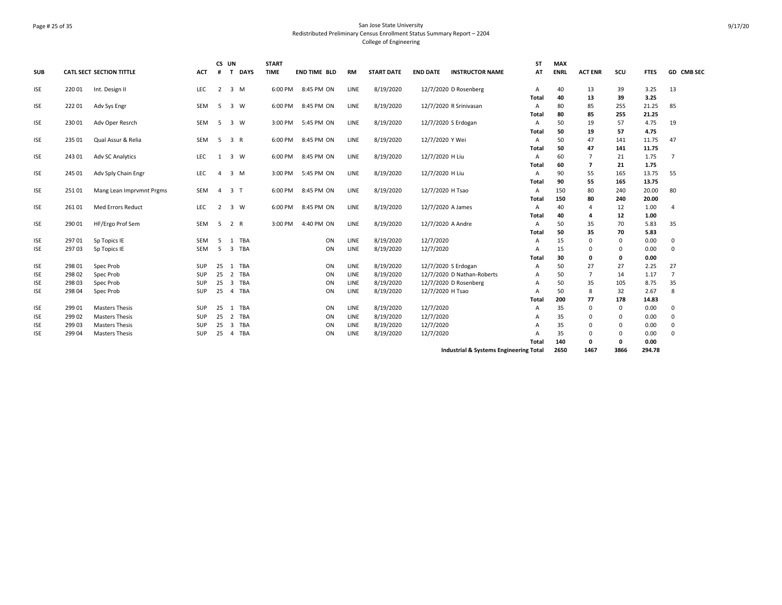### Page # 25 of 35 San Jose State University Redistributed Preliminary Census Enrollment Status Summary Report – 2204 College of Engineering

| <b>SUB</b> |        | <b>CATL SECT SECTION TITTLE</b> | <b>ACT</b> | CS UN<br>$#$ T | <b>DAYS</b>         | <b>START</b><br><b>TIME</b> | <b>END TIME BLD</b> | <b>RM</b> | <b>START DATE</b> | <b>END DATE</b>        | <b>INSTRUCTOR NAME</b>                 | <b>ST</b><br>AT | <b>MAX</b><br><b>ENRL</b> | <b>ACT ENR</b> | scu         | <b>FTES</b> | <b>GD CMB SEC</b> |
|------------|--------|---------------------------------|------------|----------------|---------------------|-----------------------------|---------------------|-----------|-------------------|------------------------|----------------------------------------|-----------------|---------------------------|----------------|-------------|-------------|-------------------|
| <b>ISE</b> | 220 01 | Int. Design II                  | LEC        | 2              | 3 M                 | 6:00 PM                     | 8:45 PM ON          | LINE      | 8/19/2020         | 12/7/2020 D Rosenberg  |                                        | Α               | 40                        | 13             | 39          | 3.25        | 13                |
|            |        |                                 |            |                |                     |                             |                     |           |                   |                        |                                        | Total           | 40                        | 13             | 39          | 3.25        |                   |
| <b>ISE</b> | 22201  | Adv Sys Engr                    | SEM        | - 5            | 3 W                 | 6:00 PM                     | 8:45 PM ON          | LINE      | 8/19/2020         | 12/7/2020 R Srinivasan |                                        | Α               | 80                        | 85             | 255         | 21.25       | 85                |
|            |        |                                 |            |                |                     |                             |                     |           |                   |                        |                                        | Total           | 80                        | 85             | 255         | 21.25       |                   |
| <b>ISE</b> | 230 01 | Adv Oper Resrch                 | SEM        | -5             | 3 W                 | 3:00 PM                     | 5:45 PM ON          | LINE      | 8/19/2020         | 12/7/2020 S Erdogan    |                                        | A               | 50                        | 19             | 57          | 4.75        | 19                |
|            |        |                                 |            |                |                     |                             |                     |           |                   |                        |                                        | Total           | 50                        | 19             | 57          | 4.75        |                   |
| <b>ISE</b> | 235 01 | Qual Assur & Relia              | <b>SEM</b> | - 5            | 3 R                 | 6:00 PM                     | 8:45 PM ON          | LINE      | 8/19/2020         | 12/7/2020 Y Wei        |                                        | A               | 50                        | 47             | 141         | 11.75       | 47                |
|            |        |                                 |            |                |                     |                             |                     |           |                   |                        |                                        | Total           | 50                        | 47             | 141         | 11.75       |                   |
| <b>ISE</b> | 243 01 | <b>Adv SC Analytics</b>         | LEC        | 1              | $\overline{3}$<br>W | 6:00 PM                     | 8:45 PM ON          | LINE      | 8/19/2020         | 12/7/2020 H Liu        |                                        | Α               | 60                        | $\overline{7}$ | 21          | 1.75        | $\overline{7}$    |
|            |        |                                 |            |                |                     |                             |                     |           |                   |                        |                                        | Total           | 60                        | $\overline{7}$ | 21          | 1.75        |                   |
| <b>ISE</b> | 245 01 | Adv Sply Chain Engr             | <b>LEC</b> | 4              | 3 M                 | 3:00 PM                     | 5:45 PM ON          | LINE      | 8/19/2020         | 12/7/2020 H Liu        |                                        | A               | 90                        | 55             | 165         | 13.75       | 55                |
|            |        |                                 |            |                |                     |                             |                     |           |                   |                        |                                        | Total           | 90                        | 55             | 165         | 13.75       |                   |
| <b>ISE</b> | 25101  | Mang Lean Imprvmnt Prgms        | SEM        | $\overline{4}$ | 3 <sub>T</sub>      | 6:00 PM                     | 8:45 PM ON          | LINE      | 8/19/2020         | 12/7/2020 H Tsao       |                                        | A               | 150                       | 80             | 240         | 20.00       | 80                |
|            |        |                                 |            |                |                     |                             |                     |           |                   |                        |                                        | Total           | 150                       | 80             | 240         | 20.00       |                   |
| <b>ISE</b> | 261 01 | Med Errors Reduct               | <b>LEC</b> | 2              | $3 \quad W$         | 6:00 PM                     | 8:45 PM ON          | LINE      | 8/19/2020         | 12/7/2020 A James      |                                        | A               | 40                        | $\overline{4}$ | 12          | 1.00        | 4                 |
|            |        |                                 |            |                |                     |                             |                     |           |                   |                        |                                        | Total           | 40                        | 4              | 12          | 1.00        |                   |
| <b>ISE</b> | 290 01 | HF/Ergo Prof Sem                | SEM        | - 5            | 2 R                 | 3:00 PM                     | 4:40 PM ON          | LINE      | 8/19/2020         | 12/7/2020 A Andre      |                                        | Α               | 50                        | 35             | 70          | 5.83        | 35                |
|            |        |                                 |            |                |                     |                             |                     |           |                   |                        |                                        | Total           | 50                        | 35             | 70          | 5.83        |                   |
| <b>ISE</b> | 29701  | Sp Topics IE                    | <b>SEM</b> | -5             | <b>TBA</b><br>1     |                             | ON                  | LINE      | 8/19/2020         | 12/7/2020              |                                        | Α               | 15                        | $\Omega$       | 0           | 0.00        | 0                 |
| <b>ISE</b> | 29703  | Sp Topics IE                    | <b>SEM</b> | 5              | 3 TBA               |                             | ON                  | LINE      | 8/19/2020         | 12/7/2020              |                                        | А               | 15                        | $\Omega$       | 0           | 0.00        | $\mathbf 0$       |
|            |        |                                 |            |                |                     |                             |                     |           |                   |                        |                                        | Total           | 30                        | 0              | 0           | 0.00        |                   |
| <b>ISE</b> | 298 01 | Spec Prob                       | SUP        | 25             | 1 TBA               |                             | ON                  | LINE      | 8/19/2020         | 12/7/2020 S Erdogan    |                                        | А               | 50                        | 27             | 27          | 2.25        | 27                |
| <b>ISE</b> | 298 02 | Spec Prob                       | <b>SUP</b> | 25             | 2 TBA               |                             | ON                  | LINE      | 8/19/2020         |                        | 12/7/2020 D Nathan-Roberts             | А               | 50                        | $\overline{7}$ | 14          | 1.17        | $\overline{7}$    |
| <b>ISE</b> | 298 03 | Spec Prob                       | <b>SUP</b> | 25             | 3<br>TBA            |                             | ON                  | LINE      | 8/19/2020         | 12/7/2020 D Rosenberg  |                                        | А               | 50                        | 35             | 105         | 8.75        | 35                |
| <b>ISE</b> | 298 04 | Spec Prob                       | SUP        | 25             | 4 TBA               |                             | ON                  | LINE      | 8/19/2020         | 12/7/2020 H Tsao       |                                        | А               | 50                        | 8              | 32          | 2.67        | 8                 |
|            |        |                                 |            |                |                     |                             |                     |           |                   |                        |                                        | Total           | 200                       | 77             | 178         | 14.83       |                   |
| <b>ISE</b> | 299 01 | <b>Masters Thesis</b>           | <b>SUP</b> | 25             | TBA<br>1            |                             | ON                  | LINE      | 8/19/2020         | 12/7/2020              |                                        | А               | 35                        | $\Omega$       | 0           | 0.00        | 0                 |
| <b>ISE</b> | 299 02 | <b>Masters Thesis</b>           | SUP        | 25             | TBA<br>2            |                             | ON                  | LINE      | 8/19/2020         | 12/7/2020              |                                        | А               | 35                        | 0              | 0           | 0.00        | 0                 |
| <b>ISE</b> | 299 03 | <b>Masters Thesis</b>           | SUP        | 25             | TBA<br>3            |                             | ON                  | LINE      | 8/19/2020         | 12/7/2020              |                                        | А               | 35                        | $\Omega$       | 0           | 0.00        | 0                 |
| <b>ISE</b> | 299 04 | <b>Masters Thesis</b>           | SUP        | 25             | TBA<br>4            |                             | ON                  | LINE      | 8/19/2020         | 12/7/2020              |                                        | А               | 35                        | $\Omega$       | 0           | 0.00        | 0                 |
|            |        |                                 |            |                |                     |                             |                     |           |                   |                        |                                        | Total           | 140                       | 0              | $\mathbf 0$ | 0.00        |                   |
|            |        |                                 |            |                |                     |                             |                     |           |                   |                        | Industrial & Systems Engineering Total |                 | 2650                      | 1467           | 3866        | 294.78      |                   |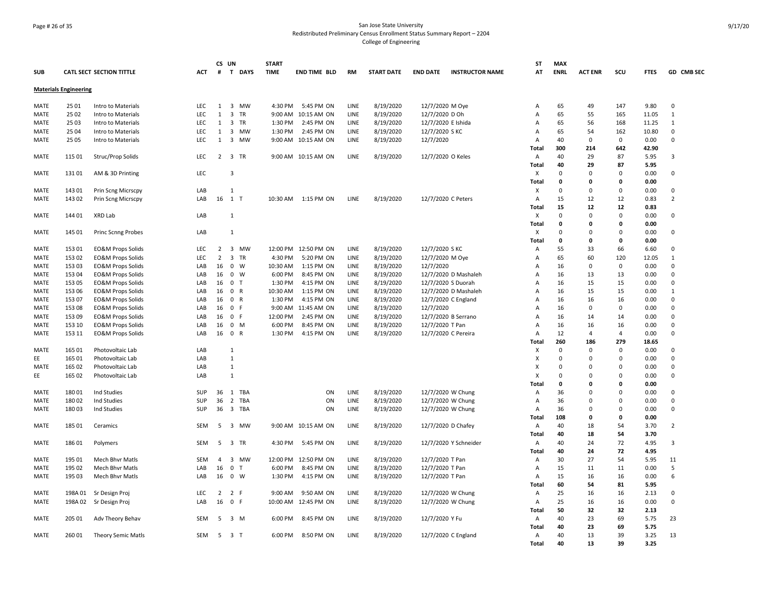### Page # 26 of 35 San Jose State University Redistributed Preliminary Census Enrollment Status Summary Report – 2204 College of Engineering

| <b>SUB</b>  |                              | <b>CATL SECT SECTION TITTLE</b> | <b>ACT</b> | CS UN<br>#     | T DAYS                        | <b>START</b><br><b>TIME</b> | <b>END TIME BLD</b>  | <b>RM</b> | <b>START DATE</b> | <b>END DATE</b><br><b>INSTRUCTOR NAME</b> | <b>ST</b><br>AT | <b>MAX</b><br><b>ENRL</b> | <b>ACT ENR</b> | SCU                     | <b>FTES</b> | GD CMB SEC     |
|-------------|------------------------------|---------------------------------|------------|----------------|-------------------------------|-----------------------------|----------------------|-----------|-------------------|-------------------------------------------|-----------------|---------------------------|----------------|-------------------------|-------------|----------------|
|             | <b>Materials Engineering</b> |                                 |            |                |                               |                             |                      |           |                   |                                           |                 |                           |                |                         |             |                |
| MATE        | 25 01                        | Intro to Materials              | <b>LEC</b> | $\mathbf{1}$   | 3 MW                          | 4:30 PM                     | 5:45 PM ON           | LINE      | 8/19/2020         | 12/7/2020 M Oye                           | Α               | 65                        | 49             | 147                     | 9.80        | $\mathbf 0$    |
| MATE        | 25 02                        | Intro to Materials              | LEC        | 1              | 3<br>TR                       |                             | 9:00 AM 10:15 AM ON  | LINE      | 8/19/2020         | 12/7/2020 D Oh                            | Α               | 65                        | 55             | 165                     | 11.05       | $\mathbf{1}$   |
| <b>MATE</b> | 25 03                        | Intro to Materials              | <b>LEC</b> | 1              | $\overline{3}$<br><b>TR</b>   | 1:30 PM                     | 2:45 PM ON           | LINE      | 8/19/2020         | 12/7/2020 E Ishida                        | A               | 65                        | 56             | 168                     | 11.25       | 1              |
| MATE        | 25 04                        |                                 | LEC        | 1              | $\overline{3}$<br>MW          | 1:30 PM                     | 2:45 PM ON           | LINE      |                   | 12/7/2020 SKC                             |                 | 65                        | 54             | 162                     | 10.80       | $\mathbf 0$    |
|             |                              | Intro to Materials              | LEC        | $\mathbf{1}$   |                               |                             |                      |           | 8/19/2020         |                                           | Α               | 40                        | $\mathbf 0$    | $\mathbf 0$             |             | $\mathbf 0$    |
| MATE        | 25 05                        | Intro to Materials              |            |                | $\overline{\mathbf{3}}$<br>MW |                             | 9:00 AM 10:15 AM ON  | LINE      | 8/19/2020         | 12/7/2020                                 | Α               |                           |                |                         | 0.00        |                |
|             |                              |                                 |            |                |                               |                             |                      |           |                   |                                           | Total           | 300                       | 214            | 642                     | 42.90       |                |
| <b>MATE</b> | 115 01                       | Struc/Prop Solids               | <b>LEC</b> |                | 2 3 TR                        |                             | 9:00 AM 10:15 AM ON  | LINE      | 8/19/2020         | 12/7/2020 O Keles                         | Α               | 40                        | 29             | 87                      | 5.95        | 3              |
|             |                              |                                 |            |                |                               |                             |                      |           |                   |                                           | Total           | 40                        | 29             | 87                      | 5.95        |                |
| MATE        | 13101                        | AM & 3D Printing                | LEC        |                | 3                             |                             |                      |           |                   |                                           | х               | $\mathbf 0$               | $\mathbf 0$    | 0                       | 0.00        | $\mathbf 0$    |
|             |                              |                                 |            |                |                               |                             |                      |           |                   |                                           | Total           | 0                         | 0              | 0                       | 0.00        |                |
| <b>MATE</b> | 143 01                       | Prin Scng Micrscpy              | LAB        |                | $\mathbf{1}$                  |                             |                      |           |                   |                                           | X               | 0                         | $\Omega$       | 0                       | 0.00        | $\Omega$       |
| MATE        | 143 02                       | Prin Scng Micrscpy              | LAB        |                | 16 1 T                        |                             | 10:30 AM  1:15 PM ON | LINE      | 8/19/2020         | 12/7/2020 C Peters                        | A               | 15                        | 12             | 12                      | 0.83        | $\overline{2}$ |
|             |                              |                                 |            |                |                               |                             |                      |           |                   |                                           | Total           | 15                        | 12             | 12                      | 0.83        |                |
| MATE        | 144 01                       | XRD Lab                         | LAB        |                | 1                             |                             |                      |           |                   |                                           | X               | $\mathbf 0$               | $\mathbf 0$    | 0                       | 0.00        | $\mathbf 0$    |
|             |                              |                                 |            |                |                               |                             |                      |           |                   |                                           | Total           | $\mathbf{0}$              | 0              | $\Omega$                | 0.00        |                |
|             |                              |                                 |            |                |                               |                             |                      |           |                   |                                           |                 | $\Omega$                  | $\Omega$       | $\Omega$                |             | $\mathbf 0$    |
| MATE        | 145 01                       | Princ Scnng Probes              | LAB        |                | $\mathbf{1}$                  |                             |                      |           |                   |                                           | X               |                           |                |                         | 0.00        |                |
|             |                              |                                 |            |                |                               |                             |                      |           |                   |                                           | Total           | $\mathbf 0$               | 0              | 0                       | 0.00        |                |
| MATE        | 153 01                       | <b>EO&amp;M Props Solids</b>    | <b>LEC</b> | 2              | 3 MW                          |                             | 12:00 PM 12:50 PM ON | LINE      | 8/19/2020         | 12/7/2020 S KC                            | Α               | 55                        | 33             | 66                      | 6.60        | $\mathbf 0$    |
| <b>MATE</b> | 153 02                       | <b>EO&amp;M Props Solids</b>    | LEC        | 2              | $\overline{\mathbf{3}}$<br>TR | 4:30 PM                     | 5:20 PM ON           | LINE      | 8/19/2020         | 12/7/2020 M Oye                           | Α               | 65                        | 60             | 120                     | 12.05       | $\mathbf{1}$   |
| <b>MATE</b> | 153 03                       | <b>EO&amp;M Props Solids</b>    | LAB        | 16             | $\mathbf 0$<br>W              | 10:30 AM                    | 1:15 PM ON           | LINE      | 8/19/2020         | 12/7/2020                                 | A               | 16                        | $\Omega$       | 0                       | 0.00        | $\Omega$       |
| <b>MATE</b> | 153 04                       | <b>EO&amp;M Props Solids</b>    | LAB        | 16             | $\mathbf 0$<br>W              | 6:00 PM                     | 8:45 PM ON           | LINE      | 8/19/2020         | 12/7/2020 D Mashaleh                      | Α               | 16                        | 13             | 13                      | 0.00        | $\mathbf 0$    |
| <b>MATE</b> | 153 05                       | <b>EO&amp;M Props Solids</b>    | LAB        | 16             | 0 <sub>T</sub>                | 1:30 PM                     | 4:15 PM ON           | LINE      | 8/19/2020         | 12/7/2020 S Duorah                        | A               | 16                        | 15             | 15                      | 0.00        | $\Omega$       |
| MATE        | 153 06                       | <b>EO&amp;M Props Solids</b>    | LAB        | 16             | 0 R                           | 10:30 AM                    | 1:15 PM ON           | LINE      | 8/19/2020         | 12/7/2020 D Mashaleh                      | Α               | 16                        | 15             | 15                      | 0.00        | $\mathbf{1}$   |
| MATE        | 153 07                       | <b>EO&amp;M Props Solids</b>    | LAB        | 16             | 0 R                           | 1:30 PM                     | 4:15 PM ON           | LINE      | 8/19/2020         | 12/7/2020 C England                       | Α               | 16                        | 16             | 16                      | 0.00        | $\Omega$       |
| MATE        | 153 08                       | EO&M Props Solids               | LAB        | 16             | $\mathbf 0$<br>$\mathsf F$    |                             | 9:00 AM 11:45 AM ON  | LINE      | 8/19/2020         | 12/7/2020                                 | A               | 16                        | 0              | 0                       | 0.00        | $\mathbf 0$    |
| MATE        | 153 09                       | EO&M Props Solids               | LAB        | 16             | 0 F                           | 12:00 PM                    | 2:45 PM ON           | LINE      | 8/19/2020         | 12/7/2020 B Serrano                       | A               | 16                        | 14             | 14                      | 0.00        | $\mathbf 0$    |
| MATE        | 153 10                       | <b>EO&amp;M Props Solids</b>    | LAB        | 16             | 0 M                           | 6:00 PM                     | 8:45 PM ON           | LINE      | 8/19/2020         | 12/7/2020 T Pan                           | Α               | 16                        | 16             | 16                      | 0.00        | $\Omega$       |
|             |                              |                                 |            |                |                               |                             |                      |           |                   |                                           |                 |                           | 4              | $\overline{\mathbf{A}}$ |             | $\Omega$       |
| MATE        | 153 11                       | <b>EO&amp;M Props Solids</b>    | LAB        | 16             | $\mathbf 0$<br>$\overline{R}$ | 1:30 PM                     | 4:15 PM ON           | LINE      | 8/19/2020         | 12/7/2020 C Pereira                       | Α               | 12                        |                |                         | 0.00        |                |
|             |                              |                                 |            |                |                               |                             |                      |           |                   |                                           | Total           | 260                       | 186            | 279                     | 18.65       |                |
| <b>MATE</b> | 165 01                       | Photovoltaic Lab                | LAB        |                | 1                             |                             |                      |           |                   |                                           | х               | $\Omega$                  | 0              | 0                       | 0.00        | $\Omega$       |
| EE          | 165 01                       | Photovoltaic Lab                | LAB        |                | $\mathbf{1}$                  |                             |                      |           |                   |                                           | X               | $\Omega$                  | $\Omega$       | $\Omega$                | 0.00        | $\mathbf 0$    |
| MATE        | 165 02                       | Photovoltaic Lab                | LAB        |                | $\mathbf{1}$                  |                             |                      |           |                   |                                           | Χ               | $\Omega$                  | $\Omega$       | $\Omega$                | 0.00        | $\mathbf 0$    |
| EE          | 165 02                       | Photovoltaic Lab                | LAB        |                | $\mathbf{1}$                  |                             |                      |           |                   |                                           | X               | $\Omega$                  | $\Omega$       | $\Omega$                | 0.00        | $\mathbf 0$    |
|             |                              |                                 |            |                |                               |                             |                      |           |                   |                                           | Total           | 0                         | 0              | 0                       | 0.00        |                |
| <b>MATE</b> | 18001                        | Ind Studies                     | <b>SUP</b> | 36             | 1 TBA                         |                             | ON                   | LINE      | 8/19/2020         | 12/7/2020 W Chung                         | Α               | 36                        | $\Omega$       | $\Omega$                | 0.00        | $\mathbf 0$    |
| MATE        | 180 02                       | Ind Studies                     | SUP        | 36             | $\overline{2}$<br>TBA         |                             | ON                   | LINE      | 8/19/2020         | 12/7/2020 W Chung                         | Α               | 36                        | $\Omega$       | $\Omega$                | 0.00        | $\Omega$       |
| MATE        | 18003                        | Ind Studies                     | SUP        | 36             | 3 TBA                         |                             | ON                   | LINE      | 8/19/2020         | 12/7/2020 W Chung                         | Α               | 36                        | 0              | $\Omega$                | 0.00        | $\mathbf 0$    |
|             |                              |                                 |            |                |                               |                             |                      |           |                   |                                           | Total           | 108                       | 0              | 0                       | 0.00        |                |
| <b>MATE</b> | 185 01                       | Ceramics                        | <b>SEM</b> | 5              | 3 MW                          |                             | 9:00 AM 10:15 AM ON  | LINE      | 8/19/2020         | 12/7/2020 D Chafey                        | Α               | 40                        | 18             | 54                      | 3.70        | $\overline{2}$ |
|             |                              |                                 |            |                |                               |                             |                      |           |                   |                                           | Total           | 40                        | 18             | 54                      | 3.70        |                |
|             |                              |                                 |            |                |                               |                             |                      |           |                   |                                           |                 |                           |                |                         |             |                |
| <b>MATE</b> | 186 01                       | Polymers                        | SEM        | -5             | 3 TR                          | 4:30 PM                     | 5:45 PM ON           | LINE      | 8/19/2020         | 12/7/2020 Y Schneider                     | Α               | 40                        | 24             | 72                      | 4.95        | 3              |
|             |                              |                                 |            |                |                               |                             |                      |           |                   |                                           | Total           | 40                        | 24             | 72                      | 4.95        |                |
| MATE        | 195 01                       | Mech Bhvr Matls                 | SEM        | $\overline{4}$ | 3 MW                          | 12:00 PM                    | 12:50 PM ON          | LINE      | 8/19/2020         | 12/7/2020 T Pan                           | Α               | 30                        | 27             | 54                      | 5.95        | 11             |
| <b>MATE</b> | 195 02                       | Mech Bhvr Matls                 | LAB        | 16             | $\mathbf 0$<br>$\mathsf{T}$   | 6:00 PM                     | 8:45 PM ON           | LINE      | 8/19/2020         | 12/7/2020 T Pan                           | Α               | 15                        | 11             | 11                      | 0.00        | 5              |
| MATE        | 195 03                       | Mech Bhvr Matls                 | LAB        | 16             | $0 \quad W$                   | 1:30 PM                     | 4:15 PM ON           | LINE      | 8/19/2020         | 12/7/2020 T Pan                           | Α               | 15                        | 16             | 16                      | 0.00        | 6              |
|             |                              |                                 |            |                |                               |                             |                      |           |                   |                                           | Total           | 60                        | 54             | 81                      | 5.95        |                |
| MATE        | 198A 01                      | Sr Design Proj                  | LEC        | $\overline{2}$ | 2 F                           | 9:00 AM                     | 9:50 AM ON           | LINE      | 8/19/2020         | 12/7/2020 W Chung                         | Α               | 25                        | 16             | 16                      | 2.13        | $\Omega$       |
| MATE        | 198A 02                      | Sr Design Proj                  | LAB        | 16             | 0 F                           |                             | 10:00 AM 12:45 PM ON | LINE      | 8/19/2020         | 12/7/2020 W Chung                         | Α               | 25                        | 16             | 16                      | 0.00        | $\Omega$       |
|             |                              |                                 |            |                |                               |                             |                      |           |                   |                                           | Total           | 50                        | 32             | 32                      | 2.13        |                |
| MATE        | 205 01                       | Adv Theory Behav                | SEM        | -5             | 3 M                           | 6:00 PM                     | 8:45 PM ON           | LINE      | 8/19/2020         | 12/7/2020 Y Fu                            | Α               | 40                        | 23             | 69                      | 5.75        | 23             |
|             |                              |                                 |            |                |                               |                             |                      |           |                   |                                           | Total           | 40                        | 23             | 69                      | 5.75        |                |
|             |                              |                                 |            |                |                               |                             |                      |           |                   |                                           |                 |                           |                |                         |             |                |
| MATE        | 260 01                       | Theory Semic Matls              | SEM        | 5              | 3 T                           | 6:00 PM                     | 8:50 PM ON           | LINE      | 8/19/2020         | 12/7/2020 C England                       | Α               | 40                        | 13             | 39                      | 3.25        | 13             |
|             |                              |                                 |            |                |                               |                             |                      |           |                   |                                           | Total           | 40                        | 13             | 39                      | 3.25        |                |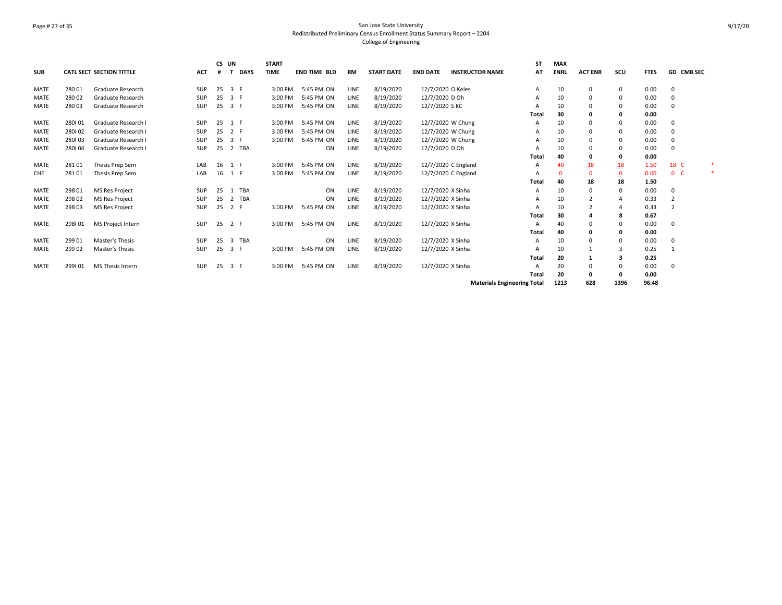# Page # 27 of 35 San Jose State University Redistributed Preliminary Census Enrollment Status Summary Report – 2204 College of Engineering

| <b>SUB</b>  |        | <b>CATL SECT SECTION TITTLE</b> | <b>ACT</b> | CS UN | <b>DAYS</b>                    | <b>START</b><br><b>TIME</b> | <b>END TIME BLD</b> | <b>RM</b>   | <b>START DATE</b> | <b>END DATE</b>   | <b>INSTRUCTOR NAME</b>             | ST<br>AT     | <b>MAX</b><br><b>ENRL</b> | <b>ACT ENR</b> | scu         | <b>FTES</b> | GD CMB SEC     |  |
|-------------|--------|---------------------------------|------------|-------|--------------------------------|-----------------------------|---------------------|-------------|-------------------|-------------------|------------------------------------|--------------|---------------------------|----------------|-------------|-------------|----------------|--|
| <b>MATE</b> | 280 01 | Graduate Research               | <b>SUP</b> | 25    | 3 F                            | 3:00 PM                     | 5:45 PM ON          | <b>LINE</b> | 8/19/2020         | 12/7/2020 O Keles |                                    | A            | 10                        | 0              | 0           | 0.00        | 0              |  |
| <b>MATE</b> | 280 02 | Graduate Research               | <b>SUP</b> | 25    | 3 F                            | 3:00 PM                     | 5:45 PM ON          | LINE        | 8/19/2020         | 12/7/2020 D Oh    |                                    | A            | 10                        | $\Omega$       | 0           | 0.00        | 0              |  |
| <b>MATE</b> | 280 03 | Graduate Research               | SUP        | 25    | 3 F                            | 3:00 PM                     | 5:45 PM ON          | LINE        | 8/19/2020         | 12/7/2020 S KC    |                                    |              | 10                        | $\Omega$       | $\mathbf 0$ | 0.00        | 0              |  |
|             |        |                                 |            |       |                                |                             |                     |             |                   |                   |                                    | <b>Total</b> | 30                        | $\Omega$       | 0           | 0.00        |                |  |
| <b>MATE</b> | 280101 | Graduate Research I             | <b>SUP</b> | 25    | 1 F                            | 3:00 PM                     | 5:45 PM ON          | <b>LINE</b> | 8/19/2020         | 12/7/2020 W Chung |                                    | A            | 10                        | $\Omega$       | 0           | 0.00        | 0              |  |
| <b>MATE</b> | 280102 | Graduate Research I             | <b>SUP</b> | 25    | 2 F                            | 3:00 PM                     | 5:45 PM ON          | LINE        | 8/19/2020         | 12/7/2020 W Chung |                                    | A            | 10                        | $\Omega$       | 0           | 0.00        | 0              |  |
| <b>MATE</b> | 280103 | Graduate Research I             | SUP        | 25    | 3 F                            | 3:00 PM                     | 5:45 PM ON          | LINE        | 8/19/2020         | 12/7/2020 W Chung |                                    |              | 10                        | $\Omega$       | 0           | 0.00        | 0              |  |
| <b>MATE</b> | 280104 | Graduate Research I             | <b>SUP</b> | 25    | 2 TBA                          |                             | ON                  | LINE        | 8/19/2020         | 12/7/2020 D Oh    |                                    |              | 10                        | $\Omega$       | 0           | 0.00        | $\Omega$       |  |
|             |        |                                 |            |       |                                |                             |                     |             |                   |                   |                                    | Total        | 40                        | $\Omega$       | 0           | 0.00        |                |  |
| <b>MATE</b> | 28101  | Thesis Prep Sem                 | LAB        | 16    | 1 F                            | 3:00 PM                     | 5:45 PM ON          | LINE        | 8/19/2020         |                   | 12/7/2020 C England                | A            | 40                        | 18             | 18          | 1.50        | 18 C           |  |
| CHE         | 281 01 | Thesis Prep Sem                 | LAB        | 16    | 1 F                            | 3:00 PM                     | 5:45 PM ON          | LINE        | 8/19/2020         |                   | 12/7/2020 C England                |              |                           | $\Omega$       | $\mathbf 0$ | 0.00        | 0 <sub>c</sub> |  |
|             |        |                                 |            |       |                                |                             |                     |             |                   |                   |                                    | Total        | 40                        | 18             | 18          | 1.50        |                |  |
| <b>MATE</b> | 298 01 | <b>MS Res Project</b>           | <b>SUP</b> | 25    | <b>TBA</b><br>1                |                             | ON                  | LINE        | 8/19/2020         | 12/7/2020 X Sinha |                                    | A            | 10                        | $\Omega$       | 0           | 0.00        | 0              |  |
| MATE        | 298 02 | <b>MS Res Project</b>           | SUP        | 25    | TBA<br>2                       |                             | ON                  | LINE        | 8/19/2020         | 12/7/2020 X Sinha |                                    |              | 10                        |                |             | 0.33        | $\overline{2}$ |  |
| <b>MATE</b> | 298 03 | <b>MS Res Project</b>           | <b>SUP</b> | 25    | 2 F                            | 3:00 PM                     | 5:45 PM ON          | LINE        | 8/19/2020         | 12/7/2020 X Sinha |                                    |              | 10                        |                |             | 0.33        | $\overline{2}$ |  |
|             |        |                                 |            |       |                                |                             |                     |             |                   |                   |                                    | Total        | 30                        |                | 8           | 0.67        |                |  |
| <b>MATE</b> | 298101 | MS Project Intern               | <b>SUP</b> | 25    | 2 F                            | 3:00 PM                     | 5:45 PM ON          | LINE        | 8/19/2020         | 12/7/2020 X Sinha |                                    | A            | 40                        | $\Omega$       | 0           | 0.00        | 0              |  |
|             |        |                                 |            |       |                                |                             |                     |             |                   |                   |                                    | <b>Total</b> | 40                        | $\Omega$       | 0           | 0.00        |                |  |
| <b>MATE</b> | 299 01 | Master's Thesis                 | <b>SUP</b> | 25    | $\overline{\mathbf{3}}$<br>TBA |                             | ON                  | LINE        | 8/19/2020         | 12/7/2020 X Sinha |                                    | A            | 10                        | $\Omega$       | $\Omega$    | 0.00        | 0              |  |
| <b>MATE</b> | 299 02 | Master's Thesis                 | <b>SUP</b> | 25    | 3 F                            | 3:00 PM                     | 5:45 PM ON          | LINE        | 8/19/2020         | 12/7/2020 X Sinha |                                    |              | 10                        |                | 3           | 0.25        | $\mathbf{1}$   |  |
|             |        |                                 |            |       |                                |                             |                     |             |                   |                   |                                    | Total        | 20                        |                | з           | 0.25        |                |  |
| <b>MATE</b> | 299101 | MS Thesis Intern                | <b>SUP</b> | 25    | 3 F                            | 3:00 PM                     | 5:45 PM ON          | <b>LINE</b> | 8/19/2020         | 12/7/2020 X Sinha |                                    | A            | 20                        |                | $\mathbf 0$ | 0.00        | $\Omega$       |  |
|             |        |                                 |            |       |                                |                             |                     |             |                   |                   |                                    | <b>Total</b> | 20                        | $\mathbf{0}$   | 0           | 0.00        |                |  |
|             |        |                                 |            |       |                                |                             |                     |             |                   |                   | <b>Materials Engineering Total</b> |              | 1213                      | 628            | 1396        | 96.48       |                |  |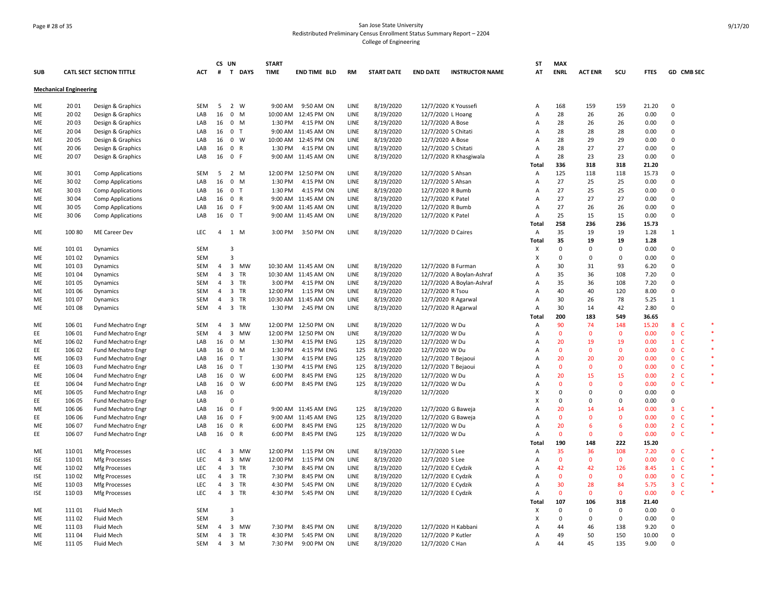# Page # 28 of 35 San Jose State University Redistributed Preliminary Census Enrollment Status Summary Report – 2204 College of Engineering

|            |                               |                                 |            | CS UN          |                               | <b>START</b> |                          |             |                   |                     |                           | SΤ                        | <b>MAX</b>   |                |              |             |                              |         |
|------------|-------------------------------|---------------------------------|------------|----------------|-------------------------------|--------------|--------------------------|-------------|-------------------|---------------------|---------------------------|---------------------------|--------------|----------------|--------------|-------------|------------------------------|---------|
| <b>SUB</b> |                               | <b>CATL SECT SECTION TITTLE</b> | <b>ACT</b> | #              | T DAYS                        | <b>TIME</b>  | <b>END TIME BLD</b>      | <b>RM</b>   | <b>START DATE</b> | <b>END DATE</b>     | <b>INSTRUCTOR NAME</b>    | AT                        | <b>ENRL</b>  | <b>ACT ENR</b> | scu          | <b>FTES</b> | GD CMB SEC                   |         |
|            | <b>Mechanical Engineering</b> |                                 |            |                |                               |              |                          |             |                   |                     |                           |                           |              |                |              |             |                              |         |
| ME         | 2001                          | Design & Graphics               | SEM        | 5              | 2 W                           | 9:00 AM      | 9:50 AM ON               | <b>LINE</b> | 8/19/2020         |                     | 12/7/2020 K Youssefi      | A                         | 168          | 159            | 159          | 21.20       | $\mathbf 0$                  |         |
| ME         | 2002                          | Design & Graphics               | LAB        | 16             | $0$ M                         |              | 10:00 AM 12:45 PM ON     | LINE        | 8/19/2020         | 12/7/2020 L Hoang   |                           | Α                         | 28           | 26             | 26           | 0.00        | $\mathbf 0$                  |         |
| ME         | 2003                          | Design & Graphics               | LAB        |                | 16 0 M                        | 1:30 PM      | 4:15 PM ON               | LINE        | 8/19/2020         | 12/7/2020 A Bose    |                           | Α                         | 28           | 26             | 26           | 0.00        | $\mathbf 0$                  |         |
| ME         | 2004                          | Design & Graphics               | LAB        |                | 16 0 T                        |              | 9:00 AM 11:45 AM ON      | LINE        | 8/19/2020         | 12/7/2020 S Chitati |                           | Α                         | 28           | 28             | 28           | 0.00        | 0                            |         |
| ME         | 20 05                         | Design & Graphics               | LAB        |                | 16 0 W                        |              | 10:00 AM 12:45 PM ON     | LINE        | 8/19/2020         | 12/7/2020 A Bose    |                           | A                         | 28           | 29             | 29           | 0.00        | 0                            |         |
| МE         | 20 06                         | Design & Graphics               | LAB        | 16             | 0 R                           | 1:30 PM      | 4:15 PM ON               | LINE        | 8/19/2020         | 12/7/2020 S Chitati |                           | $\overline{A}$            | 28           | 27             | 27           | 0.00        | $\Omega$                     |         |
| ME         | 20 07                         | Design & Graphics               | LAB        |                | 16 0 F                        |              | 9:00 AM 11:45 AM ON      | LINE        | 8/19/2020         |                     | 12/7/2020 R Khasgiwala    | A                         | 28           | 23             | 23           | 0.00        | $\Omega$                     |         |
|            |                               |                                 |            |                |                               |              |                          |             |                   |                     |                           | Total                     | 336          | 318            | 318          | 21.20       |                              |         |
| ME         | 3001                          | <b>Comp Applications</b>        | SEM        | - 5            | 2 M                           |              | 12:00 PM 12:50 PM ON     | LINE        | 8/19/2020         | 12/7/2020 S Ahsan   |                           | Α                         | 125          | 118            | 118          | 15.73       | $\mathbf 0$                  |         |
| ME         | 3002                          | <b>Comp Applications</b>        | LAB        |                | 16 0 M                        | 1:30 PM      | 4:15 PM ON               | LINE        | 8/19/2020         | 12/7/2020 S Ahsan   |                           | Α                         | 27           | 25             | 25           | 0.00        | $\Omega$                     |         |
| ME         | 3003                          | <b>Comp Applications</b>        | LAB        | 16             | 0 <sub>T</sub>                | 1:30 PM      | 4:15 PM ON               | LINE        | 8/19/2020         | 12/7/2020 R Bumb    |                           | $\overline{A}$            | 27           | 25             | 25           | 0.00        | $\Omega$                     |         |
| ME         | 3004                          | <b>Comp Applications</b>        | LAB        | 16             | 0 R                           |              | 9:00 AM 11:45 AM ON      | LINE        | 8/19/2020         | 12/7/2020 K Patel   |                           | $\overline{A}$            | 27           | 27             | 27           | 0.00        | $\Omega$                     |         |
| ME         | 3005                          | <b>Comp Applications</b>        | LAB        | 16             | 0 F                           |              | 9:00 AM 11:45 AM ON      | LINE        | 8/19/2020         | 12/7/2020 R Bumb    |                           | A                         | 27           | 26             | 26           | 0.00        | $\mathbf 0$                  |         |
| ME         | 3006                          | <b>Comp Applications</b>        | LAB        |                | 16 0 T                        |              | 9:00 AM 11:45 AM ON      | LINE        | 8/19/2020         | 12/7/2020 K Patel   |                           | $\overline{A}$            | 25           | 15             | 15           | 0.00        | $\Omega$                     |         |
|            |                               |                                 |            |                |                               |              |                          |             |                   |                     |                           | <b>Total</b>              | 258          | 236            | 236          | 15.73       |                              |         |
| ME         | 100 80                        | ME Career Dev                   | LEC        |                | 4 1 M                         |              | 3:00 PM 3:50 PM ON       | LINE        | 8/19/2020         | 12/7/2020 D Caires  |                           | $\mathsf{A}$              | 35           | 19             | 19           | 1.28        | 1                            |         |
|            |                               |                                 |            |                |                               |              |                          |             |                   |                     |                           | Total                     | 35           | 19             | 19           | 1.28        |                              |         |
| ME         | 101 01                        | Dynamics                        | <b>SEM</b> |                | 3                             |              |                          |             |                   |                     |                           | $\boldsymbol{\mathsf{x}}$ | $\mathsf 0$  | $\mathbf 0$    | 0            | 0.00        | $\mathbf 0$                  |         |
| ME         | 101 02                        | Dynamics                        | <b>SEM</b> |                | $\overline{3}$                |              |                          |             |                   |                     |                           | X                         | 0            | $\mathbf 0$    | 0            | 0.00        | $\mathbf 0$                  |         |
| ME         | 101 03                        | Dynamics                        | <b>SEM</b> | $\overline{4}$ | $\overline{\mathbf{3}}$<br>MW |              | 10:30 AM 11:45 AM ON     | LINE        | 8/19/2020         |                     | 12/7/2020 B Furman        | Α                         | 30           | 31             | 93           | 6.20        | 0                            |         |
| ME         | 101 04                        | Dynamics                        | SEM        | $\overline{4}$ | $\overline{\mathbf{3}}$<br>TR |              | 10:30 AM 11:45 AM ON     | <b>LINE</b> | 8/19/2020         |                     | 12/7/2020 A Boylan-Ashraf | $\overline{A}$            | 35           | 36             | 108          | 7.20        | $\Omega$                     |         |
| ME         |                               |                                 |            | $\overline{4}$ | 3 TR                          | 3:00 PM      |                          | LINE        |                   |                     |                           | $\overline{A}$            | 35           | 36             | 108          | 7.20        | $\Omega$                     |         |
| ME         | 101 05<br>101 06              | Dynamics                        | SEM<br>SEM | $\overline{4}$ | 3 TR                          | 12:00 PM     | 4:15 PM ON<br>1:15 PM ON | LINE        | 8/19/2020         | 12/7/2020 R Tsou    | 12/7/2020 A Boylan-Ashraf | A                         | 40           | 40             | 120          | 8.00        | $\mathbf 0$                  |         |
|            |                               | Dynamics                        |            |                |                               |              |                          |             | 8/19/2020         |                     |                           |                           | 30           | 26             | 78           | 5.25        | 1                            |         |
| ME         | 101 07                        | Dynamics                        | SEM        | $\overline{4}$ | 3 TR                          |              | 10:30 AM 11:45 AM ON     | LINE        | 8/19/2020         |                     | 12/7/2020 R Agarwal       | A                         |              |                |              |             | $\mathbf 0$                  |         |
| ME         | 101 08                        | Dynamics                        | SEM        | $\overline{4}$ | 3 TR                          | 1:30 PM      | 2:45 PM ON               | LINE        | 8/19/2020         |                     | 12/7/2020 R Agarwal       | Α                         | 30           | 14             | 42           | 2.80        |                              |         |
|            |                               |                                 |            |                |                               |              |                          |             |                   |                     |                           | Total                     | 200          | 183            | 549          | 36.65       |                              |         |
| ME         | 106 01                        | Fund Mechatro Engr              | SEM        | $\overline{4}$ | $\overline{\mathbf{3}}$<br>MW |              | 12:00 PM 12:50 PM ON     | LINE        | 8/19/2020         | 12/7/2020 W Du      |                           | Α                         | 90           | 74             | 148          | 15.20       | $8-$                         |         |
| EE         | 106 01                        | Fund Mechatro Engr              | <b>SEM</b> | $\overline{4}$ | $\overline{\mathbf{3}}$<br>MW |              | 12:00 PM 12:50 PM ON     | LINE        | 8/19/2020         | 12/7/2020 W Du      |                           | A                         | $\mathbf 0$  | $\mathbf 0$    | $\mathbf 0$  | 0.00        | 0 <sub>c</sub>               |         |
| ME         | 106 02                        | Fund Mechatro Engr              | LAB        | 16             | $\mathbf 0$<br>M              | 1:30 PM      | 4:15 PM ENG              | 125         | 8/19/2020         | 12/7/2020 W Du      |                           | $\overline{A}$            | 20           | 19             | 19           | 0.00        | $1\quad C$                   | $\ast$  |
| EE         | 106 02                        | Fund Mechatro Engr              | LAB        | 16             | 0 M                           | 1:30 PM      | 4:15 PM ENG              | 125         | 8/19/2020         | 12/7/2020 W Du      |                           | $\overline{A}$            | $\mathbf{0}$ | $\Omega$       | $\mathbf{0}$ | 0.00        | 0 <sub>c</sub>               |         |
| ME         | 106 03                        | Fund Mechatro Engr              | LAB        | 16             | $\overline{0}$<br>ਾ           | 1:30 PM      | 4:15 PM ENG              | 125         | 8/19/2020         |                     | 12/7/2020 T Bejaoui       | $\overline{A}$            | 20           | 20             | 20           | 0.00        | 0 <sub>c</sub>               |         |
| ΕE         | 106 03                        | Fund Mechatro Engr              | LAB        | 16             | 0 <sub>T</sub>                | 1:30 PM      | 4:15 PM ENG              | 125         | 8/19/2020         |                     | 12/7/2020 T Bejaoui       | A                         | $\mathbf 0$  | $\mathbf 0$    | $\mathbf 0$  | 0.00        | 0 <sub>c</sub>               |         |
| ME         | 106 04                        | <b>Fund Mechatro Engr</b>       | LAB        |                | 16 0 W                        | 6:00 PM      | 8:45 PM ENG              | 125         | 8/19/2020         | 12/7/2020 W Du      |                           | A                         | 20           | 15             | 15           | 0.00        | 2 C                          |         |
| EE         | 106 04                        | <b>Fund Mechatro Engr</b>       | LAB        | 16             | $\overline{\mathbf{0}}$<br>W  | 6:00 PM      | 8:45 PM ENG              | 125         | 8/19/2020         | 12/7/2020 W Du      |                           | Α                         | $\mathbf 0$  | $\mathbf{0}$   | $\mathbf 0$  | 0.00        | $\mathbf{0}$<br>$\mathsf{C}$ |         |
| ME         | 106 05                        | <b>Fund Mechatro Engr</b>       | LAB        | 16             | - 0                           |              |                          |             | 8/19/2020         | 12/7/2020           |                           | $\boldsymbol{\mathsf{x}}$ | $\Omega$     | $\Omega$       | $\Omega$     | 0.00        | $\Omega$                     |         |
| EE.        | 106 05                        | Fund Mechatro Engr              | LAB        |                | $\Omega$                      |              |                          |             |                   |                     |                           | $\boldsymbol{\mathsf{x}}$ | $\Omega$     | $\Omega$       | $\Omega$     | 0.00        | $\Omega$                     |         |
| ME         | 106 06                        | Fund Mechatro Engr              | LAB        | 16             | 0 F                           |              | 9:00 AM 11:45 AM ENG     | 125         | 8/19/2020         |                     | 12/7/2020 G Baweja        | Α                         | 20           | 14             | 14           | 0.00        | $3-$                         | $\ast$  |
| EE         | 106 06                        | Fund Mechatro Engr              | LAB        | 16             | 0 F                           |              | 9:00 AM 11:45 AM ENG     | 125         | 8/19/2020         |                     | 12/7/2020 G Baweja        | $\overline{A}$            | $\mathbf{0}$ | $\Omega$       | $\mathbf{0}$ | 0.00        | 0 <sup>o</sup>               | $\ast$  |
| ME         | 106 07                        | Fund Mechatro Engr              | LAB        | 16             | 0 R                           | 6:00 PM      | 8:45 PM ENG              | 125         | 8/19/2020         | 12/7/2020 W Du      |                           | Α                         | 20           | 6              | 6            | 0.00        | 2 <sub>c</sub>               |         |
| EE         | 106 07                        | Fund Mechatro Engr              | LAB        |                | 16 0 R                        | 6:00 PM      | 8:45 PM ENG              | 125         | 8/19/2020         | 12/7/2020 W Du      |                           | $\overline{A}$            | $\mathbf{0}$ | $\mathbf{0}$   | $\mathbf{0}$ | 0.00        | 0 <sub>c</sub>               | $\ast$  |
|            |                               |                                 |            |                |                               |              |                          |             |                   |                     |                           | Total                     | 190          | 148            | 222          | 15.20       |                              |         |
| ME         | 11001                         | Mfg Processes                   | LEC        | $\overline{4}$ | $\overline{\mathbf{3}}$<br>MW | 12:00 PM     | 1:15 PM ON               | LINE        | 8/19/2020         | 12/7/2020 S Lee     |                           | Α                         | 35           | 36             | 108          | 7.20        | 0 <sub>c</sub>               |         |
| ISE        | 110 01                        | Mfg Processes                   | <b>LEC</b> | $\overline{4}$ | $\overline{\mathbf{3}}$<br>MW | 12:00 PM     | 1:15 PM ON               | LINE        | 8/19/2020         | 12/7/2020 S Lee     |                           | A                         | $\mathbf 0$  | $\mathbf 0$    | $\mathbf 0$  | 0.00        | 0 <sub>c</sub>               |         |
| ME         | 110 02                        | Mfg Processes                   | LEC        | $\overline{4}$ | $\overline{\mathbf{3}}$<br>TR | 7:30 PM      | 8:45 PM ON               | LINE        | 8/19/2020         | 12/7/2020 E Cydzik  |                           | Α                         | 42           | 42             | 126          | 8.45        | $1\quad C$                   | $\star$ |
| ISE        | 11002                         | Mfg Processes                   | <b>LEC</b> | $\overline{4}$ | $\overline{\mathbf{3}}$<br>TR | 7:30 PM      | 8:45 PM ON               | <b>LINE</b> | 8/19/2020         | 12/7/2020 E Cydzik  |                           | $\overline{A}$            | $\mathbf{0}$ | $\Omega$       | $\mathbf{0}$ | 0.00        | 0 <sub>c</sub>               |         |
| ME         | 11003                         | Mfg Processes                   | LEC        | $\overline{4}$ | 3 TR                          | 4:30 PM      | 5:45 PM ON               | LINE        | 8/19/2020         | 12/7/2020 E Cydzik  |                           | $\overline{A}$            | 30           | 28             | 84           | 5.75        | $3-$                         |         |
| ISE        | 11003                         | Mfg Processes                   | LEC        | $\overline{4}$ | 3 TR                          | 4:30 PM      | 5:45 PM ON               | LINE        | 8/19/2020         | 12/7/2020 E Cydzik  |                           | A                         | $\mathbf 0$  | $\mathbf 0$    | $\mathbf 0$  | 0.00        | 0 <sub>c</sub>               | $\ast$  |
|            |                               |                                 |            |                |                               |              |                          |             |                   |                     |                           | Total                     | 107          | 106            | 318          | 21.40       |                              |         |
| ME         | 111 01                        | Fluid Mech                      | <b>SEM</b> |                | 3                             |              |                          |             |                   |                     |                           | X                         | 0            | 0              | 0            | 0.00        | 0                            |         |
| ME         | 11102                         | Fluid Mech                      | <b>SEM</b> |                | 3                             |              |                          |             |                   |                     |                           | X                         | $\Omega$     | $\Omega$       | 0            | 0.00        | $\Omega$                     |         |
| ME         | 11103                         | Fluid Mech                      | <b>SEM</b> | $\overline{4}$ | $\overline{\mathbf{3}}$<br>MW | 7:30 PM      | 8:45 PM ON               | LINE        | 8/19/2020         |                     | 12/7/2020 H Kabbani       | A                         | 44           | 46             | 138          | 9.20        | $\Omega$                     |         |
| ME         | 11104                         | Fluid Mech                      | SEM        | $\overline{4}$ | $\overline{\mathbf{3}}$<br>TR | 4:30 PM      | 5:45 PM ON               | LINE        | 8/19/2020         | 12/7/2020 P Kutler  |                           | A                         | 49           | 50             | 150          | 10.00       | $\mathbf 0$                  |         |
| ME         | 11105                         | Fluid Mech                      | SEM        | $\overline{4}$ | 3 M                           | 7:30 PM      | 9:00 PM ON               | <b>LINE</b> | 8/19/2020         | 12/7/2020 C Han     |                           | $\Delta$                  | 44           | 45             | 135          | 9.00        | $\Omega$                     |         |
|            |                               |                                 |            |                |                               |              |                          |             |                   |                     |                           |                           |              |                |              |             |                              |         |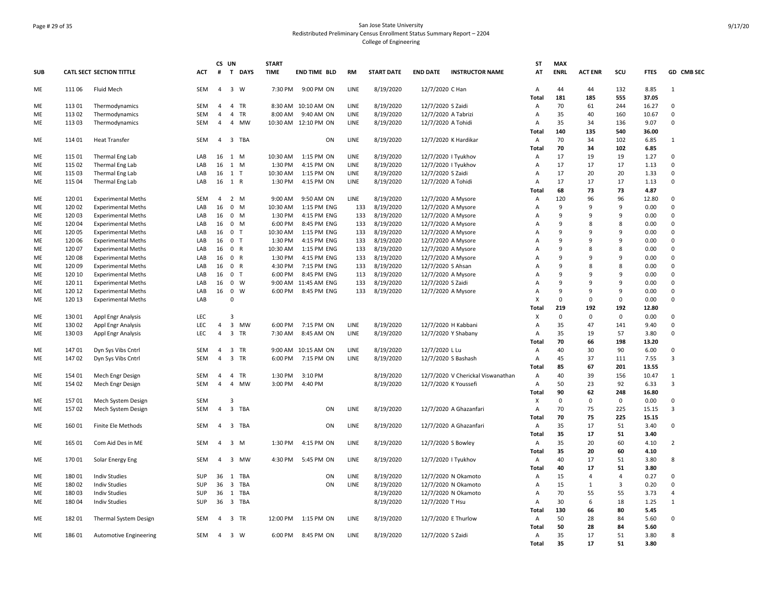# Page # 29 of 35 San Jose State University Redistributed Preliminary Census Enrollment Status Summary Report – 2204 College of Engineering

|            |                  |                                                        |            | CS UN          |                                      | <b>START</b> |                      |            |                   |                     |                                          | <b>ST</b>               | <b>MAX</b>  |                |                |               |                |
|------------|------------------|--------------------------------------------------------|------------|----------------|--------------------------------------|--------------|----------------------|------------|-------------------|---------------------|------------------------------------------|-------------------------|-------------|----------------|----------------|---------------|----------------|
| <b>SUB</b> |                  | <b>CATL SECT SECTION TITTLE</b>                        | ACT        | #              | T.<br><b>DAYS</b>                    | <b>TIME</b>  | END TIME BLD         | <b>RM</b>  | <b>START DATE</b> | <b>END DATE</b>     | <b>INSTRUCTOR NAME</b>                   | AT                      | <b>ENRL</b> | <b>ACT ENR</b> | scu            | <b>FTES</b>   | GD CMB SEC     |
| ME         | 111 06           | <b>Fluid Mech</b>                                      | SEM        | $\overline{4}$ | $\overline{\mathbf{3}}$<br>W         | 7:30 PM      | 9:00 PM ON           | LINE       | 8/19/2020         | 12/7/2020 C Han     |                                          | Α                       | 44          | 44             | 132            | 8.85          | 1              |
|            |                  |                                                        |            |                |                                      |              |                      |            |                   |                     |                                          | <b>Total</b>            | 181         | 185            | 555            | 37.05         |                |
| ME         | 113 01           | Thermodynamics                                         | SEM        | 4              | 4 TR                                 | 8:30 AM      | 10:10 AM ON          | LINE       | 8/19/2020         | 12/7/2020 S Zaidi   |                                          | Α                       | 70          | 61             | 244            | 16.27         | 0              |
| ME         | 113 02           | Thermodynamics                                         | SEM        | 4              | $\overline{4}$<br>TR                 | 8:00 AM      | 9:40 AM ON           | LINE       | 8/19/2020         | 12/7/2020 A Tabrizi |                                          | Α                       | 35          | 40             | 160            | 10.67         | $\mathbf 0$    |
| ME         | 113 03           | Thermodynamics                                         | SEM        | 4              | $\overline{4}$<br>MW                 |              | 10:30 AM 12:10 PM ON | LINE       | 8/19/2020         | 12/7/2020 A Tohidi  |                                          | Α                       | 35          | 34             | 136            | 9.07          | 0              |
| ME         | 11401            | <b>Heat Transfer</b>                                   | <b>SEM</b> |                | 4 3 TBA                              |              | ON                   | LINE       | 8/19/2020         |                     | 12/7/2020 K Hardikar                     | Total<br>$\overline{A}$ | 140<br>70   | 135<br>34      | 540<br>102     | 36.00<br>6.85 | 1              |
|            |                  |                                                        |            |                |                                      |              |                      |            |                   |                     |                                          | Total                   | 70          | 34             | 102            | 6.85          |                |
|            | 115 01           | Thermal Eng Lab                                        | LAB        |                | 16 1 M                               | 10:30 AM     | 1:15 PM ON           | LINE       | 8/19/2020         |                     | 12/7/2020   Tyukhov                      |                         | 17          | 19             | 19             | 1.27          | $\Omega$       |
| ME<br>ME   | 115 02           | Thermal Eng Lab                                        | LAB        | 16             | 1<br>M                               | 1:30 PM      | 4:15 PM ON           | LINE       | 8/19/2020         |                     | 12/7/2020   Tyukhov                      | Α<br>A                  | 17          | 17             | 17             | 1.13          | $\mathsf 0$    |
| ME         | 115 03           |                                                        | LAB        | 16             | 1 T                                  | 10:30 AM     | 1:15 PM ON           | LINE       | 8/19/2020         | 12/7/2020 S Zaidi   |                                          | A                       | 17          | 20             | 20             | 1.33          | $\mathbf 0$    |
| ME         | 115 04           | Thermal Eng Lab<br>Thermal Eng Lab                     | LAB        | 16             | 1 R                                  | 1:30 PM      | 4:15 PM ON           | LINE       | 8/19/2020         | 12/7/2020 A Tohidi  |                                          | Α                       | 17          | 17             | 17             | 1.13          | 0              |
|            |                  |                                                        |            |                |                                      |              |                      |            |                   |                     |                                          | Total                   | 68          | 73             | 73             | 4.87          |                |
| ME         | 12001            | <b>Experimental Meths</b>                              | <b>SEM</b> | $\overline{4}$ | 2 M                                  | 9:00 AM      | 9:50 AM ON           | LINE       | 8/19/2020         |                     | 12/7/2020 A Mysore                       | A                       | 120         | 96             | 96             | 12.80         | $\Omega$       |
| ME         | 120 02           | <b>Experimental Meths</b>                              | LAB        | 16             | $\mathbf 0$<br>M                     | 10:30 AM     | 1:15 PM ENG          | 133        | 8/19/2020         |                     | 12/7/2020 A Mysore                       | Α                       | 9           | 9              | 9              | 0.00          | $\Omega$       |
| ME         | 120 03           |                                                        | LAB        | 16             | $\mathsf{o}$<br>M                    | 1:30 PM      | 4:15 PM ENG          | 133        | 8/19/2020         |                     | 12/7/2020 A Mysore                       | A                       | 9           | $\mathsf{q}$   | 9              | 0.00          | $\Omega$       |
| ME         | 12004            | <b>Experimental Meths</b><br><b>Experimental Meths</b> | LAB        | 16             | $\mathsf{o}$<br>M                    | 6:00 PM      | 8:45 PM ENG          | 133        | 8/19/2020         |                     | 12/7/2020 A Mysore                       | A                       | 9           | 8              | 8              | 0.00          | $\mathbf 0$    |
| ME         | 120 05           |                                                        | LAB        | 16             | $\mathbf 0$<br>$\mathsf{T}$          | 10:30 AM     | 1:15 PM ENG          | 133        | 8/19/2020         |                     | 12/7/2020 A Mysore                       | Α                       | 9           | 9              | 9              | 0.00          | $\Omega$       |
| ME         | 120 06           | <b>Experimental Meths</b><br><b>Experimental Meths</b> | LAB        | 16             | $\mathbf 0$<br>T                     | 1:30 PM      | 4:15 PM ENG          | 133        | 8/19/2020         |                     |                                          | A                       | 9           | 9              | 9              | 0.00          | $\Omega$       |
| ME         | 120 07           |                                                        | LAB        | 16             | $\mathbf{0}$<br>$\mathsf{R}$         | 10:30 AM     | 1:15 PM ENG          | 133        | 8/19/2020         |                     | 12/7/2020 A Mysore                       | A                       | 9           | 8              | 8              | 0.00          | $\Omega$       |
| ME         | 12008            | <b>Experimental Meths</b>                              | LAB        | 16             | $\mathbf{0}$<br>$\mathsf{R}$         | 1:30 PM      | 4:15 PM ENG          | 133        | 8/19/2020         |                     | 12/7/2020 A Mysore<br>12/7/2020 A Mysore | A                       | 9           | 9              | 9              | 0.00          | 0              |
| ME         | 120 09           | <b>Experimental Meths</b>                              | LAB        | 16             | $\mathbf 0$<br>$\mathsf{R}$          | 4:30 PM      | 7:15 PM ENG          | 133        | 8/19/2020         | 12/7/2020 S Ahsan   |                                          | A                       | 9           | 8              | 8              | 0.00          | $\Omega$       |
| ME         | 120 10           | <b>Experimental Meths</b>                              | LAB        |                | $\mathbf 0$<br>T                     | 6:00 PM      | 8:45 PM ENG          |            | 8/19/2020         |                     |                                          | A                       | 9           | 9              | 9              |               | $\Omega$       |
|            |                  | <b>Experimental Meths</b>                              |            | 16             | $\mathbf 0$<br>W                     | 9:00 AM      | 11:45 AM ENG         | 113<br>133 | 8/19/2020         | 12/7/2020 S Zaidi   | 12/7/2020 A Mysore                       | A                       | 9           | 9              | 9              | 0.00<br>0.00  | $\mathbf 0$    |
| ME<br>ME   | 120 11<br>120 12 | <b>Experimental Meths</b>                              | LAB<br>LAB | 16<br>16       | $\mathbf 0$<br>W                     | 6:00 PM      | 8:45 PM ENG          | 133        | 8/19/2020         |                     | 12/7/2020 A Mysore                       | A                       | 9           | 9              | 9              | 0.00          | $\mathbf{0}$   |
| ME         | 120 13           | <b>Experimental Meths</b><br><b>Experimental Meths</b> | LAB        |                | $\Omega$                             |              |                      |            |                   |                     |                                          | X                       | $\mathbf 0$ | $\Omega$       | $\mathbf 0$    | 0.00          | $\Omega$       |
|            |                  |                                                        |            |                |                                      |              |                      |            |                   |                     |                                          | Total                   | 219         | 192            | 192            | 12.80         |                |
| ME         | 130 01           | Appl Engr Analysis                                     | LEC        |                | $\overline{3}$                       |              |                      |            |                   |                     |                                          | X                       | $\mathbf 0$ | $\mathbf 0$    | $\mathbf 0$    | 0.00          | $\Omega$       |
| ME         | 130 02           | Appl Engr Analysis                                     | LEC        | $\overline{4}$ | $\overline{\mathbf{3}}$<br><b>MW</b> | 6:00 PM      | 7:15 PM ON           | LINE       | 8/19/2020         |                     | 12/7/2020 H Kabbani                      | Α                       | 35          | 47             | 141            | 9.40          | $\mathbf 0$    |
| ME         | 130 03           | Appl Engr Analysis                                     | LEC        | 4              | 3 TR                                 | 7:30 AM      | 8:45 AM ON           | LINE       | 8/19/2020         |                     | 12/7/2020 Y Shabany                      | Α                       | 35          | 19             | 57             | 3.80          | $\mathbf 0$    |
|            |                  |                                                        |            |                |                                      |              |                      |            |                   |                     |                                          | Total                   | 70          | 66             | 198            | 13.20         |                |
| ME         | 14701            | Dyn Sys Vibs Cntrl                                     | SEM        | 4              | 3 TR                                 |              | 9:00 AM 10:15 AM ON  | LINE       | 8/19/2020         | 12/7/2020 L Lu      |                                          | A                       | 40          | 30             | 90             | 6.00          | $\Omega$       |
| ME         | 14702            | Dyn Sys Vibs Cntrl                                     | SEM        | $\overline{4}$ | 3 TR                                 | 6:00 PM      | 7:15 PM ON           | LINE       | 8/19/2020         |                     | 12/7/2020 S Bashash                      | Α                       | 45          | 37             | 111            | 7.55          | 3              |
|            |                  |                                                        |            |                |                                      |              |                      |            |                   |                     |                                          | Total                   | 85          | 67             | 201            | 13.55         |                |
| ME         | 154 01           | Mech Engr Design                                       | SEM        | $\overline{4}$ | $\overline{4}$<br>TR                 | 1:30 PM      | 3:10 PM              |            | 8/19/2020         |                     | 12/7/2020 V Cherickal Viswanathan        | $\overline{A}$          | 40          | 39             | 156            | 10.47         | $\mathbf{1}$   |
| ME         | 154 02           | Mech Engr Design                                       | <b>SEM</b> | $\overline{4}$ | $\overline{4}$<br>MW                 | 3:00 PM      | 4:40 PM              |            | 8/19/2020         |                     | 12/7/2020 K Youssefi                     | $\overline{A}$          | 50          | 23             | 92             | 6.33          | 3              |
|            |                  |                                                        |            |                |                                      |              |                      |            |                   |                     |                                          | Total                   | 90          | 62             | 248            | 16.80         |                |
| ME         | 15701            | Mech System Design                                     | <b>SEM</b> |                | $\overline{3}$                       |              |                      |            |                   |                     |                                          | X                       | 0           | $\mathbf 0$    | 0              | 0.00          | $\Omega$       |
| ME         | 15702            | Mech System Design                                     | SEM        | $\overline{4}$ | 3 TBA                                |              | ON                   | LINE       | 8/19/2020         |                     | 12/7/2020 A Ghazanfari                   | A                       | 70          | 75             | 225            | 15.15         | $\overline{3}$ |
|            |                  |                                                        |            |                |                                      |              |                      |            |                   |                     |                                          | <b>Total</b>            | 70          | 75             | 225            | 15.15         |                |
| ME         | 160 01           | Finite Ele Methods                                     | SEM        | 4              | 3 TBA                                |              | ON                   | LINE       | 8/19/2020         |                     | 12/7/2020 A Ghazanfari                   | Α                       | 35          | 17             | 51             | 3.40          | $\mathbf 0$    |
|            |                  |                                                        |            |                |                                      |              |                      |            |                   |                     |                                          | Total                   | 35          | 17             | 51             | 3.40          |                |
| ME         | 165 01           | Com Aid Des in ME                                      | <b>SEM</b> | $\overline{4}$ | 3 M                                  | 1:30 PM      | 4:15 PM ON           | LINE       | 8/19/2020         |                     | 12/7/2020 S Bowley                       | A                       | 35          | 20             | 60             | 4.10          | $\overline{2}$ |
|            |                  |                                                        |            |                |                                      |              |                      |            |                   |                     |                                          | Total                   | 35          | 20             | 60             | 4.10          |                |
| ME         | 170 01           | Solar Energy Eng                                       | SEM        | $\overline{4}$ | 3 MW                                 | 4:30 PM      | 5:45 PM ON           | LINE       | 8/19/2020         |                     | 12/7/2020   Tyukhov                      | Α                       | 40          | 17             | 51             | 3.80          | 8              |
|            |                  |                                                        |            |                |                                      |              |                      |            |                   |                     |                                          | Total                   | 40          | 17             | 51             | 3.80          |                |
| ME         | 180 01           | <b>Indiv Studies</b>                                   | <b>SUP</b> | 36             | 1<br>TBA                             |              | ON                   | LINE       | 8/19/2020         |                     | 12/7/2020 N Okamoto                      | $\overline{A}$          | 15          | $\overline{4}$ | $\overline{4}$ | 0.27          | $\Omega$       |
| ME         | 180 02           | <b>Indiv Studies</b>                                   | SUP        | 36             | $\overline{\mathbf{3}}$<br>TBA       |              | ON                   | LINE       | 8/19/2020         |                     | 12/7/2020 N Okamoto                      | Α                       | 15          | $\mathbf{1}$   | 3              | 0.20          | $\mathbf 0$    |
| ME         | 18003            | <b>Indiv Studies</b>                                   | <b>SUP</b> | 36             | 1 TBA                                |              |                      |            | 8/19/2020         |                     | 12/7/2020 N Okamoto                      | A                       | 70          | 55             | 55             | 3.73          | $\overline{4}$ |
| ME         | 18004            | <b>Indiv Studies</b>                                   | <b>SUP</b> | 36             | 3 TBA                                |              |                      |            | 8/19/2020         | 12/7/2020 T Hsu     |                                          | A                       | 30          | 6              | 18             | 1.25          | $\mathbf{1}$   |
|            |                  |                                                        |            |                |                                      |              |                      |            |                   |                     |                                          | Total                   | 130         | 66             | 80             | 5.45          |                |
| ME         | 18201            | Thermal System Design                                  | SEM        | $\overline{a}$ | 3 TR                                 | 12:00 PM     | 1:15 PM ON           | LINE       | 8/19/2020         |                     | 12/7/2020 E Thurlow                      | Α                       | 50          | 28             | 84             | 5.60          | $\mathbf 0$    |
|            |                  |                                                        |            |                |                                      |              |                      |            |                   |                     |                                          | Tota                    | 50          | 28             | 84             | 5.60          |                |
| ME         | 186 01           | <b>Automotive Engineering</b>                          | SEM        | 4              | 3 W                                  | 6:00 PM      | 8:45 PM ON           | LINE       | 8/19/2020         | 12/7/2020 S Zaidi   |                                          | Α                       | 35          | 17             | 51             | 3.80          | 8              |
|            |                  |                                                        |            |                |                                      |              |                      |            |                   |                     |                                          | Total                   | 35          | 17             | 51             | 3.80          |                |
|            |                  |                                                        |            |                |                                      |              |                      |            |                   |                     |                                          |                         |             |                |                |               |                |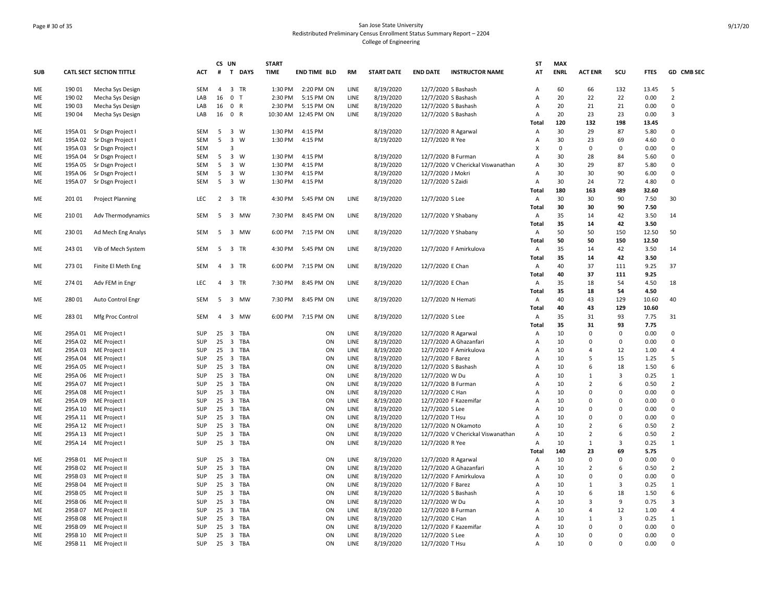# Page # 30 of 35 San Jose State University Redistributed Preliminary Census Enrollment Status Summary Report – 2204 College of Engineering

|            |         |                                 |            |                | CS UN                          | <b>START</b> |                      |      |                   |                                           | <b>ST</b>    | <b>MAX</b>  |                |             |             |                |
|------------|---------|---------------------------------|------------|----------------|--------------------------------|--------------|----------------------|------|-------------------|-------------------------------------------|--------------|-------------|----------------|-------------|-------------|----------------|
| <b>SUB</b> |         | <b>CATL SECT SECTION TITTLE</b> | ACT        |                | # T DAYS                       | <b>TIME</b>  | END TIME BLD         | RM   | <b>START DATE</b> | <b>END DATE</b><br><b>INSTRUCTOR NAME</b> | AT           | <b>ENRL</b> | <b>ACT ENR</b> | SCU         | <b>FTES</b> | GD CMB SEC     |
| ME         | 190 01  | Mecha Sys Design                | SEM        | $\overline{4}$ | 3 TR                           | 1:30 PM      | 2:20 PM ON           | LINE | 8/19/2020         | 12/7/2020 S Bashash                       | Α            | 60          | 66             | 132         | 13.45       | 5              |
| ME         | 190 02  | Mecha Sys Design                | LAB        | 16             | 0 <sub>T</sub>                 | 2:30 PM      | 5:15 PM ON           | LINE | 8/19/2020         | 12/7/2020 S Bashash                       | Α            | 20          | 22             | 22          | 0.00        | $\overline{2}$ |
| ME         | 190 03  | Mecha Sys Design                | LAB        | 16             | 0 R                            | 2:30 PM      | 5:15 PM ON           | LINE | 8/19/2020         | 12/7/2020 S Bashash                       | Α            | 20          | 21             | 21          | 0.00        | $\Omega$       |
| ME         | 190 04  | Mecha Sys Design                | LAB        | 16             | 0 R                            |              | 10:30 AM 12:45 PM ON | LINE | 8/19/2020         | 12/7/2020 S Bashash                       | Α            | 20          | 23             | 23          | 0.00        | 3              |
|            |         |                                 |            |                |                                |              |                      |      |                   |                                           | Total        | 120         | 132            | 198         | 13.45       |                |
| ME         | 195A 01 | Sr Dsgn Project I               | SEM        | -5             | 3 W                            | 1:30 PM      | 4:15 PM              |      | 8/19/2020         | 12/7/2020 R Agarwal                       | Α            | 30          | 29             | 87          | 5.80        | $\mathbf 0$    |
| ME         | 195A 02 | Sr Dsgn Project I               | SEM        | 5              | $\overline{\mathbf{3}}$<br>W   | 1:30 PM      | 4:15 PM              |      | 8/19/2020         | 12/7/2020 R Yee                           | Α            | 30          | 23             | 69          | 4.60        | $\Omega$       |
| ME         | 195A 03 | Sr Dsgn Project I               | SEM        |                | 3                              |              |                      |      |                   |                                           | X            | $\mathbf 0$ | 0              | $\Omega$    | 0.00        | $\mathbf 0$    |
| <b>ME</b>  | 195A 04 | Sr Dsgn Project I               | SEM        | 5              | $\overline{3}$<br>W            | 1:30 PM      | 4:15 PM              |      | 8/19/2020         | 12/7/2020 B Furman                        | A            | 30          | 28             | 84          | 5.60        | $\Omega$       |
| ME         | 195A 05 | Sr Dsgn Project I               | SEM        | 5              | $\overline{\mathbf{3}}$<br>W   | 1:30 PM      | 4:15 PM              |      | 8/19/2020         | 12/7/2020 V Cherickal Viswanathan         | A            | 30          | 29             | 87          | 5.80        | $\Omega$       |
| ME         | 195A 06 | Sr Dsgn Project I               | SEM        | 5              | $\overline{\mathbf{3}}$<br>W   | 1:30 PM      | 4:15 PM              |      | 8/19/2020         | 12/7/2020 J Mokri                         | Α            | 30          | 30             | 90          | 6.00        | $\mathbf 0$    |
| ME         | 195A 07 | Sr Dsgn Project I               | SEM        | 5              | $\overline{\mathbf{3}}$<br>W   | 1:30 PM      | 4:15 PM              |      | 8/19/2020         | 12/7/2020 S Zaidi                         | Α            | 30          | 24             | 72          | 4.80        | $\Omega$       |
|            |         |                                 |            |                |                                |              |                      |      |                   |                                           | Total        | 180         | 163            | 489         | 32.60       |                |
| ME         | 201 01  | <b>Project Planning</b>         | LEC        |                | 2 3 TR                         | 4:30 PM      | 5:45 PM ON           | LINE | 8/19/2020         | 12/7/2020 S Lee                           | Α            | 30          | 30             | 90          | 7.50        | 30             |
|            |         |                                 |            |                |                                |              |                      |      |                   |                                           | Total        | 30          | 30             | 90          | 7.50        |                |
| ME         | 210 01  | Adv Thermodynamics              | SEM        | 5              | 3 MW                           | 7:30 PM      | 8:45 PM ON           | LINE | 8/19/2020         | 12/7/2020 Y Shabany                       | Α            | 35          | 14             | 42          | 3.50        | 14             |
|            |         |                                 |            |                |                                |              |                      |      |                   |                                           | Total        | 35          | 14             | 42          | 3.50        |                |
|            | 230 01  |                                 | SEM        |                |                                |              |                      |      |                   |                                           |              | 50          | 50             | 150         |             | 50             |
| ME         |         | Ad Mech Eng Analys              |            | - 5            | 3 MW                           | 6:00 PM      | 7:15 PM ON           | LINE | 8/19/2020         | 12/7/2020 Y Shabany                       | Α            |             |                |             | 12.50       |                |
|            |         |                                 |            |                |                                |              |                      |      |                   |                                           | <b>Total</b> | 50          | 50             | 150         | 12.50       |                |
| ME         | 243 01  | Vib of Mech System              | SEM        | 5              | 3 TR                           | 4:30 PM      | 5:45 PM ON           | LINE | 8/19/2020         | 12/7/2020 F Amirkulova                    | Α            | 35          | 14             | 42          | 3.50        | 14             |
|            |         |                                 |            |                |                                |              |                      |      |                   |                                           | Total        | 35          | 14             | 42          | 3.50        |                |
| ME         | 273 01  | Finite El Meth Eng              | SEM        | 4              | 3 TR                           | 6:00 PM      | 7:15 PM ON           | LINE | 8/19/2020         | 12/7/2020 E Chan                          | Α            | 40          | 37             | 111         | 9.25        | 37             |
|            |         |                                 |            |                |                                |              |                      |      |                   |                                           | Total        | 40          | 37             | 111         | 9.25        |                |
| ME         | 274 01  | Adv FEM in Engr                 | <b>LEC</b> |                | 4 3 TR                         | 7:30 PM      | 8:45 PM ON           | LINE | 8/19/2020         | 12/7/2020 E Chan                          | Α            | 35          | 18             | 54          | 4.50        | 18             |
|            |         |                                 |            |                |                                |              |                      |      |                   |                                           | Total        | 35          | 18             | 54          | 4.50        |                |
| ME         | 280 01  | Auto Control Engr               | SEM        | - 5            | 3 MW                           | 7:30 PM      | 8:45 PM ON           | LINE | 8/19/2020         | 12/7/2020 N Hemati                        | Α            | 40          | 43             | 129         | 10.60       | 40             |
|            |         |                                 |            |                |                                |              |                      |      |                   |                                           | <b>Total</b> | 40          | 43             | 129         | 10.60       |                |
| ME         | 283 01  | Mfg Proc Control                | SEM        | $\overline{4}$ | 3 MW                           |              | 6:00 PM 7:15 PM ON   | LINE | 8/19/2020         | 12/7/2020 S Lee                           | Α            | 35          | 31             | 93          | 7.75        | 31             |
|            |         |                                 |            |                |                                |              |                      |      |                   |                                           | Total        | 35          | 31             | 93          | 7.75        |                |
| ME         | 295A01  | ME Project I                    | SUP        | 25             | 3 TBA                          |              | ON                   | LINE | 8/19/2020         | 12/7/2020 R Agarwal                       | Α            | 10          | 0              | 0           | 0.00        | $\mathbf 0$    |
| ME         | 295A 02 | ME Project I                    | SUP        | 25             | 3 TBA                          |              | ON                   | LINE | 8/19/2020         | 12/7/2020 A Ghazanfari                    | Α            | 10          | 0              | 0           | 0.00        | $\mathbf 0$    |
| ME         | 295A 03 | ME Project I                    | <b>SUP</b> | 25             | 3 TBA                          |              | ON                   | LINE | 8/19/2020         | 12/7/2020 F Amirkulova                    | A            | 10          | $\overline{4}$ | 12          | 1.00        | 4              |
| ME         | 295A04  | ME Project I                    | SUP        | 25             | $\overline{3}$<br>TBA          |              | ON                   | LINE | 8/19/2020         | 12/7/2020 F Barez                         | A            | 10          | 5              | 15          | 1.25        | 5              |
| ME         | 295A 05 | ME Project I                    | SUP        | 25             | 3 TBA                          |              | ON                   | LINE | 8/19/2020         | 12/7/2020 S Bashash                       | Α            | 10          | 6              | 18          | 1.50        | 6              |
| ME         | 295A 06 | ME Project I                    | SUP        |                | 25 3 TBA                       |              | ON                   | LINE | 8/19/2020         | 12/7/2020 W Du                            | А            | 10          | $\mathbf{1}$   | 3           | 0.25        | $\mathbf{1}$   |
| ME         | 295A 07 | ME Project I                    | SUP        | 25             | 3 TBA                          |              | ON                   | LINE | 8/19/2020         | 12/7/2020 B Furman                        | Α            | 10          | $\overline{2}$ | 6           | 0.50        | $\overline{2}$ |
| ME         | 295A08  | ME Project I                    | SUP        | 25             | 3 TBA                          |              | ON                   | LINE | 8/19/2020         | 12/7/2020 C Han                           | A            | 10          | $\mathbf 0$    | $\Omega$    | 0.00        | $\mathsf 0$    |
| ME         | 295A 09 | ME Project I                    | SUP        | 25             | 3 TBA                          |              | ON                   | LINE | 8/19/2020         | 12/7/2020 F Kazemifar                     | A            | 10          | $\Omega$       | $\Omega$    | 0.00        | $\Omega$       |
| ME         |         | 295A 10 ME Project              | <b>SUP</b> | 25             | 3 TBA                          |              | ON                   | LINE | 8/19/2020         | 12/7/2020 S Lee                           | A            | 10          | $\Omega$       | $\Omega$    | 0.00        | $\Omega$       |
|            |         |                                 | SUP        | 25             | 3 TBA                          |              | ON                   | LINE |                   |                                           |              | 10          | $\mathbf 0$    | $\mathbf 0$ | 0.00        | $\mathbf 0$    |
| ME         |         | 295A 11 ME Project I            |            |                |                                |              |                      |      | 8/19/2020         | 12/7/2020 T Hsu                           | Α            |             |                |             |             |                |
| ME         |         | 295A 12 ME Project I            | SUP        | 25             | $\overline{\mathbf{3}}$<br>TBA |              | ON                   | LINE | 8/19/2020         | 12/7/2020 N Okamoto                       | Α            | 10          | $\overline{2}$ | 6           | 0.50        | $\overline{2}$ |
| ME         |         | 295A 13 ME Project              | SUP        | 25             | 3 TBA                          |              | ON                   | LINE | 8/19/2020         | 12/7/2020 V Cherickal Viswanathan         | Α            | 10          | $\overline{2}$ | 6           | 0.50        | $\overline{2}$ |
| ME         |         | 295A 14 ME Project I            | SUP        | 25             | 3 TBA                          |              | ON                   | LINE | 8/19/2020         | 12/7/2020 R Yee                           | Α            | 10          | $\mathbf{1}$   | 3           | 0.25        | $\mathbf{1}$   |
|            |         |                                 |            |                |                                |              |                      |      |                   |                                           | <b>Total</b> | 140         | 23             | 69          | 5.75        |                |
| ME         | 295B01  | ME Project II                   | SUP        | 25             | 3 TBA                          |              | ON                   | LINE | 8/19/2020         | 12/7/2020 R Agarwal                       | Α            | 10          | $\pmb{0}$      | 0           | 0.00        | $\mathsf 0$    |
| ME         | 295B 02 | ME Project II                   | SUP        | 25             | 3 TBA                          |              | ON                   | LINE | 8/19/2020         | 12/7/2020 A Ghazanfari                    | Α            | 10          | $\overline{2}$ | 6           | 0.50        | $\overline{2}$ |
| ME         | 295B03  | ME Project II                   | <b>SUP</b> | 25             | 3 TBA                          |              | ON                   | LINE | 8/19/2020         | 12/7/2020 F Amirkulova                    | Α            | 10          | $\Omega$       | $\Omega$    | 0.00        | $\mathbf 0$    |
| ME         | 295B 04 | ME Project II                   | SUP        | 25             | 3 TBA                          |              | ON                   | LINE | 8/19/2020         | 12/7/2020 F Barez                         | A            | 10          | $\mathbf{1}$   | 3           | 0.25        | $\mathbf{1}$   |
| ME         | 295B 05 | ME Project II                   | SUP        | 25             | 3 TBA                          |              | ON                   | LINE | 8/19/2020         | 12/7/2020 S Bashash                       | A            | 10          | 6              | 18          | 1.50        | 6              |
| ME         | 295B 06 | ME Project II                   | SUP        | 25             | 3 TBA                          |              | ON                   | LINE | 8/19/2020         | 12/7/2020 W Du                            | А            | 10          | 3              | 9           | 0.75        | 3              |
| ME         | 295B07  | ME Project II                   | SUP        | 25             | 3 TBA                          |              | ON                   | LINE | 8/19/2020         | 12/7/2020 B Furman                        | Α            | 10          | $\overline{4}$ | 12          | 1.00        | $\overline{a}$ |
| ME         | 295B08  | ME Project II                   | SUP        | 25             | 3 TBA                          |              | ON                   | LINE | 8/19/2020         | 12/7/2020 C Han                           | A            | 10          | 1              | 3           | 0.25        | $\mathbf{1}$   |
| ME         | 295B09  | ME Project II                   | SUP        | 25             | 3 TBA                          |              | ON                   | LINE | 8/19/2020         | 12/7/2020 F Kazemifar                     | A            | 10          | $\mathbf 0$    | $\Omega$    | 0.00        | $\Omega$       |
| ME         | 295B 10 | ME Project II                   | SUP        | 25             | 3 TBA                          |              | ON                   | LINE | 8/19/2020         | 12/7/2020 S Lee                           | Α            | 10          | $\Omega$       | $\Omega$    | 0.00        | $\mathsf 0$    |
| ME         |         | 295B 11 ME Project II           | SUP        |                | 25 3 TBA                       |              | ON                   | LINE | 8/19/2020         | 12/7/2020 T Hsu                           | Α            | 10          | $\Omega$       | 0           | 0.00        | $\mathbf 0$    |
|            |         |                                 |            |                |                                |              |                      |      |                   |                                           |              |             |                |             |             |                |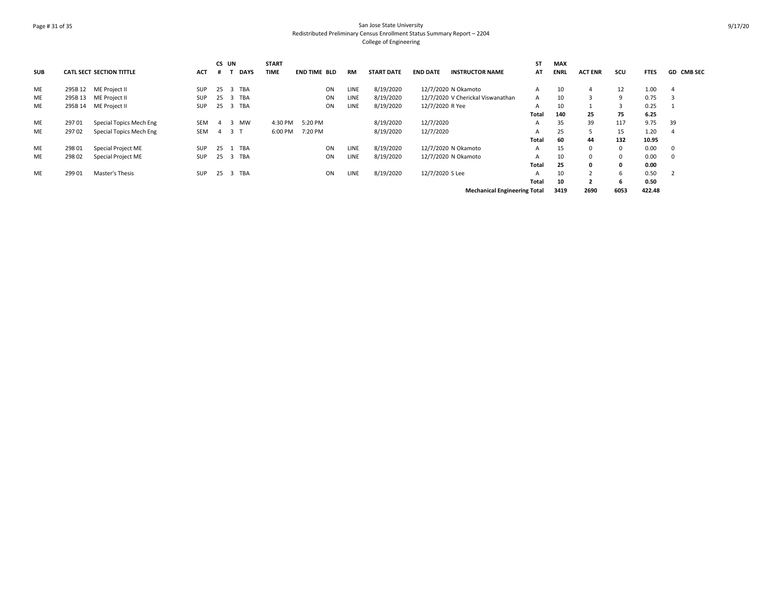# Page # 31 of 35 San Jose State University Redistributed Preliminary Census Enrollment Status Summary Report – 2204 College of Engineering

| <b>SUB</b> |         | <b>CATL SECT SECTION TITTLE</b> | <b>ACT</b> | CS UN | <b>DAYS</b>                    | <b>START</b><br><b>TIME</b> | <b>END TIME BLD</b> | <b>RM</b> | <b>START DATE</b> | <b>END DATE</b> | <b>INSTRUCTOR NAME</b>              | ST<br>AT | <b>MAX</b><br><b>ENRL</b> | <b>ACT ENR</b> | scu  | <b>FTES</b> | <b>GD CMB SEC</b> |
|------------|---------|---------------------------------|------------|-------|--------------------------------|-----------------------------|---------------------|-----------|-------------------|-----------------|-------------------------------------|----------|---------------------------|----------------|------|-------------|-------------------|
|            |         |                                 |            |       |                                |                             |                     |           |                   |                 |                                     |          |                           |                |      |             |                   |
| ME         | 295B 12 | ME Project II                   | <b>SUP</b> | 25    | TBA<br>-3                      |                             | ON                  | LINE      | 8/19/2020         |                 | 12/7/2020 N Okamoto                 | A        | 10                        |                | 12   | 1.00        | -4                |
| ME         | 295B 13 | ME Project II                   | <b>SUP</b> | 25    | TBA<br>$\overline{\mathbf{3}}$ |                             | ON                  | LINE      | 8/19/2020         |                 | 12/7/2020 V Cherickal Viswanathan   | A        | 10                        |                | 9    | 0.75        |                   |
| ME         | 295B 14 | ME Project II                   | <b>SUP</b> | 25    | 3 TBA                          |                             | ON                  | LINE      | 8/19/2020         | 12/7/2020 R Yee |                                     | A        | 10                        |                | 3    | 0.25        |                   |
|            |         |                                 |            |       |                                |                             |                     |           |                   |                 |                                     | Total    | 140                       | 25             | 75   | 6.25        |                   |
| ME         | 297 01  | Special Topics Mech Eng         | SEM        | 4     | 3 MW                           | 4:30 PM                     | 5:20 PM             |           | 8/19/2020         | 12/7/2020       |                                     | A        | 35                        | 39             | 117  | 9.75        | 39                |
| ME         | 29702   | Special Topics Mech Eng         | SEM        |       | 4 3 T                          | 6:00 PM                     | 7:20 PM             |           | 8/19/2020         | 12/7/2020       |                                     | A        | 25                        | 5              | 15   | 1.20        |                   |
|            |         |                                 |            |       |                                |                             |                     |           |                   |                 |                                     | Total    | 60                        | 44             | 132  | 10.95       |                   |
| ME         | 298 01  | Special Project ME              | <b>SUP</b> | 25    | TBA                            |                             | ON                  | LINE      | 8/19/2020         |                 | 12/7/2020 N Okamoto                 | A        | 15                        | 0              | 0    | 0.00        | 0                 |
| ME         | 298 02  | Special Project ME              | <b>SUP</b> | 25    | 3 TBA                          |                             | ON                  | LINE      | 8/19/2020         |                 | 12/7/2020 N Okamoto                 | A        | 10                        | 0              | 0    | 0.00        | $\Omega$          |
|            |         |                                 |            |       |                                |                             |                     |           |                   |                 |                                     | Total    | 25                        | 0              | 0    | 0.00        |                   |
| ME         | 299 01  | Master's Thesis                 | <b>SUP</b> | 25    | 3 TBA                          |                             | ON                  | LINE      | 8/19/2020         | 12/7/2020 S Lee |                                     | A        | 10                        |                | 6    | 0.50        |                   |
|            |         |                                 |            |       |                                |                             |                     |           |                   |                 |                                     | Total    | 10                        |                | 6    | 0.50        |                   |
|            |         |                                 |            |       |                                |                             |                     |           |                   |                 | <b>Mechanical Engineering Total</b> |          | 3419                      | 2690           | 6053 | 422.48      |                   |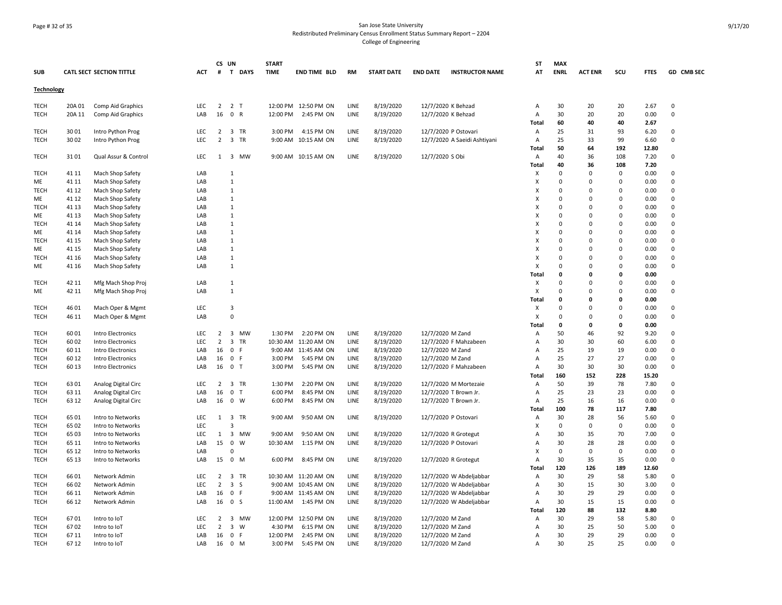# Page # 32 of 35 San Jose State University Redistributed Preliminary Census Enrollment Status Summary Report – 2204 College of Engineering

| <b>SUB</b>        |        | <b>CATL SECT SECTION TITTLE</b> | ACT        |                | CS UN<br># T DAYS              | <b>START</b><br><b>TIME</b> | <b>END TIME BLD</b>  | <b>RM</b> | <b>START DATE</b> | <b>END DATE</b>      | <b>INSTRUCTOR NAME</b>       | <b>ST</b><br>AT           | <b>MAX</b><br><b>ENRL</b> | <b>ACT ENR</b> | scu         | <b>FTES</b>  | GD CMB SEC     |
|-------------------|--------|---------------------------------|------------|----------------|--------------------------------|-----------------------------|----------------------|-----------|-------------------|----------------------|------------------------------|---------------------------|---------------------------|----------------|-------------|--------------|----------------|
| <b>Technology</b> |        |                                 |            |                |                                |                             |                      |           |                   |                      |                              |                           |                           |                |             |              |                |
| <b>TECH</b>       | 20A 01 | Comp Aid Graphics               | <b>LEC</b> |                | $2 \quad 2 \quad T$            |                             | 12:00 PM 12:50 PM ON | LINE      | 8/19/2020         | 12/7/2020 K Behzad   |                              | Α                         | 30                        | 20             | 20          | 2.67         | $\overline{0}$ |
| <b>TECH</b>       | 20A 11 | Comp Aid Graphics               | LAB        | 16             | $\mathbf 0$<br>$\mathsf{R}$    | 12:00 PM                    | 2:45 PM ON           | LINE      | 8/19/2020         | 12/7/2020 K Behzad   |                              | Α                         | 30                        | 20             | 20          | 0.00         | $\mathbf 0$    |
|                   |        |                                 |            |                |                                |                             |                      |           |                   |                      |                              | <b>Total</b>              | 60                        | 40             | 40          | 2.67         |                |
| <b>TECH</b>       | 3001   | Intro Python Prog               | LEC        | $\overline{2}$ | 3 TR                           | 3:00 PM                     | 4:15 PM ON           | LINE      | 8/19/2020         | 12/7/2020 P Ostovari |                              | Α                         | 25                        | 31             | 93          | 6.20         | $\mathbf 0$    |
| TECH              | 30 02  | Intro Python Prog               | LEC        | $\overline{2}$ | 3 TR                           |                             | 9:00 AM 10:15 AM ON  | LINE      | 8/19/2020         |                      | 12/7/2020 A Saeidi Ashtiyani | A                         | 25                        | 33             | 99          | 6.60         | $\mathsf 0$    |
|                   |        |                                 |            |                |                                |                             |                      |           |                   |                      |                              | Total                     | 50                        | 64             | 192         | 12.80        |                |
| <b>TECH</b>       | 3101   | Qual Assur & Control            | <b>LEC</b> |                | 1 3 MW                         |                             | 9:00 AM 10:15 AM ON  | LINE      | 8/19/2020         | 12/7/2020 S Obi      |                              | Α<br>Total                | 40<br>40                  | 36<br>36       | 108<br>108  | 7.20<br>7.20 | $\Omega$       |
| <b>TECH</b>       | 41 11  | Mach Shop Safety                | LAB        |                | $\mathbf{1}$                   |                             |                      |           |                   |                      |                              | X                         | $\mathbf 0$               | $\Omega$       | 0           | 0.00         | $\Omega$       |
| ME                | 41 11  | Mach Shop Safety                | LAB        |                | $\mathbf{1}$                   |                             |                      |           |                   |                      |                              | X                         | $\mathbf 0$               | $\mathbf 0$    | 0           | 0.00         | $\mathbf 0$    |
| <b>TECH</b>       | 41 12  | Mach Shop Safety                | LAB        |                | $\mathbf{1}$                   |                             |                      |           |                   |                      |                              | X                         | $\mathbf 0$               | $\mathbf 0$    | $\Omega$    | 0.00         | $\mathbf 0$    |
| ME                | 41 12  | Mach Shop Safety                | LAB        |                | 1                              |                             |                      |           |                   |                      |                              | X                         | $\mathbf 0$               | $\Omega$       | $\Omega$    | 0.00         | $\mathbf 0$    |
| <b>TECH</b>       | 41 13  | Mach Shop Safety                | LAB        |                | 1                              |                             |                      |           |                   |                      |                              | X                         | $\overline{0}$            | $\Omega$       | $\Omega$    | 0.00         | $\mathbf 0$    |
| ME                | 41 13  | Mach Shop Safety                | LAB        |                | $\mathbf{1}$                   |                             |                      |           |                   |                      |                              | $\boldsymbol{\mathsf{x}}$ | $\Omega$                  | $\Omega$       | $\Omega$    | 0.00         | $\Omega$       |
| <b>TECH</b>       | 41 14  | Mach Shop Safety                | LAB        |                | $\mathbf{1}$                   |                             |                      |           |                   |                      |                              | X                         | $\overline{0}$            | $\mathbf 0$    | $\Omega$    | 0.00         | $\mathbf 0$    |
| ME                | 41 14  | Mach Shop Safety                | LAB        |                | 1                              |                             |                      |           |                   |                      |                              | Х                         | 0                         | $\Omega$       | $\Omega$    | 0.00         | 0              |
| <b>TECH</b>       | 41 15  | Mach Shop Safety                | LAB        |                | $\mathbf{1}$                   |                             |                      |           |                   |                      |                              | X                         | $\mathbf 0$               | $\Omega$       | $\Omega$    | 0.00         | $\mathbf 0$    |
| ME                | 41 15  | Mach Shop Safety                | LAB        |                | $\mathbf{1}$                   |                             |                      |           |                   |                      |                              | X                         | $\mathbf 0$               | $\mathbf 0$    | $\Omega$    | 0.00         | $\mathbf 0$    |
| <b>TECH</b>       | 41 16  | Mach Shop Safety                | LAB        |                | $\mathbf{1}$                   |                             |                      |           |                   |                      |                              | X                         | $\mathbf 0$               | $\Omega$       | $\Omega$    | 0.00         | $\mathbf 0$    |
| ME                | 41 16  | Mach Shop Safety                | LAB        |                | $\mathbf{1}$                   |                             |                      |           |                   |                      |                              | X                         | $\mathbf 0$               | $\mathbf 0$    | $\mathbf 0$ | 0.00         | $\mathbf 0$    |
|                   |        |                                 |            |                |                                |                             |                      |           |                   |                      |                              | Total                     | $\mathbf 0$               | 0              | 0           | 0.00         |                |
| <b>TECH</b>       | 42 11  | Mfg Mach Shop Proj              | LAB        |                | 1                              |                             |                      |           |                   |                      |                              | х                         | $\Omega$                  | $\Omega$       | $\Omega$    | 0.00         | $\Omega$       |
| ME                | 42 11  | Mfg Mach Shop Proj              | LAB        |                | $\mathbf{1}$                   |                             |                      |           |                   |                      |                              | X                         | $\Omega$                  | $\Omega$       | $\Omega$    | 0.00         | $\mathbf 0$    |
|                   |        |                                 |            |                |                                |                             |                      |           |                   |                      |                              | <b>Total</b>              | $\mathbf 0$               | $\Omega$       | $\Omega$    | 0.00         |                |
| <b>TECH</b>       | 46 01  | Mach Oper & Mgmt                | LEC        |                | $\overline{3}$                 |                             |                      |           |                   |                      |                              | X                         | $\mathbf 0$               | $\mathbf 0$    | $\Omega$    | 0.00         | $\overline{0}$ |
| <b>TECH</b>       | 46 11  | Mach Oper & Mgmt                | LAB        |                | $\mathbf 0$                    |                             |                      |           |                   |                      |                              | X                         | $\mathbf 0$               | $\mathbf 0$    | $\Omega$    | 0.00         | $\mathsf 0$    |
|                   |        |                                 |            |                |                                |                             |                      |           |                   |                      |                              | Total                     | 0                         | 0              | 0           | 0.00         |                |
| <b>TECH</b>       | 6001   | Intro Electronics               | LEC        | $\overline{2}$ | 3 MW                           | 1:30 PM                     | 2:20 PM ON           | LINE      | 8/19/2020         | 12/7/2020 M Zand     |                              | Α                         | 50                        | 46             | 92          | 9.20         | 0              |
| <b>TECH</b>       | 6002   | <b>Intro Electronics</b>        | <b>LEC</b> | $\overline{2}$ | $\overline{3}$<br><b>TR</b>    |                             | 10:30 AM 11:20 AM ON | LINE      | 8/19/2020         |                      | 12/7/2020 F Mahzabeen        | A                         | 30                        | 30             | 60          | 6.00         | $\mathbf 0$    |
| <b>TECH</b>       | 60 11  | Intro Electronics               | LAB        | 16             | $\mathbf 0$<br>$\mathsf F$     |                             | 9:00 AM 11:45 AM ON  | LINE      | 8/19/2020         | 12/7/2020 M Zand     |                              | Α                         | 25                        | 19             | 19          | 0.00         | $\Omega$       |
| <b>TECH</b>       | 60 12  | <b>Intro Electronics</b>        | LAB        | 16             | $\mathbf 0$<br>-F              | 3:00 PM                     | 5:45 PM ON           | LINE      | 8/19/2020         | 12/7/2020 M Zand     |                              | А                         | 25                        | 27             | 27          | 0.00         | $\mathbf 0$    |
| <b>TECH</b>       | 60 13  | Intro Electronics               | LAB        |                | 16 0 T                         | 3:00 PM                     | 5:45 PM ON           | LINE      | 8/19/2020         |                      | 12/7/2020 F Mahzabeen        | Α                         | 30                        | 30             | 30          | 0.00         | $\mathbf 0$    |
|                   |        |                                 |            |                |                                |                             |                      |           |                   |                      |                              | Total                     | 160                       | 152            | 228         | 15.20        |                |
| <b>TECH</b>       | 6301   | Analog Digital Circ             | <b>LEC</b> | 2              | 3 TR                           | 1:30 PM                     | 2:20 PM ON           | LINE      | 8/19/2020         |                      | 12/7/2020 M Mortezaie        | Α                         | 50                        | 39             | 78          | 7.80         | $\mathbf 0$    |
| <b>TECH</b>       | 63 11  | Analog Digital Circ             | LAB        | 16             | $\mathbf 0$<br>Т               | 6:00 PM                     | 8:45 PM ON           | LINE      | 8/19/2020         |                      | 12/7/2020 T Brown Jr.        | Α                         | 25                        | 23             | 23          | 0.00         | $\mathsf 0$    |
| <b>TECH</b>       | 63 12  | Analog Digital Circ             | LAB        |                | 16 0 W                         | 6:00 PM                     | 8:45 PM ON           | LINE      | 8/19/2020         |                      | 12/7/2020 T Brown Jr.        | А                         | 25                        | 16             | 16          | 0.00         | $\mathbf 0$    |
|                   |        |                                 |            |                |                                |                             |                      |           |                   |                      |                              | Total                     | 100                       | 78             | 117         | 7.80         |                |
| <b>TECH</b>       | 6501   | Intro to Networks               | LEC        | 1              | $\overline{3}$<br><b>TR</b>    | 9:00 AM                     | 9:50 AM ON           | LINE      | 8/19/2020         | 12/7/2020 P Ostovari |                              | Α                         | 30                        | 28             | 56          | 5.60         | 0              |
| <b>TECH</b>       | 65 02  | Intro to Networks               | <b>LEC</b> |                | $\overline{3}$                 |                             |                      |           |                   |                      |                              | X                         | $\mathbf 0$               | $\mathbf 0$    | $\mathbf 0$ | 0.00         | $\mathbf 0$    |
| <b>TECH</b>       | 65 03  | Intro to Networks               | <b>LEC</b> | 1              | 3 MW                           | 9:00 AM                     | 9:50 AM ON           | LINE      | 8/19/2020         | 12/7/2020 R Grotegut |                              | Α                         | 30                        | 35             | 70          | 7.00         | $\mathbf 0$    |
| <b>TECH</b>       | 65 11  | Intro to Networks               | LAB        | 15             | $\pmb{0}$<br>W                 | 10:30 AM                    | 1:15 PM ON           | LINE      | 8/19/2020         | 12/7/2020 P Ostovari |                              | Α                         | 30                        | 28             | 28          | 0.00         | $\mathsf 0$    |
| TECH              | 65 12  | Intro to Networks               | LAB        |                | 0                              |                             |                      |           |                   |                      |                              | $\boldsymbol{\mathsf{X}}$ | $\mathbf 0$               | $\pmb{0}$      | 0           | 0.00         | $\mathsf 0$    |
| <b>TECH</b>       | 65 13  | Intro to Networks               | LAB        |                | 15 0 M                         | 6:00 PM                     | 8:45 PM ON           | LINE      | 8/19/2020         |                      | 12/7/2020 R Grotegut         | Α                         | 30                        | 35             | 35          | 0.00         | 0              |
|                   |        |                                 |            |                |                                |                             |                      |           |                   |                      |                              | Total                     | 120                       | 126            | 189         | 12.60        |                |
| <b>TECH</b>       | 6601   | Network Admin                   | <b>LEC</b> | $\overline{2}$ | $\overline{3}$<br><b>TR</b>    |                             | 10:30 AM 11:20 AM ON | LINE      | 8/19/2020         |                      | 12/7/2020 W Abdeljabbar      | A                         | 30                        | 29             | 58          | 5.80         | $\Omega$       |
| <b>TECH</b>       | 6602   | Network Admin                   | LEC        | $\overline{2}$ | $\overline{\mathbf{3}}$<br>S   |                             | 9:00 AM 10:45 AM ON  | LINE      | 8/19/2020         |                      | 12/7/2020 W Abdeljabbar      | Α                         | 30                        | 15             | 30          | 3.00         | $\overline{0}$ |
| <b>TECH</b>       | 66 11  | Network Admin                   | LAB        | 16             | $\overline{0}$<br>$\mathsf{F}$ |                             | 9:00 AM 11:45 AM ON  | LINE      | 8/19/2020         |                      | 12/7/2020 W Abdeljabbar      | Α                         | 30                        | 29             | 29          | 0.00         | $\mathsf 0$    |
| <b>TECH</b>       | 66 12  | Network Admin                   | LAB        | 16             | $\mathbf 0$<br>S               | 11:00 AM                    | 1:45 PM ON           | LINE      | 8/19/2020         |                      | 12/7/2020 W Abdeljabbar      | Α                         | 30                        | 15             | 15          | 0.00         | $\mathbf 0$    |
|                   |        |                                 |            |                |                                |                             |                      |           |                   |                      |                              | Total                     | 120                       | 88             | 132         | 8.80         |                |
| TECH              | 6701   | Intro to IoT                    | LEC        | 2              | 3 MW                           |                             | 12:00 PM 12:50 PM ON | LINE      | 8/19/2020         | 12/7/2020 M Zand     |                              | Α                         | 30                        | 29             | 58          | 5.80         | $\Omega$       |
| TECH              | 6702   | Intro to IoT                    | LEC        | $\overline{2}$ | $\overline{\mathbf{3}}$<br>W   | 4:30 PM                     | 6:15 PM ON           | LINE      | 8/19/2020         | 12/7/2020 M Zand     |                              | $\overline{A}$            | 30                        | 25             | 50          | 5.00         | $\Omega$       |
| <b>TECH</b>       | 67 11  | Intro to IoT                    | LAB        | 16             | 0 F                            | 12:00 PM                    | 2:45 PM ON           | LINE      | 8/19/2020         | 12/7/2020 M Zand     |                              | А                         | 30                        | 29             | 29          | 0.00         | $\overline{0}$ |
| <b>TECH</b>       | 6712   | Intro to IoT                    | LAB        |                | 16 0 M                         | 3:00 PM                     | 5:45 PM ON           | LINE      | 8/19/2020         | 12/7/2020 M Zand     |                              | A                         | 30                        | 25             | 25          | 0.00         | $\Omega$       |
|                   |        |                                 |            |                |                                |                             |                      |           |                   |                      |                              |                           |                           |                |             |              |                |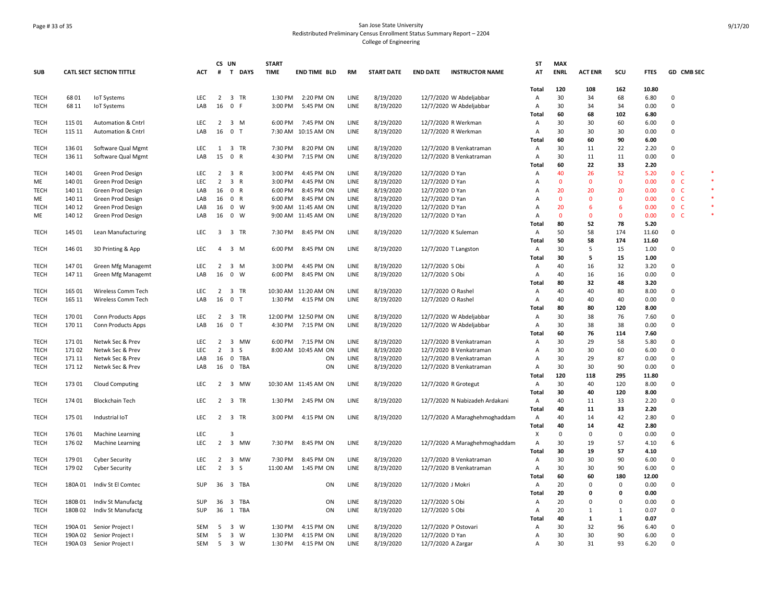# Page # 33 of 35 San Jose State University Redistributed Preliminary Census Enrollment Status Summary Report – 2204 College of Engineering

|             |         |                                 |                          | CS UN                            |                                                 | <b>START</b> |                      |           |                   |                    |                                | ST             | <b>MAX</b>   |                |              |              |                |            |        |
|-------------|---------|---------------------------------|--------------------------|----------------------------------|-------------------------------------------------|--------------|----------------------|-----------|-------------------|--------------------|--------------------------------|----------------|--------------|----------------|--------------|--------------|----------------|------------|--------|
| <b>SUB</b>  |         | <b>CATL SECT SECTION TITTLE</b> | ACT                      | #                                | T DAYS                                          | <b>TIME</b>  | <b>END TIME BLD</b>  | <b>RM</b> | <b>START DATE</b> | <b>END DATE</b>    | <b>INSTRUCTOR NAME</b>         | AT             | <b>ENRL</b>  | <b>ACT ENR</b> | scu          | <b>FTES</b>  |                | GD CMB SEC |        |
|             |         |                                 |                          |                                  |                                                 |              |                      |           |                   |                    |                                |                |              |                |              |              |                |            |        |
|             |         |                                 |                          |                                  |                                                 |              |                      |           |                   |                    |                                | Total          | 120          | 108            | 162          | 10.80        |                |            |        |
| <b>TECH</b> | 6801    | <b>IoT Systems</b>              | LEC                      |                                  | 2 3 TR                                          | 1:30 PM      | 2:20 PM ON           | LINE      | 8/19/2020         |                    | 12/7/2020 W Abdeljabbar        | Α              | 30           | 34             | 68           | 6.80         | 0              |            |        |
| TECH        | 68 11   | IoT Systems                     | LAB                      | 16                               | $\mathbf 0$<br>-F                               | 3:00 PM      | 5:45 PM ON           | LINE      | 8/19/2020         |                    | 12/7/2020 W Abdeljabbar        | Α              | 30           | 34             | 34           | 0.00         | 0              |            |        |
|             |         |                                 |                          |                                  |                                                 |              |                      |           |                   |                    |                                | <b>Total</b>   | 60           | 68             | 102          | 6.80         |                |            |        |
| <b>TECH</b> | 115 01  | <b>Automation &amp; Cntrl</b>   | LEC                      | 2                                | $\overline{\mathbf{3}}$<br>M                    | 6:00 PM      | 7:45 PM ON           | LINE      | 8/19/2020         |                    | 12/7/2020 R Werkman            | $\overline{A}$ | 30           | 30             | 60           | 6.00         | $\mathbf 0$    |            |        |
| <b>TECH</b> | 115 11  | Automation & Cntrl              | LAB                      | 16                               | 0 <sub>T</sub>                                  |              | 7:30 AM 10:15 AM ON  | LINE      | 8/19/2020         |                    | 12/7/2020 R Werkman            | Α              | 30           | 30             | 30           | 0.00         | $\mathbf 0$    |            |        |
|             |         |                                 |                          |                                  |                                                 |              |                      |           |                   |                    |                                | Total          | 60           | 60             | 90           | 6.00         |                |            |        |
| <b>TECH</b> | 136 01  | Software Qual Mgmt              | LEC                      | 1                                | $\overline{\mathbf{3}}$<br>TR                   | 7:30 PM      | 8:20 PM ON           | LINE      | 8/19/2020         |                    | 12/7/2020 B Venkatraman        | Α              | 30           | 11             | 22           | 2.20         | $\mathbf 0$    |            |        |
| TECH        | 136 11  | Software Qual Mgmt              | LAB                      | 15                               | $\mathbf 0$<br>$\overline{R}$                   | 4:30 PM      | 7:15 PM ON           | LINE      | 8/19/2020         |                    | 12/7/2020 B Venkatraman        | Α              | 30           | 11             | 11           | 0.00         | $\mathsf 0$    |            |        |
|             |         |                                 |                          |                                  |                                                 |              |                      |           |                   |                    |                                | Total          | 60           | 22             | 33           | 2.20         |                |            | *      |
| <b>TECH</b> | 140 01  | Green Prod Design               | LEC                      |                                  | $2 \quad 3 \quad R$                             | 3:00 PM      | 4:45 PM ON           | LINE      | 8/19/2020         | 12/7/2020 D Yan    |                                | Α              | 40           | 26             | 52           | 5.20         | 0 <sub>c</sub> |            | $\ast$ |
| ME          | 140 01  | Green Prod Design               | <b>LEC</b>               | $\overline{2}$                   | $\overline{\mathbf{3}}$<br>$\mathsf{R}$         | 3:00 PM      | 4:45 PM ON           | LINE      | 8/19/2020         | 12/7/2020 D Yan    |                                | A              | $\mathbf{0}$ | $\mathbf{0}$   | $\mathbf{0}$ | 0.00         | 0 <sub>c</sub> |            |        |
| <b>TECH</b> | 140 11  | Green Prod Design               | LAB                      | 16                               | 0 R                                             | 6:00 PM      | 8:45 PM ON           | LINE      | 8/19/2020         | 12/7/2020 D Yan    |                                | $\Delta$       | 20           | 20             | 20           | 0.00         | 0 <sub>c</sub> |            |        |
| ME          | 140 11  | Green Prod Design               | LAB                      | 16                               | 0 R                                             | 6:00 PM      | 8:45 PM ON           | LINE      | 8/19/2020         | 12/7/2020 D Yan    |                                | $\overline{A}$ | $\mathbf{0}$ | $\mathbf{0}$   | $\mathbf{0}$ | 0.00         | 0 <sub>c</sub> |            | $\ast$ |
| <b>TECH</b> | 140 12  | Green Prod Design               | LAB                      | 16                               | 0 W                                             |              | 9:00 AM 11:45 AM ON  | LINE      | 8/19/2020         | 12/7/2020 D Yan    |                                | $\overline{A}$ | 20           | -6             | 6            | 0.00         | 0 <sub>c</sub> |            |        |
| ME          | 140 12  | Green Prod Design               | LAB                      | 16                               | $0 \quad W$                                     |              | 9:00 AM 11:45 AM ON  | LINE      | 8/19/2020         | 12/7/2020 D Yan    |                                | $\overline{A}$ | $\mathbf{0}$ | $\overline{0}$ | 0            | 0.00         | 0 <sub>c</sub> |            |        |
|             |         |                                 |                          |                                  |                                                 |              |                      |           |                   |                    |                                | Total          | 80           | 52             | 78           | 5.20         |                |            |        |
| TECH        | 145 01  | Lean Manufacturing              | LEC                      |                                  | 3 3 TR                                          | 7:30 PM      | 8:45 PM ON           | LINE      | 8/19/2020         |                    | 12/7/2020 K Suleman            | A              | 50           | 58             | 174          | 11.60        | 0              |            |        |
|             |         |                                 |                          |                                  |                                                 |              |                      |           |                   |                    |                                | Total          | 50           | 58             | 174          | 11.60        |                |            |        |
| <b>TECH</b> | 146 01  | 3D Printing & App               | <b>LEC</b>               | $\overline{4}$                   | 3 M                                             | 6:00 PM      | 8:45 PM ON           | LINE      | 8/19/2020         |                    | 12/7/2020 T Langston           | A              | 30           | 5              | 15           | 1.00         | $\mathbf 0$    |            |        |
|             |         |                                 |                          |                                  |                                                 |              |                      |           |                   |                    |                                | <b>Total</b>   | 30           | 5              | 15           | 1.00         |                |            |        |
| <b>TECH</b> | 14701   | <b>Green Mfg Managemt</b>       | LEC                      | $\overline{2}$                   | $\overline{\mathbf{3}}$<br>M                    | 3:00 PM      | 4:45 PM ON           | LINE      | 8/19/2020         | 12/7/2020 S Obi    |                                | А              | 40           | 16             | 32           | 3.20         | 0              |            |        |
| TECH        | 147 11  | <b>Green Mfg Managemt</b>       | LAB                      | 16                               | $\mathbf 0$<br>W                                | 6:00 PM      | 8:45 PM ON           | LINE      | 8/19/2020         | 12/7/2020 S Obi    |                                | Α              | 40           | 16             | 16           | 0.00         | $\mathbf 0$    |            |        |
|             |         |                                 |                          |                                  |                                                 |              |                      |           |                   |                    |                                | Total          | 80           | 32             | 48           | 3.20         |                |            |        |
| <b>TECH</b> | 165 01  | Wireless Comm Tech              | <b>LEC</b>               |                                  | 2 3 TR                                          |              | 10:30 AM 11:20 AM ON | LINE      | 8/19/2020         | 12/7/2020 O Rashel |                                | Α              | 40           | 40             | 80           | 8.00         | $\mathbf 0$    |            |        |
| TECH        | 165 11  | Wireless Comm Tech              | LAB                      | 16                               | $\mathbf 0$<br>$\top$                           | 1:30 PM      | 4:15 PM ON           | LINE      | 8/19/2020         | 12/7/2020 O Rashel |                                | Α              | 40           | 40             | 40           | 0.00         | 0              |            |        |
|             |         |                                 |                          |                                  |                                                 |              |                      |           |                   |                    |                                | <b>Total</b>   | 80           | 80             | 120          | 8.00         |                |            |        |
| TECH        | 170 01  | Conn Products Apps              | <b>LEC</b>               | $\overline{2}$                   | $\overline{\mathbf{3}}$<br>TR                   |              | 12:00 PM 12:50 PM ON | LINE      | 8/19/2020         |                    | 12/7/2020 W Abdeljabbar        | Α              | 30           | 38             | 76           | 7.60         | 0              |            |        |
| <b>TECH</b> | 170 11  | Conn Products Apps              | LAB                      | 16                               | $\overline{0}$<br>$\mathsf{T}$                  | 4:30 PM      | 7:15 PM ON           | LINE      | 8/19/2020         |                    | 12/7/2020 W Abdeljabbar        | $\overline{A}$ | 30           | 38             | 38           | 0.00         | $\mathbf 0$    |            |        |
|             |         |                                 |                          |                                  |                                                 |              |                      |           |                   |                    |                                | Total          | 60           | 76             | 114          | 7.60         |                |            |        |
| <b>TECH</b> | 17101   | Netwk Sec & Prev                | <b>LEC</b>               | $\overline{2}$                   | 3 MW                                            |              | 6:00 PM 7:15 PM ON   | LINE      | 8/19/2020         |                    | 12/7/2020 B Venkatraman        | Α              | 30           | 29             | 58           | 5.80         | $\mathbf 0$    |            |        |
| <b>TECH</b> | 17102   | Netwk Sec & Prev                | <b>LEC</b>               | $\overline{2}$                   | $\overline{\mathbf{3}}$<br><sub>S</sub>         |              | 8:00 AM 10:45 AM ON  | LINE      | 8/19/2020         |                    | 12/7/2020 B Venkatraman        | Α              | 30           | 30             | 60           | 6.00         | $\mathbf 0$    |            |        |
| TECH        | 171 11  | Netwk Sec & Prev                | LAB                      | 16                               | $\mathbf 0$<br>TBA                              |              | ON                   | LINE      | 8/19/2020         |                    | 12/7/2020 B Venkatraman        | Α              | 30           | 29             | 87           | 0.00         | $\mathbf 0$    |            |        |
| TECH        | 171 12  | Netwk Sec & Prev                | LAB                      | 16                               | $\mathbf{0}$<br>TBA                             |              | ON                   | LINE      | 8/19/2020         |                    | 12/7/2020 B Venkatraman        | Α              | 30           | 30             | 90           | 0.00         | 0              |            |        |
|             |         |                                 |                          |                                  |                                                 |              |                      |           |                   |                    |                                | Total          | 120          | 118            | 295          | 11.80        |                |            |        |
| <b>TECH</b> | 173 01  | <b>Cloud Computing</b>          | LEC                      | $\overline{2}$                   | 3 MW                                            |              | 10:30 AM 11:45 AM ON | LINE      | 8/19/2020         |                    | 12/7/2020 R Grotegut           | Α              | 30           | 40             | 120          | 8.00         | 0              |            |        |
|             |         |                                 |                          |                                  |                                                 |              |                      |           |                   |                    |                                | <b>Total</b>   | 30           | 40             | 120          | 8.00         |                |            |        |
| <b>TECH</b> | 174 01  | <b>Blockchain Tech</b>          | LEC                      |                                  | 2 3 TR                                          | 1:30 PM      | 2:45 PM ON           | LINE      | 8/19/2020         |                    | 12/7/2020 N Nabizadeh Ardakani | Α              | 40           | 11             | 33           | 2.20         | 0              |            |        |
|             |         |                                 |                          |                                  |                                                 |              |                      |           |                   |                    |                                | <b>Total</b>   | 40           | 11             | 33           | 2.20         |                |            |        |
| TECH        | 175 01  | Industrial IoT                  | <b>LEC</b>               | $2 \quad 3$                      | TR                                              | 3:00 PM      | 4:15 PM ON           | LINE      | 8/19/2020         |                    | 12/7/2020 A Maraghehmoghaddam  | Α              | 40           | 14             | 42           | 2.80         | $\mathbf 0$    |            |        |
|             |         |                                 |                          |                                  |                                                 |              |                      |           |                   |                    |                                | Total          | 40           | 14             | 42           | 2.80         |                |            |        |
| <b>TECH</b> | 176 01  | <b>Machine Learning</b>         | LEC                      |                                  | 3                                               |              |                      |           |                   |                    |                                | X              | 0            | $\mathbf 0$    | 0            | 0.00         | $\mathbf 0$    |            |        |
| <b>TECH</b> | 176 02  | Machine Learning                | LEC                      | $\overline{2}$                   | 3 MW                                            | 7:30 PM      | 8:45 PM ON           | LINE      | 8/19/2020         |                    | 12/7/2020 A Maraghehmoghaddam  | А              | 30           | 19             | 57           | 4.10         | 6              |            |        |
|             |         |                                 |                          |                                  |                                                 |              |                      |           |                   |                    |                                | Total          | 30           | 19             | 57           | 4.10         |                |            |        |
| <b>TECH</b> | 179 01  | <b>Cyber Security</b>           | <b>LEC</b><br><b>LEC</b> | $\overline{2}$<br>$\overline{2}$ | $\overline{\mathbf{3}}$<br>MW<br>$\overline{3}$ | 7:30 PM      | 8:45 PM ON           | LINE      | 8/19/2020         |                    | 12/7/2020 B Venkatraman        | A              | 30<br>30     | 30<br>30       | 90<br>90     | 6.00<br>6.00 | $\mathbf 0$    |            |        |
| TECH        | 179 02  | <b>Cyber Security</b>           |                          |                                  | -S                                              | 11:00 AM     | 1:45 PM ON           | LINE      | 8/19/2020         |                    | 12/7/2020 B Venkatraman        | $\overline{A}$ |              |                |              | 12.00        | $\mathbf 0$    |            |        |
|             |         |                                 |                          |                                  |                                                 |              |                      |           |                   |                    |                                | <b>Total</b>   | 60           | 60             | 180          |              |                |            |        |
| <b>TECH</b> | 180A 01 | Indiv St El Comtec              | SUP                      | 36                               | 3 TBA                                           |              | ON                   | LINE      | 8/19/2020         | 12/7/2020 J Mokri  |                                | Α              | 20           | $\Omega$       | 0            | 0.00         | 0              |            |        |
|             |         |                                 |                          |                                  |                                                 |              |                      |           |                   |                    |                                | Total          | 20           | $\mathbf{0}$   | 0            | 0.00         |                |            |        |
| TECH        | 180B01  | Indiv St Manufactg              | SUP                      | 36                               | $\overline{\mathbf{3}}$<br>TBA                  |              | ON                   | LINE      | 8/19/2020         | 12/7/2020 S Obi    |                                | Α              | 20           | $\Omega$       | 0            | 0.00         | $\mathbf 0$    |            |        |
| TECH        | 180B02  | Indiv St Manufactg              | SUP                      | 36                               | 1<br>TBA                                        |              | ON                   | LINE      | 8/19/2020         | 12/7/2020 S Obi    |                                | Α              | 20           | $\mathbf{1}$   | $\mathbf{1}$ | 0.07         | 0              |            |        |
|             |         |                                 |                          |                                  |                                                 |              |                      |           |                   |                    |                                | <b>Total</b>   | 40           | 1              | 1            | 0.07         |                |            |        |
| TECH        | 190A 01 | Senior Project I                | SEM                      | 5                                | $\overline{\mathbf{3}}$<br>W                    | 1:30 PM      | 4:15 PM ON           | LINE      | 8/19/2020         |                    | 12/7/2020 P Ostovari           | Α              | 30           | 32             | 96           | 6.40         | 0              |            |        |
| <b>TECH</b> | 190A 02 | Senior Project I                | <b>SEM</b>               | 5                                | 3 W                                             | 1:30 PM      | 4:15 PM ON           | LINE      | 8/19/2020         | 12/7/2020 D Yan    |                                | A              | 30           | 30             | 90           | 6.00         | $\Omega$       |            |        |
| <b>TECH</b> | 190A 03 | Senior Project I                | SEM                      |                                  | 5 3 W                                           | 1:30 PM      | 4:15 PM ON           | LINE      | 8/19/2020         | 12/7/2020 A Zargar |                                | Α              | 30           | 31             | 93           | 6.20         | $\Omega$       |            |        |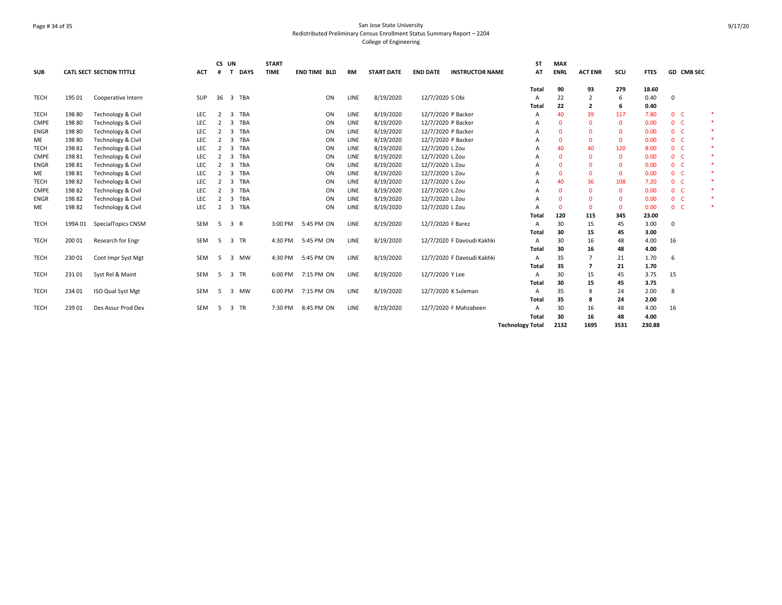# Page # 34 of 35 San Jose State University Redistributed Preliminary Census Enrollment Status Summary Report – 2204 College of Engineering

| <b>SUB</b>  |        | <b>CATL SECT SECTION TITTLE</b> | <b>ACT</b> | CS UN<br>#     | <b>DAYS</b><br>$\mathbf{T}$    | <b>START</b><br><b>TIME</b> | <b>END TIME BLD</b> | <b>RM</b> | <b>START DATE</b> | <b>END DATE</b>    | <b>INSTRUCTOR NAME</b>     | <b>ST</b><br>AT         | <b>MAX</b><br><b>ENRL</b> | <b>ACT ENR</b> | scu          | <b>FTES</b> |                | <b>GD CMB SEC</b> |
|-------------|--------|---------------------------------|------------|----------------|--------------------------------|-----------------------------|---------------------|-----------|-------------------|--------------------|----------------------------|-------------------------|---------------------------|----------------|--------------|-------------|----------------|-------------------|
|             |        |                                 |            |                |                                |                             |                     |           |                   |                    |                            | Total                   | 90                        | 93             | 279          | 18.60       |                |                   |
| <b>TECH</b> | 195 01 | Cooperative Intern              | <b>SUP</b> | 36             | $\overline{\mathbf{3}}$<br>TBA |                             | ON                  | LINE      | 8/19/2020         | 12/7/2020 S Obi    |                            | $\mathsf{A}$            | 22                        | 2              | 6            | 0.40        | $\Omega$       |                   |
|             |        |                                 |            |                |                                |                             |                     |           |                   |                    |                            | Total                   | 22                        | $\overline{2}$ | 6            | 0.40        |                |                   |
| <b>TECH</b> | 198 80 | Technology & Civil              | LEC        | 2              | TBA<br>3                       |                             | ON                  | LINE      | 8/19/2020         | 12/7/2020 P Backer |                            | A                       | 40                        | 39             | 117          | 7.80        | 0 <sup>o</sup> | 米                 |
| <b>CMPE</b> | 198 80 | Technology & Civil              | LEC        | $\overline{2}$ | TBA<br>3                       |                             | ON                  | LINE      | 8/19/2020         | 12/7/2020 P Backer |                            | A                       | $\Omega$                  | $\Omega$       | $\mathbf{0}$ | 0.00        | 0 <sup>o</sup> |                   |
| <b>ENGR</b> | 198 80 | Technology & Civil              | LEC        | $\overline{2}$ | TBA<br>3                       |                             | ON                  | LINE      | 8/19/2020         | 12/7/2020 P Backer |                            | А                       | 0                         | $\Omega$       | $\mathbf 0$  | 0.00        | 0 <sup>o</sup> |                   |
| ME          | 198 80 | Technology & Civil              | LEC        | $\overline{2}$ | TBA<br>3                       |                             | ON                  | LINE      | 8/19/2020         | 12/7/2020 P Backer |                            | А                       | 0                         | $\Omega$       | $\mathbf{0}$ | 0.00        | 0 <sub>c</sub> |                   |
| <b>TECH</b> | 19881  | Technology & Civil              | <b>LEC</b> | $\overline{2}$ | TBA<br>3                       |                             | ON                  | LINE      | 8/19/2020         | 12/7/2020 L Zou    |                            | А                       | 40                        | 40             | 120          | 8.00        | 0 <sup>o</sup> |                   |
| <b>CMPE</b> | 19881  | Technology & Civil              | <b>LEC</b> | $\overline{2}$ | TBA<br>3                       |                             | ON                  | LINE      | 8/19/2020         | 12/7/2020 L Zou    |                            | А                       | $\Omega$                  | $\Omega$       | $\mathbf{0}$ | 0.00        | 0 <sub>c</sub> |                   |
| <b>ENGR</b> | 19881  | Technology & Civil              | LEC        | $\overline{2}$ | TBA<br>3                       |                             | ON                  | LINE      | 8/19/2020         | 12/7/2020 L Zou    |                            | А                       | 0                         | $\Omega$       | $\mathbf{0}$ | 0.00        | 0 <sup>o</sup> |                   |
| ME          | 19881  | Technology & Civil              | LEC        | 2              | TBA<br>3                       |                             | ΟN                  | LINE      | 8/19/2020         | 12/7/2020 L Zou    |                            | А                       | 0                         | $\Omega$       | $\mathbf{0}$ | 0.00        | 0 <sup>o</sup> |                   |
| <b>TECH</b> | 19882  | Technology & Civil              | LEC        | $\overline{2}$ | <b>TBA</b><br>3                |                             | ON                  | LINE      | 8/19/2020         | 12/7/2020 L Zou    |                            | А                       | 40                        | 36             | 108          | 7.20        | 0 <sub>c</sub> |                   |
| <b>CMPE</b> | 19882  | Technology & Civil              | LEC        | $\overline{2}$ | <b>TBA</b><br>3                |                             | ON                  | LINE      | 8/19/2020         | 12/7/2020 L Zou    |                            | А                       | $\Omega$                  | $\Omega$       | $\mathbf{0}$ | 0.00        | 0 <sub>c</sub> |                   |
| <b>ENGR</b> | 19882  | Technology & Civil              | <b>LEC</b> | $\overline{2}$ | TBA<br>3                       |                             | ON                  | LINE      | 8/19/2020         | 12/7/2020 L Zou    |                            |                         | 0                         | $\Omega$       | $\mathbf{0}$ | 0.00        | 0 <sup>o</sup> |                   |
| ME          | 198 82 | Technology & Civil              | <b>LEC</b> | 2              | TBA<br>3                       |                             | ON                  | LINE      | 8/19/2020         | 12/7/2020 L Zou    |                            | А                       | $\Omega$                  | $\Omega$       | $\mathbf 0$  | 0.00        | 0 <sub>c</sub> |                   |
|             |        |                                 |            |                |                                |                             |                     |           |                   |                    |                            | Total                   | 120                       | 115            | 345          | 23.00       |                |                   |
| <b>TECH</b> | 199A01 | SpecialTopics CNSM              | <b>SEM</b> | 5              | 3 R                            | 3:00 PM                     | 5:45 PM ON          | LINE      | 8/19/2020         | 12/7/2020 F Barez  |                            | A                       | 30                        | 15             | 45           | 3.00        | $\Omega$       |                   |
|             |        |                                 |            |                |                                |                             |                     |           |                   |                    |                            | <b>Total</b>            | 30                        | 15             | 45           | 3.00        |                |                   |
| <b>TECH</b> | 200 01 | Research for Engr               | <b>SEM</b> | -5             | TR<br>$\overline{3}$           | 4:30 PM                     | 5:45 PM ON          | LINE      | 8/19/2020         |                    | 12/7/2020 F Davoudi Kakhki | A                       | 30                        | 16             | 48           | 4.00        | 16             |                   |
|             |        |                                 |            |                |                                |                             |                     |           |                   |                    |                            | Total                   | 30                        | 16             | 48           | 4.00        |                |                   |
| <b>TECH</b> | 230 01 | Cont Impr Syst Mgt              | <b>SEM</b> | -5             | MW<br>3                        | 4:30 PM                     | 5:45 PM ON          | LINE      | 8/19/2020         |                    | 12/7/2020 F Davoudi Kakhki | $\mathsf{A}$            | 35                        |                | 21           | 1.70        | 6              |                   |
|             |        |                                 |            |                |                                |                             |                     |           |                   |                    |                            | Total                   | 35                        |                | 21           | 1.70        |                |                   |
| <b>TECH</b> | 23101  | Syst Rel & Maint                | <b>SEM</b> | -5             | 3<br>TR                        | 6:00 PM                     | 7:15 PM ON          | LINE      | 8/19/2020         | 12/7/2020 Y Lee    |                            | A                       | 30                        | 15             | 45           | 3.75        | 15             |                   |
|             |        |                                 |            |                |                                |                             |                     |           |                   |                    |                            | <b>Total</b>            | 30                        | 15             | 45           | 3.75        |                |                   |
| <b>TECH</b> | 234 01 | ISO Qual Syst Mgt               | <b>SEM</b> | -5             | MW<br>3                        | 6:00 PM                     | 7:15 PM ON          | LINE      | 8/19/2020         |                    | 12/7/2020 K Suleman        | A                       | 35                        | 8              | 24           | 2.00        | 8              |                   |
|             |        |                                 |            |                |                                |                             |                     |           |                   |                    |                            | Total                   | 35                        |                | 24           | 2.00        |                |                   |
| <b>TECH</b> | 23901  | Des Assur Prod Dev              | <b>SEM</b> | -5             | TR<br>3                        | 7:30 PM                     | 8:45 PM ON          | LINE      | 8/19/2020         |                    | 12/7/2020 F Mahzabeen      | A                       | 30                        | 16             | 48           | 4.00        | 16             |                   |
|             |        |                                 |            |                |                                |                             |                     |           |                   |                    |                            | Total                   | 30                        | 16             | 48           | 4.00        |                |                   |
|             |        |                                 |            |                |                                |                             |                     |           |                   |                    |                            | <b>Technology Total</b> | 2132                      | 1695           | 3531         | 230.88      |                |                   |